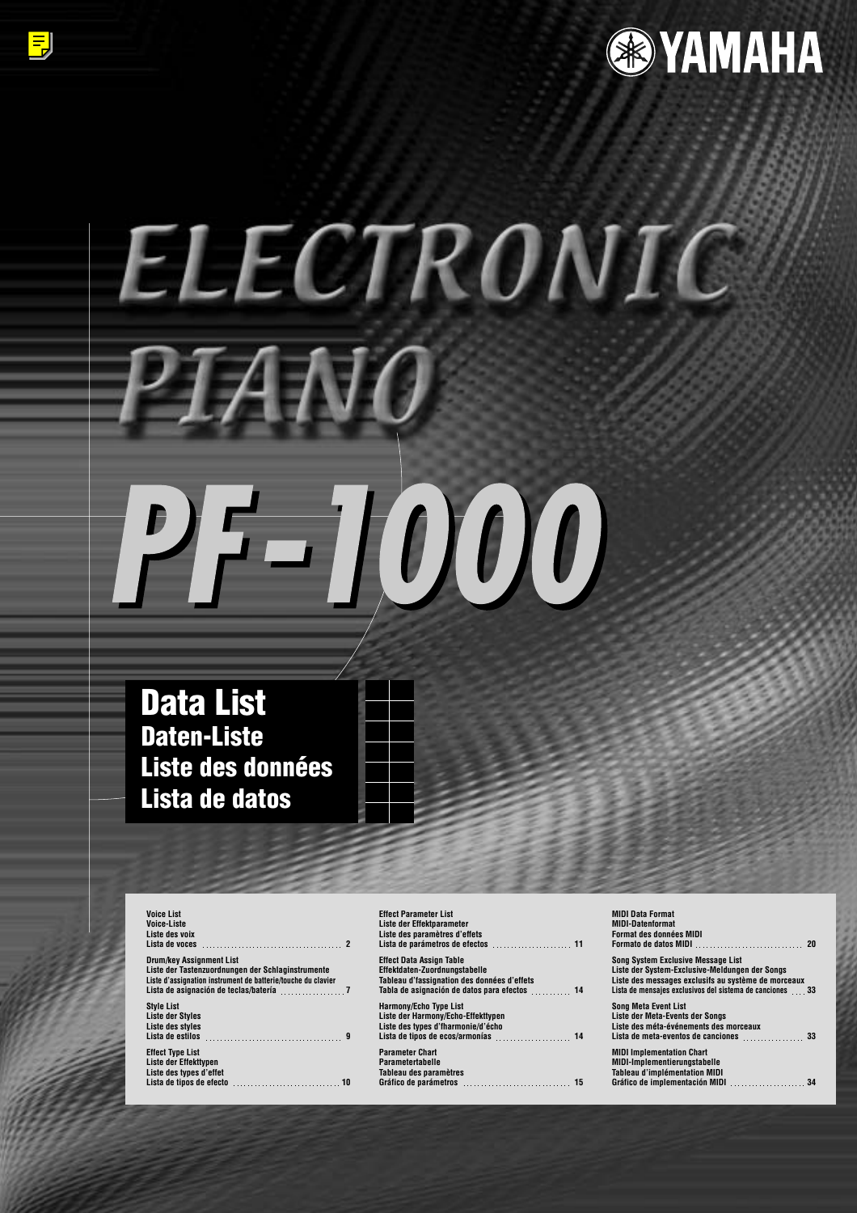

# ELECTRONIC **TAN**  $7 - 1000$

**Data List Daten-Liste Liste des données Lista de datos**

**Voice-Liste Liste des voix** Lista de voces **2** Drum/key Assignment List<br>Liste der Tastenzuordnungen der Schlaginstrumente<br>Liste d'assignation instrument de batterie/touche du clavier<br>Lista de asignación de teclas/batería <sub>-------------------</sub>-7 **Style List Liste der Styles Liste des styles [Lista de estilos 9](#page-8-0) Effect Type List Liste der Effekttypen Liste des types d'effet [Lista de tipos de efecto 10](#page-9-0)**

**Voice List**

| <b>Effect Parameter List</b>                  | <b>MIDI</b> L |
|-----------------------------------------------|---------------|
| Liste der Effektparameter                     | MIDI-I        |
| Liste des paramètres d'effets                 | Forma         |
|                                               | Forma         |
| <b>Effect Data Assign Table</b>               | Song S        |
| Effektdaten-Zuordnungstabelle                 | Liste o       |
| Tableau d'fassignation des données d'effets   | Liste o       |
| Tabla de asignación de datos para efectos  14 | Lista d       |
| <b>Harmony/Echo Type List</b>                 | Sona I        |
| Liste der Harmony/Echo-Effekttypen            | Liste o       |
| Liste des types d'fharmonie/d'écho            | Liste o       |
|                                               | Lista o       |
| <b>Parameter Chart</b>                        | <b>MIDI I</b> |
| <b>Parametertabelle</b>                       | MIDI-I        |
| Tableau des paramètres                        | Tablea        |
|                                               | Gráfic        |

| <b>MIDI Data Format</b><br><b>MIDI-Datenformat</b><br><b>Format des données MIDI</b>                                                                                                                           |
|----------------------------------------------------------------------------------------------------------------------------------------------------------------------------------------------------------------|
| <b>Song System Exclusive Message List</b><br>Liste der System-Exclusive-Meldungen der Songs<br>Liste des messages exclusifs au système de morceaux<br>Lista de mensaies exclusivos del sistema de canciones 33 |
| <b>Song Meta Event List</b><br>Liste der Meta-Events der Songs<br>Liste des méta-événements des morceaux<br>Lista de meta-eventos de canciones                                                                 |
| <b>MIDI Implementation Chart</b><br><b>MIDI-Implementierungstabelle</b><br><b>Tableau d'implémentation MIDI</b><br>Gráfico de implementación MIDI  34                                                          |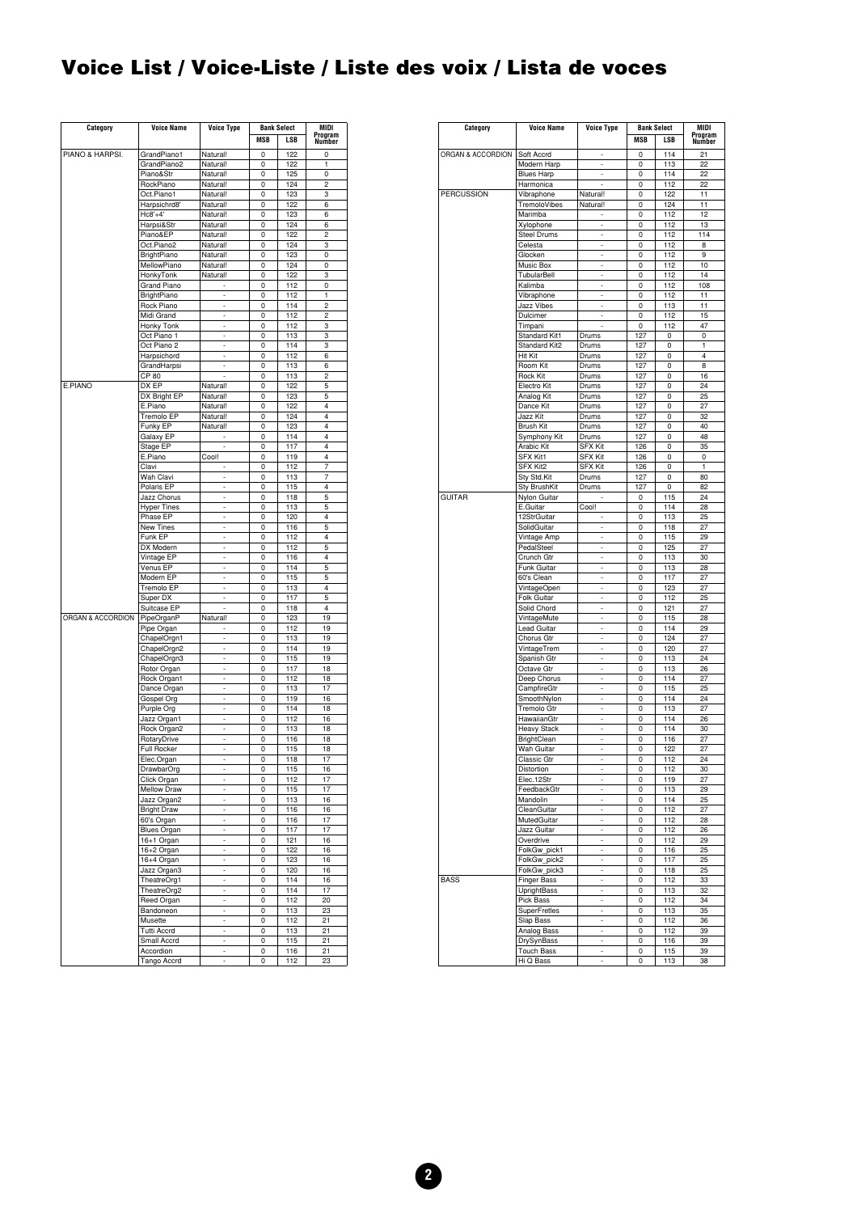# <span id="page-1-0"></span>**Voice List / Voice-Liste / Liste des voix / Lista de voces**

| Category          | <b>Voice Name</b>  | Voice Type               | <b>Bank Select</b> |     | MIDI           |
|-------------------|--------------------|--------------------------|--------------------|-----|----------------|
|                   |                    |                          | <b>MSB</b>         | LSB | Program        |
|                   |                    |                          |                    |     | Number         |
| PIANO & HARPSI.   | GrandPiano1        | Natural!                 | 0                  | 122 | 0              |
|                   | GrandPiano2        | Natural!                 | 0                  | 122 | 1              |
|                   | Piano&Str          | Natural!                 | 0                  | 125 | 0              |
|                   | RockPiano          | Natural!                 | 0                  | 124 | $\overline{c}$ |
|                   | Oct.Piano1         | Natural!                 | 0                  | 123 | 3              |
|                   | Harpsichrd8'       | Natural!                 | 0                  | 122 | 6              |
|                   | $Hc8'+4'$          | Natural!                 | 0                  | 123 | 6              |
|                   |                    |                          |                    |     |                |
|                   | Harpsi&Str         | Natural!                 | 0                  | 124 | 6              |
|                   | Piano&EP           | Natural!                 | 0                  | 122 | 2              |
|                   | Oct.Piano2         | Natural!                 | 0                  | 124 | 3              |
|                   | BrightPiano        | Natural!                 | 0                  | 123 | 0              |
|                   | MellowPiano        | Natural!                 | 0                  | 124 | 0              |
|                   | HonkyTonk          | Natural!                 | 0                  | 122 | 3              |
|                   | Grand Piano        |                          | 0                  | 112 | 0              |
|                   | <b>BrightPiano</b> |                          | 0                  | 112 | 1              |
|                   |                    | $\overline{a}$           | 0                  | 114 | $\overline{c}$ |
|                   | Rock Piano         |                          |                    |     |                |
|                   | Midi Grand         | ÷,                       | 0                  | 112 | 2              |
|                   | Honky Tonk         |                          | 0                  | 112 | 3              |
|                   | Oct Piano 1        | $\overline{a}$           | 0                  | 113 | 3              |
|                   | Oct Piano 2        | $\overline{a}$           | 0                  | 114 | 3              |
|                   | Harpsichord        |                          | 0                  | 112 | 6              |
|                   | GrandHarpsi        | $\overline{a}$           | 0                  | 113 | 6              |
|                   | CP 80              | $\overline{a}$           | 0                  | 113 | 2              |
|                   |                    |                          |                    |     |                |
| E.PIANO           | DX EP              | Natural!                 | 0                  | 122 | 5              |
|                   | DX Bright EP       | Natural!                 | 0                  | 123 | 5              |
|                   | E.Piano            | Natural!                 | 0                  | 122 | 4              |
|                   | Tremolo EP         | Natural!                 | 0                  | 124 | 4              |
|                   | Funky EP           | Natural!                 | 0                  | 123 | $\overline{4}$ |
|                   | Galaxy EP          |                          | 0                  | 114 | 4              |
|                   | Stage EP           |                          |                    | 117 | 4              |
|                   | E.Piano            |                          | 0                  |     | $\overline{4}$ |
|                   |                    | Cool!                    | 0                  | 119 |                |
|                   | Clavi              |                          | 0                  | 112 | $\overline{7}$ |
|                   | Wah Clavi          | ÷                        | 0                  | 113 | 7              |
|                   | Polaris EP         | $\overline{a}$           | 0                  | 115 | 4              |
|                   | Jazz Chorus        | $\overline{a}$           | 0                  | 118 | 5              |
|                   | <b>Hyper Tines</b> | ÷                        | 0                  | 113 | 5              |
|                   | Phase EP           | $\overline{a}$           | 0                  | 120 | 4              |
|                   | New Tines          | $\overline{a}$           | 0                  | 116 | 5              |
|                   | Funk EP            | ÷                        |                    | 112 | 4              |
|                   |                    |                          | 0                  |     |                |
|                   | DX Modern          | $\overline{a}$           | 0                  | 112 | 5              |
|                   | Vintage EP         | $\overline{a}$           | 0                  | 116 | 4              |
|                   | Venus EP           | ÷                        | 0                  | 114 | 5              |
|                   | Modern EP          | $\overline{a}$           | 0                  | 115 | 5              |
|                   | Tremolo EP         | Ĭ.                       | 0                  | 113 | 4              |
|                   | Super DX           |                          | 0                  | 117 | 5              |
|                   | Suitcase EP        | $\overline{a}$           | 0                  | 118 | 4              |
| ORGAN & ACCORDION |                    |                          |                    | 123 | 19             |
|                   | PipeOrganP         | Natural!                 | 0                  |     |                |
|                   | Pipe Organ         | ÷                        | 0                  | 112 | 19             |
|                   | ChapelOrgn1        | $\overline{a}$           | 0                  | 113 | 19             |
|                   | ChapelOrgn2        | Ĭ.                       | 0                  | 114 | 19             |
|                   | ChapelOrgn3        | ÷                        | 0                  | 115 | 19             |
|                   | Rotor Organ        | $\overline{a}$           | 0                  | 117 | 18             |
|                   | Rock Organ1        | $\overline{a}$           | 0                  | 112 | 18             |
|                   |                    | ÷                        |                    |     | 17             |
|                   | Dance Organ        |                          | 0                  | 113 |                |
|                   | Gospel Org         | $\overline{a}$           | 0                  | 119 | 16             |
|                   | Purple Org         |                          | 0                  | 114 | 18             |
|                   | Jazz Organ1        | $\overline{a}$           | 0                  | 112 | 16             |
|                   | Rock Organ2        | $\overline{a}$           | 0                  | 113 | 18             |
|                   | RotaryDrive        |                          | 0                  | 116 | 18             |
|                   | Full Rocker        | ÷                        | 0                  | 115 | 18             |
|                   | Elec.Organ         | $\overline{a}$           | 0                  | 118 | 17             |
|                   |                    |                          |                    |     |                |
|                   | DrawbarOrg         |                          | υ                  | 115 | 16             |
|                   | Click Organ        | $\overline{a}$           | 0                  | 112 | 17             |
|                   | Mellow Draw        | $\overline{a}$           | 0                  | 115 | 17             |
|                   | Jazz Organ2        | ÷,                       | 0                  | 113 | 16             |
|                   | <b>Bright Draw</b> | ÷,                       | 0                  | 116 | 16             |
|                   | 60's Organ         | L,                       | 0                  | 116 | 17             |
|                   | <b>Blues Organ</b> | ÷,                       | 0                  | 117 | 17             |
|                   | 16+1 Organ         | $\overline{\phantom{a}}$ | 0                  | 121 | 16             |
|                   |                    | L,                       |                    |     |                |
|                   | 16+2 Organ         |                          | 0                  | 122 | 16             |
|                   | 16+4 Organ         | ÷,                       | 0                  | 123 | 16             |
|                   | Jazz Organ3        | ÷,                       | 0                  | 120 | 16             |
|                   | TheatreOrg1        | L,                       | 0                  | 114 | 16             |
|                   | TheatreOrg2        | ÷,                       | 0                  | 114 | 17             |
|                   | Reed Organ         | $\overline{\phantom{a}}$ | 0                  | 112 | 20             |
|                   |                    | L,                       | 0                  | 113 | 23             |
|                   | Bandoneon          |                          |                    |     |                |
|                   |                    | ÷,                       | 0                  | 112 | 21             |
|                   | Musette            |                          |                    |     |                |
|                   | <b>Tutti Accrd</b> | ÷,                       | 0                  | 113 | 21             |
|                   | Small Accrd        | L,                       | 0                  | 115 | 21             |
|                   | Accordion          | ÷,                       | 0                  | 116 | 21             |

| Category          | <b>Voice Name</b>         | <b>Voice Type</b>   | <b>Bank Select</b> |            | MIDI              |  |
|-------------------|---------------------------|---------------------|--------------------|------------|-------------------|--|
|                   |                           |                     | <b>MSB</b>         | LSB        | Program<br>Number |  |
|                   |                           |                     |                    |            |                   |  |
| ORGAN & ACCORDION | Soft Accrd<br>Modern Harp | L                   | 0<br>0             | 114<br>113 | 21<br>22          |  |
|                   | <b>Blues Harp</b>         | ÷                   | 0                  | 114        | 22                |  |
|                   | Harmonica                 |                     | 0                  | 112        | 22                |  |
| <b>PERCUSSION</b> | Vibraphone                | Natural!            | 0                  | 122        | 11                |  |
|                   | TremoloVibes              | Natural!            | 0                  | 124        | 11                |  |
|                   | Marimba                   |                     | 0                  | 112        | 12                |  |
|                   | Xylophone                 | L                   | 0                  | 112        | 13                |  |
|                   | Steel Drums               | ÷                   | 0                  | 112        | 114               |  |
|                   | Celesta                   | $\overline{a}$      | 0                  | 112        | 8                 |  |
|                   | Glocken                   | L,                  | 0                  | 112        | 9                 |  |
|                   | Music Box                 | L,                  | 0                  | 112        | 10                |  |
|                   | TubularBell               | $\overline{a}$      | 0                  | 112        | 14                |  |
|                   | Kalimba                   | L,                  | 0                  | 112        | 108               |  |
|                   | Vibraphone                | ÷<br>$\overline{a}$ | 0                  | 112        | 11                |  |
|                   | Jazz Vibes<br>Dulcimer    | L                   | 0<br>0             | 113<br>112 | 11<br>15          |  |
|                   | Timpani                   | Ĭ.                  | 0                  | 112        | 47                |  |
|                   | Standard Kit1             | Drums               | 127                | 0          | 0                 |  |
|                   | Standard Kit2             | Drums               | 127                | 0          | 1                 |  |
|                   | Hit Kit                   | Drums               | 127                | 0          | 4                 |  |
|                   | Room Kit                  | Drums               | 127                | 0          | 8                 |  |
|                   | Rock Kit                  | Drums               | 127                | 0          | 16                |  |
|                   | Electro Kit               | Drums               | 127                | 0          | 24                |  |
|                   | Analog Kit                | Drums               | 127                | 0          | 25                |  |
|                   | Dance Kit                 | Drums               | 127                | 0          | 27                |  |
|                   | Jazz Kit                  | Drums               | 127                | 0          | 32                |  |
|                   | <b>Brush Kit</b>          | Drums               | 127                | 0          | 40                |  |
|                   | Symphony Kit              | Drums               | 127                | 0          | 48                |  |
|                   | Arabic Kit                | SFX Kit             | 126                | 0          | 35                |  |
|                   | SFX Kit1                  | <b>SFX Kit</b>      | 126                | 0          | 0                 |  |
|                   | SFX Kit2                  | <b>SFX Kit</b>      | 126                | 0          | 1                 |  |
|                   | Sty Std.Kit               | Drums               | 127                | 0          | 80                |  |
| <b>GUITAR</b>     | <b>Sty BrushKit</b>       | Drums               | 127                | 0          | 82                |  |
|                   | Nylon Guitar              |                     | 0                  | 115        | 24                |  |
|                   | E.Guitar                  | Cool!               | 0                  | 114        | 28                |  |
|                   | 12StrGuitar               | ÷,                  | 0                  | 113        | 25                |  |
|                   | SolidGuitar               |                     | 0                  | 118        | 27                |  |
|                   | Vintage Amp               | ÷                   | 0                  | 115        | 29                |  |
|                   | PedalSteel                | $\overline{a}$<br>L | 0                  | 125        | 27                |  |
|                   | Crunch Gtr                | L,                  | 0                  | 113        | 30                |  |
|                   | Funk Guitar<br>60's Clean | $\overline{a}$      | 0<br>0             | 113<br>117 | 28<br>27          |  |
|                   | VintageOpen               | L                   | 0                  | 123        | 27                |  |
|                   | <b>Folk Guitar</b>        | ÷                   | 0                  | 112        | 25                |  |
|                   | Solid Chord               | $\overline{a}$      | 0                  | 121        | 27                |  |
|                   | VintageMute               |                     | 0                  | 115        | 28                |  |
|                   | Lead Guitar               | L,                  | 0                  | 114        | 29                |  |
|                   | Chorus Gtr                | $\overline{a}$      | 0                  | 124        | 27                |  |
|                   | VintageTrem               | L                   | 0                  | 120        | 27                |  |
|                   | Spanish Gtr               | ÷,                  | 0                  | 113        | 24                |  |
|                   | Octave Gtr                | L,                  | 0                  | 113        | 26                |  |
|                   | Deep Chorus               | L                   | 0                  | 114        | 27                |  |
|                   | CampfireGtr               | ÷,                  | 0                  | 115        | 25                |  |
|                   | SmoothNylon               | $\overline{a}$      | 0                  | 114        | 24                |  |
|                   | Tremolo Gtr               | -                   | 0                  | 113        | 27                |  |
|                   | HawaiianGtr               | ÷,                  | 0                  | 114        | 26                |  |
|                   | Heavy Stack               | L,                  | 0                  | 114        | 30                |  |
|                   | BrightClean               | L                   | 0                  | 116        | 27                |  |
|                   | Wah Guitar<br>Classic Gtr | ÷<br>$\overline{a}$ | 0<br>0             | 122        | 27<br>24          |  |
|                   |                           |                     |                    | 112        |                   |  |
|                   | Distortion<br>Elec.12Str  | ÷<br>÷,             | 0<br>0             | 112<br>119 | 30<br>27          |  |
|                   | FeedbackGtr               | ÷,                  | 0                  | 113        | 29                |  |
|                   | Mandolin                  | -                   | 0                  | 114        | 25                |  |
|                   | CleanGuitar               | ÷                   | 0                  | 112        | 27                |  |
|                   | MutedGuitar               | ÷,                  | 0                  | 112        | 28                |  |
|                   | Jazz Guitar               | -                   | 0                  | 112        | 26                |  |
|                   | Overdrive                 | ÷                   | 0                  | 112        | 29                |  |
|                   | FolkGw_pick1              | ÷,                  | 0                  | 116        | 25                |  |
|                   | FolkGw_pick2              | -                   | 0                  | 117        | 25                |  |
|                   | FolkGw_pick3              | ÷                   | 0                  | 118        | 25                |  |
| <b>BASS</b>       | <b>Finger Bass</b>        | L,                  | 0                  | 112        | 33                |  |
|                   | UprightBass               | -                   | 0                  | 113        | 32                |  |
|                   | Pick Bass                 | ÷                   | 0                  | 112        | 34                |  |
|                   | SuperFretles              | ÷,                  | 0                  | 113        | 35                |  |
|                   | Slap Bass                 | L                   | 0                  | 112        | 36                |  |
|                   | Analog Bass               | ÷                   | 0                  | 112        | 39                |  |
|                   | DrySynBass                | L,                  | 0                  | 116        | 39                |  |
|                   | <b>Touch Bass</b>         | -                   | 0                  | 115        | 39                |  |
|                   | Hi Q Bass                 | ÷                   | 0                  | 113        | 38                |  |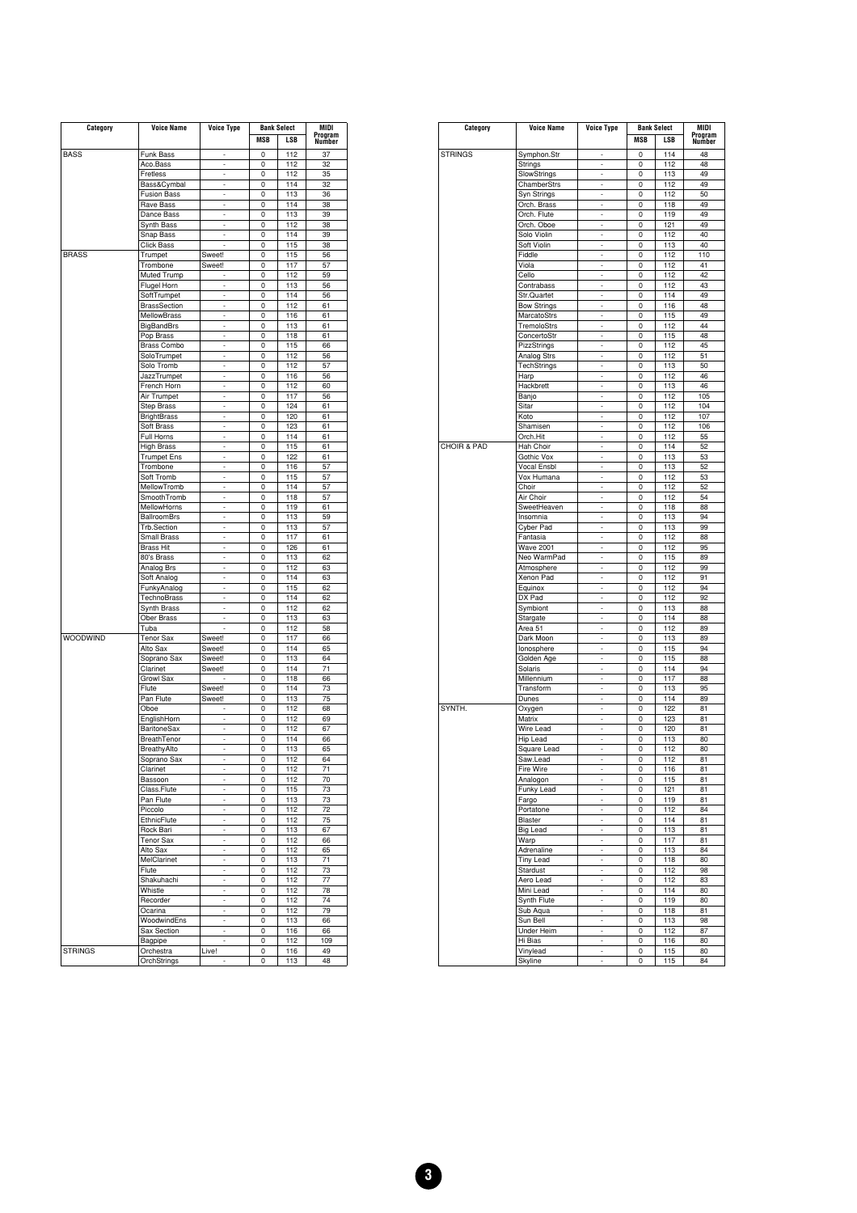| Category        | <b>Voice Name</b>   | Voice Type               | <b>Bank Select</b> |     | MIDI    |  |
|-----------------|---------------------|--------------------------|--------------------|-----|---------|--|
|                 |                     |                          | <b>MSB</b>         | LSB | Program |  |
|                 |                     |                          |                    |     | Number  |  |
| <b>BASS</b>     | Funk Bass           |                          | 0                  | 112 | 37      |  |
|                 | Aco.Bass            | ÷                        | 0                  | 112 | 32      |  |
|                 | Fretless            | $\overline{\phantom{a}}$ | 0                  | 112 | 35      |  |
|                 | Bass&Cymbal         | ÷,                       | 0                  | 114 | 32      |  |
|                 | <b>Fusion Bass</b>  | ÷                        | 0                  | 113 | 36      |  |
|                 | Rave Bass           | $\overline{a}$           | 0                  | 114 | 38      |  |
|                 |                     | Ļ                        |                    |     |         |  |
|                 | Dance Bass          |                          | 0                  | 113 | 39      |  |
|                 | Synth Bass          | ÷                        | 0                  | 112 | 38      |  |
|                 | Snap Bass           | l,                       | 0                  | 114 | 39      |  |
|                 | <b>Click Bass</b>   |                          | 0                  | 115 | 38      |  |
| <b>BRASS</b>    | Trumpet             | Sweet!                   | 0                  | 115 | 56      |  |
|                 | Trombone            | Sweet!                   | 0                  | 117 | 57      |  |
|                 | Muted Trump         |                          | 0                  | 112 | 59      |  |
|                 | Flugel Horn         | ÷                        | 0                  | 113 | 56      |  |
|                 | SoftTrumpet         | $\overline{a}$           | 0                  | 114 | 56      |  |
|                 |                     | $\overline{a}$           |                    | 112 |         |  |
|                 | <b>BrassSection</b> |                          | 0                  |     | 61      |  |
|                 | <b>MellowBrass</b>  | ÷                        | 0                  | 116 | 61      |  |
|                 | <b>BigBandBrs</b>   | $\overline{a}$           | 0                  | 113 | 61      |  |
|                 | Pop Brass           | $\overline{a}$           | 0                  | 118 | 61      |  |
|                 | <b>Brass Combo</b>  | ÷                        | 0                  | 115 | 66      |  |
|                 | SoloTrumpet         | $\overline{a}$           | 0                  | 112 | 56      |  |
|                 |                     | $\overline{a}$           |                    |     |         |  |
|                 | Solo Tromb          |                          | 0                  | 112 | 57      |  |
|                 | JazzTrumpet         | ÷                        | 0                  | 116 | 56      |  |
|                 | French Horn         | $\overline{a}$           | 0                  | 112 | 60      |  |
|                 | Air Trumpet         | $\overline{a}$           | 0                  | 117 | 56      |  |
|                 | <b>Step Brass</b>   | ÷                        | 0                  | 124 | 61      |  |
|                 | <b>BrightBrass</b>  | $\overline{a}$           | 0                  | 120 | 61      |  |
|                 |                     | $\overline{a}$           |                    |     |         |  |
|                 | Soft Brass          |                          | 0                  | 123 | 61      |  |
|                 | Full Horns          | ÷                        | 0                  | 114 | 61      |  |
|                 | <b>High Brass</b>   | $\overline{a}$           | 0                  | 115 | 61      |  |
|                 | <b>Trumpet Ens</b>  | $\overline{a}$           | 0                  | 122 | 61      |  |
|                 | Trombone            | ÷                        | 0                  | 116 | 57      |  |
|                 | Soft Tromb          | $\overline{a}$           | 0                  | 115 | 57      |  |
|                 | MellowTromb         | l,                       |                    | 114 |         |  |
|                 |                     |                          | 0                  |     | 57      |  |
|                 | SmoothTromb         | ÷,                       | 0                  | 118 | 57      |  |
|                 | MellowHorns         | $\overline{a}$           | 0                  | 119 | 61      |  |
|                 | <b>BallroomBrs</b>  | $\overline{a}$           | 0                  | 113 | 59      |  |
|                 | Trb.Section         | ÷                        | 0                  | 113 | 57      |  |
|                 | Small Brass         | $\overline{a}$           | 0                  | 117 | 61      |  |
|                 |                     | $\overline{a}$           |                    | 126 |         |  |
|                 | <b>Brass Hit</b>    |                          | 0                  |     | 61      |  |
|                 | 80's Brass          | $\overline{a}$           | 0                  | 113 | 62      |  |
|                 | Analog Brs          | $\overline{a}$           | 0                  | 112 | 63      |  |
|                 | Soft Analog         | $\overline{\phantom{a}}$ | 0                  | 114 | 63      |  |
|                 | FunkyAnalog         | ÷                        | 0                  | 115 | 62      |  |
|                 | TechnoBrass         | $\overline{a}$           | 0                  | 114 | 62      |  |
|                 |                     |                          |                    |     |         |  |
|                 | Synth Brass         | $\overline{\phantom{a}}$ | 0                  | 112 | 62      |  |
|                 | <b>Ober Brass</b>   | ÷                        | 0                  | 113 | 63      |  |
|                 | Tuba                | $\overline{a}$           | 0                  | 112 | 58      |  |
| <b>WOODWIND</b> | <b>Tenor Sax</b>    | Sweet!                   | 0                  | 117 | 66      |  |
|                 | Alto Sax            | Sweet!                   | 0                  | 114 | 65      |  |
|                 | Soprano Sax         | Sweet!                   | 0                  | 113 | 64      |  |
|                 |                     |                          |                    |     |         |  |
|                 | Clarinet            | Sweet!                   | 0                  | 114 | 71      |  |
|                 | Growl Sax           |                          | 0                  | 118 | 66      |  |
|                 | Flute               | Sweet!                   | 0                  | 114 | 73      |  |
|                 | Pan Flute           | Sweet!                   | 0                  | 113 | 75      |  |
|                 | Oboe                |                          | 0                  | 112 | 68      |  |
|                 | EnglishHorn         | $\overline{a}$           | 0                  | 112 | 69      |  |
|                 |                     |                          |                    |     |         |  |
|                 | <b>BaritoneSax</b>  |                          | 0                  | 112 | 67      |  |
|                 | BreathTenor         | $\overline{a}$           | 0                  | 114 | 66      |  |
|                 | BreathyAlto         | $\overline{a}$           | 0                  | 113 | 65      |  |
|                 | Soprano Sax         | $\overline{\phantom{a}}$ | 0                  | 112 | 64      |  |
|                 | Clarinet            |                          | $\Omega$           | 112 | 71      |  |
|                 | Bassoon             | ÷                        | 0                  | 112 | 70      |  |
|                 |                     |                          |                    |     |         |  |
|                 | Class.Flute         |                          | 0                  | 115 | 73      |  |
|                 | Pan Flute           | $\overline{a}$           | 0                  | 113 | 73      |  |
|                 | Piccolo             | ÷,                       | 0                  | 112 | 72      |  |
|                 | EthnicFlute         | -                        | 0                  | 112 | 75      |  |
|                 | Rock Bari           | $\overline{a}$           | 0                  | 113 | 67      |  |
|                 | <b>Tenor Sax</b>    | $\overline{a}$           | 0                  | 112 | 66      |  |
|                 |                     |                          |                    |     |         |  |
|                 | Alto Sax            | $\frac{1}{2}$            | 0                  | 112 | 65      |  |
|                 | MelClarinet         | $\overline{a}$           | 0                  | 113 | 71      |  |
|                 | Flute               | ÷                        | 0                  | 112 | 73      |  |
|                 | Shakuhachi          | -                        | 0                  | 112 | 77      |  |
|                 | Whistle             | $\overline{a}$           | 0                  | 112 | 78      |  |
|                 |                     | ÷,                       |                    |     |         |  |
|                 | Recorder            |                          | 0                  | 112 | 74      |  |
|                 | Ocarina             | $\frac{1}{2}$            | 0                  | 112 | 79      |  |
|                 | WoodwindEns         | $\overline{a}$           | 0                  | 113 | 66      |  |
|                 | Sax Section         | ÷                        | 0                  | 116 | 66      |  |
|                 | Bagpipe             | -                        | 0                  | 112 | 109     |  |
| <b>STRINGS</b>  |                     | Live!                    |                    |     |         |  |
|                 | Orchestra           |                          | 0                  | 116 | 49      |  |
|                 | OrchStrings         |                          | 0                  | 113 | 48      |  |

|                | <b>Voice Name</b>  | <b>Voice Type</b> | <b>Bank Select</b> |     |         |  | MIDI |
|----------------|--------------------|-------------------|--------------------|-----|---------|--|------|
| Category       |                    |                   |                    |     | Program |  |      |
|                |                    |                   | <b>MSB</b>         | LSB | Number  |  |      |
| <b>STRINGS</b> | Symphon.Str        | ÷                 | 0                  | 114 | 48      |  |      |
|                | Strings            | L                 | 0                  | 112 | 48      |  |      |
|                | SlowStrings        |                   | 0                  | 113 | 49      |  |      |
|                |                    |                   |                    |     |         |  |      |
|                | ChamberStrs        | ÷,                | 0                  | 112 | 49      |  |      |
|                | Syn Strings        | $\overline{a}$    | 0                  | 112 | 50      |  |      |
|                | Orch. Brass        | i.                | 0                  | 118 | 49      |  |      |
|                | Orch. Flute        | ÷,                | 0                  | 119 | 49      |  |      |
|                | Orch. Oboe         | $\overline{a}$    | 0                  | 121 | 49      |  |      |
|                | Solo Violin        | i.                | 0                  | 112 | 40      |  |      |
|                | Soft Violin        | L,                | 0                  | 113 | 40      |  |      |
|                | Fiddle             | L                 | 0                  | 112 | 110     |  |      |
|                | Viola              | i.                | 0                  | 112 | 41      |  |      |
|                |                    | L,                |                    | 112 |         |  |      |
|                | Cello              |                   | 0                  |     | 42      |  |      |
|                | Contrabass         | L,                | 0                  | 112 | 43      |  |      |
|                | Str.Quartet        | i.                | 0                  | 114 | 49      |  |      |
|                | <b>Bow Strings</b> | ÷,                | 0                  | 116 | 48      |  |      |
|                | MarcatoStrs        | $\overline{a}$    | 0                  | 115 | 49      |  |      |
|                | TremoloStrs        | i.                | 0                  | 112 | 44      |  |      |
|                | ConcertoStr        | L,                | 0                  | 115 | 48      |  |      |
|                | PizzStrings        | $\overline{a}$    | 0                  | 112 | 45      |  |      |
|                | Analog Strs        | i.                | 0                  | 112 | 51      |  |      |
|                | TechStrings        | ÷,                | 0                  | 113 | 50      |  |      |
|                |                    | L                 | 0                  | 112 | 46      |  |      |
|                | Harp               |                   |                    |     |         |  |      |
|                | Hackbrett          | i.                | 0                  | 113 | 46      |  |      |
|                | Banjo              | L,                | 0                  | 112 | 105     |  |      |
|                | Sitar              | $\overline{a}$    | 0                  | 112 | 104     |  |      |
|                | Koto               | Ĭ.                | 0                  | 112 | 107     |  |      |
|                | Shamisen           | ÷,                | 0                  | 112 | 106     |  |      |
|                | Orch.Hit           | L                 | 0                  | 112 | 55      |  |      |
| CHOIR & PAD    | Hah Choir          | i.                | 0                  | 114 | 52      |  |      |
|                | Gothic Vox         | ÷,                | 0                  | 113 | 53      |  |      |
|                | Vocal Ensbl        | $\overline{a}$    | 0                  | 113 | 52      |  |      |
|                | Vox Humana         |                   |                    |     |         |  |      |
|                |                    | i.                | 0                  | 112 | 53      |  |      |
|                | Choir              | ÷                 | 0                  | 112 | 52      |  |      |
|                | Air Choir          | L                 | 0                  | 112 | 54      |  |      |
|                | SweetHeaven        | i.                | 0                  | 118 | 88      |  |      |
|                | Insomnia           | ÷,                | 0                  | 113 | 94      |  |      |
|                | Cyber Pad          | $\overline{a}$    | 0                  | 113 | 99      |  |      |
|                | Fantasia           | L,                | 0                  | 112 | 88      |  |      |
|                | <b>Wave 2001</b>   | ÷,                | 0                  | 112 | 95      |  |      |
|                | Neo WarmPad        | $\overline{a}$    | 0                  | 115 | 89      |  |      |
|                |                    | i.                | 0                  | 112 | 99      |  |      |
|                | Atmosphere         |                   |                    |     |         |  |      |
|                | Xenon Pad          | L,                | 0                  | 112 | 91      |  |      |
|                | Equinox            | $\overline{a}$    | 0                  | 112 | 94      |  |      |
|                | DX Pad             | L,                | 0                  | 112 | 92      |  |      |
|                | Symbiont           | ÷                 | 0                  | 113 | 88      |  |      |
|                | Stargate           | L                 | 0                  | 114 | 88      |  |      |
|                | Area 51            | L,                | 0                  | 112 | 89      |  |      |
|                | Dark Moon          | L,                | 0                  | 113 | 89      |  |      |
|                | lonosphere         | $\overline{a}$    | 0                  | 115 | 94      |  |      |
|                | Golden Age         | L,                | 0                  | 115 | 88      |  |      |
|                |                    |                   |                    |     |         |  |      |
|                | Solaris            | ÷,                | 0                  | 114 | 94      |  |      |
|                | Millennium         | L                 | 0                  | 117 | 88      |  |      |
|                | Transform          | i.                | 0                  | 113 | 95      |  |      |
|                | Dunes              | L,                | 0                  | 114 | 89      |  |      |
| SYNTH.         | Oxygen             | L,                | 0                  | 122 | 81      |  |      |
|                | Matrix             | L,                | 0                  | 123 | 81      |  |      |
|                | Wire Lead          | ÷                 | 0                  | 120 | 81      |  |      |
|                | Hip Lead           |                   | 0                  | 113 | 80      |  |      |
|                | Square Lead        | L,                | 0                  | 112 | 80      |  |      |
|                | Saw.Lead           | ÷,                | 0                  | 112 | 81      |  |      |
|                |                    |                   |                    |     |         |  |      |
|                | Fire Wire          |                   | 0                  | 116 | 81      |  |      |
|                | Analogon           | i,                | 0                  | 115 | 81      |  |      |
|                | Funky Lead         | ÷                 | 0                  | 121 | 81      |  |      |
|                | Fargo              | ÷,                | 0                  | 119 | 81      |  |      |
|                | Portatone          | ÷,                | 0                  | 112 | 84      |  |      |
|                | Blaster            | ÷                 | 0                  | 114 | 81      |  |      |
|                | <b>Big Lead</b>    | ÷,                | 0                  | 113 | 81      |  |      |
|                | Warp               | L,                | 0                  | 117 | 81      |  |      |
|                | Adrenaline         | ÷                 | 0                  | 113 | 84      |  |      |
|                | <b>Tiny Lead</b>   |                   |                    |     |         |  |      |
|                |                    |                   | 0                  | 118 | 80      |  |      |
|                | Stardust           | ÷,                | 0                  | 112 | 98      |  |      |
|                | Aero Lead          | ÷                 | 0                  | 112 | 83      |  |      |
|                | Mini Lead          | ÷,                | 0                  | 114 | 80      |  |      |
|                | Synth Flute        | L,                | 0                  | 119 | 80      |  |      |
|                | Sub Aqua           | ÷                 | 0                  | 118 | 81      |  |      |
|                | Sun Bell           | ÷,                | 0                  | 113 | 98      |  |      |
|                | Under Heim         | ÷,                | 0                  | 112 | 87      |  |      |
|                | Hi Bias            | ÷                 | 0                  | 116 | 80      |  |      |
|                | Vinylead           |                   | 0                  | 115 | 80      |  |      |
|                |                    | ÷,                |                    |     |         |  |      |
|                | Skyline            |                   | 0                  | 115 | 84      |  |      |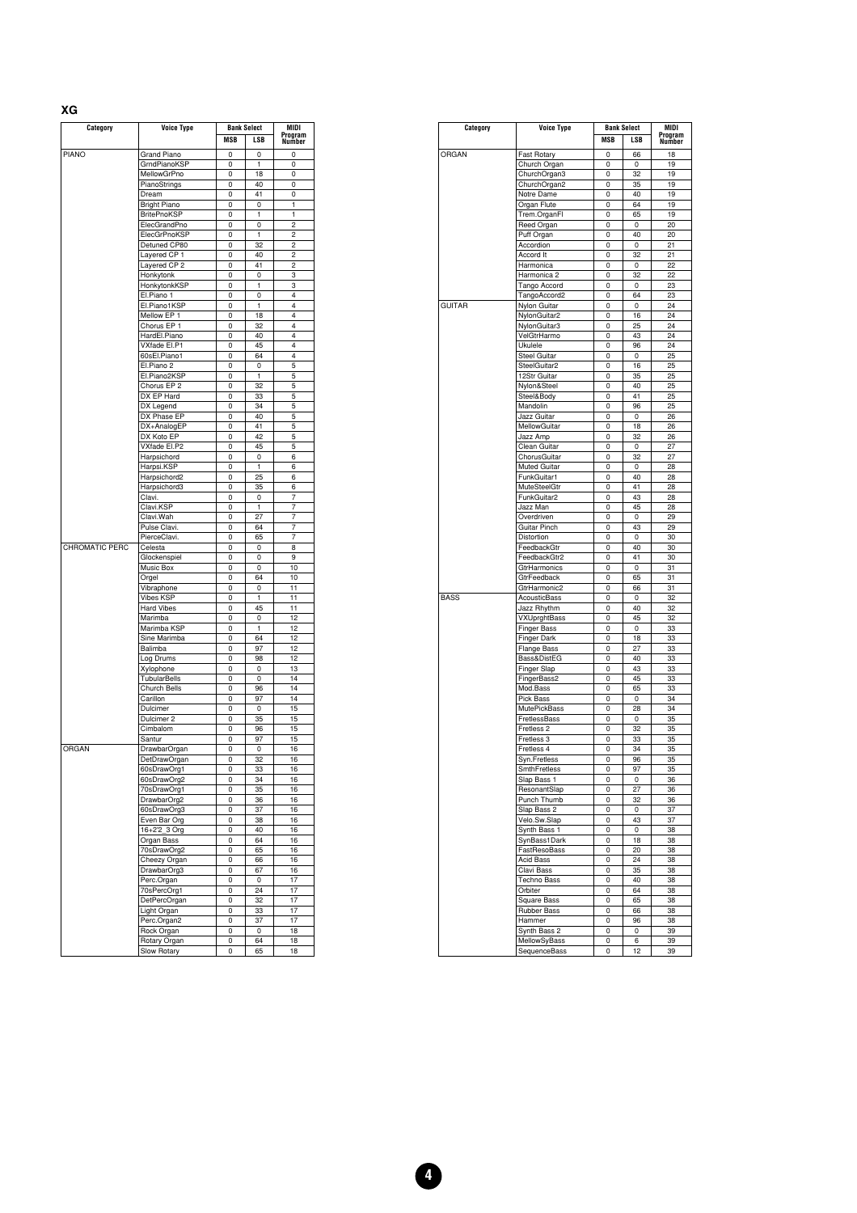| . . |  |  |
|-----|--|--|

| Category       | Voice Type          | <b>Bank Select</b> |        | MIDI              |  |
|----------------|---------------------|--------------------|--------|-------------------|--|
|                |                     | MSB                | LSB    | Program<br>Number |  |
| <b>PIANO</b>   | <b>Grand Piano</b>  | 0                  | 0      | 0                 |  |
|                | GrndPianoKSP        | 0                  | 1      | 0                 |  |
|                | MellowGrPno         | 0                  | 18     | 0                 |  |
|                | PianoStrings        | 0                  | 40     | 0                 |  |
|                | Dream               | 0                  | 41     | 0                 |  |
|                | <b>Bright Piano</b> | 0                  | 0      | 1                 |  |
|                | <b>BritePnoKSP</b>  | 0                  | 1      | 1                 |  |
|                | ElecGrandPno        | 0                  | 0      | $\overline{c}$    |  |
|                | ElecGrPnoKSP        | 0                  | 1      | 2                 |  |
|                | Detuned CP80        | 0                  | 32     | 2                 |  |
|                |                     | 0                  | 40     | 2                 |  |
|                | Layered CP 1        |                    |        |                   |  |
|                | Layered CP 2        | 0                  | 41     | 2                 |  |
|                | Honkytonk           | 0<br>0             | 0<br>1 | 3                 |  |
|                | HonkytonkKSP        |                    |        | 3                 |  |
|                | El.Piano 1          | 0                  | 0      | 4                 |  |
|                | El.Piano1KSP        | 0                  | 1      | 4                 |  |
|                | Mellow EP 1         | 0                  | 18     | 4                 |  |
|                | Chorus EP 1         | 0                  | 32     | 4                 |  |
|                | HardEl.Piano        | 0                  | 40     | 4                 |  |
|                | VXfade El.P1        | 0                  | 45     | 4                 |  |
|                | 60sEl.Piano1        | 0                  | 64     | 4                 |  |
|                | El.Piano 2          | 0                  | 0      | 5                 |  |
|                | El.Piano2KSP        | 0                  | 1      | 5                 |  |
|                | Chorus EP 2         | 0                  | 32     | 5                 |  |
|                | DX EP Hard          | 0                  | 33     | 5                 |  |
|                | DX Legend           | 0                  | 34     | 5                 |  |
|                | DX Phase EP         | 0                  | 40     | 5                 |  |
|                |                     |                    |        |                   |  |
|                | DX+AnalogEP         | 0                  | 41     | 5                 |  |
|                | DX Koto EP          | 0                  | 42     | 5                 |  |
|                | VXfade El.P2        | 0                  | 45     | 5                 |  |
|                | Harpsichord         | 0                  | 0      | 6                 |  |
|                | Harpsi.KSP          | 0                  | 1      | 6                 |  |
|                | Harpsichord2        | 0                  | 25     | 6                 |  |
|                | Harpsichord3        | 0                  | 35     | 6                 |  |
|                | Clavi.              | 0                  | 0      | 7                 |  |
|                | Clavi.KSP           | 0                  | 1      | 7                 |  |
|                | Clavi.Wah           | 0                  | 27     | 7                 |  |
|                | Pulse Clavi.        | 0                  | 64     | 7                 |  |
|                | PierceClavi.        | 0                  | 65     | 7                 |  |
| CHROMATIC PERC | Celesta             | 0                  | 0      | 8                 |  |
|                | Glockenspiel        | 0                  | 0      | 9                 |  |
|                |                     |                    |        |                   |  |
|                | Music Box           | 0                  | 0      | 10                |  |
|                | Orgel               | 0                  | 64     | 10                |  |
|                | Vibraphone          | 0                  | 0      | 11                |  |
|                | Vibes KSP           | 0                  | 1      | 11                |  |
|                | <b>Hard Vibes</b>   | 0                  | 45     | 11                |  |
|                | Marimba             | 0                  | 0      | 12                |  |
|                | Marimba KSP         | 0                  | 1      | 12                |  |
|                | Sine Marimba        | 0                  | 64     | 12                |  |
|                | Balimba             | 0                  | 97     | 12                |  |
|                | Log Drums           | 0                  | 98     | 12                |  |
|                | Xylophone           | 0                  | 0      | 13                |  |
|                | <b>TubularBells</b> | 0                  | 0      | 14                |  |
|                | Church Bells        | 0                  | 96     | 14                |  |
|                | Carillon            | 0                  | 97     | 14                |  |
|                | Dulcimer            | 0                  | 0      | 15                |  |
|                |                     |                    |        |                   |  |
|                | Dulcimer 2          | 0                  | 35     | 15                |  |
|                | Cimbalom            | 0                  | 96     | 15                |  |
|                | Santur              | 0                  | 97     | 15                |  |
| <b>ORGAN</b>   | DrawbarOrgan        | 0                  | 0      | 16                |  |
|                | DetDrawOrgan        | 0                  | 32     | 16                |  |
|                | 60sDrawOrg1         | 0                  | 33     | 16                |  |
|                | 60sDrawOrg2         | 0                  | 34     | 16                |  |
|                | 70sDrawOrg1         | 0                  | 35     | 16                |  |
|                | DrawbarOrg2         | 0                  | 36     | 16                |  |
|                | 60sDrawOrg3         | 0                  | 37     | 16                |  |
|                | Even Bar Org        | 0                  | 38     | 16                |  |
|                | 16+2'2_3 Org        | 0                  | 40     | 16                |  |
|                | Organ Bass          | 0                  | 64     | 16                |  |
|                |                     |                    |        |                   |  |
|                | 70sDrawOrg2         | 0                  | 65     | 16                |  |
|                | Cheezy Organ        | 0                  | 66     | 16                |  |
|                | DrawbarOrg3         | 0                  | 67     | 16                |  |
|                | Perc.Organ          | 0                  | 0      | 17                |  |
|                | 70sPercOrg1         | 0                  | 24     | 17                |  |
|                | DetPercOrgan        | 0                  | 32     | 17                |  |
|                | Light Organ         | 0                  | 33     | 17                |  |
|                | Perc.Organ2         | 0                  | 37     | 17                |  |
|                | Rock Organ          | 0                  | 0      | 18                |  |
|                | Rotary Organ        | 0                  | 64     | 18                |  |
|                |                     |                    |        |                   |  |
|                | Slow Rotary         | 0                  | 65     | 18                |  |

| Category      | <b>Voice Type</b>          |            | <b>Bank Select</b> | <b>MIDI</b><br>Program |
|---------------|----------------------------|------------|--------------------|------------------------|
|               |                            | <b>MSB</b> | <b>LSB</b>         | Number                 |
| ORGAN         | <b>Fast Rotary</b>         | 0          | 66                 | 18                     |
|               | Church Organ               | 0          | 0                  | 19                     |
|               |                            | 0          | 32                 | 19                     |
|               | ChurchOrgan3               |            | 35                 | 19                     |
|               | ChurchOrgan2               | 0          |                    |                        |
|               | Notre Dame                 | 0          | 40                 | 19                     |
|               | Organ Flute                | 0          | 64                 | 19                     |
|               | Trem.OrganFl               | 0          | 65                 | 19                     |
|               | Reed Organ                 | 0          | 0                  | 20                     |
|               | Puff Organ                 | 0          | 40                 | 20                     |
|               | Accordion                  | 0          | 0                  | 21                     |
|               | Accord It                  | 0          | 32                 | 21                     |
|               | Harmonica                  | 0          | 0                  | 22                     |
|               | Harmonica <sub>2</sub>     | 0          | 32                 | 22                     |
|               | Tango Accord               | 0          | 0                  | 23                     |
|               | TangoAccord2               | 0          | 64                 | 23                     |
| <b>GUITAR</b> | Nylon Guitar               | 0          | 0                  | 24                     |
|               | NylonGuitar2               | 0          | 16                 | 24                     |
|               | NylonGuitar3               | 0          | 25                 | 24                     |
|               | VelGtrHarmo                | 0          | 43                 | 24                     |
|               |                            |            |                    | 24                     |
|               | Ukulele                    | 0          | 96                 |                        |
|               | <b>Steel Guitar</b>        | 0          | 0                  | 25                     |
|               | SteelGuitar2               | 0          | 16                 | 25                     |
|               | 12Str Guitar               | 0          | 35                 | 25                     |
|               | Nylon&Steel                | 0          | 40                 | 25                     |
|               | Steel&Body                 | 0          | 41                 | 25                     |
|               | Mandolin                   | 0          | 96                 | 25                     |
|               | Jazz Guitar                | 0          | 0                  | 26                     |
|               | MellowGuitar               | 0          | 18                 | 26                     |
|               | Jazz Amp                   | 0          | 32                 | 26                     |
|               | Clean Guitar               | 0          | 0                  | 27                     |
|               | ChorusGuitar               | 0          | 32                 | 27                     |
|               | <b>Muted Guitar</b>        | 0          | 0                  | 28                     |
|               | FunkGuitar1                | 0          | 40                 | 28                     |
|               | <b>MuteSteelGtr</b>        | 0          | 41                 | 28                     |
|               |                            | 0          | 43                 |                        |
|               | FunkGuitar2                |            |                    | 28                     |
|               | Jazz Man                   | 0          | 45                 | 28                     |
|               | Overdriven                 | 0          | 0                  | 29                     |
|               | Guitar Pinch               | 0          | 43                 | 29                     |
|               | Distortion                 | 0          | 0                  | 30                     |
|               | FeedbackGtr                | 0          | 40                 | 30                     |
|               | FeedbackGtr2               | 0          | 41                 | 30                     |
|               | GtrHarmonics               | 0          | 0                  | 31                     |
|               | GtrFeedback                | 0          | 65                 | 31                     |
|               | GtrHarmonic2               | 0          | 66                 | 31                     |
| <b>BASS</b>   | AcousticBass               | 0          | 0                  | 32                     |
|               | Jazz Rhythm                | 0          | 40                 | 32                     |
|               | VXUprghtBass               | 0          | 45                 | 32                     |
|               | <b>Finger Bass</b>         | 0          | 0                  | 33                     |
|               | <b>Finger Dark</b>         | 0          | 18                 | 33                     |
|               | <b>Flange Bass</b>         | 0          | 27                 | 33                     |
|               | Bass&DistEG                | 0          | 40                 | 33                     |
|               |                            | 0          | 43                 | 33                     |
|               | Finger Slap<br>FingerBass2 |            | 45                 |                        |
|               | Mod.Bass                   | 0          |                    | 33                     |
|               |                            | 0          | 65                 | 33                     |
|               | Pick Bass                  | 0          | 0                  | 34                     |
|               | <b>MutePickBass</b>        | 0          | 28                 | 34                     |
|               | FretlessBass               | 0          | 0                  | 35                     |
|               | Fretless <sub>2</sub>      | 0          | 32                 | 35                     |
|               | Fretless 3                 | 0          | 33                 | 35                     |
|               | Fretless 4                 | 0          | 34                 | 35                     |
|               | Syn.Fretless               | 0          | 96                 | 35                     |
|               | SmthFretless               | 0          | 97                 | 35                     |
|               | Slap Bass 1                | 0          | 0                  | 36                     |
|               | ResonantSlap               | 0          | 27                 | 36                     |
|               | Punch Thumb                | 0          | 32                 | 36                     |
|               | Slap Bass 2                | 0          | 0                  | 37                     |
|               | Velo.Sw.Slap               | 0          | 43                 | 37                     |
|               | Synth Bass 1               | 0          | 0                  | 38                     |
|               | SynBass1Dark               | 0          | 18                 | 38                     |
|               | FastResoBass               | 0          | 20                 | 38                     |
|               | <b>Acid Bass</b>           | 0          | 24                 | 38                     |
|               | Clavi Bass                 | 0          | 35                 | 38                     |
|               |                            |            |                    |                        |
|               | <b>Techno Bass</b>         | 0          | 40                 | 38                     |
|               | Orbiter                    | 0          | 64                 | 38                     |
|               | Square Bass                | 0          | 65                 | 38                     |
|               | Rubber Bass                | 0          | 66                 | 38                     |
|               | Hammer                     | 0          | 96                 | 38                     |
|               | Synth Bass 2               | 0          | 0                  | 39                     |
|               | MellowSyBass               | 0          | 6                  | 39                     |
|               | SequenceBass               | 0          | 12                 | 39                     |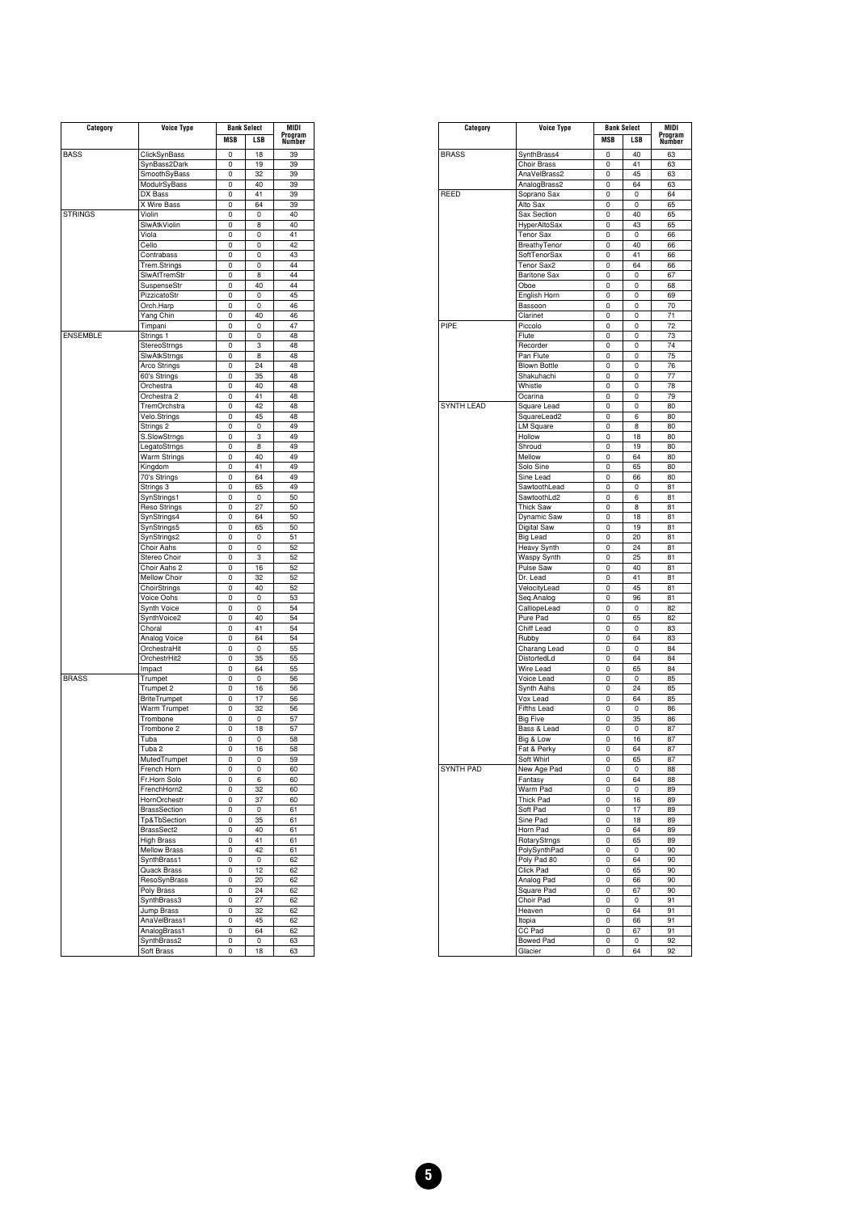| Category        | Voice Type          |     | <b>Bank Select</b> |         |
|-----------------|---------------------|-----|--------------------|---------|
|                 |                     | MSB | LSB                | Program |
|                 |                     |     |                    | Number  |
| <b>BASS</b>     | ClickSynBass        | 0   | 18                 | 39      |
|                 | SynBass2Dark        | 0   | 19                 | 39      |
|                 | SmoothSyBass        | 0   | 32                 | 39      |
|                 | ModulrSyBass        | 0   | 40                 | 39      |
|                 | DX Bass             | 0   | 41                 | 39      |
|                 |                     |     |                    |         |
|                 | X Wire Bass         | 0   | 64                 | 39      |
| <b>STRINGS</b>  | Violin              | 0   | 0                  | 40      |
|                 | SlwAtkViolin        | 0   | 8                  | 40      |
|                 | Viola               | 0   | 0                  | 41      |
|                 | Cello               | 0   | 0                  | 42      |
|                 | Contrabass          | 0   | 0                  | 43      |
|                 |                     |     |                    |         |
|                 | Trem.Strings        | 0   | 0                  | 44      |
|                 | SlwAtTremStr        | 0   | 8                  | 44      |
|                 | SuspenseStr         | 0   | 40                 | 44      |
|                 | PizzicatoStr        | 0   | 0                  | 45      |
|                 | Orch.Harp           | 0   | 0                  | 46      |
|                 | Yang Chin           | 0   | 40                 | 46      |
|                 |                     |     |                    | 47      |
|                 | Timpani             | 0   | 0                  |         |
| <b>ENSEMBLE</b> | Strings 1           | 0   | 0                  | 48      |
|                 | StereoStrngs        | 0   | 3                  | 48      |
|                 | SlwAtkStrngs        | 0   | 8                  | 48      |
|                 | Arco Strings        | 0   | 24                 | 48      |
|                 | 60's Strings        | 0   | 35                 | 48      |
|                 |                     |     |                    |         |
|                 | Orchestra           | 0   | 40                 | 48      |
|                 | Orchestra 2         | 0   | 41                 | 48      |
|                 | TremOrchstra        | 0   | 42                 | 48      |
|                 | Velo.Strings        | 0   | 45                 | 48      |
|                 | Strings 2           | 0   | 0                  | 49      |
|                 |                     | 0   | 3                  | 49      |
|                 | S.SlowStrngs        |     |                    |         |
|                 | LegatoStrngs        | 0   | 8                  | 49      |
|                 | Warm Strings        | 0   | 40                 | 49      |
|                 | Kingdom             | 0   | 41                 | 49      |
|                 | 70's Strings        | 0   | 64                 | 49      |
|                 | Strings 3           | 0   | 65                 | 49      |
|                 |                     | 0   | 0                  | 50      |
|                 | SynStrings1         |     |                    |         |
|                 | Reso Strings        | 0   | 27                 | 50      |
|                 | SynStrings4         | 0   | 64                 | 50      |
|                 | SynStrings5         | 0   | 65                 | 50      |
|                 | SynStrings2         | 0   | 0                  | 51      |
|                 | Choir Aahs          | 0   | 0                  | 52      |
|                 | Stereo Choir        | 0   | 3                  | 52      |
|                 |                     |     |                    |         |
|                 | Choir Aahs 2        | 0   | 16                 | 52      |
|                 | Mellow Choir        | 0   | 32                 | 52      |
|                 | ChoirStrings        | 0   | 40                 | 52      |
|                 | Voice Oohs          | 0   | 0                  | 53      |
|                 | Synth Voice         | 0   | 0                  | 54      |
|                 | SynthVoice2         | 0   | 40                 | 54      |
|                 |                     |     |                    |         |
|                 | Choral              | 0   | 41                 | 54      |
|                 | Analog Voice        | 0   | 64                 | 54      |
|                 | OrchestraHit        | 0   | 0                  | 55      |
|                 | OrchestrHit2        | 0   | 35                 | 55      |
|                 | Impact              | 0   | 64                 | 55      |
|                 |                     |     |                    |         |
| <b>BRASS</b>    | Trumpet             | 0   | 0                  | 56      |
|                 | Trumpet 2           | 0   | 16                 | 56      |
|                 | <b>BriteTrumpet</b> | 0   | 17                 | 56      |
|                 | Warm Trumpet        | 0   | 32                 | 56      |
|                 | Trombone            | 0   | 0                  | 57      |
|                 | Trombone 2          | 0   | 18                 | 57      |
|                 |                     |     |                    |         |
|                 | Tuba                | 0   | 0                  | 58      |
|                 | Tuba 2              | 0   | 16                 | 58      |
|                 | MutedTrumpet        | 0   | 0                  | 59      |
|                 | French Horn         | υ   | o                  | 60      |
|                 | Fr.Horn Solo        | 0   | 6                  | 60      |
|                 | FrenchHorn2         | 0   | 32                 | 60      |
|                 |                     |     |                    |         |
|                 | HornOrchestr        | 0   | 37                 | 60      |
|                 | <b>BrassSection</b> | 0   | 0                  | 61      |
|                 | Tp&TbSection        | 0   | 35                 | 61      |
|                 | BrassSect2          | 0   | 40                 | 61      |
|                 | <b>High Brass</b>   | 0   | 41                 | 61      |
|                 | <b>Mellow Brass</b> |     | 42                 |         |
|                 |                     | 0   |                    | 61      |
|                 | SynthBrass1         | 0   | 0                  | 62      |
|                 | Quack Brass         | 0   | 12                 | 62      |
|                 | ResoSynBrass        | 0   | 20                 | 62      |
|                 | Poly Brass          | 0   | 24                 | 62      |
|                 | SynthBrass3         | 0   | 27                 | 62      |
|                 |                     |     |                    |         |
|                 | Jump Brass          | 0   | 32                 | 62      |
|                 | AnaVelBrass1        | 0   | 45                 | 62      |
|                 | AnalogBrass1        | 0   | 64                 | 62      |
|                 | SynthBrass2         | 0   | 0                  | 63      |
|                 | Soft Brass          | 0   | 18                 | 63      |
|                 |                     |     |                    |         |

| Category          | <b>Voice Type</b>   |            | <b>Bank Select</b> |               |
|-------------------|---------------------|------------|--------------------|---------------|
|                   |                     | <b>MSB</b> | <b>LSB</b>         | Program       |
|                   |                     |            |                    | <b>Number</b> |
| <b>BRASS</b>      | SynthBrass4         | 0          | 40                 | 63            |
|                   | Choir Brass         | 0          | 41                 | 63            |
|                   | AnaVelBrass2        | 0          | 45                 | 63            |
|                   | AnalogBrass2        | 0          | 64                 | 63            |
| REED              | Soprano Sax         | 0          | 0                  | 64            |
|                   | Alto Sax            | 0          | 0                  | 65            |
|                   | Sax Section         | 0          | 40                 | 65            |
|                   | HyperAltoSax        | 0          | 43                 | 65            |
|                   | <b>Tenor Sax</b>    | 0          | 0                  | 66            |
|                   | BreathyTenor        | 0          | 40                 | 66            |
|                   | SoftTenorSax        | 0          | 41                 | 66            |
|                   | Tenor Sax2          | 0          | 64                 | 66            |
|                   | <b>Baritone Sax</b> | 0          | 0                  | 67            |
|                   | Oboe                | 0          | 0                  | 68            |
|                   | English Horn        | 0          | 0                  | 69            |
|                   | Bassoon             | 0          | 0                  | 70            |
|                   | Clarinet            | 0          | 0                  | 71            |
| PIPE              | Piccolo             | 0          | 0                  | 72            |
|                   | Flute               | 0          | 0                  | 73            |
|                   | Recorder            | 0          | 0                  | 74            |
|                   | Pan Flute           | 0          | 0                  | 75            |
|                   | <b>Blown Bottle</b> | 0          | 0                  | 76            |
|                   | Shakuhachi          | 0          | 0                  | 77            |
|                   | Whistle             | 0          | 0                  | 78            |
|                   | Ocarina             | 0          | 0                  | 79            |
| <b>SYNTH LEAD</b> | Square Lead         | 0          | 0                  | 80            |
|                   |                     | 0          | 6                  | 80            |
|                   | SquareLead2         |            |                    |               |
|                   | <b>LM Square</b>    | 0          | 8                  | 80            |
|                   | Hollow              | 0          | 18                 | 80            |
|                   | Shroud              | 0          | 19                 | 80            |
|                   | Mellow              | 0          | 64                 | 80            |
|                   | Solo Sine           | 0          | 65                 | 80            |
|                   | Sine Lead           | 0          | 66                 | 80            |
|                   | SawtoothLead        | 0          | 0                  | 81            |
|                   | SawtoothLd2         | 0          | 6                  | 81            |
|                   | <b>Thick Saw</b>    | 0          | 8                  | 81            |
|                   | Dynamic Saw         | 0          | 18                 | 81            |
|                   | Digital Saw         | 0          | 19                 | 81            |
|                   | <b>Big Lead</b>     | 0          | 20                 | 81            |
|                   | Heavy Synth         | 0          | 24                 | 81            |
|                   | Waspy Synth         | 0          | 25                 | 81            |
|                   | Pulse Saw           | 0          | 40                 | 81            |
|                   | Dr. Lead            | 0          | 41                 | 81            |
|                   | VelocityLead        | 0          | 45                 | 81            |
|                   | Seq.Analog          | 0          | 96                 | 81            |
|                   | CalliopeLead        | 0          | 0                  | 82            |
|                   | Pure Pad            | 0          | 65                 | 82            |
|                   | Chiff Lead          | 0          | 0                  | 83            |
|                   | Rubby               | 0          | 64                 | 83            |
|                   | Charang Lead        | 0          | 0                  | 84            |
|                   |                     | 0          | 64                 | 84            |
|                   | DistortedLd         |            |                    |               |
|                   | Wire Lead           | 0          | 65                 | 84            |
|                   | Voice Lead          | 0          | 0                  | 85            |
|                   | Synth Aahs          | 0          | 24                 | 85            |
|                   | Vox Lead            | 0          | 64                 | 85            |
|                   | <b>Fifths Lead</b>  | 0          | 0                  | 86            |
|                   | <b>Big Five</b>     | 0          | 35                 | 86            |
|                   | Bass & Lead         | 0          | 0                  | 87            |
|                   | Big & Low           | 0          | 16                 | 87            |
|                   | Fat & Perky         | 0          | 64                 | 87            |
|                   | Soft Whirl          | 0          | 65                 | 87            |
| SYNTH PAD         | New Age Pad         | 0          | 0                  | 88            |
|                   | Fantasy             | 0          | 64                 | 88            |
|                   | Warm Pad            | 0          | 0                  | 89            |
|                   | <b>Thick Pad</b>    | 0          | 16                 | 89            |
|                   | Soft Pad            | 0          | 17                 | 89            |
|                   | Sine Pad            | 0          | 18                 | 89            |
|                   | Horn Pad            | 0          | 64                 | 89            |
|                   | RotaryStrngs        | 0          | 65                 | 89            |
|                   | PolySynthPad        | 0          | 0                  | 90            |
|                   | Poly Pad 80         | 0          | 64                 | 90            |
|                   | Click Pad           | 0          | 65                 | 90            |
|                   |                     | 0          |                    |               |
|                   | Analog Pad          |            | 66                 | 90            |
|                   | Square Pad          | 0          | 67                 | 90            |
|                   | Choir Pad           | 0          | 0                  | 91            |
|                   | Heaven              | 0          | 64                 | 91            |
|                   | Itopia              | 0          | 66                 | 91            |
|                   | CC Pad              | 0          | 67                 | 91            |
|                   | <b>Bowed Pad</b>    | 0          | 0                  | 92            |
|                   | Glacier             | 0          | 64                 | 92            |
|                   |                     |            |                    |               |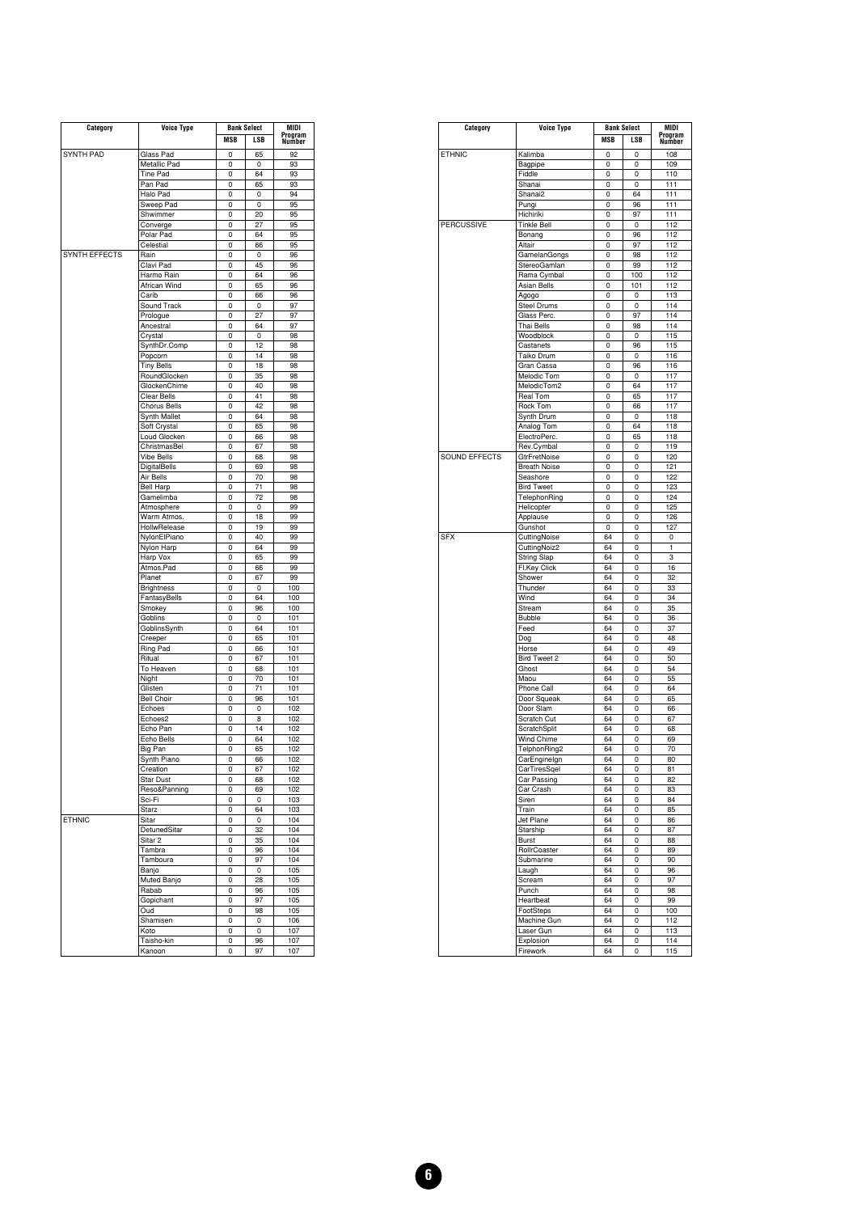| Category             | Voice Type          | <b>Bank Select</b> |     | MIDI              |
|----------------------|---------------------|--------------------|-----|-------------------|
|                      |                     | <b>MSB</b>         | LSB | Program<br>Number |
|                      |                     |                    |     |                   |
| <b>SYNTH PAD</b>     | Glass Pad           | 0                  | 65  | 92                |
|                      | Metallic Pad        | 0                  | 0   | 93                |
|                      | Tine Pad            | 0                  | 64  | 93                |
|                      | Pan Pad             | 0                  | 65  | 93                |
|                      | Halo Pad            | 0                  | 0   | 94                |
|                      | Sweep Pad           | 0                  | 0   | 95                |
|                      | Shwimmer            | 0                  | 20  | 95                |
|                      | Converge            | 0                  | 27  | 95                |
|                      | Polar Pad           | 0                  | 64  | 95                |
|                      | Celestial           | 0                  | 66  | 95                |
| <b>SYNTH EFFECTS</b> | Rain                | 0                  | 0   | 96                |
|                      | Clavi Pad           | 0                  | 45  | 96                |
|                      | Harmo Rain          | 0                  | 64  | 96                |
|                      | African Wind        | 0                  | 65  | 96                |
|                      | Carib               | 0                  | 66  | 96                |
|                      | Sound Track         | 0                  | 0   | 97                |
|                      | Prologue            | 0                  | 27  | 97                |
|                      | Ancestral           | 0                  | 64  | 97                |
|                      | Crystal             | 0                  | 0   | 98                |
|                      | SynthDr.Comp        | 0                  | 12  | 98                |
|                      | Popcorn             | 0                  | 14  | 98                |
|                      | <b>Tiny Bells</b>   | 0                  | 18  | 98                |
|                      | RoundGlocken        | 0                  | 35  | 98                |
|                      | GlockenChime        | 0                  | 40  | 98                |
|                      | Clear Bells         | 0                  | 41  | 98                |
|                      | Chorus Bells        | 0                  | 42  | 98                |
|                      | Synth Mallet        | 0                  | 64  | 98                |
|                      | Soft Crystal        | 0                  | 65  | 98                |
|                      | Loud Glocken        | 0                  | 66  | 98                |
|                      | ChristmasBel        | 0                  | 67  | 98                |
|                      | <b>Vibe Bells</b>   | 0                  | 68  | 98                |
|                      | <b>DigitalBells</b> | 0                  | 69  | 98                |
|                      | Air Bells           | 0                  | 70  | 98                |
|                      | <b>Bell Harp</b>    | 0                  | 71  | 98                |
|                      | Gamelimba           |                    | 72  | 98                |
|                      |                     | 0                  |     |                   |
|                      | Atmosphere          | 0                  | 0   | 99                |
|                      | Warm Atmos.         | 0                  | 18  | 99                |
|                      | HollwRelease        | 0                  | 19  | 99                |
|                      | NylonElPiano        | 0                  | 40  | 99                |
|                      | Nylon Harp          | 0                  | 64  | 99                |
|                      | Harp Vox            | 0                  | 65  | 99                |
|                      | Atmos.Pad           | 0                  | 66  | 99                |
|                      | Planet              | 0                  | 67  | 99                |
|                      | <b>Brightness</b>   | 0                  | 0   | 100               |
|                      | FantasyBells        | 0                  | 64  | 100               |
|                      | Smokey              | 0                  | 96  | 100               |
|                      | Goblins             | 0                  | 0   | 101               |
|                      | GoblinsSynth        | 0                  | 64  | 101               |
|                      | Creeper             | 0                  | 65  | 101               |
|                      | Ring Pad            | 0                  | 66  | 101               |
|                      | Ritual              | 0                  | 67  | 101               |
|                      | To Heaven           | 0                  | 68  | 101               |
|                      | Night               | 0                  | 70  | 101               |
|                      | Glisten             | 0                  | 71  | 101               |
|                      | <b>Bell Choir</b>   | 0                  | 96  | 101               |
|                      | Echoes              | 0                  | 0   | 102               |
|                      | Echoes2             | 0                  | 8   | 102               |
|                      | Echo Pan            | 0                  | 14  | 102               |
|                      | Echo Bells          | 0                  | 64  | 102               |
|                      | Big Pan             | 0                  | 65  | 102               |
|                      | Synth Piano         | 0                  | 66  | 102               |
|                      | Creation            | 0                  | 67  | 102               |
|                      | <b>Star Dust</b>    | 0                  | 68  | 102               |
|                      | Reso&Panning        | 0                  | 69  | 102               |
|                      | Sci-Fi              | 0                  | 0   | 103               |
|                      | Starz               | 0                  | 64  | 103               |
| <b>ETHNIC</b>        | Sitar               | 0                  | 0   | 104               |
|                      | DetunedSitar        | 0                  | 32  | 104               |
|                      | Sitar 2             | 0                  | 35  | 104               |
|                      |                     |                    |     | 104               |
|                      | Tambra              | 0                  | 96  |                   |
|                      | Tamboura            | 0                  | 97  | 104               |
|                      | Banjo               | 0                  | 0   | 105               |
|                      | Muted Banjo         | 0                  | 28  | 105               |
|                      | Rabab               | 0                  | 96  | 105               |
|                      | Gopichant           | 0                  | 97  | 105               |
|                      | Oud                 | 0                  | 98  | 105               |
|                      | Shamisen            | 0                  | 0   | 106               |
|                      | Koto                | 0                  | 0   | 107               |
|                      | Taisho-kin          | 0                  | 96  | 107               |
|                      | Kanoon              | 0                  | 97  | 107               |
|                      |                     |                    |     |                   |

| Category             | <b>Voice Type</b>   |            | <b>Bank Select</b> | MIDI          |
|----------------------|---------------------|------------|--------------------|---------------|
|                      |                     | <b>MSB</b> | <b>LSB</b>         | Program       |
|                      |                     |            |                    | <b>Number</b> |
| <b>ETHNIC</b>        | Kalimba             | 0          | 0                  | 108           |
|                      | Bagpipe             | 0          | 0                  | 109           |
|                      | Fiddle              | 0          | 0                  | 110           |
|                      | Shanai              | 0          | 0                  | 111           |
|                      | Shanai2             | 0          | 64                 | 111           |
|                      | Pungi               | 0          | 96                 | 111           |
|                      | Hichiriki           | 0          | 97                 | 111           |
| PERCUSSIVE           | <b>Tinkle Bell</b>  | 0          | 0                  | 112           |
|                      | Bonang              | 0          | 96                 | 112           |
|                      | Altair              | 0          | 97                 | 112           |
|                      | GamelanGongs        | 0          | 98                 | 112           |
|                      | StereoGamlan        | 0          | 99                 | 112           |
|                      | Rama Cymbal         | 0          | 100                | 112           |
|                      | Asian Bells         | 0          | 101                | 112           |
|                      | Agogo               | 0          | 0                  | 113           |
|                      | <b>Steel Drums</b>  | 0          | 0                  | 114           |
|                      | Glass Perc.         | 0          | 97                 | 114           |
|                      | Thai Bells          | 0          | 98                 | 114           |
|                      | Woodblock           | 0          | 0                  | 115           |
|                      | Castanets           | 0          | 96                 | 115           |
|                      | Taiko Drum          | 0          | 0                  | 116           |
|                      | Gran Cassa          | 0          | 96                 | 116           |
|                      | Melodic Tom         | 0          | 0                  | 117           |
|                      | MelodicTom2         | 0          | 64                 | 117           |
|                      | Real Tom            | 0          | 65                 | 117           |
|                      | Rock Tom            | 0          | 66                 | 117           |
|                      | Synth Drum          | 0          | 0                  | 118           |
|                      | Analog Tom          | 0          | 64                 | 118           |
|                      | ElectroPerc.        | 0          | 65                 | 118           |
|                      | Rev.Cymbal          | 0          | 0                  | 119           |
| <b>SOUND EFFECTS</b> | <b>GtrFretNoise</b> | 0          | 0                  | 120           |
|                      | <b>Breath Noise</b> | 0          | 0                  | 121           |
|                      | Seashore            | 0          | 0                  | 122           |
|                      | <b>Bird Tweet</b>   | 0          | 0                  | 123           |
|                      | TelephonRing        | 0          | 0                  | 124           |
|                      | Helicopter          | 0          | 0                  | 125           |
|                      | Applause            | 0          | 0                  | 126           |
|                      | Gunshot             | 0          | 0                  | 127           |
| <b>SFX</b>           | CuttingNoise        | 64         | 0                  | 0             |
|                      | CuttingNoiz2        | 64         | 0                  | 1             |
|                      | <b>String Slap</b>  | 64         | 0                  | 3             |
|                      | Fl.Key Click        | 64         | 0                  | 16            |
|                      | Shower              | 64         | 0                  | 32            |
|                      | Thunder             | 64         | 0                  | 33            |
|                      | Wind                | 64         | 0                  | 34            |
|                      |                     |            |                    |               |
|                      | Stream              | 64<br>64   | 0<br>0             | 35            |
|                      | <b>Bubble</b>       |            |                    | 36            |
|                      | Feed                | 64         | 0                  | 37            |
|                      | Dog                 | 64         | 0                  | 48            |
|                      | Horse               | 64         | 0                  | 49            |
|                      | Bird Tweet 2        | 64         | 0                  | 50            |
|                      | Ghost               | 64         | 0                  | 54            |
|                      | Maou                | 64         | 0                  | 55            |
|                      | Phone Call          | 64         | 0                  | 64            |
|                      | Door Squeak         | 64         | 0                  | 65            |
|                      | Door Slam           | 64         | 0                  | 66            |
|                      | Scratch Cut         | 64         | 0                  | 67            |
|                      | <b>ScratchSplit</b> | 64         | 0                  | 68            |
|                      | Wind Chime          | 64         | 0                  | 69            |
|                      | TelphonRing2        | 64         | 0                  | 70            |
|                      | CarEnginelgn        | 64         | 0                  | 80            |
|                      | CarTiresSqel        | 64         | 0                  | 81            |
|                      | Car Passing         | 64         | 0                  | 82            |
|                      | Car Crash           | 64         | 0                  | 83            |
|                      | Siren               | 64         | 0                  | 84            |
|                      | Train               | 64         | 0                  | 85            |
|                      | Jet Plane           | 64         | 0                  | 86            |
|                      | Starship            | 64         | 0                  | 87            |
|                      | <b>Burst</b>        | 64         | 0                  | 88            |
|                      | RollrCoaster        | 64         | 0                  | 89            |
|                      | Submarine           | 64         | 0                  | 90            |
|                      | Laugh               | 64         | 0                  | 96            |
|                      | Scream              | 64         | 0                  | 97            |
|                      | Punch               | 64         | 0                  | 98            |
|                      | Heartbeat           | 64         | 0                  | 99            |
|                      | FootSteps           | 64         | 0                  | 100           |
|                      | Machine Gun         | 64         | 0                  | 112           |
|                      | Laser Gun           | 64         | 0                  | 113           |
|                      | Explosion           | 64         | 0                  | 114           |
|                      | Firework            | 64         | 0                  | 115           |
|                      |                     |            |                    |               |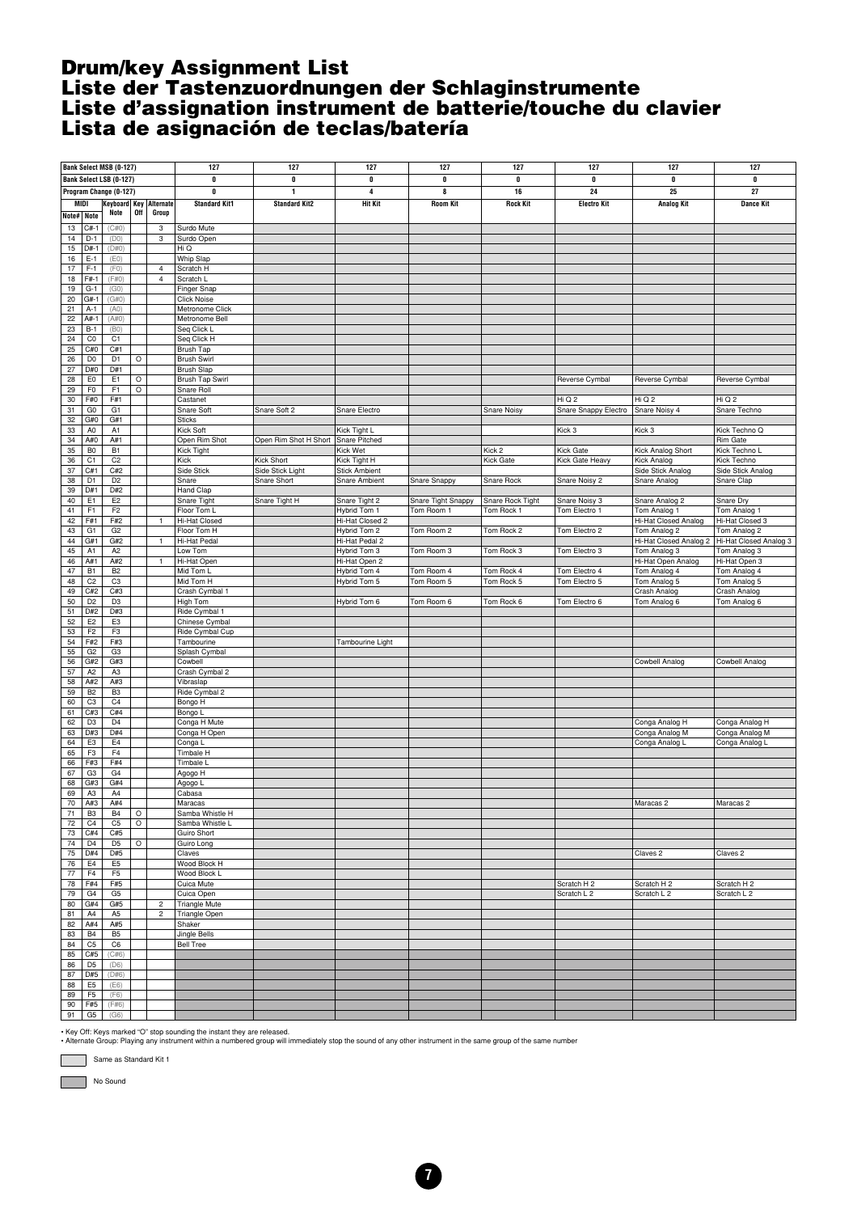#### <span id="page-6-0"></span>**Drum/key Assignment List Liste der Tastenzuordnungen der Schlaginstrumente Liste d'assignation instrument de batterie/touche du clavier Lista de asignación de teclas/batería**

|              |                       | <b>Bank Select MSB (0-127)</b> |         |                | 127                          | 127                   | 127                             | 127                | 127              | 127                    | 127                                  | 127                             |
|--------------|-----------------------|--------------------------------|---------|----------------|------------------------------|-----------------------|---------------------------------|--------------------|------------------|------------------------|--------------------------------------|---------------------------------|
|              |                       | <b>Bank Select LSB (0-127)</b> |         |                | 0                            | $\pmb{0}$             | 0                               | 0                  | 0                | $\pmb{0}$              | 0                                    | $\pmb{0}$                       |
|              |                       | Program Change (0-127)         |         |                | 0                            | $\mathbf{1}$          | 4                               | 8                  | 16               | 24                     | 25                                   | 27                              |
| MIDI         |                       | Keyboard Key Alternate         |         |                | <b>Standard Kit1</b>         | <b>Standard Kit2</b>  | <b>Hit Kit</b>                  | <b>Room Kit</b>    | <b>Rock Kit</b>  | <b>Electro Kit</b>     | <b>Analog Kit</b>                    | <b>Dance Kit</b>                |
| Note# Note   |                       | Note                           | 0ff     | Group          |                              |                       |                                 |                    |                  |                        |                                      |                                 |
|              | $C#-1$                | (C#0)                          |         | 3              |                              |                       |                                 |                    |                  |                        |                                      |                                 |
| 13<br>14     | $D-1$                 | (D0)                           |         | 3              | Surdo Mute<br>Surdo Open     |                       |                                 |                    |                  |                        |                                      |                                 |
| 15           | $D#-1$                | (D#0)                          |         |                | Hi Q                         |                       |                                 |                    |                  |                        |                                      |                                 |
| 16           | $E-1$                 | (EO)                           |         |                | Whip Slap                    |                       |                                 |                    |                  |                        |                                      |                                 |
| 17           | $F-1$                 | (F0)                           |         | $\overline{4}$ | Scratch H                    |                       |                                 |                    |                  |                        |                                      |                                 |
| 18           | F#-1                  | (F#0)                          |         | $\overline{4}$ | Scratch L                    |                       |                                 |                    |                  |                        |                                      |                                 |
| 19           | $G-1$                 | (GO)                           |         |                | Finger Snap                  |                       |                                 |                    |                  |                        |                                      |                                 |
| 20           | $G#-1$                | (G#0)                          |         |                | <b>Click Noise</b>           |                       |                                 |                    |                  |                        |                                      |                                 |
| 21           | $A-1$                 | (A0)                           |         |                | Metronome Click              |                       |                                 |                    |                  |                        |                                      |                                 |
| 22           | A#-                   | (A#0)                          |         |                | Metronome Bell               |                       |                                 |                    |                  |                        |                                      |                                 |
| 23           | $B-1$                 | (B0)                           |         |                | Seq Click L                  |                       |                                 |                    |                  |                        |                                      |                                 |
| 24           | $_{\rm CO}$           | C <sub>1</sub>                 |         |                | Seq Click H                  |                       |                                 |                    |                  |                        |                                      |                                 |
| 25           | C#0                   | C#1                            |         |                | Brush Tap                    |                       |                                 |                    |                  |                        |                                      |                                 |
| 26           | D <sub>0</sub>        | D <sub>1</sub>                 | $\circ$ |                | <b>Brush Swirl</b>           |                       |                                 |                    |                  |                        |                                      |                                 |
| 27           | D#0                   | D#1                            |         |                | <b>Brush Slap</b>            |                       |                                 |                    |                  |                        |                                      |                                 |
| 28           | E <sub>0</sub>        | E1                             | $\circ$ |                | Brush Tap Swirl              |                       |                                 |                    |                  | Reverse Cymbal         | Reverse Cymbal                       | Reverse Cymbal                  |
| 29           | F <sub>0</sub>        | F <sub>1</sub>                 | $\circ$ |                | Snare Roll                   |                       |                                 |                    |                  |                        |                                      |                                 |
| 30           | F#0                   | F#1                            |         |                | Castanet                     |                       |                                 |                    |                  | Hi Q 2                 | Hi Q 2                               | Hi Q 2                          |
| 31           | G <sub>0</sub>        | G <sub>1</sub>                 |         |                | Snare Soft                   | Snare Soft 2          | Snare Electro                   |                    | Snare Noisy      | Snare Snappy Electro   | Snare Noisy 4                        | Snare Techno                    |
| 32           | G#0                   | G#1                            |         |                | <b>Sticks</b>                |                       |                                 |                    |                  |                        |                                      |                                 |
| 33           | A <sub>0</sub>        | A <sub>1</sub>                 |         |                | Kick Soft                    |                       | Kick Tight L                    |                    |                  | Kick 3                 | Kick 3                               | Kick Techno Q                   |
| 34           | A#0                   | A#1                            |         |                | Open Rim Shot                | Open Rim Shot H Short | Snare Pitched                   |                    |                  |                        |                                      | Rim Gate                        |
| 35           | B <sub>0</sub>        | <b>B1</b>                      |         |                | Kick Tight                   |                       | Kick Wet                        |                    | Kick 2           | Kick Gate              | Kick Analog Short                    | Kick Techno L                   |
| 36           | C <sub>1</sub>        | C <sub>2</sub>                 |         |                | Kick                         | Kick Short            | Kick Tight H                    |                    | <b>Kick Gate</b> | Kick Gate Heavy        | Kick Analog                          | Kick Techno                     |
| $37\,$       | C#1                   | C#2                            |         |                | Side Stick                   | Side Stick Light      | <b>Stick Ambient</b>            |                    |                  |                        | Side Stick Analog                    | Side Stick Analog               |
| 38<br>39     | D <sub>1</sub><br>D#1 | D <sub>2</sub><br>D#2          |         |                | Snare<br>Hand Clap           | Snare Short           | Snare Ambient                   | Snare Snappy       | Snare Rock       | Snare Noisy 2          | Snare Analog                         | Snare Clap                      |
| 40           | E <sub>1</sub>        | E <sub>2</sub>                 |         |                |                              |                       |                                 | Snare Tight Snappy | Snare Rock Tight |                        |                                      |                                 |
|              | F1                    | F <sub>2</sub>                 |         |                | Snare Tight                  | Snare Tight H         | Snare Tight 2                   |                    |                  | Snare Noisy 3          | Snare Analog 2                       | Snare Dry                       |
| 41<br>42     | F#1                   | F#2                            |         | $\mathbf{1}$   | Floor Tom L<br>Hi-Hat Closed |                       | Hybrid Tom 1<br>Hi-Hat Closed 2 | Tom Room 1         | Tom Rock 1       | Tom Electro 1          | Tom Analog 1<br>Hi-Hat Closed Analog | Tom Analog 1<br>Hi-Hat Closed 3 |
| 43           | G1                    | G <sub>2</sub>                 |         |                | Floor Tom H                  |                       | Hybrid Tom 2                    | Tom Room 2         | Tom Rock 2       | Tom Electro 2          | Tom Analog 2                         | Tom Analog 2                    |
| 44           | G#1                   | G#2                            |         | $\mathbf{1}$   | Hi-Hat Pedal                 |                       | Hi-Hat Pedal 2                  |                    |                  |                        | Hi-Hat Closed Analog 2               | Hi-Hat Closed Analog 3          |
| 45           | A1                    | A <sub>2</sub>                 |         |                | Low Tom                      |                       | Hybrid Tom 3                    | Tom Room 3         | Tom Rock 3       | Tom Electro 3          | Tom Analog 3                         | Tom Analog 3                    |
| 46           | A#1                   | A#2                            |         | $\mathbf{1}$   | Hi-Hat Open                  |                       | Hi-Hat Open 2                   |                    |                  |                        | Hi-Hat Open Analog                   | Hi-Hat Open 3                   |
| 47           | <b>B1</b>             | B <sub>2</sub>                 |         |                | Mid Tom L                    |                       | Hybrid Tom 4                    | Tom Room 4         | Tom Rock 4       | Tom Electro 4          | Tom Analog 4                         | Tom Analog 4                    |
| 48           | C <sub>2</sub>        | C <sub>3</sub>                 |         |                | Mid Tom H                    |                       | Hybrid Tom 5                    | Tom Room 5         | Tom Rock 5       | Tom Electro 5          | Tom Analog 5                         | Tom Analog 5                    |
| 49           | C#2                   | C#3                            |         |                | Crash Cymbal 1               |                       |                                 |                    |                  |                        | Crash Analog                         | Crash Analog                    |
| 50           | D <sub>2</sub>        | D <sub>3</sub>                 |         |                | High Tom                     |                       | Hybrid Tom 6                    | Tom Room 6         | Tom Rock 6       | Tom Electro 6          | Tom Analog 6                         | Tom Analog 6                    |
| 51           | D#2                   | D#3                            |         |                | Ride Cymbal 1                |                       |                                 |                    |                  |                        |                                      |                                 |
| 52           | E <sub>2</sub>        | E <sub>3</sub>                 |         |                | Chinese Cymbal               |                       |                                 |                    |                  |                        |                                      |                                 |
| 53           | F <sub>2</sub>        | F <sub>3</sub>                 |         |                | Ride Cymbal Cup              |                       |                                 |                    |                  |                        |                                      |                                 |
| 54           | F#2                   | F#3                            |         |                | Tambourine                   |                       | Tambourine Light                |                    |                  |                        |                                      |                                 |
| 55           | G <sub>2</sub>        | G <sub>3</sub>                 |         |                | Splash Cymbal                |                       |                                 |                    |                  |                        |                                      |                                 |
| 56           | G#2                   | G#3                            |         |                | Cowbell                      |                       |                                 |                    |                  |                        | Cowbell Analog                       | Cowbell Analog                  |
| 57           | A <sub>2</sub>        | A <sub>3</sub>                 |         |                | Crash Cymbal 2               |                       |                                 |                    |                  |                        |                                      |                                 |
| 58           | A#2                   | A#3                            |         |                | Vibraslap                    |                       |                                 |                    |                  |                        |                                      |                                 |
| 59           | <b>B2</b>             | B <sub>3</sub>                 |         |                | Ride Cymbal 2                |                       |                                 |                    |                  |                        |                                      |                                 |
| 60           | C <sub>3</sub>        | C <sub>4</sub>                 |         |                | Bongo H                      |                       |                                 |                    |                  |                        |                                      |                                 |
| 61           | C#3                   | C#4                            |         |                | Bongo L                      |                       |                                 |                    |                  |                        |                                      |                                 |
| 62           | D <sub>3</sub>        | D <sub>4</sub>                 |         |                | Conga H Mute                 |                       |                                 |                    |                  |                        | Conga Analog H                       | Conga Analog H                  |
| 63           | D#3                   | D#4                            |         |                | Conga H Open                 |                       |                                 |                    |                  |                        | Conga Analog M                       | Conga Analog M                  |
| 64           | E <sub>3</sub>        | E <sub>4</sub>                 |         |                | Conga L                      |                       |                                 |                    |                  |                        | Conga Analog L                       | Conga Analog L                  |
| 65           | F3                    | F <sub>4</sub>                 |         |                | Timbale H                    |                       |                                 |                    |                  |                        |                                      |                                 |
| 66           | F#3                   | F#4                            |         |                | Timbale L                    |                       |                                 |                    |                  |                        |                                      |                                 |
| 67           | G3                    | G <sub>4</sub>                 |         |                | Agogo H                      |                       |                                 |                    |                  |                        |                                      |                                 |
| 68           | G#3                   | G#4                            |         |                | Agogo L                      |                       |                                 |                    |                  |                        |                                      |                                 |
| 69<br>$70\,$ | A <sub>3</sub><br>A#3 | A4<br>A#4                      |         |                | Cabasa                       |                       |                                 |                    |                  |                        |                                      |                                 |
|              | B <sub>3</sub>        | B <sub>4</sub>                 | $\circ$ |                | Maracas<br>Samba Whistle H   |                       |                                 |                    |                  |                        | Maracas 2                            | Maracas 2                       |
| 71<br>$72\,$ | C <sub>4</sub>        | C <sub>5</sub>                 | $\circ$ |                | Samba Whistle L              |                       |                                 |                    |                  |                        |                                      |                                 |
| $73\,$       | C#4                   | C#5                            |         |                | Guiro Short                  |                       |                                 |                    |                  |                        |                                      |                                 |
| 74           | D <sub>4</sub>        | D <sub>5</sub>                 | $\circ$ |                | Guiro Long                   |                       |                                 |                    |                  |                        |                                      |                                 |
| $75\,$       | D#4                   | D#5                            |         |                | Claves                       |                       |                                 |                    |                  |                        | Claves <sub>2</sub>                  | Claves <sub>2</sub>             |
| ${\bf 76}$   | E <sub>4</sub>        | E <sub>5</sub>                 |         |                | Wood Block H                 |                       |                                 |                    |                  |                        |                                      |                                 |
| $77\,$       | F <sub>4</sub>        | F <sub>5</sub>                 |         |                | Wood Block L                 |                       |                                 |                    |                  |                        |                                      |                                 |
| ${\bf 78}$   | F#4                   | F#5                            |         |                | Cuica Mute                   |                       |                                 |                    |                  | Scratch H <sub>2</sub> | Scratch H <sub>2</sub>               | Scratch H <sub>2</sub>          |
| 79           | G4                    | G <sub>5</sub>                 |         |                | Cuica Open                   |                       |                                 |                    |                  | Scratch L 2            | Scratch L 2                          | Scratch L 2                     |
| 80           | G#4                   | G#5                            |         | $\overline{c}$ | <b>Triangle Mute</b>         |                       |                                 |                    |                  |                        |                                      |                                 |
| 81           | A4                    | A <sub>5</sub>                 |         | $\overline{c}$ | Triangle Open                |                       |                                 |                    |                  |                        |                                      |                                 |
| 82           | A#4                   | A#5                            |         |                | Shaker                       |                       |                                 |                    |                  |                        |                                      |                                 |
| 83           | <b>B4</b>             | B <sub>5</sub>                 |         |                | <b>Jingle Bells</b>          |                       |                                 |                    |                  |                        |                                      |                                 |
| 84           | C5                    | C6                             |         |                | <b>Bell Tree</b>             |                       |                                 |                    |                  |                        |                                      |                                 |
| 85           | C#5                   | (C#6)                          |         |                |                              |                       |                                 |                    |                  |                        |                                      |                                 |
| 86           | D <sub>5</sub>        | (D6)                           |         |                |                              |                       |                                 |                    |                  |                        |                                      |                                 |
| 87           | D#5                   | (D#6)                          |         |                |                              |                       |                                 |                    |                  |                        |                                      |                                 |
| 88           | E <sub>5</sub>        | (EB)                           |         |                |                              |                       |                                 |                    |                  |                        |                                      |                                 |
| 89           | F <sub>5</sub>        | (F6)                           |         |                |                              |                       |                                 |                    |                  |                        |                                      |                                 |
| 90           | F#5                   | (F#6)                          |         |                |                              |                       |                                 |                    |                  |                        |                                      |                                 |
| 91           | G5                    | (G6)                           |         |                |                              |                       |                                 |                    |                  |                        |                                      |                                 |

• Key Off: Keys marked "O" stop sounding the instant they are released.<br>• Alternate Group: Playing any instrument within a numbered group will immediately stop the sound of any other instrument in the same group of the sam

Same as Standard Kit 1

No Sound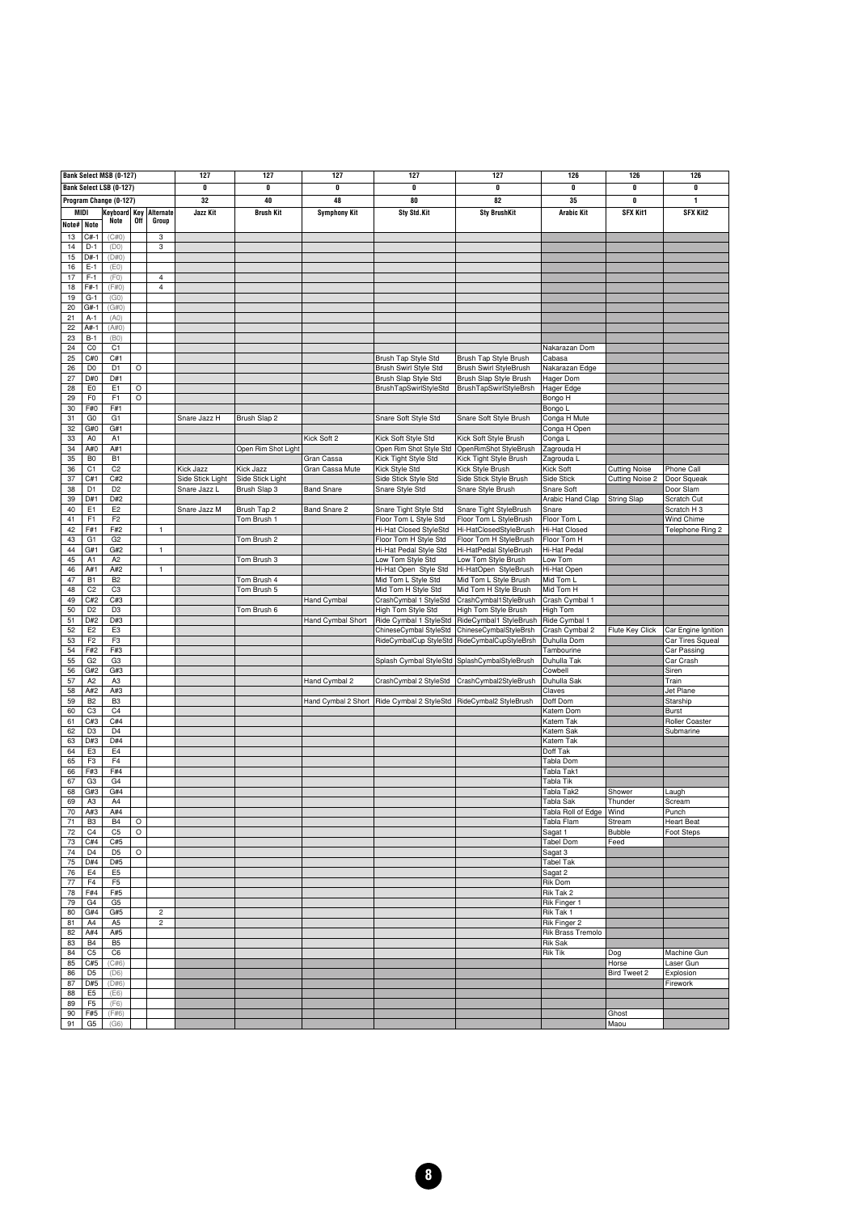|             |                                  | Bank Select MSB (0-127)          |         |                         | 127              | 127                 | 127                           | 127                                          | 127                                        | 126                         | 126                                            | 126                 |
|-------------|----------------------------------|----------------------------------|---------|-------------------------|------------------|---------------------|-------------------------------|----------------------------------------------|--------------------------------------------|-----------------------------|------------------------------------------------|---------------------|
|             |                                  | Bank Select LSB (0-127)          |         |                         | 0                | 0                   | 0                             | 0                                            | 0                                          | 0                           | 0                                              | 0                   |
|             |                                  | Program Change (0-127)           |         |                         | 32               | 40                  | 48                            | 80                                           | 82                                         | 35                          | 0                                              | 1                   |
| <b>MIDI</b> |                                  | Keyboard Key Alternate           |         |                         | Jazz Kit         | <b>Brush Kit</b>    | <b>Symphony Kit</b>           | Sty Std.Kit                                  | <b>Sty BrushKit</b>                        | <b>Arabic Kit</b>           | SFX Kit1                                       | <b>SFX Kit2</b>     |
|             | <b>Note</b>                      | Note                             | 0ff     | Group                   |                  |                     |                               |                                              |                                            |                             |                                                |                     |
| Note#       |                                  |                                  |         |                         |                  |                     |                               |                                              |                                            |                             |                                                |                     |
| 13          | $C#-1$                           | (C#0)                            |         | 3                       |                  |                     |                               |                                              |                                            |                             |                                                |                     |
| 14<br>15    | $D-1$<br>$D#-1$                  | (D0)<br>(D#0)                    |         | 3                       |                  |                     |                               |                                              |                                            |                             |                                                |                     |
| 16          | $E-1$                            | (EO)                             |         |                         |                  |                     |                               |                                              |                                            |                             |                                                |                     |
| 17          | $F-1$                            | (F0)                             |         | 4                       |                  |                     |                               |                                              |                                            |                             |                                                |                     |
| 18          | $F#-1$                           | (F#0)                            |         | 4                       |                  |                     |                               |                                              |                                            |                             |                                                |                     |
| 19          | $G-1$                            | (GO)                             |         |                         |                  |                     |                               |                                              |                                            |                             |                                                |                     |
| 20          | G#-1                             | G#0)                             |         |                         |                  |                     |                               |                                              |                                            |                             |                                                |                     |
| 21          | $A-1$                            | (A0)                             |         |                         |                  |                     |                               |                                              |                                            |                             |                                                |                     |
| 22          | A#-1                             | (A#0)                            |         |                         |                  |                     |                               |                                              |                                            |                             |                                                |                     |
| 23          | $B-1$                            | (B0)                             |         |                         |                  |                     |                               |                                              |                                            |                             |                                                |                     |
| 24          | C <sub>0</sub>                   | C <sub>1</sub>                   |         |                         |                  |                     |                               |                                              |                                            | Nakarazan Dom               |                                                |                     |
| 25          | C#0                              | C#1                              |         |                         |                  |                     |                               | Brush Tap Style Std                          | Brush Tap Style Brush                      | Cabasa                      |                                                |                     |
| 26          | D <sub>0</sub>                   | D <sub>1</sub>                   | $\circ$ |                         |                  |                     |                               | Brush Swirl Style Std                        | Brush Swirl StyleBrush                     | Nakarazan Edge              |                                                |                     |
| 27          | D#0                              | D#1                              |         |                         |                  |                     |                               | Brush Slap Style Std                         | Brush Slap Style Brush                     | Hager Dom                   |                                                |                     |
| 28          | E <sub>0</sub>                   | E1                               | O       |                         |                  |                     |                               | BrushTapSwirlStyleStd                        | <b>BrushTapSwirlStyleBrsh</b>              | Hager Edge                  |                                                |                     |
| 29          | F <sub>0</sub>                   | F1                               | $\circ$ |                         |                  |                     |                               |                                              |                                            | Bongo H                     |                                                |                     |
| 30          | F#0                              | F#1                              |         |                         |                  |                     |                               |                                              |                                            | Bongo L                     |                                                |                     |
| 31          | G <sub>0</sub>                   | G1                               |         |                         | Snare Jazz H     | Brush Slap 2        |                               | Snare Soft Style Std                         | Snare Soft Style Brush                     | Conga H Mute                |                                                |                     |
| 32          | G#0                              | G#1                              |         |                         |                  |                     |                               |                                              |                                            | Conga H Open                |                                                |                     |
| 33          | A <sub>0</sub>                   | A <sub>1</sub>                   |         |                         |                  |                     | Kick Soft 2                   | Kick Soft Style Std                          | Kick Soft Style Brush                      | Conga L                     |                                                |                     |
| 34          | A#0                              | A#1                              |         |                         |                  | Open Rim Shot Light |                               | Open Rim Shot Style Std                      | OpenRimShot StyleBrush                     | Zagrouda H                  |                                                |                     |
| 35          | B <sub>0</sub><br>C <sub>1</sub> | B <sub>1</sub><br>C <sub>2</sub> |         |                         | Kick Jazz        | Kick Jazz           | Gran Cassa<br>Gran Cassa Mute | Kick Tight Style Std                         | Kick Tight Style Brush                     | Zagrouda L                  |                                                | Phone Call          |
| 36<br>37    | C#1                              | C#2                              |         |                         | Side Stick Light | Side Stick Light    |                               | Kick Style Std<br>Side Stick Style Std       | Kick Style Brush<br>Side Stick Style Brush | Kick Soft<br>Side Stick     | <b>Cutting Noise</b><br><b>Cutting Noise 2</b> | Door Squeak         |
| 38          | D <sub>1</sub>                   | D <sub>2</sub>                   |         |                         | Snare Jazz L     | Brush Slap 3        | <b>Band Snare</b>             | Snare Style Std                              | Snare Style Brush                          | Snare Soft                  |                                                | Door Slam           |
| 39          | D#1                              | D#2                              |         |                         |                  |                     |                               |                                              |                                            | Arabic Hand Clap            | <b>String Slap</b>                             | Scratch Cut         |
| 40          | E <sub>1</sub>                   | E <sub>2</sub>                   |         |                         | Snare Jazz M     | Brush Tap 2         | Band Snare 2                  | Snare Tight Style Std                        | Snare Tight StyleBrush                     | Snare                       |                                                | Scratch H 3         |
| 41          | F1                               | F <sub>2</sub>                   |         |                         |                  | Tom Brush 1         |                               | Floor Tom L Style Std                        | Floor Tom L StyleBrush                     | Floor Tom L                 |                                                | Wind Chime          |
| 42          | F#1                              | F#2                              |         | 1                       |                  |                     |                               | Hi-Hat Closed StyleStd                       | Hi-HatClosedStyleBrush                     | Hi-Hat Closed               |                                                | Telephone Ring 2    |
| 43          | G <sub>1</sub>                   | G <sub>2</sub>                   |         |                         |                  | Tom Brush 2         |                               | Floor Tom H Style Std                        | Floor Tom H StyleBrush                     | Floor Tom H                 |                                                |                     |
| 44          | G#1                              | G#2                              |         | 1                       |                  |                     |                               | Hi-Hat Pedal Style Std                       | Hi-HatPedal StyleBrush                     | Hi-Hat Pedal                |                                                |                     |
| 45          | A <sub>1</sub>                   | A2                               |         |                         |                  | Tom Brush 3         |                               | Low Tom Style Std                            | Low Tom Style Brush                        | Low Tom                     |                                                |                     |
| 46          | A#1                              | A#2                              |         | $\mathbf{1}$            |                  |                     |                               | Hi-Hat Open Style Std                        | Hi-HatOpen StyleBrush                      | Hi-Hat Open                 |                                                |                     |
| 47          | B <sub>1</sub>                   | <b>B2</b>                        |         |                         |                  | Tom Brush 4         |                               | Mid Tom L Style Std                          | Mid Tom L Style Brush                      | Mid Tom L                   |                                                |                     |
| 48          | C <sub>2</sub>                   | C <sub>3</sub>                   |         |                         |                  | Tom Brush 5         |                               | Mid Tom H Style Std                          | Mid Tom H Style Brush                      | Mid Tom H                   |                                                |                     |
| 49          | C#2                              | C#3                              |         |                         |                  |                     | Hand Cymbal                   | CrashCymbal 1 StyleStd                       | CrashCymbal1StyleBrush                     | Crash Cymbal 1              |                                                |                     |
| 50          | D <sub>2</sub>                   | D <sub>3</sub>                   |         |                         |                  | Tom Brush 6         |                               | High Tom Style Std                           | High Tom Style Brush                       | High Tom                    |                                                |                     |
| 51          | D#2                              | D#3                              |         |                         |                  |                     | Hand Cymbal Short             | Ride Cymbal 1 StyleStd                       | RideCymbal1 StyleBrush                     | Ride Cymbal 1               |                                                |                     |
| 52          | E <sub>2</sub>                   | E <sub>3</sub>                   |         |                         |                  |                     |                               | ChineseCymbal StyleStd                       | ChineseCymbalStyleBrsh                     | Crash Cymbal 2              | Flute Key Click                                | Car Engine Ignition |
| 53          | F <sub>2</sub>                   | F3                               |         |                         |                  |                     |                               | RideCymbalCup StyleStd                       | RideCymbalCupStyleBrsh                     | Duhulla Dom                 |                                                | Car Tires Squeal    |
| 54          | F#2                              | F#3                              |         |                         |                  |                     |                               |                                              |                                            | Tambourine                  |                                                | Car Passing         |
| 55          | G <sub>2</sub>                   | G <sub>3</sub>                   |         |                         |                  |                     |                               | Splash Cymbal StyleStd                       | SplashCymbalStyleBrush                     | Duhulla Tak                 |                                                | Car Crash           |
| 56<br>57    | G#2<br>A <sub>2</sub>            | G#3<br>A3                        |         |                         |                  |                     | Hand Cymbal 2                 |                                              | CrashCymbal2StyleBrush                     | Cowbell<br>Duhulla Sak      |                                                | Siren               |
| 58          | A#2                              | A#3                              |         |                         |                  |                     |                               | CrashCymbal 2 StyleStd                       |                                            | Claves                      |                                                | Train<br>Jet Plane  |
| 59          | B <sub>2</sub>                   | B <sub>3</sub>                   |         |                         |                  |                     |                               | Hand Cymbal 2 Short   Ride Cymbal 2 StyleStd | RideCymbal2 StyleBrush                     | Doff Dom                    |                                                | Starship            |
| 60          | C <sub>3</sub>                   | C <sub>4</sub>                   |         |                         |                  |                     |                               |                                              |                                            | Katem Dom                   |                                                | Burst               |
| 61          | C#3                              | C#4                              |         |                         |                  |                     |                               |                                              |                                            | Katem Tak                   |                                                | Roller Coaster      |
| 62          | D <sub>3</sub>                   | D <sub>4</sub>                   |         |                         |                  |                     |                               |                                              |                                            | Katem Sak                   |                                                | Submarine           |
| 63          | D#3                              | D#4                              |         |                         |                  |                     |                               |                                              |                                            | Katem Tak                   |                                                |                     |
| 64          | E <sub>3</sub>                   | E4                               |         |                         |                  |                     |                               |                                              |                                            | Doff Tak                    |                                                |                     |
| 65          | F <sub>3</sub>                   | F4                               |         |                         |                  |                     |                               |                                              |                                            | Tabla Dom                   |                                                |                     |
| 66          | F#3                              | F#4                              |         |                         |                  |                     |                               |                                              |                                            | Tabla Tak1                  |                                                |                     |
| 67          | G <sub>3</sub>                   | G4                               |         |                         |                  |                     |                               |                                              |                                            | Tabla Tik                   |                                                |                     |
| 68          | G#3                              | G#4                              |         |                         |                  |                     |                               |                                              |                                            | Tabla Tak2                  | Shower                                         | Laugh               |
| 69          | A <sub>3</sub>                   | A4                               |         |                         |                  |                     |                               |                                              |                                            | Tabla Sak                   | Thunder                                        | Scream              |
| 70          | A#3                              | A#4                              |         |                         |                  |                     |                               |                                              |                                            | Tabla Roll of Edge Wind     |                                                | Punch               |
| 71          | B <sub>3</sub>                   | B4                               | O       |                         |                  |                     |                               |                                              |                                            | Tabla Flam                  | Stream                                         | <b>Heart Beat</b>   |
| 72<br>73    | C <sub>4</sub><br>C#4            | C <sub>5</sub><br>C#5            | $\circ$ |                         |                  |                     |                               |                                              |                                            | Sagat 1<br><b>Tabel Dom</b> | Bubble<br>Feed                                 | Foot Steps          |
| 74          | D <sub>4</sub>                   | D <sub>5</sub>                   | O       |                         |                  |                     |                               |                                              |                                            | Sagat 3                     |                                                |                     |
| $75\,$      | D#4                              | D#5                              |         |                         |                  |                     |                               |                                              |                                            | <b>Tabel Tak</b>            |                                                |                     |
| 76          | E4                               | E <sub>5</sub>                   |         |                         |                  |                     |                               |                                              |                                            | Sagat 2                     |                                                |                     |
| $77 \,$     | F <sub>4</sub>                   | F <sub>5</sub>                   |         |                         |                  |                     |                               |                                              |                                            | Rik Dom                     |                                                |                     |
| 78          | F#4                              | F#5                              |         |                         |                  |                     |                               |                                              |                                            | Rik Tak 2                   |                                                |                     |
| 79          | G4                               | G <sub>5</sub>                   |         |                         |                  |                     |                               |                                              |                                            | Rik Finger 1                |                                                |                     |
| 80          | G#4                              | G#5                              |         | $\overline{\mathbf{c}}$ |                  |                     |                               |                                              |                                            | Rik Tak 1                   |                                                |                     |
| 81          | A4                               | A <sub>5</sub>                   |         | $\overline{c}$          |                  |                     |                               |                                              |                                            | Rik Finger 2                |                                                |                     |
| 82          | A#4                              | A#5                              |         |                         |                  |                     |                               |                                              |                                            | <b>Rik Brass Tremolo</b>    |                                                |                     |
| 83          | B <sub>4</sub>                   | B <sub>5</sub>                   |         |                         |                  |                     |                               |                                              |                                            | <b>Rik Sak</b>              |                                                |                     |
| 84          | C <sub>5</sub>                   | C6                               |         |                         |                  |                     |                               |                                              |                                            | <b>Rik Tik</b>              | Dog                                            | Machine Gun         |
| 85          | C#5                              | (C#6)                            |         |                         |                  |                     |                               |                                              |                                            |                             | Horse                                          | Laser Gun           |
| 86          | D <sub>5</sub>                   | (D6)                             |         |                         |                  |                     |                               |                                              |                                            |                             | <b>Bird Tweet 2</b>                            | Explosion           |
| 87          | D#5                              | (D#6)                            |         |                         |                  |                     |                               |                                              |                                            |                             |                                                | Firework            |
| 88          | E <sub>5</sub>                   | (EB)                             |         |                         |                  |                     |                               |                                              |                                            |                             |                                                |                     |
| 89          | F <sub>5</sub>                   | (F6)                             |         |                         |                  |                     |                               |                                              |                                            |                             |                                                |                     |
| 90          | F#5                              | (F#6)                            |         |                         |                  |                     |                               |                                              |                                            |                             | Ghost                                          |                     |
| 91          | G5                               | (G6)                             |         |                         |                  |                     |                               |                                              |                                            |                             | Maou                                           |                     |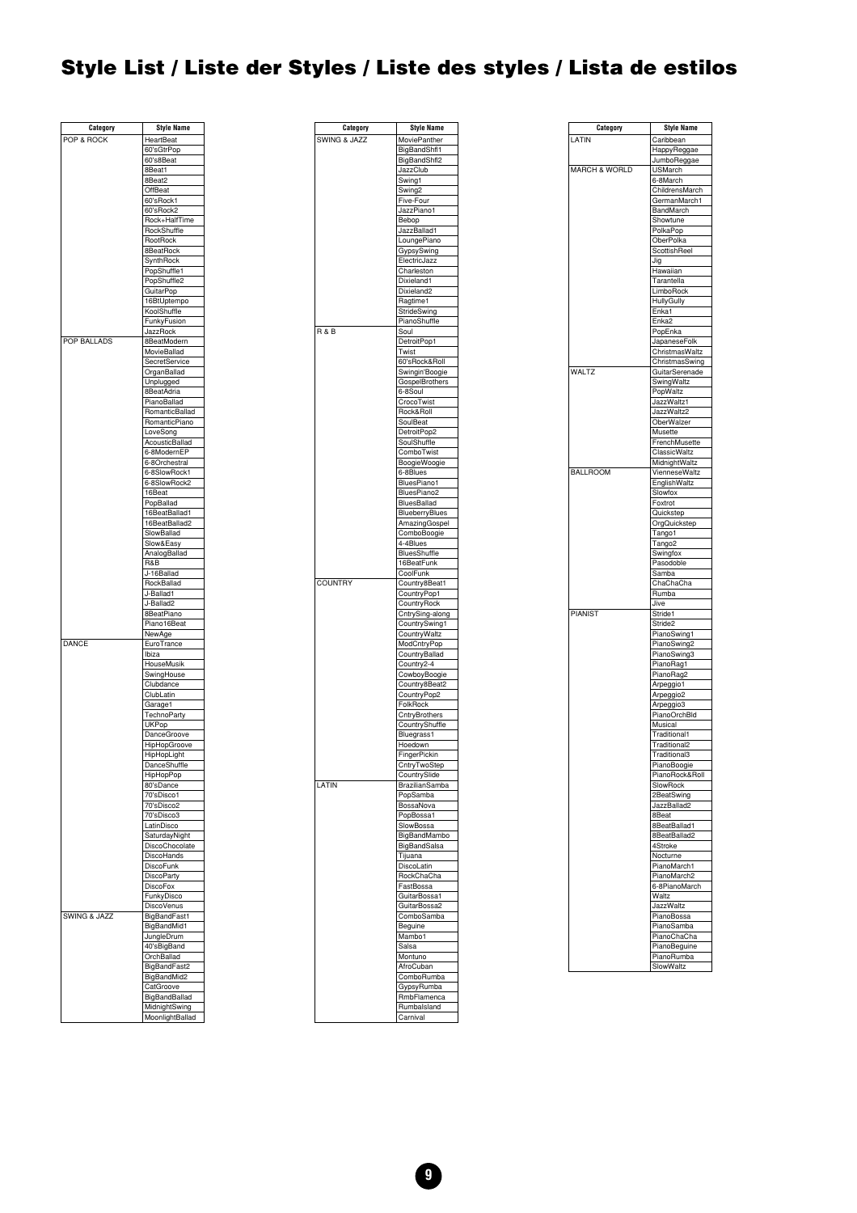## <span id="page-8-0"></span>**Style List / Liste der Styles / Liste des styles / Lista de estilos**

| Category     | <b>Style Name</b>            |
|--------------|------------------------------|
| POP & ROCK   | HeartBeat                    |
|              | 60'sGtrPop                   |
|              | 60's8Beat                    |
|              | 8Beat1                       |
|              | 8Beat2                       |
|              | OffBeat                      |
|              | 60'sRock1                    |
|              | 60'sRock2                    |
|              | Rock+HalfTime                |
|              | RockShuffle<br>RootRock      |
|              | 8BeatRock                    |
|              | SynthRock                    |
|              | PopShuffle1                  |
|              | PopShuffle2                  |
|              | GuitarPop                    |
|              | 16BtUptempo                  |
|              | KoolShuffle                  |
|              | FunkyFusion                  |
|              | JazzRock                     |
| POP BALLADS  | 8BeatModern                  |
|              | MovieBallad                  |
|              | SecretService                |
|              | OrganBallad                  |
|              | Unplugged                    |
|              | 8BeatAdria<br>PianoBallad    |
|              | RomanticBallad               |
|              | RomanticPiano                |
|              | LoveSong                     |
|              | AcousticBallad               |
|              | 6-8ModernEP                  |
|              | 6-8Orchestral                |
|              | 6-8SlowRock1                 |
|              | 6-8SlowRock2                 |
|              | 16Beat                       |
|              | PopBallad                    |
|              | 16BeatBallad1                |
|              | 16BeatBallad2<br>SlowBallad  |
|              | Slow&Easy                    |
|              | AnalogBallad                 |
|              | R&B                          |
|              | J-16Ballad                   |
|              | RockBallad                   |
|              | J-Ballad1                    |
|              | J-Ballad2                    |
|              | 8BeatPiano                   |
|              | Piano16Beat                  |
|              | NewAge                       |
| DANCE        | EuroTrance                   |
|              | Ibiza                        |
|              | HouseMusik                   |
|              | SwingHouse                   |
|              | Clubdance<br>ClubLatin       |
|              | Garage1                      |
|              | TechnoParty                  |
|              | <b>UKPop</b>                 |
|              | <b>DanceGroove</b>           |
|              | HipHopGroove                 |
|              | HipHopLight                  |
|              | Dance:<br>∍nuπie             |
|              | HipHopPop                    |
|              | 80'sDance                    |
|              | 70'sDisco1                   |
|              | 70'sDisco2                   |
|              | 70'sDisco3                   |
|              | LatinDisco                   |
|              | SaturdayNight                |
|              | DiscoChocolate<br>DiscoHands |
|              | DiscoFunk                    |
|              | <b>DiscoParty</b>            |
|              | DiscoFox                     |
|              | FunkyDisco                   |
|              | <b>DiscoVenus</b>            |
| SWING & JAZZ | BigBandFast1                 |
|              | BigBandMid1                  |
|              | JungleDrum                   |
|              | 40'sBigBand                  |
|              | OrchBallad                   |
|              | BigBandFast2                 |
|              | BigBandMid2                  |
|              | CatGroove                    |
|              | BigBandBallad                |
|              | MidnightSwing                |
|              | MoonlightBallad              |



| LATIN<br>Caribbean<br>HappyReggae<br>JumboReggae<br><b>MARCH &amp; WORLD</b><br><b>USMarch</b><br>6-8March<br>ChildrensMarch<br>GermanMarch1<br>BandMarch<br>Showtune<br>PolkaPop<br>OberPolka<br>ScottishReel<br>Jig<br>Hawaiian<br>Tarantella<br><b>LimboRock</b><br>HullyGully<br>Enka1<br>Enka <sub>2</sub><br>PopEnka<br>JapaneseFolk<br>ChristmasWaltz<br>ChristmasSwing<br>WALTZ<br>GuitarSerenade<br>SwingWaltz<br>PopWaltz<br>JazzWaltz1<br>JazzWaltz2<br>OberWalzer<br>Musette<br>FrenchMusette<br>ClassicWaltz<br>MidnightWaltz<br><b>BALLROOM</b><br>VienneseWaltz<br>EnglishWaltz<br>Slowfox<br>Foxtrot<br>Quickstep<br>OrgQuickstep<br>Tango1<br>Tango2<br>Swingfox<br>Pasodoble<br>Samba<br>ChaChaCha<br>Rumba<br>Jive<br>PIANIST<br>Stride1<br>Stride2<br>PianoSwing1<br>PianoSwing2<br>PianoSwing3<br>PianoRag1<br>PianoRag2<br>Arpeggio1<br>Arpeggio <sub>2</sub><br>Arpeggio3<br>PianoOrchBld<br>Musical<br>Traditional1<br>Traditional2<br>Traditional3<br>PianoBoogie<br>PianoRock&Roll<br>SlowRock<br>2BeatSwing<br>JazzBallad2<br>8Beat<br>8BeatBallad1<br>8BeatBallad2<br>4Stroke<br>Nocturne<br>PianoMarch1<br>PianoMarch2<br>6-8PianoMarch<br>Waltz<br><b>JazzWaltz</b><br>PianoBossa<br>PianoSamba<br>PianoChaCha<br>PianoBeguine<br>PianoRumba<br>SlowWaltz | Category | Style Name |
|-----------------------------------------------------------------------------------------------------------------------------------------------------------------------------------------------------------------------------------------------------------------------------------------------------------------------------------------------------------------------------------------------------------------------------------------------------------------------------------------------------------------------------------------------------------------------------------------------------------------------------------------------------------------------------------------------------------------------------------------------------------------------------------------------------------------------------------------------------------------------------------------------------------------------------------------------------------------------------------------------------------------------------------------------------------------------------------------------------------------------------------------------------------------------------------------------------------------------------------------------------------------------------------------|----------|------------|
|                                                                                                                                                                                                                                                                                                                                                                                                                                                                                                                                                                                                                                                                                                                                                                                                                                                                                                                                                                                                                                                                                                                                                                                                                                                                                         |          |            |
|                                                                                                                                                                                                                                                                                                                                                                                                                                                                                                                                                                                                                                                                                                                                                                                                                                                                                                                                                                                                                                                                                                                                                                                                                                                                                         |          |            |
|                                                                                                                                                                                                                                                                                                                                                                                                                                                                                                                                                                                                                                                                                                                                                                                                                                                                                                                                                                                                                                                                                                                                                                                                                                                                                         |          |            |
|                                                                                                                                                                                                                                                                                                                                                                                                                                                                                                                                                                                                                                                                                                                                                                                                                                                                                                                                                                                                                                                                                                                                                                                                                                                                                         |          |            |
|                                                                                                                                                                                                                                                                                                                                                                                                                                                                                                                                                                                                                                                                                                                                                                                                                                                                                                                                                                                                                                                                                                                                                                                                                                                                                         |          |            |
|                                                                                                                                                                                                                                                                                                                                                                                                                                                                                                                                                                                                                                                                                                                                                                                                                                                                                                                                                                                                                                                                                                                                                                                                                                                                                         |          |            |
|                                                                                                                                                                                                                                                                                                                                                                                                                                                                                                                                                                                                                                                                                                                                                                                                                                                                                                                                                                                                                                                                                                                                                                                                                                                                                         |          |            |
|                                                                                                                                                                                                                                                                                                                                                                                                                                                                                                                                                                                                                                                                                                                                                                                                                                                                                                                                                                                                                                                                                                                                                                                                                                                                                         |          |            |
|                                                                                                                                                                                                                                                                                                                                                                                                                                                                                                                                                                                                                                                                                                                                                                                                                                                                                                                                                                                                                                                                                                                                                                                                                                                                                         |          |            |
|                                                                                                                                                                                                                                                                                                                                                                                                                                                                                                                                                                                                                                                                                                                                                                                                                                                                                                                                                                                                                                                                                                                                                                                                                                                                                         |          |            |
|                                                                                                                                                                                                                                                                                                                                                                                                                                                                                                                                                                                                                                                                                                                                                                                                                                                                                                                                                                                                                                                                                                                                                                                                                                                                                         |          |            |
|                                                                                                                                                                                                                                                                                                                                                                                                                                                                                                                                                                                                                                                                                                                                                                                                                                                                                                                                                                                                                                                                                                                                                                                                                                                                                         |          |            |
|                                                                                                                                                                                                                                                                                                                                                                                                                                                                                                                                                                                                                                                                                                                                                                                                                                                                                                                                                                                                                                                                                                                                                                                                                                                                                         |          |            |
|                                                                                                                                                                                                                                                                                                                                                                                                                                                                                                                                                                                                                                                                                                                                                                                                                                                                                                                                                                                                                                                                                                                                                                                                                                                                                         |          |            |
|                                                                                                                                                                                                                                                                                                                                                                                                                                                                                                                                                                                                                                                                                                                                                                                                                                                                                                                                                                                                                                                                                                                                                                                                                                                                                         |          |            |
|                                                                                                                                                                                                                                                                                                                                                                                                                                                                                                                                                                                                                                                                                                                                                                                                                                                                                                                                                                                                                                                                                                                                                                                                                                                                                         |          |            |
|                                                                                                                                                                                                                                                                                                                                                                                                                                                                                                                                                                                                                                                                                                                                                                                                                                                                                                                                                                                                                                                                                                                                                                                                                                                                                         |          |            |
|                                                                                                                                                                                                                                                                                                                                                                                                                                                                                                                                                                                                                                                                                                                                                                                                                                                                                                                                                                                                                                                                                                                                                                                                                                                                                         |          |            |
|                                                                                                                                                                                                                                                                                                                                                                                                                                                                                                                                                                                                                                                                                                                                                                                                                                                                                                                                                                                                                                                                                                                                                                                                                                                                                         |          |            |
|                                                                                                                                                                                                                                                                                                                                                                                                                                                                                                                                                                                                                                                                                                                                                                                                                                                                                                                                                                                                                                                                                                                                                                                                                                                                                         |          |            |
|                                                                                                                                                                                                                                                                                                                                                                                                                                                                                                                                                                                                                                                                                                                                                                                                                                                                                                                                                                                                                                                                                                                                                                                                                                                                                         |          |            |
|                                                                                                                                                                                                                                                                                                                                                                                                                                                                                                                                                                                                                                                                                                                                                                                                                                                                                                                                                                                                                                                                                                                                                                                                                                                                                         |          |            |
|                                                                                                                                                                                                                                                                                                                                                                                                                                                                                                                                                                                                                                                                                                                                                                                                                                                                                                                                                                                                                                                                                                                                                                                                                                                                                         |          |            |
|                                                                                                                                                                                                                                                                                                                                                                                                                                                                                                                                                                                                                                                                                                                                                                                                                                                                                                                                                                                                                                                                                                                                                                                                                                                                                         |          |            |
|                                                                                                                                                                                                                                                                                                                                                                                                                                                                                                                                                                                                                                                                                                                                                                                                                                                                                                                                                                                                                                                                                                                                                                                                                                                                                         |          |            |
|                                                                                                                                                                                                                                                                                                                                                                                                                                                                                                                                                                                                                                                                                                                                                                                                                                                                                                                                                                                                                                                                                                                                                                                                                                                                                         |          |            |
|                                                                                                                                                                                                                                                                                                                                                                                                                                                                                                                                                                                                                                                                                                                                                                                                                                                                                                                                                                                                                                                                                                                                                                                                                                                                                         |          |            |
|                                                                                                                                                                                                                                                                                                                                                                                                                                                                                                                                                                                                                                                                                                                                                                                                                                                                                                                                                                                                                                                                                                                                                                                                                                                                                         |          |            |
|                                                                                                                                                                                                                                                                                                                                                                                                                                                                                                                                                                                                                                                                                                                                                                                                                                                                                                                                                                                                                                                                                                                                                                                                                                                                                         |          |            |
|                                                                                                                                                                                                                                                                                                                                                                                                                                                                                                                                                                                                                                                                                                                                                                                                                                                                                                                                                                                                                                                                                                                                                                                                                                                                                         |          |            |
|                                                                                                                                                                                                                                                                                                                                                                                                                                                                                                                                                                                                                                                                                                                                                                                                                                                                                                                                                                                                                                                                                                                                                                                                                                                                                         |          |            |
|                                                                                                                                                                                                                                                                                                                                                                                                                                                                                                                                                                                                                                                                                                                                                                                                                                                                                                                                                                                                                                                                                                                                                                                                                                                                                         |          |            |
|                                                                                                                                                                                                                                                                                                                                                                                                                                                                                                                                                                                                                                                                                                                                                                                                                                                                                                                                                                                                                                                                                                                                                                                                                                                                                         |          |            |
|                                                                                                                                                                                                                                                                                                                                                                                                                                                                                                                                                                                                                                                                                                                                                                                                                                                                                                                                                                                                                                                                                                                                                                                                                                                                                         |          |            |
|                                                                                                                                                                                                                                                                                                                                                                                                                                                                                                                                                                                                                                                                                                                                                                                                                                                                                                                                                                                                                                                                                                                                                                                                                                                                                         |          |            |
|                                                                                                                                                                                                                                                                                                                                                                                                                                                                                                                                                                                                                                                                                                                                                                                                                                                                                                                                                                                                                                                                                                                                                                                                                                                                                         |          |            |
|                                                                                                                                                                                                                                                                                                                                                                                                                                                                                                                                                                                                                                                                                                                                                                                                                                                                                                                                                                                                                                                                                                                                                                                                                                                                                         |          |            |
|                                                                                                                                                                                                                                                                                                                                                                                                                                                                                                                                                                                                                                                                                                                                                                                                                                                                                                                                                                                                                                                                                                                                                                                                                                                                                         |          |            |
|                                                                                                                                                                                                                                                                                                                                                                                                                                                                                                                                                                                                                                                                                                                                                                                                                                                                                                                                                                                                                                                                                                                                                                                                                                                                                         |          |            |
|                                                                                                                                                                                                                                                                                                                                                                                                                                                                                                                                                                                                                                                                                                                                                                                                                                                                                                                                                                                                                                                                                                                                                                                                                                                                                         |          |            |
|                                                                                                                                                                                                                                                                                                                                                                                                                                                                                                                                                                                                                                                                                                                                                                                                                                                                                                                                                                                                                                                                                                                                                                                                                                                                                         |          |            |
|                                                                                                                                                                                                                                                                                                                                                                                                                                                                                                                                                                                                                                                                                                                                                                                                                                                                                                                                                                                                                                                                                                                                                                                                                                                                                         |          |            |
|                                                                                                                                                                                                                                                                                                                                                                                                                                                                                                                                                                                                                                                                                                                                                                                                                                                                                                                                                                                                                                                                                                                                                                                                                                                                                         |          |            |
|                                                                                                                                                                                                                                                                                                                                                                                                                                                                                                                                                                                                                                                                                                                                                                                                                                                                                                                                                                                                                                                                                                                                                                                                                                                                                         |          |            |
|                                                                                                                                                                                                                                                                                                                                                                                                                                                                                                                                                                                                                                                                                                                                                                                                                                                                                                                                                                                                                                                                                                                                                                                                                                                                                         |          |            |
|                                                                                                                                                                                                                                                                                                                                                                                                                                                                                                                                                                                                                                                                                                                                                                                                                                                                                                                                                                                                                                                                                                                                                                                                                                                                                         |          |            |
|                                                                                                                                                                                                                                                                                                                                                                                                                                                                                                                                                                                                                                                                                                                                                                                                                                                                                                                                                                                                                                                                                                                                                                                                                                                                                         |          |            |
|                                                                                                                                                                                                                                                                                                                                                                                                                                                                                                                                                                                                                                                                                                                                                                                                                                                                                                                                                                                                                                                                                                                                                                                                                                                                                         |          |            |
|                                                                                                                                                                                                                                                                                                                                                                                                                                                                                                                                                                                                                                                                                                                                                                                                                                                                                                                                                                                                                                                                                                                                                                                                                                                                                         |          |            |
|                                                                                                                                                                                                                                                                                                                                                                                                                                                                                                                                                                                                                                                                                                                                                                                                                                                                                                                                                                                                                                                                                                                                                                                                                                                                                         |          |            |
|                                                                                                                                                                                                                                                                                                                                                                                                                                                                                                                                                                                                                                                                                                                                                                                                                                                                                                                                                                                                                                                                                                                                                                                                                                                                                         |          |            |
|                                                                                                                                                                                                                                                                                                                                                                                                                                                                                                                                                                                                                                                                                                                                                                                                                                                                                                                                                                                                                                                                                                                                                                                                                                                                                         |          |            |
|                                                                                                                                                                                                                                                                                                                                                                                                                                                                                                                                                                                                                                                                                                                                                                                                                                                                                                                                                                                                                                                                                                                                                                                                                                                                                         |          |            |
|                                                                                                                                                                                                                                                                                                                                                                                                                                                                                                                                                                                                                                                                                                                                                                                                                                                                                                                                                                                                                                                                                                                                                                                                                                                                                         |          |            |
|                                                                                                                                                                                                                                                                                                                                                                                                                                                                                                                                                                                                                                                                                                                                                                                                                                                                                                                                                                                                                                                                                                                                                                                                                                                                                         |          |            |
|                                                                                                                                                                                                                                                                                                                                                                                                                                                                                                                                                                                                                                                                                                                                                                                                                                                                                                                                                                                                                                                                                                                                                                                                                                                                                         |          |            |
|                                                                                                                                                                                                                                                                                                                                                                                                                                                                                                                                                                                                                                                                                                                                                                                                                                                                                                                                                                                                                                                                                                                                                                                                                                                                                         |          |            |
|                                                                                                                                                                                                                                                                                                                                                                                                                                                                                                                                                                                                                                                                                                                                                                                                                                                                                                                                                                                                                                                                                                                                                                                                                                                                                         |          |            |
|                                                                                                                                                                                                                                                                                                                                                                                                                                                                                                                                                                                                                                                                                                                                                                                                                                                                                                                                                                                                                                                                                                                                                                                                                                                                                         |          |            |
|                                                                                                                                                                                                                                                                                                                                                                                                                                                                                                                                                                                                                                                                                                                                                                                                                                                                                                                                                                                                                                                                                                                                                                                                                                                                                         |          |            |
|                                                                                                                                                                                                                                                                                                                                                                                                                                                                                                                                                                                                                                                                                                                                                                                                                                                                                                                                                                                                                                                                                                                                                                                                                                                                                         |          |            |
|                                                                                                                                                                                                                                                                                                                                                                                                                                                                                                                                                                                                                                                                                                                                                                                                                                                                                                                                                                                                                                                                                                                                                                                                                                                                                         |          |            |
|                                                                                                                                                                                                                                                                                                                                                                                                                                                                                                                                                                                                                                                                                                                                                                                                                                                                                                                                                                                                                                                                                                                                                                                                                                                                                         |          |            |
|                                                                                                                                                                                                                                                                                                                                                                                                                                                                                                                                                                                                                                                                                                                                                                                                                                                                                                                                                                                                                                                                                                                                                                                                                                                                                         |          |            |
|                                                                                                                                                                                                                                                                                                                                                                                                                                                                                                                                                                                                                                                                                                                                                                                                                                                                                                                                                                                                                                                                                                                                                                                                                                                                                         |          |            |
|                                                                                                                                                                                                                                                                                                                                                                                                                                                                                                                                                                                                                                                                                                                                                                                                                                                                                                                                                                                                                                                                                                                                                                                                                                                                                         |          |            |
|                                                                                                                                                                                                                                                                                                                                                                                                                                                                                                                                                                                                                                                                                                                                                                                                                                                                                                                                                                                                                                                                                                                                                                                                                                                                                         |          |            |
|                                                                                                                                                                                                                                                                                                                                                                                                                                                                                                                                                                                                                                                                                                                                                                                                                                                                                                                                                                                                                                                                                                                                                                                                                                                                                         |          |            |
|                                                                                                                                                                                                                                                                                                                                                                                                                                                                                                                                                                                                                                                                                                                                                                                                                                                                                                                                                                                                                                                                                                                                                                                                                                                                                         |          |            |
|                                                                                                                                                                                                                                                                                                                                                                                                                                                                                                                                                                                                                                                                                                                                                                                                                                                                                                                                                                                                                                                                                                                                                                                                                                                                                         |          |            |
|                                                                                                                                                                                                                                                                                                                                                                                                                                                                                                                                                                                                                                                                                                                                                                                                                                                                                                                                                                                                                                                                                                                                                                                                                                                                                         |          |            |
|                                                                                                                                                                                                                                                                                                                                                                                                                                                                                                                                                                                                                                                                                                                                                                                                                                                                                                                                                                                                                                                                                                                                                                                                                                                                                         |          |            |
|                                                                                                                                                                                                                                                                                                                                                                                                                                                                                                                                                                                                                                                                                                                                                                                                                                                                                                                                                                                                                                                                                                                                                                                                                                                                                         |          |            |
|                                                                                                                                                                                                                                                                                                                                                                                                                                                                                                                                                                                                                                                                                                                                                                                                                                                                                                                                                                                                                                                                                                                                                                                                                                                                                         |          |            |
|                                                                                                                                                                                                                                                                                                                                                                                                                                                                                                                                                                                                                                                                                                                                                                                                                                                                                                                                                                                                                                                                                                                                                                                                                                                                                         |          |            |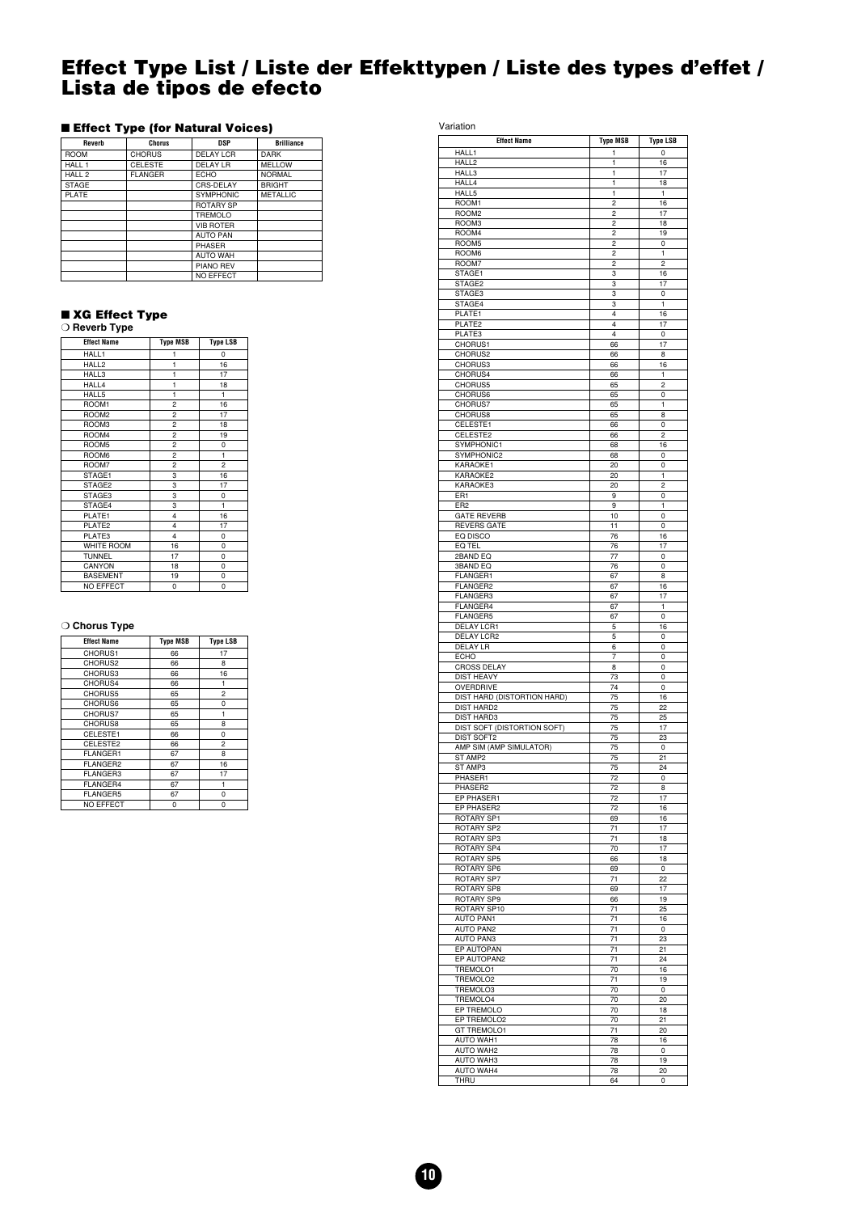#### <span id="page-9-0"></span>**Effect Type List / Liste der Effekttypen / Liste des types d'effet / Lista de tipos de efecto**

#### ■ **Effect Type (for Natural Voices)**

| Reverb            | <b>Chorus</b>  | DSP              | <b>Brilliance</b> |
|-------------------|----------------|------------------|-------------------|
| <b>ROOM</b>       | <b>CHORUS</b>  | <b>DELAY LCR</b> | <b>DARK</b>       |
| HALL 1            | <b>CELESTE</b> | DELAYLR          | <b>MELLOW</b>     |
| HALL <sub>2</sub> | <b>FLANGER</b> | <b>FCHO</b>      | <b>NORMAL</b>     |
| <b>STAGE</b>      |                | CRS-DELAY        | <b>BRIGHT</b>     |
| <b>PLATE</b>      |                | <b>SYMPHONIC</b> | <b>METALLIC</b>   |
|                   |                | <b>ROTARY SP</b> |                   |
|                   |                | TREMOLO          |                   |
|                   |                | <b>VIB ROTER</b> |                   |
|                   |                | <b>AUTO PAN</b>  |                   |
|                   |                | <b>PHASER</b>    |                   |
|                   |                | <b>AUTO WAH</b>  |                   |
|                   |                | <b>PIANO REV</b> |                   |
|                   |                | <b>NO EFFECT</b> |                   |

#### ■ **XG Effect Type** ❍ **Reverb Type**

| <b>Effect Name</b> | <b>Type MSB</b> | <b>Type LSB</b> |
|--------------------|-----------------|-----------------|
| HALL1              | 1               | $\mathbf 0$     |
| HALL2              | 1               | 16              |
| HALL3              | $\mathbf{1}$    | 17              |
| HALL4              | 1               | 18              |
| HALL5              | 1               | 1               |
| ROOM1              | $\overline{c}$  | 16              |
| ROOM <sub>2</sub>  | $\overline{c}$  | 17              |
| ROOM3              | $\overline{c}$  | 18              |
| ROOM4              | $\overline{c}$  | 19              |
| ROOM5              | $\overline{2}$  | 0               |
| ROOM6              | $\overline{c}$  | 1               |
| ROOM7              | $\overline{c}$  | $\overline{c}$  |
| STAGE1             | 3               | 16              |
| STAGE2             | 3               | 17              |
| STAGE3             | 3               | 0               |
| STAGE4             | 3               | $\mathbf{1}$    |
| PLATE1             | 4               | 16              |
| PLATE2             | 4               | 17              |
| PLATE3             | 4               | 0               |
| <b>WHITE ROOM</b>  | 16              | 0               |
| <b>TUNNEL</b>      | 17              | 0               |
| CANYON             | 18              | 0               |
| <b>BASEMENT</b>    | 19              | 0               |
| <b>NO EFFECT</b>   | 0               | 0               |

#### ❍ **Chorus Type**

| <b>Effect Name</b> | <b>Type MSB</b> | <b>Type LSB</b> |
|--------------------|-----------------|-----------------|
| CHORUS1            | 66              | 17              |
| CHORUS2            | 66              | 8               |
| CHORUS3            | 66              | 16              |
| CHORUS4            | 66              | 1               |
| CHORUS5            | 65              | $\overline{c}$  |
| CHORUS6            | 65              | 0               |
| CHORUS7            | 65              | 1               |
| CHORUS8            | 65              | 8               |
| CELESTE1           | 66              | 0               |
| CELESTE2           | 66              | $\overline{a}$  |
| <b>FLANGER1</b>    | 67              | 8               |
| FLANGER2           | 67              | 16              |
| <b>FLANGER3</b>    | 67              | 17              |
| FLANGER4           | 67              | 1               |
| <b>FLANGER5</b>    | 67              | 0               |
| <b>NO EFFECT</b>   | 0               | 0               |

Variation **Effect Name** Type MSB Type LSB HALL1 HALL2 1 1 1 16 HALL3 1 17 HALL4 1 1 18 HALL5 1 1 1 1 ROOM1 2 16<br>ROOM2 2 17 ROOM2 ROOM3 2 18<br>ROOM4 2 19  $ROOM4$  2 ROOM5 2 0<br>ROOM6 2 1 ROOM6 2 | 2 | 1 ROOM7 2 2 2<br>STAGE1 3 16 STAGE1 STAGE2 3 17<br>STAGE2 3 17<br>STAGE3 3 0 STAGE3 3  $\begin{array}{|c|c|c|c|}\n \hline\n \text{STAGE4} & \text{3} & \text{1} \\
 \hline\n \text{PIATE1} & \text{4} & \text{16}\n \end{array}$ PLATE1 16 PLATE2 4 17 PLATE3 4 0 CHORUS1 66 17 CHORUS2 66 8 CHORUS3 66 16 CHORUS4 66 1 CHORUS5 65 2<br>
CHORUS6 65 0<br>
CHORUS7 65 1 CHORUS6 65 0 CHORUS7 65 1 CHORUS8 65 8 CELESTE1 66 0 CELESTE? 66 2 SYMPHONIC1 68 16<br>SYMPHONIC2 68 0 SYMPHONIC2 68<br>
KARAOKE1 20 KARAOKE1 20 0 KARAOKE2 20 1 KARAOKE3 20 2 ER1 0 ER2 9 1 GATE REVERB 10 0 GATE REVERB  $\begin{array}{|c|c|c|c|}\n\hline\n\text{RATE REVIEW} & \text{RVERS GATE} & \text{10} & \text{0} \\
\hline\n\text{EQ DISCO} & \text{76} & \text{16} \\
\hline\n\text{EQ DEC} & \text{76} & \text{17} \\
\hline\n\text{ZBAND EQ} & \text{77} & \text{0} \\
\hline\n\end{array}$ EQ DISCO 76 16 EQ TEL 76 17  $\frac{12}{77}$  0 3BAND EQ 76 0<br>FLANGER1 67 8 FLANGER1 67 8<br>FLANGER2 67 16 FLANGER2 FLANGER3 67 17<br>FLANGER4 67 1 FLANGER4 FLANGER5 0 DELAY LCR1 5 16 DELAY LCR2 5 0 DELAY LR 6 0 ECHO 7 0 CROSS DELAY 8 0 DIST HEAVY 73 0<br>
OVERDRIVE 74 0 OVERDRIVE 74 0 DIST HARD (DISTORTION HARD) 75 16 DIST HARD2 75 22 DIST HARD3 75 25 DIST SOFT (DISTORTION SOFT) 75 17 DIST SOFT2 75 23 AMP SIM (AMP SIMULATOR) 75 0 ST AMP2 75 21<br>ST AMP3 75 24 ST AMP3 24 PHASER1 72 0<br>
PHASER2 72 9 PHASER2 72 8<br>EP PHASER1 72 17 EP PHASER2 72 16 ROTARY SP1 69 16<br>
POTARY SP2 71 17 ROTARY SP2 ROTARY SP3 71 18<br>ROTARY SP4 70 17 ROTARY SP4 ROTARY SP5 66 18 ROTARY SP6 69 0 ROTARY SP7 71 22<br>ROTARY SP8 69 17 ROTARY SPR ROTARY SP9 66 19<br>ROTARY SP10 71 25 ROTARY SP<sub>10</sub> AUTO PAN1 71 16<br>
AUTO PAN2 71 0<br>
AUTO PAN3 71 23 AUTO PAN2 71 0 AUTO PAN3 71 23<br>EP AUTOPAN 71 21 **EP AUTOPAN** EP AUTOPAN2 71 24<br>TREMOLO1 70 16 TREMOLO1 TREMOLO2 71 19 TREMOLO3 70 0<br>TREMOLO4 70 20 TREMOLO4 70 20<br>EP TREMOLO 70 18 EP TREMOLO EP TREMOLO2 70 21<br>
GT TREMOLO1 71 20 GT TREMOLO1 AUTO WAH1 78 16<br>AUTO WAH2 78 0 AUTO WAH2 AUTO WAH3 78 19<br>AUTO WAH4 78 20 **AUTO WAH4** THRU 64 0

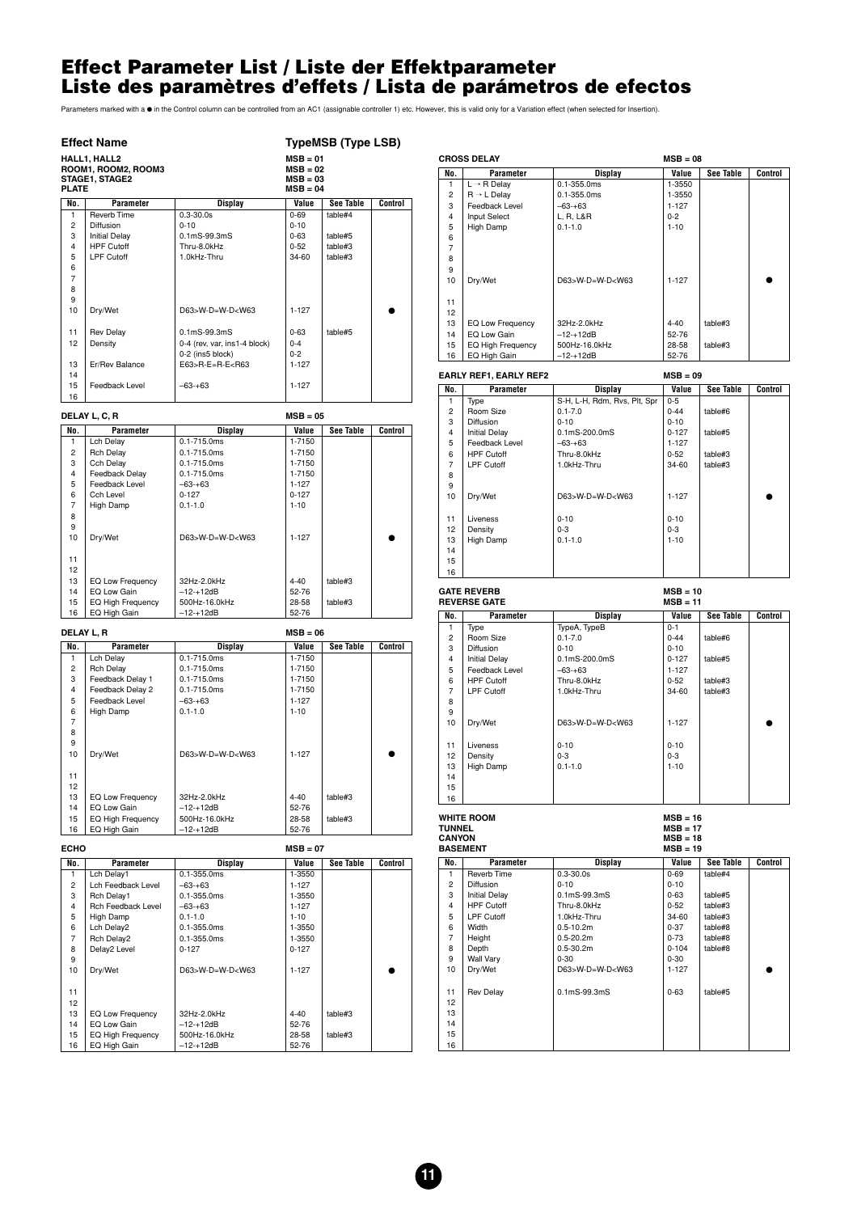#### <span id="page-10-0"></span>**Effect Parameter List / Liste der Effektparameter Liste des paramètres d'effets / Lista de parámetros de efectos**

Parameters marked with a ● in the Control column can be controlled from an AC1 (assignable controller 1) etc. However, this is valid only for a Variation effect (when selected for Insertion).

#### **Effect Name** TypeMSB (Type LSB)

| <b>PLATE</b>   | HALL1, HALL2<br>ROOM1, ROOM2, ROOM3<br>STAGE1, STAGE2 |                                                                                | $MSB = 01$<br>$MSB = 02$<br>$MSB = 03$<br>$MSB = 04$ |           |         |
|----------------|-------------------------------------------------------|--------------------------------------------------------------------------------|------------------------------------------------------|-----------|---------|
| No.            | Parameter                                             | Display                                                                        | Value                                                | See Table | Control |
| 1              | <b>Reverb Time</b>                                    | $0.3 - 30.0s$                                                                  | $0 - 69$                                             | table#4   |         |
| $\overline{2}$ | Diffusion                                             | $0 - 10$                                                                       | $0 - 10$                                             |           |         |
| 3              | <b>Initial Delay</b>                                  | $0.1mS-99.3mS$                                                                 | $0 - 63$                                             | table#5   |         |
| 4              | <b>HPF Cutoff</b>                                     | Thru-8.0kHz                                                                    | $0 - 52$                                             | table#3   |         |
| 5              | <b>LPF Cutoff</b>                                     | 1.0kHz-Thru                                                                    | $34-60$                                              | table#3   |         |
| 6              |                                                       |                                                                                |                                                      |           |         |
| $\overline{7}$ |                                                       |                                                                                |                                                      |           |         |
| 8              |                                                       |                                                                                |                                                      |           |         |
| 9              |                                                       |                                                                                |                                                      |           |         |
| 10             | Dry/Wet                                               | D63>W-D=W-D <w63< td=""><td><math>1 - 127</math></td><td></td><td></td></w63<> | $1 - 127$                                            |           |         |
|                |                                                       |                                                                                |                                                      |           |         |
| 11             | <b>Rev Delay</b>                                      | $0.1mS-99.3mS$                                                                 | $0 - 63$                                             | table#5   |         |
| 12             | Density                                               | 0-4 (rev, var, ins1-4 block)                                                   | $0 - 4$                                              |           |         |
|                |                                                       | 0-2 (ins5 block)                                                               | $0 - 2$                                              |           |         |
| 13             | Er/Rev Balance                                        | $E63>R-E=R-E<$ R63                                                             | $1 - 127$                                            |           |         |
| 14             |                                                       |                                                                                |                                                      |           |         |
| 15             | Feedback Level                                        | $-63-+63$                                                                      | $1 - 127$                                            |           |         |
| 16             |                                                       |                                                                                |                                                      |           |         |

|                | DELAY L, C, R            |                                                                                | $MSB = 05$ |           |         |
|----------------|--------------------------|--------------------------------------------------------------------------------|------------|-----------|---------|
| No.            | Parameter                | Display                                                                        | Value      | See Table | Control |
| 1              | Lch Delay                | $0.1 - 715.0$ ms                                                               | 1-7150     |           |         |
| $\overline{c}$ | <b>Rch Delay</b>         | $0.1 - 715.0$ ms                                                               | 1-7150     |           |         |
| 3              | Cch Delay                | $0.1 - 715.0$ ms                                                               | 1-7150     |           |         |
| 4              | Feedback Delay           | $0.1 - 715.0$ ms                                                               | 1-7150     |           |         |
| 5              | Feedback Level           | $-63-+63$                                                                      | $1 - 127$  |           |         |
| 6              | Cch Level                | $0 - 127$                                                                      | $0 - 127$  |           |         |
| $\overline{7}$ | High Damp                | $0.1 - 1.0$                                                                    | $1 - 10$   |           |         |
| 8              |                          |                                                                                |            |           |         |
| 9              |                          |                                                                                |            |           |         |
| 10             | Dry/Wet                  | D63>W-D=W-D <w63< td=""><td><math>1 - 127</math></td><td></td><td></td></w63<> | $1 - 127$  |           |         |
|                |                          |                                                                                |            |           |         |
| 11             |                          |                                                                                |            |           |         |
| 12             |                          |                                                                                |            |           |         |
| 13             | EQ Low Frequency         | 32Hz-2.0kHz                                                                    | $4 - 40$   | table#3   |         |
| 14             | EQ Low Gain              | $-12 - +12dB$                                                                  | 52-76      |           |         |
| 15             | <b>EQ High Frequency</b> | 500Hz-16.0kHz                                                                  | 28-58      | table#3   |         |
| 16             | EQ High Gain             | $-12 - +12dB$                                                                  | 52-76      |           |         |

| <b>DELAY L. R</b> |                          |                             | $MSB = 06$ |           |         |
|-------------------|--------------------------|-----------------------------|------------|-----------|---------|
| No.               | Parameter                | <b>Display</b>              | Value      | See Table | Control |
| 1                 | Lch Delay                | $0.1 - 715.0$ ms            | 1-7150     |           |         |
| $\overline{c}$    | <b>Rch Delay</b>         | $0.1 - 715.0$ ms            | 1-7150     |           |         |
| 3                 | Feedback Delay 1         | $0.1 - 715.0$ ms            | 1-7150     |           |         |
| 4                 | Feedback Delay 2         | $0.1 - 715.0$ ms            | 1-7150     |           |         |
| 5                 | Feedback Level           | $-63-+63$                   | $1 - 127$  |           |         |
| 6                 | High Damp                | $0.1 - 1.0$                 | $1 - 10$   |           |         |
| $\overline{7}$    |                          |                             |            |           |         |
| 8                 |                          |                             |            |           |         |
| 9                 |                          |                             |            |           |         |
| 10                | Dry/Wet                  | $D63 > W - D = W - D < W63$ | $1 - 127$  |           |         |
|                   |                          |                             |            |           |         |
| 11                |                          |                             |            |           |         |
| 12                |                          |                             |            |           |         |
| 13                | EQ Low Frequency         | 32Hz-2.0kHz                 | $4 - 40$   | table#3   |         |
| 14                | EQ Low Gain              | $-12 - +12dB$               | 52-76      |           |         |
| 15                | <b>EQ High Frequency</b> | 500Hz-16.0kHz               | 28-58      | table#3   |         |
| 16                | EQ High Gain             | $-12 - +12dB$               | 52-76      |           |         |

| <b>ECHO</b>    |                           |                                                                                | $MSB = 07$ |           |         |
|----------------|---------------------------|--------------------------------------------------------------------------------|------------|-----------|---------|
| No.            | Parameter                 | Display                                                                        | Value      | See Table | Control |
| 1              | Lch Delay1                | $0.1 - 355.0$ ms                                                               | 1-3550     |           |         |
| $\overline{c}$ | Lch Feedback Level        | $-63-+63$                                                                      | $1 - 127$  |           |         |
| 3              | Rch Delay1                | $0.1 - 355.0$ ms                                                               | 1-3550     |           |         |
| 4              | <b>Rch Feedback Level</b> | $-63-+63$                                                                      | $1 - 127$  |           |         |
| 5              | High Damp                 | $0.1 - 1.0$                                                                    | $1 - 10$   |           |         |
| 6              | Lch Delay2                | $0.1 - 355.0$ ms                                                               | 1-3550     |           |         |
| $\overline{7}$ | Rch Delay2                | $0.1 - 355.0$ ms                                                               | 1-3550     |           |         |
| 8              | Delay2 Level              | $0 - 127$                                                                      | $0 - 127$  |           |         |
| 9              |                           |                                                                                |            |           |         |
| 10             | Dry/Wet                   | D63>W-D=W-D <w63< td=""><td><math>1 - 127</math></td><td></td><td></td></w63<> | $1 - 127$  |           |         |
|                |                           |                                                                                |            |           |         |
| 11             |                           |                                                                                |            |           |         |
| 12             |                           |                                                                                |            |           |         |
| 13             | EQ Low Frequency          | 32Hz-2.0kHz                                                                    | $4 - 40$   | table#3   |         |
| 14             | EQ Low Gain               | $-12 - +12dB$                                                                  | 52-76      |           |         |
| 15             | <b>EQ High Frequency</b>  | 500Hz-16.0kHz                                                                  | 28-58      | table#3   |         |
| 16             | EQ High Gain              | $-12 - +12dB$                                                                  | 52-76      |           |         |

| <b>CROSS DELAY</b> |                                             | $MSB = 08$                  |           |                  |         |
|--------------------|---------------------------------------------|-----------------------------|-----------|------------------|---------|
| No.                | Parameter                                   | Display                     | Value     | <b>See Table</b> | Control |
| 1                  | $L \rightarrow R$ Delay                     | $0.1 - 355.0$ ms            | 1-3550    |                  |         |
| $\overline{a}$     | $R \rightarrow L$ Delay                     | $0.1 - 355.0$ ms            | 1-3550    |                  |         |
| 3                  | Feedback Level                              | $-63-+63$                   | $1 - 127$ |                  |         |
| 4                  | <b>Input Select</b>                         | L, R, L&R                   | $0 - 2$   |                  |         |
| 5                  | High Damp                                   | $0.1 - 1.0$                 | $1 - 10$  |                  |         |
| 6                  |                                             |                             |           |                  |         |
| 7                  |                                             |                             |           |                  |         |
| 8                  |                                             |                             |           |                  |         |
| 9                  |                                             |                             |           |                  |         |
| 10                 | Dry/Wet                                     | $D63 > W - D = W - D < W63$ | $1 - 127$ |                  |         |
|                    |                                             |                             |           |                  |         |
| 11                 |                                             |                             |           |                  |         |
| 12                 |                                             |                             |           |                  |         |
| 13                 | EQ Low Frequency                            | 32Hz-2.0kHz                 | $4 - 40$  | table#3          |         |
| 14                 | EQ Low Gain                                 | $-12 - +12dB$               | 52-76     |                  |         |
| 15                 | EQ High Frequency                           | 500Hz-16.0kHz               | 28-58     | table#3          |         |
| 16                 | EQ High Gain                                | $-12 - +12dB$               | 52-76     |                  |         |
|                    | $MSB = 09$<br><b>EARLY REF1, EARLY REF2</b> |                             |           |                  |         |

| No.            | Parameter            | Display                                                                        | Value     | <b>See Table</b> | Control |
|----------------|----------------------|--------------------------------------------------------------------------------|-----------|------------------|---------|
| 1              | Type                 | S-H, L-H, Rdm, Rvs, Plt, Spr                                                   | $0 - 5$   |                  |         |
| 2              | Room Size            | $0.1 - 7.0$                                                                    | $0 - 44$  | table#6          |         |
| 3              | Diffusion            | $0 - 10$                                                                       | $0 - 10$  |                  |         |
| $\overline{4}$ | <b>Initial Delay</b> | $0.1 \text{mS-} 200.0 \text{mS}$                                               | $0 - 127$ | table#5          |         |
| 5              | Feedback Level       | $-63-+63$                                                                      | $1 - 127$ |                  |         |
| 6              | <b>HPF Cutoff</b>    | Thru-8.0kHz                                                                    | $0 - 52$  | table#3          |         |
| $\overline{7}$ | LPF Cutoff           | 1.0kHz-Thru                                                                    | 34-60     | table#3          |         |
| 8              |                      |                                                                                |           |                  |         |
| 9              |                      |                                                                                |           |                  |         |
| 10             | Dry/Wet              | D63>W-D=W-D <w63< td=""><td><math>1 - 127</math></td><td></td><td></td></w63<> | $1 - 127$ |                  |         |
|                |                      |                                                                                |           |                  |         |
| 11             | Liveness             | $0 - 10$                                                                       | $0 - 10$  |                  |         |
| 12             | Density              | $0 - 3$                                                                        | $0 - 3$   |                  |         |
| 13             | High Damp            | $0.1 - 1.0$                                                                    | $1 - 10$  |                  |         |
| 14             |                      |                                                                                |           |                  |         |
| 15             |                      |                                                                                |           |                  |         |
| 16             |                      |                                                                                |           |                  |         |

| <b>GATE REVERB</b><br><b>REVERSE GATE</b> |                      | $MSB = 10$<br>$MSB = 11$                                                       |           |           |         |
|-------------------------------------------|----------------------|--------------------------------------------------------------------------------|-----------|-----------|---------|
| No.                                       | Parameter            | Display                                                                        | Value     | See Table | Control |
| 1                                         | Type                 | TypeA, TypeB                                                                   | $0 - 1$   |           |         |
| $\overline{2}$                            | Room Size            | $0.1 - 7.0$                                                                    | $0 - 44$  | table#6   |         |
| 3                                         | <b>Diffusion</b>     | $0 - 10$                                                                       | $0 - 10$  |           |         |
| $\overline{4}$                            | <b>Initial Delay</b> | $0.1mS-200.0mS$                                                                | $0 - 127$ | table#5   |         |
| 5                                         | Feedback Level       | $-63-+63$                                                                      | $1 - 127$ |           |         |
| 6                                         | <b>HPF Cutoff</b>    | Thru-8.0kHz                                                                    | $0 - 52$  | table#3   |         |
| $\overline{7}$                            | LPF Cutoff           | 1.0kHz-Thru                                                                    | 34-60     | table#3   |         |
| 8                                         |                      |                                                                                |           |           |         |
| 9                                         |                      |                                                                                |           |           |         |
| 10                                        | Dry/Wet              | D63>W-D=W-D <w63< td=""><td><math>1 - 127</math></td><td></td><td></td></w63<> | $1 - 127$ |           |         |
|                                           |                      |                                                                                |           |           |         |
| 11                                        | Liveness             | $0 - 10$                                                                       | $0 - 10$  |           |         |
| 12                                        | Density              | $0 - 3$                                                                        | $0 - 3$   |           |         |
| 13                                        | High Damp            | $0.1 - 1.0$                                                                    | $1 - 10$  |           |         |
| 14                                        |                      |                                                                                |           |           |         |
| 15                                        |                      |                                                                                |           |           |         |
| 16                                        |                      |                                                                                |           |           |         |

WHITE ROOM<br>
TUNNEL<br>
CANYON<br>
BASEMENT<br>
BASEMENT<br>
MSB = 19<br>
MSB = 19 **TUNNEL MSB = 17 CANYON MSB = 18 BASEMENT MSB = 19**

| No.                     | Parameter            | <b>Display</b>                                                                 | Value     | See Table | Control |
|-------------------------|----------------------|--------------------------------------------------------------------------------|-----------|-----------|---------|
| 1                       | <b>Reverb Time</b>   | $0.3 - 30.0s$                                                                  | $0 - 69$  | table#4   |         |
| $\overline{2}$          | <b>Diffusion</b>     | $0 - 10$                                                                       | $0 - 10$  |           |         |
| 3                       | <b>Initial Delay</b> | $0.1mS-99.3mS$                                                                 | $0 - 63$  | table#5   |         |
| $\overline{\mathbf{4}}$ | <b>HPF Cutoff</b>    | Thru-8.0kHz                                                                    | $0 - 52$  | table#3   |         |
| 5                       | <b>LPF Cutoff</b>    | 1.0kHz-Thru                                                                    | 34-60     | table#3   |         |
| 6                       | Width                | $0.5 - 10.2m$                                                                  | $0 - 37$  | table#8   |         |
| $\overline{7}$          | Height               | $0.5 - 20.2m$                                                                  | $0 - 73$  | table#8   |         |
| 8                       | Depth                | $0.5 - 30.2m$                                                                  | $0 - 104$ | table#8   |         |
| 9                       | <b>Wall Vary</b>     | $0 - 30$                                                                       | $0 - 30$  |           |         |
| 10                      | Dry/Wet              | D63>W-D=W-D <w63< td=""><td><math>1 - 127</math></td><td></td><td></td></w63<> | $1 - 127$ |           |         |
| 11                      | <b>Rev Delay</b>     | $0.1mS-99.3mS$                                                                 | $0 - 63$  | table#5   |         |
| 12                      |                      |                                                                                |           |           |         |
| 13                      |                      |                                                                                |           |           |         |
| 14                      |                      |                                                                                |           |           |         |
| 15                      |                      |                                                                                |           |           |         |
| 16                      |                      |                                                                                |           |           |         |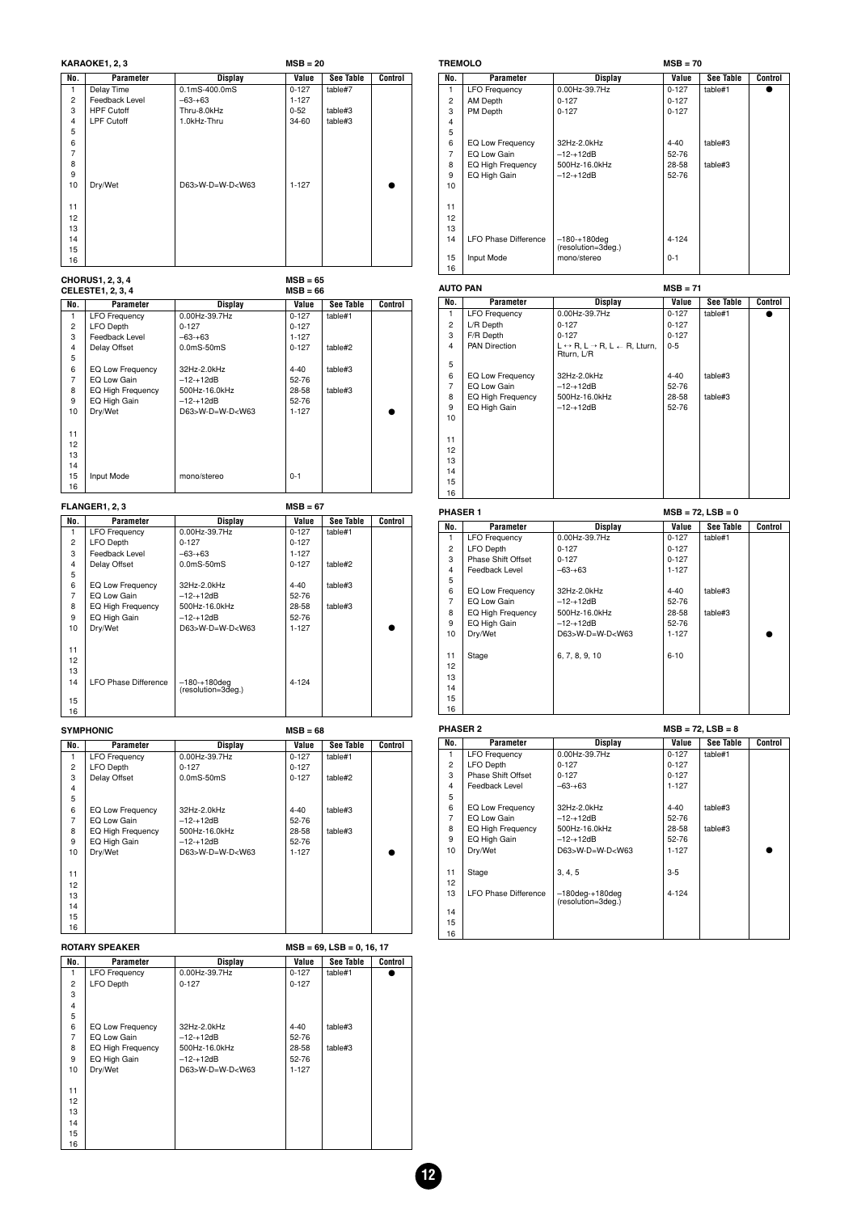| KARAOKE1, 2, 3 |                   | $MSB = 20$                                                                     |           |                  |                |
|----------------|-------------------|--------------------------------------------------------------------------------|-----------|------------------|----------------|
| No.            | Parameter         | <b>Display</b>                                                                 | Value     | <b>See Table</b> | <b>Control</b> |
| 1              | Delay Time        | $0.1mS-400.0mS$                                                                | $0 - 127$ | table#7          |                |
| $\overline{2}$ | Feedback Level    | $-63-+63$                                                                      | $1 - 127$ |                  |                |
| 3              | <b>HPF Cutoff</b> | Thru-8.0kHz                                                                    | $0 - 52$  | table#3          |                |
| 4              | <b>LPF Cutoff</b> | 1.0kHz-Thru                                                                    | 34-60     | table#3          |                |
| 5              |                   |                                                                                |           |                  |                |
| 6              |                   |                                                                                |           |                  |                |
| $\overline{7}$ |                   |                                                                                |           |                  |                |
| 8              |                   |                                                                                |           |                  |                |
| 9              |                   |                                                                                |           |                  |                |
| 10             | Dry/Wet           | D63>W-D=W-D <w63< td=""><td><math>1 - 127</math></td><td></td><td></td></w63<> | $1 - 127$ |                  |                |
|                |                   |                                                                                |           |                  |                |
| 11             |                   |                                                                                |           |                  |                |
| 12             |                   |                                                                                |           |                  |                |
| 13             |                   |                                                                                |           |                  |                |
| 14             |                   |                                                                                |           |                  |                |
| 15             |                   |                                                                                |           |                  |                |
| 16             |                   |                                                                                |           |                  |                |

|                | CHORUS1, 2, 3, 4<br><b>CELESTE1, 2, 3, 4</b> |                                                                                | $MSB = 65$<br>$MSB = 66$ |           |         |
|----------------|----------------------------------------------|--------------------------------------------------------------------------------|--------------------------|-----------|---------|
| No.            | Parameter                                    | <b>Display</b>                                                                 | Value                    | See Table | Control |
| 1              | <b>LFO Frequency</b>                         | 0.00Hz-39.7Hz                                                                  | $0 - 127$                | table#1   |         |
| $\overline{2}$ | LFO Depth                                    | $0 - 127$                                                                      | $0 - 127$                |           |         |
| 3              | Feedback Level                               | $-63-+63$                                                                      | $1 - 127$                |           |         |
| 4              | Delay Offset                                 | $0.0mS-50mS$                                                                   | $0 - 127$                | table#2   |         |
| 5              |                                              |                                                                                |                          |           |         |
| 6              | EQ Low Frequency                             | 32Hz-2.0kHz                                                                    | $4 - 40$                 | table#3   |         |
| 7              | EQ Low Gain                                  | $-12 - +12dB$                                                                  | 52-76                    |           |         |
| 8              | <b>EQ High Frequency</b>                     | 500Hz-16.0kHz                                                                  | 28-58                    | table#3   |         |
| 9              | EQ High Gain                                 | $-12 - +12dB$                                                                  | 52-76                    |           |         |
| 10             | Dry/Wet                                      | D63>W-D=W-D <w63< td=""><td><math>1 - 127</math></td><td></td><td></td></w63<> | $1 - 127$                |           |         |
|                |                                              |                                                                                |                          |           |         |
| 11             |                                              |                                                                                |                          |           |         |
| 12             |                                              |                                                                                |                          |           |         |
| 13             |                                              |                                                                                |                          |           |         |
| 14             |                                              |                                                                                |                          |           |         |
| 15             | Input Mode                                   | mono/stereo                                                                    | $0 - 1$                  |           |         |
| 16             |                                              |                                                                                |                          |           |         |

**FLANGER1, 2, 3 MSB = 67 No. Parameter Display Value See Table Control**<br>1 LEO Frequency 0.00Hz-39.7Hz 0-127 table#1 1 **Parameter Display Value See Table 1**<br>1 LFO Frequency 0.00Hz-39.7Hz 0-127 table#1<br>2 LFO Depth 0-127 0-127 2<br>
2 LFO Depth<br>
Peedback Level<br>
4 Delay Offset<br>
0-127<br>
0-127<br>
0-127<br>
0-127<br>
0-127<br>
0-127<br>
0-127<br>
0-127<br>
0-127<br>
0-127<br>
0-127<br>
0-127<br>
0-127<br>
0-127<br>
0-127<br>
0-127<br>
0-127<br>
0-127<br>
0-127<br>
0-127<br>
0-127<br>
0-127<br>
0-127<br>
0-127<br>
0-127<br> Feedback Level –63-+63<br>
Delay Offset – 0.0mS-50mS Delay Offset 0.0mS-50mS 0-127 table#2  $-5$ <br>6<br>7<br>8 EQ Low Frequency  $\begin{array}{|l|l|}\n\hline\n12440 & \text{table}\n\hline\n\text{EQ} & \text{L} & -12412 \text{dB} \\
\hline\n\text{EQ} & \text{High Frequency} & 500 \text{Hz} - 16.0 \text{kHz} \\
\hline\n\end{array}\n\quad\n\begin{array}{|l|}\n\hline\n440 & \text{table}\n\hline\n440 & \text{table}\n\hline\n\text{table}\n\hline\n\text{Table 43} & \text{table}\n\end{array}$  EQ Low Gain –12-+12dB 52-76 8 EQ High Frequency 500Hz-16.0kHz 28-58 table#3 9 EQ High Gain –12-+12dB 52-76 10 Dry/Wet D63>W-D=W-D<W63 1-127 ● 13 14 LFO Phase Difference (resolution=3deg.) 4-124 

SYMPHONIC MSB = 68 **No. Parameter Display Value See Table Control**<br>1 LFO Frequency 0.00Hz-39.7Hz 0-127 table#1 1 LFO Frequency 0.00Hz-39.7Hz<br>2 LFO Depth 0-127 0-127 0-127 2 LFO Depth 0-127<br>3 Delay Offset 0.0mS-50mS 0-127 0.0mS-50mS 0-127 table#2 5<br>6<br>7  $\begin{array}{|l|l|}\n\hline\n\text{EQ Low Gain} & 32\text{Hz-2.0kHz} & 4-40 & \text{table$\#3$} \\
\hline\n\text{EQ High Frequency} & -12\text{--12dB} & 52-76 & 42\text{kbb$\#3$} \\
\hline\n\end{array}$  EQ Low Gain –12-+12dB 52-76 8 EQ High Frequency 500Hz-16.0kHz 28-58 table#3 9 EQ High Gain –12-+12dB 52-76 10 Dry/Wet | D63>W-D=W-D<W63 | 1-127 | ● 

| <b>ROTARY SPEAKER</b> |                          | $MSB = 69$ , $LSB = 0$ , 16, 17                                                |           |           |         |
|-----------------------|--------------------------|--------------------------------------------------------------------------------|-----------|-----------|---------|
| No.                   | Parameter                | <b>Display</b>                                                                 | Value     | See Table | Control |
| 1                     | <b>LFO Frequency</b>     | 0.00Hz-39.7Hz                                                                  | $0 - 127$ | table#1   |         |
| 2                     | <b>LFO Depth</b>         | $0 - 127$                                                                      | $0 - 127$ |           |         |
| 3                     |                          |                                                                                |           |           |         |
| 4                     |                          |                                                                                |           |           |         |
| 5                     |                          |                                                                                |           |           |         |
| 6                     | EQ Low Frequency         | 32Hz-2.0kHz                                                                    | $4 - 40$  | table#3   |         |
| 7                     | EQ Low Gain              | $-12 - +12dB$                                                                  | 52-76     |           |         |
| 8                     | <b>EQ High Frequency</b> | 500Hz-16.0kHz                                                                  | 28-58     | table#3   |         |
| 9                     | EQ High Gain             | $-12 - +12dB$                                                                  | 52-76     |           |         |
| 10                    | Dry/Wet                  | D63>W-D=W-D <w63< td=""><td><math>1 - 127</math></td><td></td><td></td></w63<> | $1 - 127$ |           |         |
|                       |                          |                                                                                |           |           |         |
| 11                    |                          |                                                                                |           |           |         |
| 12                    |                          |                                                                                |           |           |         |
| 13                    |                          |                                                                                |           |           |         |
| 14                    |                          |                                                                                |           |           |         |
| 15                    |                          |                                                                                |           |           |         |
| 16                    |                          |                                                                                |           |           |         |

#### **TREMOLO MSB = 70**

| No.            | Parameter                   | Display                              | Value     | See Table | Control |
|----------------|-----------------------------|--------------------------------------|-----------|-----------|---------|
| 1              | <b>LFO Frequency</b>        | 0.00Hz-39.7Hz                        | $0 - 127$ | table#1   |         |
| $\overline{2}$ | AM Depth                    | $0 - 127$                            | $0 - 127$ |           |         |
| 3              | PM Depth                    | $0 - 127$                            | $0 - 127$ |           |         |
| 4              |                             |                                      |           |           |         |
| 5              |                             |                                      |           |           |         |
| 6              | EQ Low Frequency            | 32Hz-2.0kHz                          | $4 - 40$  | table#3   |         |
| $\overline{7}$ | EQ Low Gain                 | $-12 - +12dB$                        | $52 - 76$ |           |         |
| 8              | EQ High Frequency           | 500Hz-16.0kHz                        | 28-58     | table#3   |         |
| 9              | EQ High Gain                | $-12 - +12dB$                        | 52-76     |           |         |
| 10             |                             |                                      |           |           |         |
|                |                             |                                      |           |           |         |
| 11             |                             |                                      |           |           |         |
| 12             |                             |                                      |           |           |         |
| 13             |                             |                                      |           |           |         |
| 14             | <b>LFO Phase Difference</b> | $-180+180$ deg<br>(resolution=3deg.) | $4 - 124$ |           |         |
| 15             | Input Mode                  | mono/stereo                          | $0 - 1$   |           |         |
| 16             |                             |                                      |           |           |         |

| <b>AUTO PAN</b> |                      | $MSB = 71$                                                                          |           |           |         |  |
|-----------------|----------------------|-------------------------------------------------------------------------------------|-----------|-----------|---------|--|
| No.             | Parameter            | Display                                                                             | Value     | See Table | Control |  |
| 1               | <b>LFO Frequency</b> | 0.00Hz-39.7Hz                                                                       | $0 - 127$ | table#1   |         |  |
| $\overline{2}$  | L/R Depth            | $0 - 127$                                                                           | $0 - 127$ |           |         |  |
| 3               | F/R Depth            | $0 - 127$                                                                           | $0 - 127$ |           |         |  |
| 4               | <b>PAN Direction</b> | $L \leftrightarrow R$ , $L \rightarrow R$ , $L \leftarrow R$ , Lturn,<br>Rturn, L/R | $0 - 5$   |           |         |  |
| 5               |                      |                                                                                     |           |           |         |  |
| 6               | EQ Low Frequency     | 32Hz-2.0kHz                                                                         | $4 - 40$  | table#3   |         |  |
| $\overline{7}$  | EQ Low Gain          | $-12 - +12dB$                                                                       | 52-76     |           |         |  |
| 8               | EQ High Frequency    | 500Hz-16.0kHz                                                                       | 28-58     | table#3   |         |  |
| 9               | EQ High Gain         | $-12 - +12dB$                                                                       | 52-76     |           |         |  |
| 10              |                      |                                                                                     |           |           |         |  |
| 11              |                      |                                                                                     |           |           |         |  |
| 12              |                      |                                                                                     |           |           |         |  |
| 13              |                      |                                                                                     |           |           |         |  |
| 14              |                      |                                                                                     |           |           |         |  |
| 15              |                      |                                                                                     |           |           |         |  |
| 16              |                      |                                                                                     |           |           |         |  |

| <b>PHASER 1</b> |                      |                                                                                |           | $MSB = 72, LSB = 0$ |         |
|-----------------|----------------------|--------------------------------------------------------------------------------|-----------|---------------------|---------|
| No.             | Parameter            | <b>Display</b>                                                                 | Value     | See Table           | Control |
|                 | <b>LFO Frequency</b> | 0.00Hz-39.7Hz                                                                  | $0 - 127$ | table#1             |         |
| $\mathbf{2}$    | <b>LFO Depth</b>     | $0 - 127$                                                                      | $0 - 127$ |                     |         |
| 3               | Phase Shift Offset   | $0 - 127$                                                                      | $0 - 127$ |                     |         |
| 4               | Feedback Level       | $-63-+63$                                                                      | $1 - 127$ |                     |         |
| 5               |                      |                                                                                |           |                     |         |
| 6               | EQ Low Frequency     | 32Hz-2.0kHz                                                                    | 4-40      | table#3             |         |
| $\overline{7}$  | EQ Low Gain          | $-12 - +12dB$                                                                  | 52-76     |                     |         |
| 8               | EQ High Frequency    | 500Hz-16.0kHz                                                                  | 28-58     | table#3             |         |
| 9               | EQ High Gain         | $-12 - +12dB$                                                                  | 52-76     |                     |         |
| 10              | Dry/Wet              | D63>W-D=W-D <w63< td=""><td><math>1 - 127</math></td><td></td><td></td></w63<> | $1 - 127$ |                     |         |
|                 |                      |                                                                                |           |                     |         |
| 11              | Stage                | 6, 7, 8, 9, 10                                                                 | $6 - 10$  |                     |         |
| 12              |                      |                                                                                |           |                     |         |
| 13              |                      |                                                                                |           |                     |         |
| 14              |                      |                                                                                |           |                     |         |
| 15              |                      |                                                                                |           |                     |         |
| 16              |                      |                                                                                |           |                     |         |

| <b>PHASER 2</b>         |                             | $MSB = 72, LSB = 8$                                                               |           |           |         |  |
|-------------------------|-----------------------------|-----------------------------------------------------------------------------------|-----------|-----------|---------|--|
| No.                     | Parameter                   | Display                                                                           | Value     | See Table | Control |  |
| 1                       | <b>LFO Frequency</b>        | 0.00Hz-39.7Hz                                                                     | $0-127$   | table#1   |         |  |
| $\mathbf{2}$            | LFO Depth                   | $0 - 127$                                                                         | $0 - 127$ |           |         |  |
| 3                       | Phase Shift Offset          | $0 - 127$                                                                         | $0 - 127$ |           |         |  |
| $\overline{\mathbf{4}}$ | Feedback Level              | $-63-+63$                                                                         | $1 - 127$ |           |         |  |
| 5                       |                             |                                                                                   |           |           |         |  |
| 6                       | EQ Low Frequency            | 32Hz-2.0kHz                                                                       | $4 - 40$  | table#3   |         |  |
| $\overline{7}$          | EQ Low Gain                 | $-12 - +12dB$                                                                     | 52-76     |           |         |  |
| 8                       | EQ High Frequency           | 500Hz-16.0kHz                                                                     | 28-58     | table#3   |         |  |
| 9                       | EQ High Gain                | $-12 - +12dB$                                                                     | 52-76     |           |         |  |
| 10                      | Dry/Wet                     | $D63$ -W-D=W-D <w63< td=""><td><math>1 - 127</math></td><td></td><td></td></w63<> | $1 - 127$ |           |         |  |
| 11                      | Stage                       | 3.4.5                                                                             | $3 - 5$   |           |         |  |
| 12                      |                             |                                                                                   |           |           |         |  |
| 13                      | <b>LFO Phase Difference</b> | $-180$ deg- $+180$ deg<br>(resolution=3deg.)                                      | 4-124     |           |         |  |
| 14                      |                             |                                                                                   |           |           |         |  |
| 15                      |                             |                                                                                   |           |           |         |  |
| 16                      |                             |                                                                                   |           |           |         |  |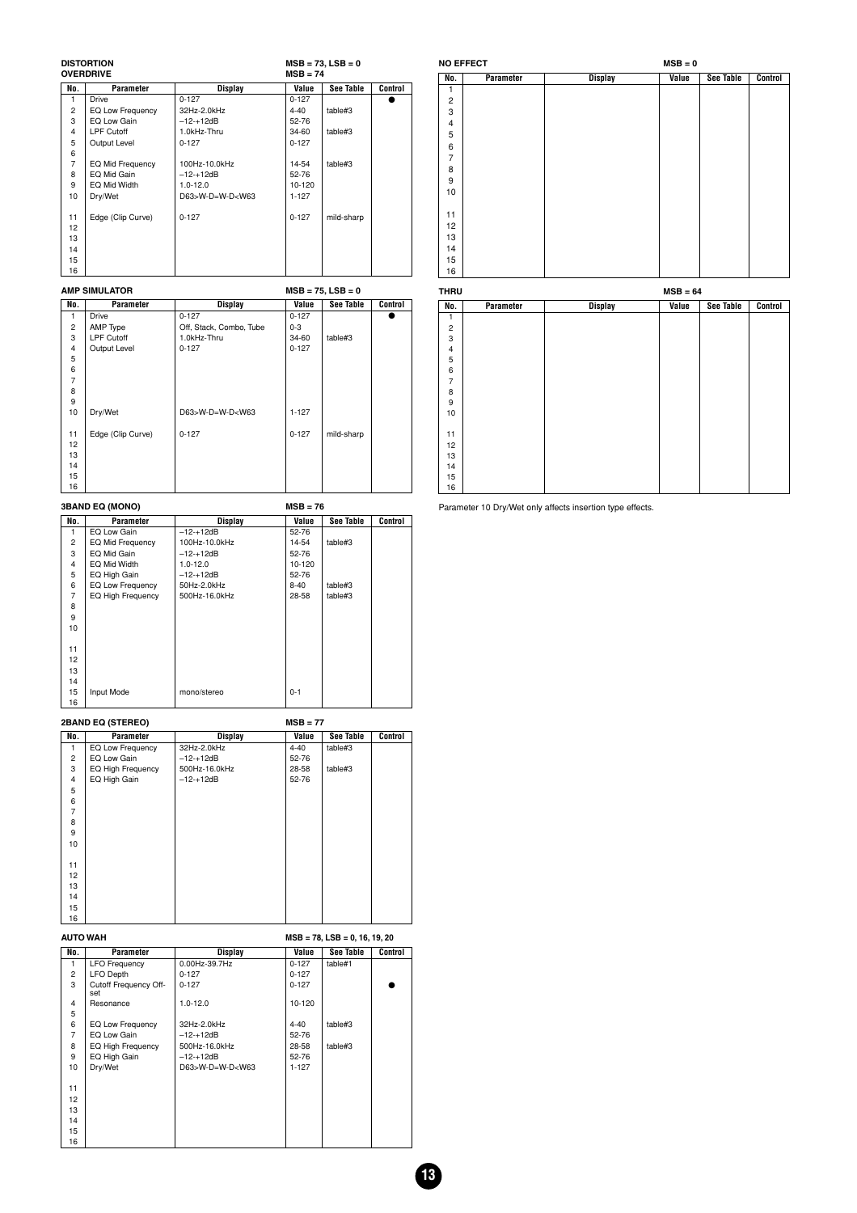| <b>DISTORTION</b> | $MSB = 73$ . $LSB = 0$ |
|-------------------|------------------------|
|                   |                        |

|                | <b>OVERDRIVE</b>  |                                                                                | $MSB = 74$ |            |         |  |  |
|----------------|-------------------|--------------------------------------------------------------------------------|------------|------------|---------|--|--|
| No.            | Parameter         | <b>Display</b>                                                                 | Value      | See Table  | Control |  |  |
| 1              | <b>Drive</b>      | $0 - 127$                                                                      | $0 - 127$  |            |         |  |  |
| 2              | EQ Low Frequency  | 32Hz-2.0kHz                                                                    | $4 - 40$   | table#3    |         |  |  |
| 3              | EQ Low Gain       | $-12 - +12dB$                                                                  | 52-76      |            |         |  |  |
| 4              | <b>LPF Cutoff</b> | 1.0kHz-Thru                                                                    | 34-60      | table#3    |         |  |  |
| 5              | Output Level      | $0 - 127$                                                                      | $0 - 127$  |            |         |  |  |
| 6              |                   |                                                                                |            |            |         |  |  |
| $\overline{7}$ | EQ Mid Frequency  | 100Hz-10.0kHz                                                                  | 14-54      | table#3    |         |  |  |
| 8              | EQ Mid Gain       | $-12 - +12dB$                                                                  | 52-76      |            |         |  |  |
| 9              | EQ Mid Width      | $1.0 - 12.0$                                                                   | 10-120     |            |         |  |  |
| 10             | Dry/Wet           | D63>W-D=W-D <w63< td=""><td><math>1 - 127</math></td><td></td><td></td></w63<> | $1 - 127$  |            |         |  |  |
|                |                   |                                                                                |            |            |         |  |  |
| 11             | Edge (Clip Curve) | $0 - 127$                                                                      | $0 - 127$  | mild-sharp |         |  |  |
| 12             |                   |                                                                                |            |            |         |  |  |
| 13             |                   |                                                                                |            |            |         |  |  |
| 14             |                   |                                                                                |            |            |         |  |  |
| 15             |                   |                                                                                |            |            |         |  |  |
| 16             |                   |                                                                                |            |            |         |  |  |

|                | <b>AMP SIMULATOR</b> | $MSB = 75$ , $LSB = 0$                                                         |           |                  |         |  |  |  |
|----------------|----------------------|--------------------------------------------------------------------------------|-----------|------------------|---------|--|--|--|
| No.            | Parameter            | <b>Display</b>                                                                 | Value     | <b>See Table</b> | Control |  |  |  |
|                | <b>Drive</b>         | $0 - 127$                                                                      | $0 - 127$ |                  |         |  |  |  |
| $\overline{2}$ | AMP Type             | Off, Stack, Combo, Tube                                                        | $0 - 3$   |                  |         |  |  |  |
| 3              | <b>LPF Cutoff</b>    | 1.0kHz-Thru                                                                    | 34-60     | table#3          |         |  |  |  |
| 4              | Output Level         | $0 - 127$                                                                      | $0 - 127$ |                  |         |  |  |  |
| 5              |                      |                                                                                |           |                  |         |  |  |  |
| 6              |                      |                                                                                |           |                  |         |  |  |  |
| $\overline{7}$ |                      |                                                                                |           |                  |         |  |  |  |
| 8              |                      |                                                                                |           |                  |         |  |  |  |
| 9              |                      |                                                                                |           |                  |         |  |  |  |
| 10             | Dry/Wet              | D63>W-D=W-D <w63< td=""><td><math>1 - 127</math></td><td></td><td></td></w63<> | $1 - 127$ |                  |         |  |  |  |
|                |                      |                                                                                |           |                  |         |  |  |  |
| 11             | Edge (Clip Curve)    | $0 - 127$                                                                      | $0 - 127$ | mild-sharp       |         |  |  |  |
| 12             |                      |                                                                                |           |                  |         |  |  |  |
| 13             |                      |                                                                                |           |                  |         |  |  |  |
| 14             |                      |                                                                                |           |                  |         |  |  |  |
| 15             |                      |                                                                                |           |                  |         |  |  |  |
| 16             |                      |                                                                                |           |                  |         |  |  |  |

**3BAND EQ (MONO) MSB = 76**

| No.            | Parameter               | Display       | Value    | See Table | Control |
|----------------|-------------------------|---------------|----------|-----------|---------|
| 1              | EQ Low Gain             | $-12 - +12dB$ | 52-76    |           |         |
| $\overline{2}$ | <b>EQ Mid Frequency</b> | 100Hz-10.0kHz | 14-54    | table#3   |         |
| 3              | EQ Mid Gain             | $-12 - +12dB$ | 52-76    |           |         |
| 4              | EQ Mid Width            | $1.0 - 12.0$  | 10-120   |           |         |
| 5              | EQ High Gain            | $-12 - +12dB$ | 52-76    |           |         |
| 6              | <b>EQ Low Frequency</b> | 50Hz-2.0kHz   | $8 - 40$ | table#3   |         |
| 7              | EQ High Frequency       | 500Hz-16.0kHz | 28-58    | table#3   |         |
| 8              |                         |               |          |           |         |
| 9              |                         |               |          |           |         |
| 10             |                         |               |          |           |         |
|                |                         |               |          |           |         |
| 11             |                         |               |          |           |         |
| 12             |                         |               |          |           |         |
| 13             |                         |               |          |           |         |
| 14             |                         |               |          |           |         |
| 15             | Input Mode              | mono/stereo   | $0 - 1$  |           |         |
| 16             |                         |               |          |           |         |

**2BAND EQ (STEREO)** MSB = 77<br> **No. Parameter Display** Value<br>
1 EQ Low Frequency 32Hz-2.0kHz 4-40 **Value See Table Control<br>4-40 table#3**  $\begin{array}{c|c|c|c} \hline \text{Display} & \text{W1} & \text{W2} & \text{W3} \\ \hline 32Hz-2.0kHz & 4-40 & 4-40 & 52-76 & 500Hz-16.0kHz & 28-58 & 52-76 & 52-76 & 52-76 & 52-76 & 52-76 & 52-76 & 52-76 & 52-76 & 52-76 & 52-76 & 52-76 & 52-76 & 52-76 & 52-76 & 52-76 & 52-76 & 52-76 & 52-76$  EQ Low Gain –12-+12dB 52-76 3 EQ High Frequency 500Hz-16.0kHz 28-58 table#3 4 EQ High Gain –12-+12dB 52-76 5 6 7 8 9 12 13 14 15 

| <b>AUTO WAH</b> |                              |                             | $MSB = 78$ , $LSB = 0$ , 16, 19, 20 |           |         |  |
|-----------------|------------------------------|-----------------------------|-------------------------------------|-----------|---------|--|
| No.             | Parameter                    | Display                     | Value                               | See Table | Control |  |
| 1               | <b>LFO Frequency</b>         | 0.00Hz-39.7Hz               | $0 - 127$                           | table#1   |         |  |
| $\mathbf{2}$    | <b>LFO Depth</b>             | $0 - 127$                   | $0 - 127$                           |           |         |  |
| 3               | Cutoff Frequency Off-<br>set | $0 - 127$                   | $0 - 127$                           |           |         |  |
| 4               | Resonance                    | $1.0 - 12.0$                | 10-120                              |           |         |  |
| 5               |                              |                             |                                     |           |         |  |
| 6               | EQ Low Frequency             | 32Hz-2.0kHz                 | $4 - 40$                            | table#3   |         |  |
| 7               | EQ Low Gain                  | $-12 - +12dB$               | 52-76                               |           |         |  |
| 8               | EQ High Frequency            | 500Hz-16.0kHz               | 28-58                               | table#3   |         |  |
| 9               | EQ High Gain                 | $-12 - +12dB$               | 52-76                               |           |         |  |
| 10              | Dry/Wet                      | $D63 > W - D = W - D < W63$ | $1 - 127$                           |           |         |  |
|                 |                              |                             |                                     |           |         |  |
| 11              |                              |                             |                                     |           |         |  |
| 12              |                              |                             |                                     |           |         |  |
| 13              |                              |                             |                                     |           |         |  |
| 14              |                              |                             |                                     |           |         |  |
| 15              |                              |                             |                                     |           |         |  |
| 16              |                              |                             |                                     |           |         |  |

|                | <b>NO EFFECT</b> |                | $MSB = 0$ |                  |         |
|----------------|------------------|----------------|-----------|------------------|---------|
| No.            | Parameter        | <b>Display</b> | Value     | <b>See Table</b> | Control |
| 1              |                  |                |           |                  |         |
| $\overline{2}$ |                  |                |           |                  |         |
| 3              |                  |                |           |                  |         |
| 4              |                  |                |           |                  |         |
| 5              |                  |                |           |                  |         |
| 6              |                  |                |           |                  |         |
| $\overline{7}$ |                  |                |           |                  |         |
| 8              |                  |                |           |                  |         |
| 9              |                  |                |           |                  |         |
| 10             |                  |                |           |                  |         |
|                |                  |                |           |                  |         |
| 11             |                  |                |           |                  |         |
| 12             |                  |                |           |                  |         |
| 13             |                  |                |           |                  |         |
| 14             |                  |                |           |                  |         |
| 15             |                  |                |           |                  |         |
| 16             |                  |                |           |                  |         |

| <b>THRU</b>    |           |                | $MSB = 64$ |                  |         |
|----------------|-----------|----------------|------------|------------------|---------|
| No.            | Parameter | <b>Display</b> | Value      | <b>See Table</b> | Control |
| $\mathbf{1}$   |           |                |            |                  |         |
| $\overline{c}$ |           |                |            |                  |         |
| 3              |           |                |            |                  |         |
| $\overline{4}$ |           |                |            |                  |         |
| 5              |           |                |            |                  |         |
| 6              |           |                |            |                  |         |
| $\overline{7}$ |           |                |            |                  |         |
| 8              |           |                |            |                  |         |
| 9              |           |                |            |                  |         |
| 10             |           |                |            |                  |         |
|                |           |                |            |                  |         |
| 11             |           |                |            |                  |         |
| 12             |           |                |            |                  |         |
| 13             |           |                |            |                  |         |
| 14             |           |                |            |                  |         |
| 15             |           |                |            |                  |         |
| 16             |           |                |            |                  |         |

Parameter 10 Dry/Wet only affects insertion type effects.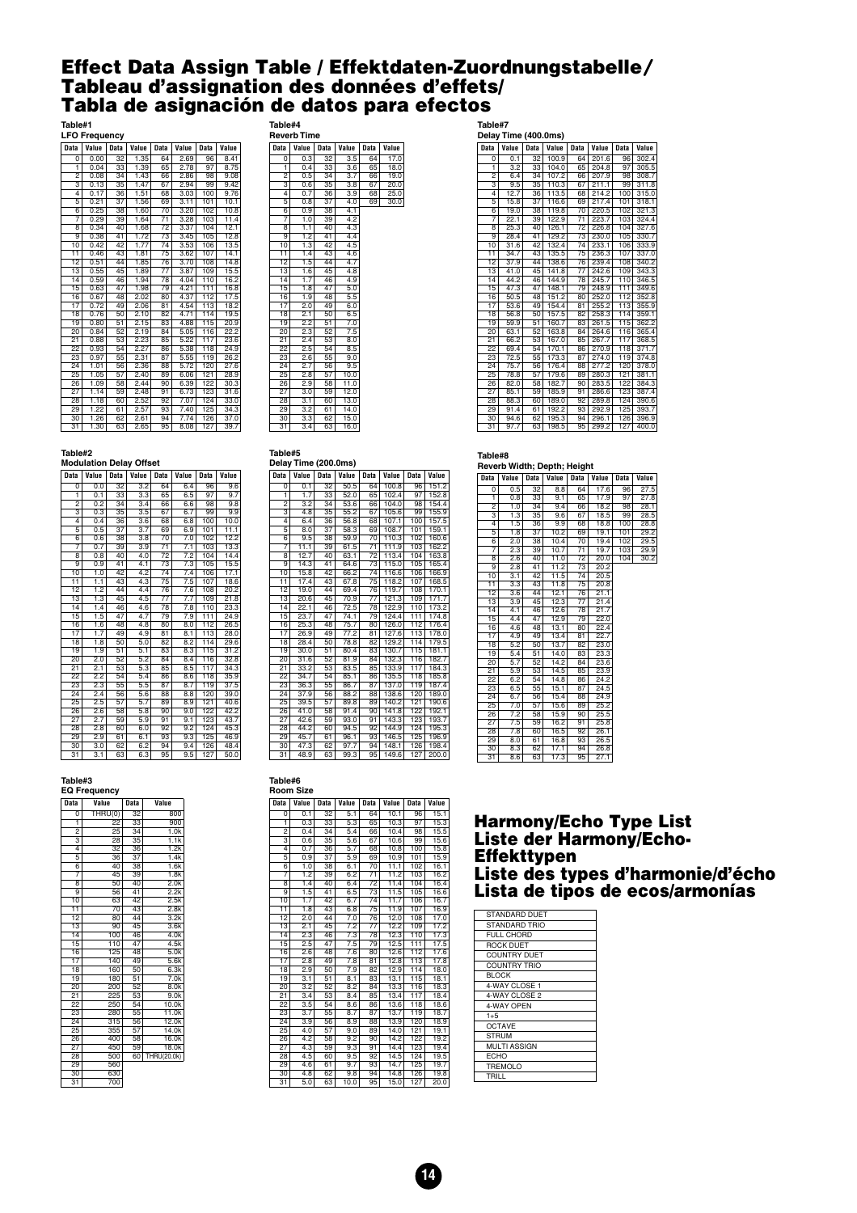#### <span id="page-13-0"></span>**Effect Data Assign Table / Effektdaten-Zuordnungstabelle**-**Tableau d'assignation des données d'effets/ Tabla de asignación de datos para efectos**

#### **Table#1**

| <b>LFO Frequency</b>      |       |                 |       |                 |       |             |       |  |  |
|---------------------------|-------|-----------------|-------|-----------------|-------|-------------|-------|--|--|
| <b>Data</b>               | Value | <b>Data</b>     | Value | <b>Data</b>     | Value | <b>Data</b> | Value |  |  |
| $\Omega$                  | 0.00  | 32              | 1.35  | 64              | 2.69  | 96          | 8.41  |  |  |
| ī                         | 0.04  | 33              | 1.39  | 65              | 2.78  | 97          | 8.75  |  |  |
| $\overline{2}$            | 0.08  | $\overline{34}$ | 1.43  | 66              | 2.86  | 98          | 9.08  |  |  |
| $\overline{\overline{3}}$ | 0.13  | 35              | 1.47  | 67              | 2.94  | 99          | 9.42  |  |  |
| $\overline{4}$            | 0.17  | 36              | 1.51  | 68              | 3.03  | 100         | 9.76  |  |  |
| $\overline{5}$            | 0.21  | 37              | 1.56  | 69              | 3.11  | 101         | 10.1  |  |  |
| $\overline{6}$            | 0.25  | 38              | 1.60  | 70              | 3.20  | 102         | 10.8  |  |  |
| 7                         | 0.29  | 39              | 1.64  | $\overline{71}$ | 3.28  | 103         | 11.4  |  |  |
| $\overline{\mathbf{8}}$   | 0.34  | 40              | 1.68  | $\overline{72}$ | 3.37  | 104         | 12.1  |  |  |
| $\overline{9}$            | 0.38  | 41              | 1.72  | $\overline{73}$ | 3.45  | 105         | 12.8  |  |  |
| 10                        | 0.42  | 42              | 1.77  | $\overline{74}$ | 3.53  | 106         | 13.5  |  |  |
| 11                        | 0.46  | 43              | 1.81  | $\overline{75}$ | 3.62  | 107         | 14.1  |  |  |
| $\overline{12}$           | 0.51  | 44              | 1.85  | 76              | 3.70  | 108         | 14.8  |  |  |
| $\overline{13}$           | 0.55  | 45              | 1.89  | $\overline{77}$ | 3.87  | 109         | 15.5  |  |  |
| $\overline{14}$           | 0.59  | 46              | 1.94  | 78              | 4.04  | 110         | 16.2  |  |  |
| 15                        | 0.63  | 47              | 1.98  | 79              | 4.21  | 111         | 16.8  |  |  |
| 16                        | 0.67  | 48              | 2.02  | 80              | 4.37  | 112         | 17.5  |  |  |
| $\overline{17}$           | 0.72  | 49              | 2.06  | 81              | 4.54  | 113         | 18.2  |  |  |
| $\overline{18}$           | 0.76  | 50              | 2.10  | 82              | 4.71  | 114         | 19.5  |  |  |
| $\overline{19}$           | 0.80  | $\overline{51}$ | 2.15  | 83              | 4.88  | 115         | 20.9  |  |  |
| 20                        | 0.84  | 52              | 2.19  | 84              | 5.05  | 116         | 22.2  |  |  |
| $\overline{21}$           | 0.88  | 53              | 2.23  | 85              | 5.22  | 117         | 23.6  |  |  |
| $\overline{22}$           | 0.93  | 54              | 2.27  | 86              | 5.38  | 118         | 24.9  |  |  |
| 23                        | 0.97  | 55              | 2.31  | 87              | 5.55  | 119         | 26.2  |  |  |
| $2\overline{4}$           | 1.01  | 56              | 2.36  | 88              | 5.72  | 120         | 27.6  |  |  |
| $\overline{25}$           | 1.05  | $\overline{57}$ | 2.40  | 89              | 6.06  | 121         | 28.9  |  |  |
| 26                        | 1.09  | 58              | 2.44  | 90              | 6.39  | 122         | 30.3  |  |  |
| $\overline{27}$           | 1.14  | 59              | 2.48  | $\overline{91}$ | 6.73  | 123         | 31.6  |  |  |
| 28                        | 1.18  | 60              | 2.52  | 92              | 7.07  | 124         | 33.0  |  |  |
| 29                        | 1.22  | 61              | 2.57  | 93              | 7.40  | 125         | 34.3  |  |  |
| 30                        | 1.26  | 62              | 2.61  | 94              | 7.74  | 126         | 37.0  |  |  |
| $\overline{31}$           | 1.30  | 63              | 2.65  | 95              | 8.08  | 127         | 39.7  |  |  |

#### **Table#4**

| Reverb Time     |                  |                 |                  |             |       |  |  |  |  |
|-----------------|------------------|-----------------|------------------|-------------|-------|--|--|--|--|
| <b>Data</b>     | Value            | <b>Data</b>     | Value            | <b>Data</b> | Value |  |  |  |  |
| Ő               | 0.3              | $\overline{32}$ | $\overline{3.5}$ | 64          | 17.0  |  |  |  |  |
| ī               | 0.4              | 33              | 3.6              | 65          | 18.0  |  |  |  |  |
| $\overline{2}$  | 0.5              | 34              | 3.7              | 66          | 19.0  |  |  |  |  |
| 3               | 0.6              | 35              | 3.8              | 67          | 20.0  |  |  |  |  |
| 4               | 0.7              | 36              | $\overline{3.9}$ | 68          | 25.0  |  |  |  |  |
| 5               | 0.8              | $\overline{37}$ | 4.0              | 69          | 30.0  |  |  |  |  |
| 6               | 0.9              | 38              | 4.1              |             |       |  |  |  |  |
| 7               | 1.0              | $3\overline{9}$ | 4.2              |             |       |  |  |  |  |
| 8               | 1.1              | 40              | 4.3              |             |       |  |  |  |  |
| $\overline{9}$  | 1.2              | 41              | 4.4              |             |       |  |  |  |  |
| 10              | 1.3              | 42              | $\overline{4.5}$ |             |       |  |  |  |  |
| 11              | 1.4              | 43              | 4.6              |             |       |  |  |  |  |
| 12              | 1.5              | 44              | 4.7              |             |       |  |  |  |  |
| $\overline{13}$ | 1.6              | 45              | 4.8              |             |       |  |  |  |  |
| 14              | 1.7              | 46              | 4.9              |             |       |  |  |  |  |
| 15              | 1.8              | 47              | $\overline{5.0}$ |             |       |  |  |  |  |
| 16              | 1.9              | 48              | 5.5              |             |       |  |  |  |  |
| 17              | 2.0              | 49              | 6.0              |             |       |  |  |  |  |
| $\overline{18}$ | 2.1              | 50              | 6.5              |             |       |  |  |  |  |
| 19              | 2.2              | 51              | $\overline{7.0}$ |             |       |  |  |  |  |
| $\overline{20}$ | 2.3              | 52              | 7.5              |             |       |  |  |  |  |
| $2\overline{1}$ | 2.4              | 53              | 8.0              |             |       |  |  |  |  |
| $\overline{22}$ | 2.5              | 54              | 8.5              |             |       |  |  |  |  |
| 23              | 2.6              | 55              | 9.0              |             |       |  |  |  |  |
| $\overline{2}4$ | 2.7              | 56              | 9.5              |             |       |  |  |  |  |
| $\overline{25}$ | 2.8              | $\overline{57}$ | 10.0             |             |       |  |  |  |  |
| 26              | 2.9              | 58              | 11.0             |             |       |  |  |  |  |
| 27              | 3.0              | 59              | 12.0             |             |       |  |  |  |  |
| 28              | $\overline{3.1}$ | 60              | 13.0             |             |       |  |  |  |  |
| 29              | $\overline{3.2}$ | 61              | 14.0             |             |       |  |  |  |  |
| 30              | $\overline{3.3}$ | 62              | 15.0             |             |       |  |  |  |  |
| $\overline{31}$ | 3.4              | $\overline{63}$ | 16.0             |             |       |  |  |  |  |

| <b>Data</b>               | Value            | <b>Data</b>     | Value | <b>Data</b>     | Value | <b>Data</b> | Value |
|---------------------------|------------------|-----------------|-------|-----------------|-------|-------------|-------|
| 0                         | 0.1              | 32              | 100.9 | 64              | 201.6 | 96          | 302.4 |
| ī                         | $\overline{3.2}$ | 33              | 104.0 | 65              | 204.8 | 97          | 305.5 |
| $\overline{2}$            | 6.4              | 34              | 107.2 | 66              | 207.9 | 98          | 308.7 |
| $\overline{\overline{3}}$ | 9.5              | 35              | 110.3 | 67              | 211.1 | 99          | 311.8 |
| 4                         | 12.7             | 36              | 113.5 | 68              | 214.2 | 100         | 315.0 |
| $\overline{5}$            | 15.8             | $\overline{37}$ | 116.6 | 69              | 217.4 | 101         | 318.1 |
| $\overline{6}$            | 19.0             | 38              | 119.8 | 70              | 220.5 | 102         | 321.3 |
| 7                         | 22.1             | 39              | 122.9 | $\overline{71}$ | 223.7 | 103         | 324.4 |
| $\overline{\mathbf{8}}$   | 25.3             | 40              | 126.1 | $\overline{72}$ | 226.8 | 104         | 327.6 |
| $\overline{9}$            | 28.4             | $\overline{41}$ | 129.2 | $\overline{73}$ | 230.0 | 105         | 330.7 |
| $\overline{10}$           | 31.6             | $\overline{42}$ | 132.4 | $\overline{74}$ | 233.1 | 106         | 333.9 |
| $\overline{11}$           | 34.7             | 43              | 135.5 | $\overline{75}$ | 236.3 | 107         | 337.0 |
| $\overline{12}$           | 37.9             | 44              | 138.6 | 76              | 239.4 | 108         | 340.2 |
| 13                        | 41.0             | 45              | 141.8 | $\overline{77}$ | 242.6 | 109         | 343.3 |
| 14                        | 44.2             | 46              | 144.9 | 78              | 245.7 | 110         | 346.5 |
| $\overline{15}$           | 47.3             | 47              | 148.1 | 79              | 248.9 | 111         | 349.6 |
| 16                        | 50.5             | 48              | 151.2 | 80              | 252.0 | 112         | 352.8 |
| $\overline{17}$           | 53.6             | 49              | 154.4 | 81              | 255.2 | 113         | 355.9 |
| $\overline{18}$           | 56.8             | 50              | 157.5 | 82              | 258.3 | 114         | 359.1 |
| 19                        | 59.9             | $\overline{51}$ | 160.7 | 83              | 261.5 | 115         | 362.2 |
| 20                        | 63.1             | $\overline{52}$ | 163.8 | 84              | 264.6 | 116         | 365.4 |
| $\overline{21}$           | 66.2             | 53              | 167.0 | 85              | 267.7 | 117         | 368.5 |
| $\overline{22}$           | 69.4             | 54              | 170.1 | 86              | 270.9 | 118         | 371.7 |
| 23                        | 72.5             | 55              | 173.3 | 87              | 274.0 | 119         | 374.8 |
| 24                        | 75.7             | 56              | 176.4 | 88              | 277.2 | 120         | 378.0 |
| 25                        | 78.8             | 57              | 179.6 | 89              | 280.3 | 121         | 381.1 |
| 26                        | 82.0             | 58              | 182.7 | 90              | 283.5 | 122         | 384.3 |
| 27                        | 85.1             | 59              | 185.9 | 91              | 286.6 | 123         | 387.4 |
| 28                        | 88.3             | 60              | 189.0 | 92              | 289.8 | 124         | 390.6 |
| 29                        | 91.4             | 61              | 192.2 | 93              | 292.9 | 125         | 393.7 |
| 30                        | 94.6             | 62              | 195.3 | 94              | 296.1 | 126         | 396.9 |
| 31                        | 97.7             | 63              | 198.5 | 95              | 299.2 | 127         | 400.0 |

#### **Table#2**

| <b>Modulation Delay Offset</b> |                  |                 |                  |                 |                  |             |       |  |
|--------------------------------|------------------|-----------------|------------------|-----------------|------------------|-------------|-------|--|
| <b>Data</b>                    | Value            | Data            | Value            | <b>Data</b>     | Value            | <b>Data</b> | Value |  |
| $\overline{0}$                 | 0.0              | $\overline{32}$ | 3.2              | 64              | 6.4              | 96          | 9.6   |  |
| ī                              | 0.1              | $\overline{33}$ | 3.3              | 65              | 6.5              | 97          | 9.7   |  |
| $\overline{2}$                 | 0.2              | 34              | 3.4              | 66              | 6.6              | 98          | 9.8   |  |
| $\overline{\overline{3}}$      | 0.3              | $\overline{35}$ | 3.5              | 67              | 6.7              | 99          | 9.9   |  |
| 4                              | 0.4              | 36              | 3.6              | 68              | 6.8              | 100         | 10.0  |  |
| $\overline{5}$                 | 0.5              | $\overline{37}$ | 3.7              | 69              | 6.9              | 101         | 11.1  |  |
| $\overline{6}$                 | 0.6              | 38              | $\overline{3.8}$ | 70              | 7.0              | 102         | 12.2  |  |
| 7                              | 0.7              | 39              | 3.9              | $\overline{71}$ | 7.1              | 103         | 13.3  |  |
| $\overline{\mathbf{8}}$        | 0.8              | 40              | 4.0              | $\overline{72}$ | 7.2              | 104         | 14.4  |  |
| $\overline{9}$                 | 0.9              | 41              | 4.1              | $\overline{73}$ | 7.3              | 105         | 15.5  |  |
| $\overline{10}$                | 1.0              | $\overline{42}$ | 4.2              | $\overline{74}$ | 7.4              | 106         | 17.1  |  |
| $\overline{11}$                | 1.1              | 43              | 4.3              | $\overline{75}$ | 7.5              | 107         | 18.6  |  |
| $\overline{12}$                | 1.2              | 44              | 4.4              | 76              | 7.6              | 108         | 20.2  |  |
| $\overline{13}$                | 1.3              | 45              | 4.5              | $\overline{77}$ | 7.7              | 109         | 21.8  |  |
| $\overline{14}$                | 1.4              | 46              | 4.6              | 78              | $\overline{7.8}$ | 110         | 23.3  |  |
| 15                             | 1.5              | 47              | 4.7              | 79              | 7.9              | 111         | 24.9  |  |
| 16                             | 1.6              | 48              | 4.8              | 80              | 8.0              | 112         | 26.5  |  |
| 17                             | 1.7              | 49              | 4.9              | 81              | 8.1              | 113         | 28.0  |  |
| 18                             | 1.8              | 50              | 5.0              | 82              | 8.2              | 114         | 29.6  |  |
| 19                             | 1.9              | $\overline{51}$ | 5.1              | 83              | 8.3              | 115         | 31.2  |  |
| 20                             | 2.0              | $\overline{52}$ | 5.2              | 84              | 8.4              | 116         | 32.8  |  |
| $\overline{21}$                | 2.1              | 53              | 5.3              | 85              | 8.5              | 117         | 34.3  |  |
| 22                             | 2.2              | 54              | 5.4              | 86              | 8.6              | 118         | 35.9  |  |
| 23                             | 2.3              | $\overline{55}$ | 5.5              | 87              | 8.7              | 119         | 37.5  |  |
| 24                             | 2.4              | 56              | 5.6              | 88              | $\overline{8.8}$ | 120         | 39.0  |  |
| 25                             | 2.5              | 57              | 5.7              | 89              | 8.9              | 121         | 40.6  |  |
| 26                             | 2.6              | 58              | 5.8              | 90              | 9.0              | 122         | 42.2  |  |
| 27                             | 2.7              | 59              | 5.9              | $\overline{91}$ | 9.1              | 123         | 43.7  |  |
| 28                             | 2.8              | 60              | 6.0              | 92              | 9.2              | 124         | 45.3  |  |
| 29                             | 2.9              | 61              | 6.1              | 93              | $9.\overline{3}$ | 125         | 46.9  |  |
| 30                             | $\overline{3.0}$ | 62              | 6.2              | 94              | 9.4              | 126         | 48.4  |  |
| $\overline{31}$                | $\overline{3.1}$ | 63              | 6.3              | 95              | 9.5              | 127         | 50.0  |  |

#### **Table#5 Delay Time (200.0ms)**

| , <i>.</i><br>- vv.vv,    |       |                 |       |                 |       |      |       |  |
|---------------------------|-------|-----------------|-------|-----------------|-------|------|-------|--|
| <b>Data</b>               | Value | Data            | Value | <b>Data</b>     | Value | Data | Value |  |
| $\overline{0}$            | 0.1   | 32              | 50.5  | 64              | 100.8 | 96   | 151.2 |  |
| ī                         | 1.7   | $\overline{33}$ | 52.0  | 65              | 102.4 | 97   | 152.8 |  |
| $\overline{2}$            | 3.2   | $\overline{34}$ | 53.6  | 66              | 104.0 | 98   | 154.4 |  |
| $\overline{\overline{3}}$ | 4.8   | $\overline{35}$ | 55.2  | 67              | 105.6 | 99   | 155.9 |  |
| 4                         | 6.4   | 36              | 56.8  | 68              | 107.1 | 100  | 157.5 |  |
| $\overline{5}$            | 8.0   | $\overline{37}$ | 58.3  | 69              | 108.7 | 101  | 159.1 |  |
| $\overline{6}$            | 9.5   | 38              | 59.9  | $\overline{70}$ | 110.3 | 102  | 160.6 |  |
| 7                         | 11.1  | 39              | 61.5  | $\overline{71}$ | 111.9 | 103  | 162.2 |  |
| $\overline{\overline{8}}$ | 12.7  | 40              | 63.1  | $\overline{72}$ | 113.4 | 104  | 163.8 |  |
| $\overline{9}$            | 14.3  | $\overline{41}$ | 64.6  | $\overline{73}$ | 115.0 | 105  | 165.4 |  |
| 10                        | 15.8  | $\overline{42}$ | 66.2  | $\overline{74}$ | 116.6 | 106  | 166.9 |  |
| $\overline{11}$           | 17.4  | 43              | 67.8  | $\overline{75}$ | 118.2 | 107  | 168.5 |  |
| $\overline{12}$           | 19.0  | 44              | 69.4  | 76              | 119.7 | 108  | 170.1 |  |
| $\overline{13}$           | 20.6  | 45              | 70.9  | $\overline{77}$ | 121.3 | 109  | 171.7 |  |
| $\overline{14}$           | 22.1  | 46              | 72.5  | 78              | 122.9 | 110  | 173.2 |  |
| $\overline{15}$           | 23.7  | 47              | 74.1  | 79              | 124.4 | 111  | 174.8 |  |
| 16                        | 25.3  | 48              | 75.7  | 80              | 126.0 | 112  | 176.4 |  |
| 17                        | 26.9  | 49              | 77.2  | $\overline{81}$ | 127.6 | 113  | 178.0 |  |
| $\overline{18}$           | 28.4  | 50              | 78.8  | 82              | 129.2 | 114  | 179.5 |  |
| 19                        | 30.0  | 51              | 80.4  | 83              | 130.7 | 115  | 181.1 |  |
| $\overline{20}$           | 31.6  | 52              | 81.9  | 84              | 132.3 | 116  | 182.7 |  |
| $\overline{21}$           | 33.2  | 53              | 83.5  | 85              | 133.9 | 117  | 184.3 |  |
| $\overline{22}$           | 34.7  | $\overline{54}$ | 85.1  | 86              | 135.5 | 118  | 185.8 |  |
| 23                        | 36.3  | 55              | 86.7  | 87              | 137.0 | 119  | 187.4 |  |
| 24                        | 37.9  | 56              | 88.2  | 88              | 138.6 | 120  | 189.0 |  |
| $\overline{25}$           | 39.5  | 57              | 89.8  | 89              | 140.2 | 121  | 190.6 |  |
| 26                        | 41.0  | 58              | 91.4  | 90              | 141.8 | 122  | 192.1 |  |
| $\overline{27}$           | 42.6  | 59              | 93.0  | $\overline{91}$ | 143.3 | 123  | 193.7 |  |
| 28                        | 44.2  | 60              | 94.5  | 92              | 144.9 | 124  | 195.3 |  |
| 29                        | 45.7  | 61              | 96.1  | 93              | 146.5 | 125  | 196.9 |  |
| 30                        | 47.3  | 62              | 97.7  | 94              | 148.1 | 126  | 198.4 |  |
| $\overline{31}$           | 48.9  | 63              | 99.3  | 95              | 149.6 | 127  | 200.0 |  |

#### **Table#8 Reverb Width; Depth; Height**

**Table#7 Delay Time (400.0ms)**

| Data                    | Value            | <b>Data</b>     | Value | <b>Data</b>     | Value | <b>Data</b>     | Value |
|-------------------------|------------------|-----------------|-------|-----------------|-------|-----------------|-------|
| 0                       | 0.5              | 32              | 8.8   | 64              | 17.6  | 96              | 27.5  |
| ī                       | 0.8              | 33              | 9.1   | 65              | 17.9  | $\overline{97}$ | 27.8  |
| $\overline{2}$          | 1.0              | 34              | 9.4   | 66              | 18.2  | 98              | 28.1  |
| 3                       | 1.3              | $\overline{35}$ | 9.6   | 67              | 18.5  | 99              | 28.5  |
| 4                       | 1.5              | 36              | 9.9   | 68              | 18.8  | 100             | 28.8  |
| 5                       | 1.8              | $\overline{37}$ | 10.2  | 69              | 19.1  | 101             | 29.2  |
| $\overline{6}$          | $\overline{2.0}$ | 38              | 10.4  | 70              | 19.4  | 102             | 29.5  |
| 7                       | 2.3              | 39              | 10.7  | $\overline{71}$ | 19.7  | 103             | 29.9  |
| $\overline{\mathbf{8}}$ | 2.6              | 40              | 11.0  | $\overline{72}$ | 20.0  | 104             | 30.2  |
| 9                       | 2.8              | 41              | 11.2  | $\overline{73}$ | 20.2  |                 |       |
| 10                      | 3.1              | 42              | 11.5  | 74              | 20.5  |                 |       |
| 11                      | 3.3              | 43              | 11.8  | 75              | 20.8  |                 |       |
| $\overline{12}$         | 3.6              | 44              | 12.1  | 76              | 21.1  |                 |       |
| 13                      | 3.9              | 45              | 12.3  | 77              | 21.4  |                 |       |
| 14                      | 4.1              | 46              | 12.6  | 78              | 21.7  |                 |       |
| 15                      | 4.4              | 47              | 12.9  | 79              | 22.0  |                 |       |
| 16                      | 4.6              | 48              | 13.1  | 80              | 22.4  |                 |       |
| $\overline{17}$         | 4.9              | 49              | 13.4  | 81              | 22.7  |                 |       |
| 18                      | 5.2              | 50              | 13.7  | 82              | 23.0  |                 |       |
| 19                      | 5.4              | 51              | 14.0  | 83              | 23.3  |                 |       |
| 20                      | 5.7              | 52              | 14.2  | 84              | 23.6  |                 |       |
| 21                      | 5.9              | 53              | 14.5  | 85              | 23.9  |                 |       |
| 22                      | 6.2              | 54              | 14.8  | 86              | 24.2  |                 |       |
| 23                      | 6.5              | 55              | 15.1  | 87              | 24.5  |                 |       |
| 24                      | 6.7              | 56              | 15.4  | 88              | 24.9  |                 |       |
| 25                      | 7.0              | 57              | 15.6  | 89              | 25.2  |                 |       |
| 26                      | 7.2              | 58              | 15.9  | 90              | 25.5  |                 |       |
| 27                      | 7.5              | 59              | 16.2  | 91              | 25.8  |                 |       |
| 28                      | 7.8              | 60              | 16.5  | 92              | 26.1  |                 |       |
| 29                      | 8.0              | 61              | 16.8  | 93              | 26.5  |                 |       |
| 30                      | 8.3              | 62              | 17.1  | 94              | 26.8  |                 |       |
| 31                      | 8.6              | 63              | 17.3  | 95              | 27.1  |                 |       |

#### **Table#3 EQ Frequency**

| <b>Data</b>               | -wirequency<br>Value | <b>Data</b>     | Value       |
|---------------------------|----------------------|-----------------|-------------|
|                           |                      |                 |             |
| $\overline{0}$            | THRU(0)              | 32              | 800         |
| ī                         | $\overline{22}$      | 33              | 900         |
| 2                         | 25                   | 34              | 1.0k        |
| $\overline{\overline{3}}$ | 28                   | 35              | 1.1k        |
| 4                         | $\overline{32}$      | 36              | 1.2k        |
| 5                         | 36                   | $\overline{37}$ | 1.4k        |
| 6                         | 40                   | 38              | 1.6k        |
| $\overline{7}$            | 45                   | 39              | 1.8k        |
| $\overline{\mathbf{g}}$   | 50                   | 40              | 2.0k        |
| $\overline{9}$            | 56                   | 41              | 2.2k        |
| $\overline{10}$           | 63                   | 42              | 2.5k        |
| $\overline{11}$           | 70                   | 43              | 2.8k        |
| 12                        | $\overline{80}$      | 44              | 3.2k        |
| $\overline{13}$           | 90                   | 45              | 3.6k        |
| $\overline{14}$           | 100                  | 46              | 4.0k        |
| 15                        | 110                  | 47              | 4.5k        |
| 16                        | 125                  | 48              | 5.0k        |
| 17                        | 140                  | 49              | 5.6k        |
| $\overline{18}$           | 160                  | 50              | 6.3k        |
| 19                        | 180                  | $\overline{51}$ | 7.0k        |
| $\overline{20}$           | 200                  | 52              | 8.0k        |
| $\overline{21}$           | 225                  | 53              | 9.0k        |
| $\overline{22}$           | 250                  | 54              | 10.0k       |
| 23                        | 280                  | 55              | 11.0k       |
| $\overline{24}$           | 315                  | 56              | 12.0k       |
| $\overline{25}$           | 355                  | $\overline{57}$ | 14.0k       |
| 26                        | 400                  | $\overline{58}$ | 16.0k       |
| 27                        | 450                  | 59              | 18.0k       |
| 28                        | 500                  | 60              | THRU(20.0k) |
| 29                        | 560                  |                 |             |
| 30                        | 630                  |                 |             |
| $\overline{31}$           | 700                  |                 |             |
|                           |                      |                 |             |

#### **Table#6 Room Size**

| <b>Data</b>             | Value            | <b>Data</b>     | Value            | <b>Data</b>     | Value | <b>Data</b> | Value |
|-------------------------|------------------|-----------------|------------------|-----------------|-------|-------------|-------|
| $\overline{0}$          | 0.1              | 32              | 5.1              | 64              | 10.1  | 96          | 15.1  |
| 1                       | 0.3              | 33              | 5.3              | 65              | 10.3  | 97          | 15.3  |
| $\overline{2}$          | 0.4              | 34              | 5.4              | 66              | 10.4  | 98          | 15.5  |
| $\overline{3}$          | 0.6              | 35              | 5.6              | 67              | 10.6  | 99          | 15.6  |
| 4                       | 0.7              | 36              | 5.7              | 68              | 10.8  | 100         | 15.8  |
| 5                       | 0.9              | $\overline{37}$ | 5.9              | 69              | 10.9  | 101         | 15.9  |
| $\overline{6}$          | 1.0              | 38              | 6.1              | 70              | 11.1  | 102         | 16.1  |
| 7                       | 1.2              | 39              | 6.2              | $\overline{71}$ | 11.2  | 103         | 16.2  |
| $\overline{\mathbf{8}}$ | 1.4              | 40              | 6.4              | $\overline{72}$ | 11.4  | 104         | 16.4  |
| $\overline{9}$          | 1.5              | 41              | 6.5              | $\overline{73}$ | 11.5  | 105         | 16.6  |
| $\overline{10}$         | 1.7              | 42              | 6.7              | $\overline{74}$ | 11.7  | 106         | 16.7  |
| $\overline{11}$         | $\overline{1.8}$ | 43              | 6.8              | $\overline{75}$ | 11.9  | 107         | 16.9  |
| $\overline{12}$         | 2.0              | 44              | $\overline{7.0}$ | 76              | 12.0  | 108         | 17.0  |
| $\overline{13}$         | 2.1              | 45              | 7.2              | $\overline{77}$ | 12.2  | 109         | 17.2  |
| $\overline{14}$         | 2.3              | 46              | 7.3              | 78              | 12.3  | 110         | 17.3  |
| 15                      | 2.5              | 47              | 7.5              | 79              | 12.5  | 111         | 17.5  |
| 16                      | 2.6              | 48              | 7.6              | 80              | 12.6  | 112         | 17.6  |
| 17                      | 2.8              | 49              | 7.8              | $\overline{81}$ | 12.8  | 113         | 17.8  |
| $\overline{18}$         | 2.9              | 50              | 7.9              | 82              | 12.9  | 114         | 18.0  |
| $\overline{19}$         | $\overline{3.1}$ | $\overline{51}$ | 8.1              | 83              | 13.1  | 115         | 18.1  |
| 20                      | 3.2              | 52              | 8.2              | 84              | 13.3  | 116         | 18.3  |
| $\overline{21}$         | $\overline{3.4}$ | $\overline{53}$ | 8.4              | 85              | 13.4  | 117         | 18.4  |
| 22                      | 3.5              | 54              | 8.6              | 86              | 13.6  | 118         | 18.6  |
| 23                      | 3.7              | 55              | 8.7              | 87              | 13.7  | 119         | 18.7  |
| $\overline{24}$         | 3.9              | 56              | 8.9              | 88              | 13.9  | 120         | 18.9  |
| 25                      | 4.0              | 57              | 9.0              | 89              | 14.0  | 121         | 19.1  |
| 26                      | 4.2              | 58              | 9.2              | 90              | 14.2  | 122         | 19.2  |
| $\overline{27}$         | 4.3              | 59              | 9.3              | $\overline{91}$ | 14.4  | 123         | 19.4  |
| $\overline{28}$         | 4.5              | 60              | 9.5              | $\overline{92}$ | 14.5  | 124         | 19.5  |
| 29                      | 4.6              | 61              | 9.7              | 93              | 14.7  | 125         | 19.7  |
| $\overline{30}$         | 4.8              | 62              | 9.8              | 94              | 14.8  | 126         | 19.8  |
| $\overline{31}$         | 5.0              | 63              | 10.0             | 95              | 15.0  | 127         | 20.0  |

**14**

#### **Harmony/Echo Type List Liste der Harmony/Echo-Effekttypen Liste des types d'harmonie/d'écho Lista de tipos de ecos/armonías**

| <b>STANDARD DUET</b> |
|----------------------|
| STANDARD TRIO        |
| <b>FULL CHORD</b>    |
| ROCK DUET            |
| COUNTRY DUET         |
| COUNTRY TRIO         |
| <b>BLOCK</b>         |
| 4-WAY CLOSE 1        |
| 4-WAY CLOSE 2        |
| 4-WAY OPEN           |
| $1 + 5$              |
| OCTAVE               |
| <b>STRUM</b>         |
| <b>MULTI ASSIGN</b>  |
| <b>FCHO</b>          |
| <b>TREMOLO</b>       |
| TRILL                |
|                      |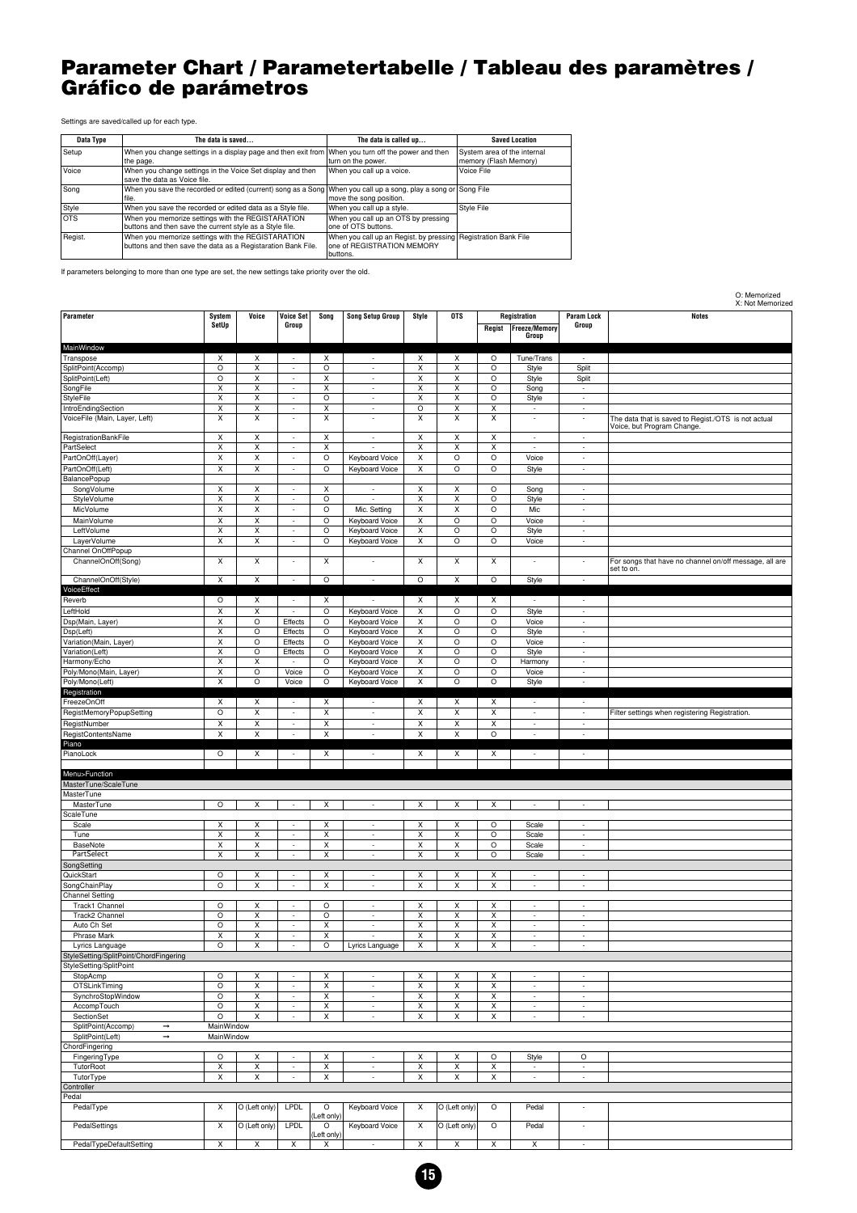#### <span id="page-14-0"></span>**Parameter Chart / Parametertabelle / Tableau des paramètres / Gráfico de parámetros**

O: Memorized

Settings are saved/called up for each type.

| Data Type | The data is saved                                                                                                        | The data is called up                                                                                    | <b>Saved Location</b>                                |
|-----------|--------------------------------------------------------------------------------------------------------------------------|----------------------------------------------------------------------------------------------------------|------------------------------------------------------|
| Setup     | When you change settings in a display page and then exit from When you turn off the power and then<br>the page.          | turn on the power.                                                                                       | System area of the internal<br>memory (Flash Memory) |
| Voice     | When you change settings in the Voice Set display and then<br>save the data as Voice file.                               | When you call up a voice.                                                                                | Voice File                                           |
| Song      | When you save the recorded or edited (current) song as a Song When you call up a song, play a song or Song File<br>file. | move the song position.                                                                                  |                                                      |
| Style     | When you save the recorded or edited data as a Style file.                                                               | When you call up a style.                                                                                | Style File                                           |
| Iots      | When you memorize settings with the REGISTARATION<br>buttons and then save the current style as a Style file.            | When you call up an OTS by pressing<br>one of OTS buttons.                                               |                                                      |
| Regist.   | When you memorize settings with the REGISTARATION<br>buttons and then save the data as a Registaration Bank File.        | When you call up an Regist. by pressing Registration Bank File<br>one of REGISTRATION MEMORY<br>buttons. |                                                      |

If parameters belonging to more than one type are set, the new settings take priority over the old.

|                                        |                         |                           |                                                      |                         |                                            |                         |                         |                         |                                               |                            | X: Not Memorized                                                                  |
|----------------------------------------|-------------------------|---------------------------|------------------------------------------------------|-------------------------|--------------------------------------------|-------------------------|-------------------------|-------------------------|-----------------------------------------------|----------------------------|-----------------------------------------------------------------------------------|
| Parameter                              | System<br>SetUp         | Voice                     | <b>Voice Set</b><br>Group                            | Song                    | <b>Song Setup Group</b>                    | Style                   | <b>OTS</b>              | Regist                  | Registration<br><b>Freeze/Memory</b><br>Group | <b>Param Lock</b><br>Group | <b>Notes</b>                                                                      |
| MainWindow                             |                         |                           |                                                      |                         |                                            |                         |                         |                         |                                               |                            |                                                                                   |
| Transpose                              | X                       | X                         | $\overline{\phantom{a}}$                             | Х                       | $\overline{\phantom{a}}$                   | Х                       | Х                       | O                       | Tune/Trans                                    | $\sim$                     |                                                                                   |
| SplitPoint(Accomp)                     | $\circ$                 | Χ                         | $\overline{\phantom{a}}$                             | $\circ$                 | $\overline{\phantom{a}}$                   | X                       | X                       | $\circ$                 | Style                                         | Split                      |                                                                                   |
| SplitPoint(Left)                       | $\circ$                 | $\overline{\mathsf{x}}$   | $\sim$                                               | X                       | $\overline{\phantom{a}}$                   | $\overline{\mathsf{x}}$ | $\overline{\mathsf{x}}$ | O                       | Style                                         | Split                      |                                                                                   |
| SongFile                               | X                       | X                         | $\overline{\phantom{a}}$                             | X                       | $\overline{\phantom{a}}$                   | X                       | X                       | $\circ$                 | Song                                          | $\sim$                     |                                                                                   |
| <b>StyleFile</b>                       | X                       | X                         | $\overline{\phantom{a}}$                             | $\circ$                 | $\overline{\phantom{a}}$                   | X                       | X                       | $\circ$                 |                                               | $\sim$                     |                                                                                   |
| IntroEndingSection                     | $\overline{\mathsf{x}}$ | $\overline{\mathsf{x}}$   | $\overline{\phantom{a}}$                             | $\overline{\mathsf{x}}$ | $\overline{\phantom{a}}$                   | $\circ$                 | $\overline{\mathsf{x}}$ | X                       | Style                                         | $\overline{\phantom{a}}$   |                                                                                   |
|                                        |                         | $\overline{\mathsf{x}}$   |                                                      |                         |                                            |                         |                         |                         | $\overline{\phantom{a}}$                      |                            |                                                                                   |
| VoiceFile (Main, Layer, Left)          | $\overline{\mathsf{x}}$ |                           | $\sim$                                               | $\overline{\mathsf{x}}$ | ٠                                          | $\overline{\mathsf{x}}$ | $\overline{\mathsf{x}}$ | $\overline{\mathsf{x}}$ | $\overline{\phantom{a}}$                      | $\overline{a}$             | The data that is saved to Regist./OTS is not actual<br>Voice, but Program Change. |
| RegistrationBankFile                   | X                       | X                         | $\overline{\phantom{a}}$                             | X                       | $\overline{a}$                             | X                       | X                       | X                       | $\overline{\phantom{a}}$                      | $\sim$                     |                                                                                   |
| PartSelect                             | $\overline{\mathsf{x}}$ | $\overline{\mathsf{x}}$   | $\sim$                                               | X                       |                                            | $\overline{\mathsf{x}}$ | $\overline{\mathsf{x}}$ | $\overline{\mathsf{x}}$ |                                               | $\overline{\phantom{a}}$   |                                                                                   |
| PartOnOff(Layer)                       | $\overline{\mathsf{x}}$ | X                         | $\overline{\phantom{a}}$                             | $\circ$                 | Keyboard Voice                             | X                       | $\circ$                 | $\circ$                 | Voice                                         | $\overline{a}$             |                                                                                   |
| PartOnOff(Left)                        | $\overline{\mathsf{x}}$ | $\overline{\mathsf{x}}$   | $\overline{\phantom{a}}$                             | $\circ$                 | Keyboard Voice                             | $\overline{\mathsf{x}}$ | $\overline{\circ}$      | $\overline{\circ}$      | Style                                         | ÷                          |                                                                                   |
| <b>BalancePopup</b>                    |                         |                           |                                                      |                         |                                            |                         |                         |                         |                                               |                            |                                                                                   |
| SongVolume                             | X                       | X                         | $\sim$                                               | X                       |                                            | X                       | X                       | $\circ$                 | Song                                          | $\sim$                     |                                                                                   |
| StyleVolume                            | $\overline{\mathsf{x}}$ | $\overline{\mathsf{x}}$   | $\sim$                                               | $\circ$                 |                                            | $\overline{\mathsf{x}}$ | $\overline{\mathsf{x}}$ | $\circ$                 | Style                                         | ÷                          |                                                                                   |
| MicVolume                              | $\overline{\mathsf{x}}$ | $\overline{\mathsf{x}}$   | $\overline{\phantom{a}}$                             | $\circ$                 | Mic. Setting                               | X                       | X                       | $\circ$                 | Mic                                           | $\overline{\phantom{a}}$   |                                                                                   |
| MainVolume                             | $\overline{\mathsf{x}}$ | $\overline{\mathsf{x}}$   | $\sim$                                               | $\circ$                 | Keyboard Voice                             | $\overline{\mathsf{x}}$ | $\overline{\circ}$      | $\overline{\circ}$      | Voice                                         | ÷                          |                                                                                   |
|                                        |                         |                           |                                                      |                         |                                            |                         |                         |                         |                                               |                            |                                                                                   |
| LeftVolume                             | X                       | Χ                         | $\overline{\phantom{a}}$                             | O                       | Keyboard Voice                             | X                       | $\circ$                 | $\circ$                 | Style                                         | $\overline{a}$             |                                                                                   |
| LayerVolume                            | X                       | X                         | $\sim$                                               | $\circ$                 | <b>Keyboard Voice</b>                      | X                       | $\circ$                 | $\circ$                 | Voice                                         | $\sim$                     |                                                                                   |
| Channel OnOffPopup                     |                         |                           |                                                      |                         |                                            |                         |                         |                         |                                               |                            |                                                                                   |
| ChannelOnOff(Song)                     | $\overline{\mathsf{x}}$ | Χ                         | $\overline{a}$                                       | X                       | $\qquad \qquad \blacksquare$               | X                       | $\overline{\mathsf{x}}$ | $\overline{\mathsf{x}}$ | $\overline{\phantom{a}}$                      | $\overline{\phantom{a}}$   | For songs that have no channel on/off message, all are<br>set to on.              |
| ChannelOnOff(Style)                    | $\times$                | $\boldsymbol{\mathsf{x}}$ | ÷.                                                   | $\circ$                 | $\overline{\phantom{a}}$                   | $\circ$                 | X                       | $\circ$                 | Style                                         | ÷                          |                                                                                   |
| VoiceEffect                            |                         |                           |                                                      |                         |                                            |                         |                         |                         |                                               |                            |                                                                                   |
| Reverb                                 | $\circ$                 | Х                         | $\overline{\phantom{a}}$                             | Х                       | $\overline{\phantom{a}}$                   | Х                       | Х                       | Х                       | $\overline{\phantom{a}}$                      | $\overline{\phantom{a}}$   |                                                                                   |
| LeftHold                               | $\overline{\mathsf{x}}$ | $\overline{\mathsf{x}}$   | $\sim$                                               | $\circ$                 | Keyboard Voice                             | X                       | $\overline{\circ}$      | $\circ$                 | Style                                         | $\overline{\phantom{a}}$   |                                                                                   |
| Dsp(Main, Layer)                       | X                       | $\circ$                   |                                                      | $\circ$                 |                                            | X                       | $\circ$                 | $\circ$                 |                                               | $\sim$                     |                                                                                   |
|                                        |                         |                           | Effects                                              |                         | Keyboard Voice                             |                         |                         |                         | Voice                                         |                            |                                                                                   |
| Dsp(Left)                              | X                       | O                         | Effects                                              | $\circ$                 | Keyboard Voice                             | X                       | $\circ$                 | $\circ$                 | Style                                         | ×,                         |                                                                                   |
| Variation(Main, Layer)                 | $\overline{\mathsf{x}}$ | O                         | Effects                                              | O                       | Keyboard Voice                             | $\overline{\mathsf{x}}$ | $\circ$                 | $\circ$                 | Voice                                         | ÷                          |                                                                                   |
| Variation(Left)                        | X                       | O                         | Effects                                              | $\circ$                 | Keyboard Voice                             | X                       | $\circ$                 | $\circ$                 | Style                                         | $\sim$                     |                                                                                   |
| Harmony/Echo                           | X                       | X                         |                                                      | $\circ$                 | Keyboard Voice                             | X                       | $\circ$                 | $\circ$                 | Harmony                                       | $\sim$                     |                                                                                   |
| Poly/Mono(Main, Layer)                 | $\overline{\mathsf{x}}$ | $\circ$                   | Voice                                                | O                       | Keyboard Voice                             | X                       | $\circ$                 | $\circ$                 | Voice                                         | $\overline{\phantom{a}}$   |                                                                                   |
| Poly/Mono(Left)                        | X                       | $\circ$                   | Voice                                                | $\circ$                 | Keyboard Voice                             | X                       | $\circ$                 | $\circ$                 | Style                                         | ٠                          |                                                                                   |
| Registration                           |                         |                           |                                                      |                         |                                            |                         |                         |                         |                                               |                            |                                                                                   |
| FreezeOnOff                            | X                       | Χ                         | $\overline{a}$                                       | X                       | ÷                                          | X                       | X                       | X                       | ÷                                             | $\overline{a}$             |                                                                                   |
| RegistMemoryPopupSetting               | $\circ$                 | Χ                         | $\overline{\phantom{a}}$                             | X                       | $\overline{\phantom{a}}$                   | X                       | X                       | X                       | $\overline{\phantom{a}}$                      | $\overline{\phantom{a}}$   | Filter settings when registering Registration.                                    |
| RegistNumber                           | $\overline{\mathsf{x}}$ | $\overline{\mathsf{x}}$   |                                                      | $\overline{\mathsf{x}}$ | $\overline{\phantom{a}}$                   | $\overline{x}$          | $\overline{x}$          | $\overline{x}$          | ÷                                             |                            |                                                                                   |
|                                        |                         |                           | $\overline{\phantom{a}}$                             |                         |                                            |                         |                         |                         |                                               | $\overline{\phantom{a}}$   |                                                                                   |
| RegistContentsName                     | X                       | X                         | $\sim$                                               | X                       | $\sim$                                     | Χ                       | X                       | $\circ$                 | ٠                                             | $\sim$                     |                                                                                   |
| Piano                                  |                         |                           |                                                      |                         |                                            |                         |                         |                         |                                               |                            |                                                                                   |
| PianoLock                              | O                       | Х                         | $\overline{\phantom{a}}$                             | X                       | $\overline{\phantom{a}}$                   | X                       | X                       | X                       | $\overline{\phantom{a}}$                      | $\overline{\phantom{a}}$   |                                                                                   |
|                                        |                         |                           |                                                      |                         |                                            |                         |                         |                         |                                               |                            |                                                                                   |
| Menu>Function                          |                         |                           |                                                      |                         |                                            |                         |                         |                         |                                               |                            |                                                                                   |
| MasterTune/ScaleTune                   |                         |                           |                                                      |                         |                                            |                         |                         |                         |                                               |                            |                                                                                   |
| MasterTune                             |                         |                           |                                                      |                         |                                            |                         |                         |                         |                                               |                            |                                                                                   |
| MasterTune                             | $\circ$                 | Χ                         | $\overline{\phantom{a}}$                             | X                       | $\overline{a}$                             | X                       | X                       | X                       | ÷,                                            | L.                         |                                                                                   |
| ScaleTune                              |                         |                           |                                                      |                         |                                            |                         |                         |                         |                                               |                            |                                                                                   |
| Scale                                  | X                       | Χ                         | $\overline{\phantom{a}}$                             | х                       | $\overline{\phantom{a}}$                   | X                       | X                       | $\circ$                 | Scale                                         | $\overline{\phantom{a}}$   |                                                                                   |
| Tune                                   | X                       | X                         | $\overline{\phantom{a}}$                             | X                       | $\overline{\phantom{a}}$                   | X                       | X                       | $\circ$                 | Scale                                         | ÷                          |                                                                                   |
| <b>BaseNote</b>                        | $\overline{\mathsf{x}}$ | $\overline{\mathsf{x}}$   | $\overline{\phantom{a}}$                             | $\overline{\mathsf{x}}$ | $\overline{\phantom{a}}$                   | $\overline{\mathsf{x}}$ | $\overline{\mathsf{x}}$ | $\circ$                 | Scale                                         | $\overline{\phantom{a}}$   |                                                                                   |
| PartSelect                             | X                       | Χ                         | $\sim$                                               | X                       | ÷                                          | X                       | X                       | $\circ$                 | Scale                                         | $\sim$                     |                                                                                   |
| SongSetting                            |                         |                           |                                                      |                         |                                            |                         |                         |                         |                                               |                            |                                                                                   |
| QuickStart                             | O                       | х                         | $\overline{\phantom{a}}$                             | X                       | $\overline{\phantom{a}}$                   | X                       | X                       | X                       | $\overline{\phantom{a}}$                      | ÷                          |                                                                                   |
| SongChainPlay                          | $\circ$                 | Χ                         | $\overline{\phantom{a}}$                             | Χ                       | $\overline{\phantom{a}}$                   | X                       | X                       | X                       | $\overline{\phantom{a}}$                      | $\overline{\phantom{a}}$   |                                                                                   |
| <b>Channel Setting</b>                 |                         |                           |                                                      |                         |                                            |                         |                         |                         |                                               |                            |                                                                                   |
| Track1 Channel                         | $\circ$                 | х                         | ÷                                                    | O                       | $\overline{\phantom{a}}$                   | X                       | X                       | Χ                       | ÷                                             |                            |                                                                                   |
|                                        |                         |                           |                                                      |                         |                                            |                         |                         |                         |                                               |                            |                                                                                   |
| Track2 Channel                         | $\circ$<br>$\circ$      | Χ                         | $\overline{\phantom{a}}$<br>$\overline{\phantom{a}}$ | $\circ$                 | $\overline{\phantom{a}}$<br>$\overline{a}$ | X                       | X                       | X                       | $\overline{\phantom{a}}$<br>$\overline{a}$    | $\sim$<br>÷                |                                                                                   |
| Auto Ch Set                            |                         | X                         |                                                      | X                       |                                            | X                       | X                       | X                       |                                               |                            |                                                                                   |
| Phrase Mark                            | X                       | X                         | $\overline{\phantom{a}}$                             | X                       | ÷                                          | X                       | X                       | X                       | $\overline{\phantom{a}}$                      | $\frac{1}{2}$              |                                                                                   |
| Lyrics Language                        | $\circ$                 | X                         | $\overline{\phantom{a}}$                             | $\overline{\circ}$      | Lyrics Language                            | X                       | X                       | X                       |                                               |                            |                                                                                   |
| StyleSetting/SplitPoint/ChordFingering |                         |                           |                                                      |                         |                                            |                         |                         |                         |                                               |                            |                                                                                   |
| StyleSetting/SplitPoint                |                         |                           |                                                      |                         |                                            |                         |                         |                         |                                               |                            |                                                                                   |
| StopAcmp                               | $\circ$                 | Χ                         | $\sim$                                               | X                       | ÷.                                         | X                       | X                       | X                       | $\overline{\phantom{a}}$                      | $\overline{\phantom{a}}$   |                                                                                   |
| OTSLinkTiming                          | $\circ$                 | X                         | $\sim$                                               | X                       | $\overline{\phantom{a}}$                   | X                       | X                       | X                       | $\overline{\phantom{a}}$                      | ×,                         |                                                                                   |
| SynchroStopWindow                      | $\circ$                 | $\overline{\mathsf{x}}$   | $\overline{\phantom{a}}$                             | X                       | $\overline{\phantom{a}}$                   | $\pmb{\times}$          | $\overline{\mathsf{x}}$ | X                       | $\overline{\phantom{a}}$                      | $\overline{\phantom{a}}$   |                                                                                   |
| AccompTouch                            | $\circ$                 | Χ                         | $\overline{\phantom{a}}$                             | X                       | $\overline{\phantom{a}}$                   | X                       | X                       | X                       | $\overline{\phantom{a}}$                      | $\overline{\phantom{a}}$   |                                                                                   |
| SectionSet                             | $\circ$                 | X                         | $\sim$                                               | X                       | $\overline{\phantom{a}}$                   | X                       | X                       | X                       | $\overline{\phantom{a}}$                      | $\sim$                     |                                                                                   |
| SplitPoint(Accomp)<br>$\rightarrow$    | MainWindow              |                           |                                                      |                         |                                            |                         |                         |                         |                                               |                            |                                                                                   |
| SplitPoint(Left)<br>$\rightarrow$      | MainWindow              |                           |                                                      |                         |                                            |                         |                         |                         |                                               |                            |                                                                                   |
| ChordFingering                         |                         |                           |                                                      |                         |                                            |                         |                         |                         |                                               |                            |                                                                                   |
|                                        |                         |                           |                                                      |                         |                                            |                         |                         |                         |                                               |                            |                                                                                   |
| FingeringType                          | $\circ$                 | $\pmb{\times}$            | ÷.                                                   | X                       | $\overline{\phantom{a}}$                   | X                       | X                       | $\circ$                 | Style                                         | O                          |                                                                                   |
| <b>TutorRoot</b>                       | X                       | Χ                         | $\overline{\phantom{a}}$                             | X                       | $\overline{\phantom{a}}$                   | X                       | X                       | X                       | $\overline{\phantom{a}}$                      | $\sim$                     |                                                                                   |
| TutorType                              | X                       | X                         | $\overline{\phantom{a}}$                             | X                       | $\overline{\phantom{a}}$                   | X                       | X                       | X                       | $\overline{\phantom{a}}$                      | ÷                          |                                                                                   |
| Controller                             |                         |                           |                                                      |                         |                                            |                         |                         |                         |                                               |                            |                                                                                   |
| Pedal                                  |                         |                           |                                                      |                         |                                            |                         |                         |                         |                                               |                            |                                                                                   |
| PedalType                              | X                       | O (Left only)             | <b>LPDL</b>                                          | $\circ$                 | Keyboard Voice                             | X                       | O (Left only)           | $\circ$                 | Pedal                                         | ×,                         |                                                                                   |
|                                        |                         |                           |                                                      | (Left only)             |                                            |                         |                         |                         |                                               |                            |                                                                                   |
| PedalSettings                          | $\pmb{\times}$          | O (Left only)             | LPDL                                                 | $\circ$                 | Keyboard Voice                             | X                       | O (Left only)           | $\circ$                 | Pedal                                         | $\overline{\phantom{a}}$   |                                                                                   |
| PedalTypeDefaultSetting                | X                       | X                         | X                                                    | (Left only)<br>X        | $\sim$                                     | X                       | X                       | X                       | X                                             | $\sim$                     |                                                                                   |
|                                        |                         |                           |                                                      |                         |                                            |                         |                         |                         |                                               |                            |                                                                                   |

**15**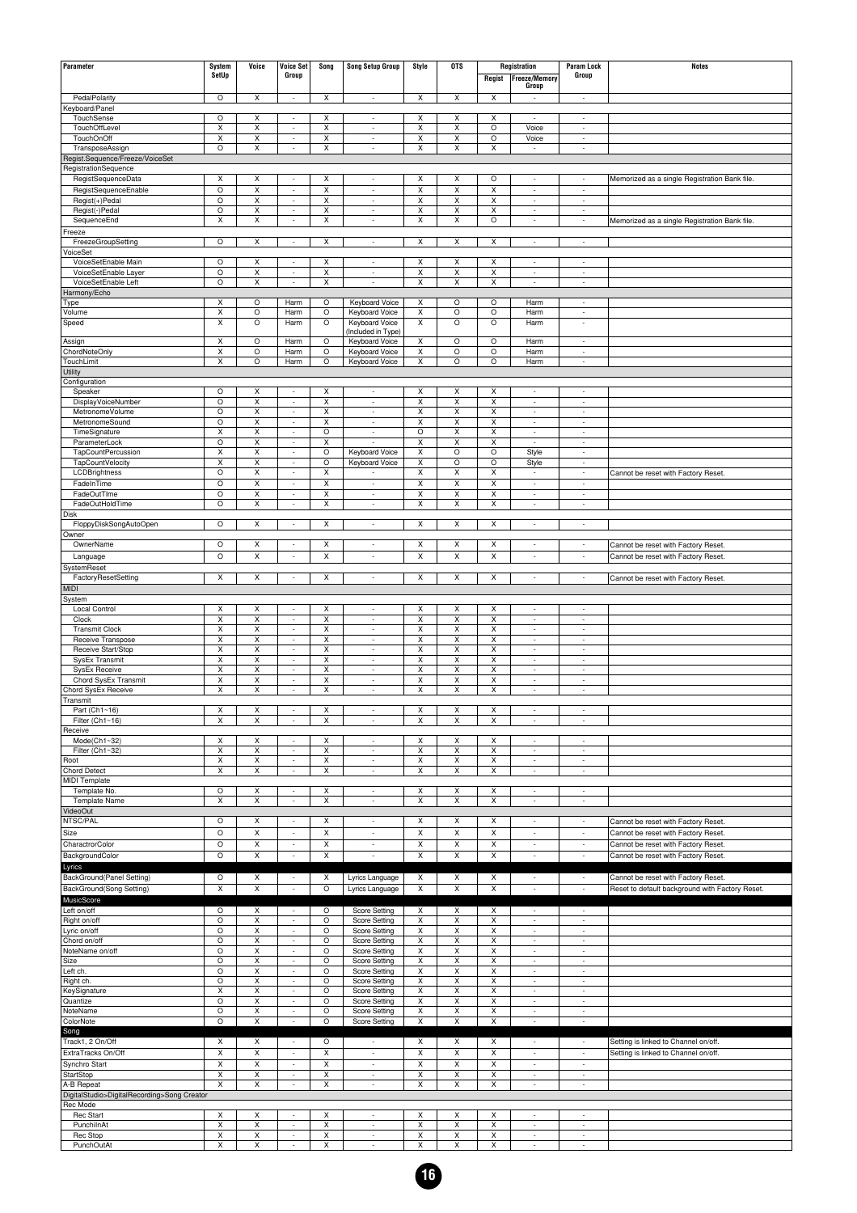| Parameter                                    | System                       | Voice                        | <b>Voice Set</b>                                     | Song                         | <b>Song Setup Group</b>                              | Style                        | <b>OTS</b>                                    |                               | Registration                                         | <b>Param Lock</b>                                    | <b>Notes</b>                                    |
|----------------------------------------------|------------------------------|------------------------------|------------------------------------------------------|------------------------------|------------------------------------------------------|------------------------------|-----------------------------------------------|-------------------------------|------------------------------------------------------|------------------------------------------------------|-------------------------------------------------|
|                                              | SetUp                        |                              | Group                                                |                              |                                                      |                              |                                               | Regist                        | <b>Freeze/Memory</b>                                 | Group                                                |                                                 |
|                                              |                              |                              |                                                      |                              |                                                      |                              |                                               |                               | Group                                                |                                                      |                                                 |
| PedalPolarity                                | $\circ$                      | Χ                            | $\overline{\phantom{a}}$                             | Х                            | $\overline{\phantom{a}}$                             | X                            | X                                             | X                             | $\overline{\phantom{a}}$                             | $\overline{\phantom{a}}$                             |                                                 |
| Keyboard/Panel                               |                              |                              |                                                      |                              |                                                      |                              |                                               |                               |                                                      |                                                      |                                                 |
| TouchSense                                   | $\circ$                      | Χ                            | $\overline{\phantom{a}}$                             | Χ                            | $\overline{\phantom{a}}$                             | X                            | X                                             | X                             | ÷,                                                   | ÷,                                                   |                                                 |
| TouchOffLevel<br>TouchOnOff                  | Х<br>Χ                       | Χ<br>$\overline{\mathsf{x}}$ | $\overline{\phantom{a}}$<br>$\overline{\phantom{a}}$ | X<br>X                       | $\overline{\phantom{a}}$<br>$\overline{\phantom{a}}$ | Х<br>X                       | X<br>X                                        | $\circ$<br>$\overline{\circ}$ | Voice<br>Voice                                       | ÷<br>$\overline{\phantom{a}}$                        |                                                 |
| TransposeAssign                              | $\circ$                      | X                            | $\overline{a}$                                       | X                            | ÷,                                                   | X                            | X                                             | $\pmb{\times}$                |                                                      | ÷,                                                   |                                                 |
| Regist.Sequence/Freeze/VoiceSet              |                              |                              |                                                      |                              |                                                      |                              |                                               |                               |                                                      |                                                      |                                                 |
| RegistrationSequence                         |                              |                              |                                                      |                              |                                                      |                              |                                               |                               |                                                      |                                                      |                                                 |
| RegistSequenceData                           | Χ                            | Χ                            | ٠                                                    | X                            | $\overline{\phantom{a}}$                             | X                            | X                                             | $\circ$                       | $\overline{\phantom{a}}$                             | ÷,                                                   | Memorized as a single Registration Bank file.   |
| RegistSequenceEnable<br>Regist(+)Pedal       | O<br>$\circ$                 | $\overline{\mathsf{x}}$<br>X | $\overline{\phantom{a}}$<br>÷                        | $\overline{\mathsf{x}}$<br>Χ | $\overline{\phantom{a}}$<br>÷,                       | X<br>X                       | $\overline{\mathsf{x}}$<br>$\pmb{\mathsf{X}}$ | $\overline{\mathsf{x}}$<br>X  | $\overline{\phantom{a}}$<br>$\overline{a}$           | $\overline{\phantom{a}}$<br>÷,                       |                                                 |
| Regist(-)Pedal                               | O                            | Χ                            | $\overline{\phantom{a}}$                             | Χ                            | $\overline{\phantom{a}}$                             | X                            | Χ                                             | Χ                             | $\overline{\phantom{a}}$                             | $\overline{\phantom{a}}$                             |                                                 |
| SequenceEnd                                  | Х                            | Χ                            | $\overline{\phantom{a}}$                             | X                            | $\overline{\phantom{a}}$                             | X                            | X                                             | $\circ$                       | $\overline{\phantom{a}}$                             | $\overline{\phantom{a}}$                             | Memorized as a single Registration Bank file.   |
| Freeze                                       |                              |                              |                                                      |                              |                                                      |                              |                                               |                               |                                                      |                                                      |                                                 |
| FreezeGroupSetting                           | O                            | X                            | $\overline{\phantom{a}}$                             | х                            | $\overline{\phantom{a}}$                             | X                            | Х                                             | X                             | $\overline{\phantom{a}}$                             | $\overline{\phantom{a}}$                             |                                                 |
| VoiceSet                                     |                              |                              |                                                      |                              |                                                      |                              |                                               |                               |                                                      |                                                      |                                                 |
| VoiceSetEnable Main<br>VoiceSetEnable Layer  | $\circ$<br>O                 | Χ<br>Χ                       | $\overline{\phantom{a}}$<br>$\overline{\phantom{a}}$ | X<br>X                       | $\overline{\phantom{a}}$<br>$\overline{\phantom{a}}$ | X<br>X                       | X<br>X                                        | X<br>X                        | $\overline{\phantom{a}}$<br>$\overline{\phantom{a}}$ | $\overline{\phantom{a}}$<br>$\overline{\phantom{a}}$ |                                                 |
| VoiceSetEnable Left                          | O                            | X                            | ÷,                                                   | X                            | ÷,                                                   | $\pmb{\times}$               | $\pmb{\mathsf{X}}$                            | $\pmb{\times}$                | ÷,                                                   | ÷,                                                   |                                                 |
| Harmony/Echo                                 |                              |                              |                                                      |                              |                                                      |                              |                                               |                               |                                                      |                                                      |                                                 |
| Type                                         | Х                            | O                            | Harm                                                 | O                            | Keyboard Voice                                       | X                            | O                                             | O                             | Harm                                                 | $\overline{\phantom{a}}$                             |                                                 |
| Volume                                       | Χ                            | O                            | Harm                                                 | O                            | Keyboard Voice                                       | X                            | O                                             | $\circ$                       | Harm                                                 | ÷,                                                   |                                                 |
| Speed                                        | Χ                            | O                            | Harm                                                 | O                            | Keyboard Voice<br>(Included in Type)                 | X                            | $\circ$                                       | $\circ$                       | Harm                                                 | ÷,                                                   |                                                 |
| Assign                                       | х                            | O                            | Harm                                                 | O                            | Keyboard Voice                                       | X                            | $\circ$                                       | $\circ$                       | Harm                                                 | $\overline{\phantom{a}}$                             |                                                 |
| ChordNoteOnly                                | Χ                            | O                            | Harm                                                 | O                            | Keyboard Voice                                       | X                            | O                                             | $\circ$                       | Harm                                                 | ÷,                                                   |                                                 |
| TouchLimit                                   | Χ                            | O                            | Harm                                                 | O                            | Keyboard Voice                                       | X                            | O                                             | $\circ$                       | Harm                                                 | ÷,                                                   |                                                 |
| Utility                                      |                              |                              |                                                      |                              |                                                      |                              |                                               |                               |                                                      |                                                      |                                                 |
| Configuration<br>Speaker                     | O                            | Χ                            | ÷                                                    | X                            | $\overline{\phantom{a}}$                             | X                            | X                                             | X                             | ÷                                                    | $\overline{\phantom{a}}$                             |                                                 |
| DisplayVoiceNumber                           | O                            | Χ                            | $\overline{\phantom{a}}$                             | X                            | $\overline{\phantom{a}}$                             | $\overline{\mathsf{x}}$      | X                                             | X                             | $\overline{\phantom{a}}$                             | $\overline{\phantom{a}}$                             |                                                 |
| MetronomeVolume                              | O                            | $\overline{\mathsf{x}}$      | ÷                                                    | Χ                            | $\overline{\phantom{a}}$                             | X                            | $\overline{\mathsf{X}}$                       | X                             | $\overline{\phantom{a}}$                             | ÷,                                                   |                                                 |
| MetronomeSound                               | O                            | Χ                            | $\overline{\phantom{a}}$                             | Χ                            | $\overline{\phantom{a}}$                             | Χ                            | X                                             | X                             | $\overline{\phantom{a}}$                             | $\overline{\phantom{a}}$                             |                                                 |
| TimeSignature                                | Χ                            | Χ                            | $\overline{\phantom{a}}$                             | $\circ$                      | $\overline{\phantom{a}}$<br>$\overline{a}$           | $\circ$                      | X                                             | X                             | $\overline{\phantom{a}}$                             | $\overline{\phantom{a}}$                             |                                                 |
| ParameterLock<br>TapCountPercussion          | O<br>Χ                       | $\overline{\mathsf{x}}$<br>Χ | ÷<br>$\overline{\phantom{a}}$                        | Χ<br>O                       | Keyboard Voice                                       | X<br>X                       | X<br>$\circ$                                  | X<br>$\circ$                  | $\overline{a}$                                       | ÷,<br>$\overline{\phantom{a}}$                       |                                                 |
| TapCountVelocity                             | Χ                            | Χ                            | $\overline{\phantom{a}}$                             | $\circ$                      | Keyboard Voice                                       | X                            | $\circ$                                       | $\circ$                       | Style<br>Style                                       | $\overline{\phantom{a}}$                             |                                                 |
| LCDBrightness                                | O                            | $\overline{\mathsf{x}}$      | $\sim$                                               | Χ                            |                                                      | X                            | X                                             | $\overline{\mathsf{x}}$       | $\overline{\phantom{a}}$                             | ÷                                                    | Cannot be reset with Factory Reset.             |
| FadeInTime                                   | O                            | $\overline{\mathsf{x}}$      | $\overline{\phantom{a}}$                             | $\overline{\mathsf{x}}$      | $\overline{\phantom{a}}$                             | X                            | $\overline{\mathsf{x}}$                       | $\overline{\mathsf{x}}$       | $\sim$                                               | $\overline{\phantom{a}}$                             |                                                 |
| FadeOutTIme                                  | O                            | $\overline{\mathsf{x}}$      | $\overline{a}$                                       | Χ                            | ÷,                                                   | X                            | X                                             | X                             | ÷,                                                   | ÷,                                                   |                                                 |
| FadeOutHoldTime                              | $\circ$                      | X                            | $\overline{\phantom{a}}$                             | X                            | $\overline{\phantom{a}}$                             | X                            | X                                             | X                             | $\overline{\phantom{a}}$                             | $\overline{\phantom{a}}$                             |                                                 |
| Disk                                         |                              |                              | ÷                                                    |                              | ÷                                                    |                              |                                               |                               | $\overline{a}$                                       | ÷,                                                   |                                                 |
| FloppyDiskSongAutoOpen<br>Owner              | $\circ$                      | Χ                            |                                                      | Χ                            |                                                      | X                            | $\overline{\mathsf{X}}$                       | X                             |                                                      |                                                      |                                                 |
| OwnerName                                    | $\circ$                      | X                            | $\overline{\phantom{a}}$                             | Х                            | $\overline{\phantom{a}}$                             | Х                            | Х                                             | X                             | $\overline{\phantom{a}}$                             | $\overline{\phantom{a}}$                             | Cannot be reset with Factory Reset.             |
| Language                                     | O                            | Χ                            | $\overline{\phantom{a}}$                             | X                            | ÷                                                    | X                            | X                                             | X                             | ÷                                                    | ÷                                                    | Cannot be reset with Factory Reset.             |
| SystemReset                                  |                              |                              |                                                      |                              |                                                      |                              |                                               |                               |                                                      |                                                      |                                                 |
| FactoryResetSetting                          | X                            | Χ                            | $\overline{\phantom{a}}$                             | X                            | $\overline{\phantom{a}}$                             | X                            | X                                             | X                             | ÷                                                    | $\overline{\phantom{a}}$                             | Cannot be reset with Factory Reset.             |
| <b>MIDI</b>                                  |                              |                              |                                                      |                              |                                                      |                              |                                               |                               |                                                      |                                                      |                                                 |
| System<br>Local Control                      | х                            | Χ                            | $\sim$                                               | X                            | $\overline{\phantom{a}}$                             | X                            | Х                                             | X                             | $\overline{\phantom{a}}$                             | $\overline{\phantom{a}}$                             |                                                 |
| Clock                                        | Χ                            | Χ                            | ٠                                                    | Χ                            | $\overline{\phantom{a}}$                             | X                            | $\overline{\mathsf{X}}$                       | X                             | ÷                                                    | ÷,                                                   |                                                 |
| <b>Transmit Clock</b>                        | Χ                            | Χ                            | $\overline{\phantom{a}}$                             | X                            | $\overline{\phantom{a}}$                             | X                            | X                                             | X                             | $\overline{\phantom{a}}$                             | $\overline{\phantom{a}}$                             |                                                 |
| Receive Transpose                            | Χ                            | $\overline{\mathsf{x}}$      | $\overline{\phantom{a}}$                             | Χ                            | $\overline{\phantom{a}}$                             | X                            | X                                             | $\overline{\mathsf{x}}$       | $\overline{\phantom{a}}$                             | $\overline{\phantom{a}}$                             |                                                 |
| Receive Start/Stop                           | Χ                            | $\overline{\mathsf{x}}$      | ÷                                                    | Χ                            | ÷                                                    | X                            | X                                             | X                             | $\overline{a}$                                       | ÷,                                                   |                                                 |
| SysEx Transmit                               | Χ                            | Χ                            | $\overline{\phantom{a}}$                             | Χ                            | $\overline{\phantom{a}}$                             | X                            | X                                             | X                             | $\overline{\phantom{a}}$                             | ÷,                                                   |                                                 |
| <b>SysEx Receive</b><br>Chord SysEx Transmit | Χ<br>Χ                       | Χ<br>$\overline{\mathsf{x}}$ | $\overline{\phantom{a}}$<br>÷                        | X<br>Χ                       | $\overline{\phantom{a}}$<br>$\overline{\phantom{a}}$ | X<br>X                       | X<br>$\overline{\mathsf{X}}$                  | X<br>X                        | $\sim$<br>÷                                          | $\overline{\phantom{a}}$<br>÷,                       |                                                 |
| Chord SysEx Receive                          | Χ                            | Χ                            | $\overline{\phantom{a}}$                             | Χ                            | ÷                                                    | X                            | Χ                                             | X                             | ÷                                                    | ÷                                                    |                                                 |
| Transmit                                     |                              |                              |                                                      |                              |                                                      |                              |                                               |                               |                                                      |                                                      |                                                 |
| Part (Ch1~16)                                | $\overline{\mathsf{x}}$      | Χ                            | ÷,                                                   | Χ                            | $\overline{a}$                                       | X                            | X                                             | X                             | ÷,                                                   | ÷,                                                   |                                                 |
| Filter (Ch1~16)                              | Χ                            | Χ                            | $\sim$                                               | X                            | ÷                                                    | X                            | X                                             | X                             | ÷                                                    | ÷                                                    |                                                 |
| Receive<br>Mode(Ch1~32)                      | Χ                            | Χ                            | ٠                                                    | Χ                            | ٠                                                    | X                            | X                                             | X                             | ٠                                                    | ÷,                                                   |                                                 |
| Filter (Ch1~32)                              | X                            | Χ                            | $\overline{\phantom{a}}$                             | Χ                            | $\overline{\phantom{a}}$                             | X                            | X                                             | X                             | $\overline{\phantom{a}}$                             | $\overline{\phantom{a}}$                             |                                                 |
| Root                                         | Χ                            | $\overline{\mathsf{x}}$      | $\overline{\phantom{a}}$                             | X                            | $\overline{\phantom{a}}$                             | $\overline{\mathsf{x}}$      | X                                             | $\overline{\mathsf{x}}$       | $\overline{\phantom{a}}$                             | $\overline{\phantom{a}}$                             |                                                 |
| Chord Detect                                 | Χ                            | $\overline{\mathsf{x}}$      | ÷,                                                   | Χ                            | ÷,                                                   | X                            | Χ                                             | X                             | $\overline{a}$                                       | ÷,                                                   |                                                 |
| <b>MIDI Template</b>                         | O                            |                              |                                                      |                              |                                                      | X                            |                                               |                               |                                                      | $\overline{\phantom{a}}$                             |                                                 |
| Template No.<br>Template Name                | Χ                            | Χ<br>$\overline{\mathsf{x}}$ | $\overline{\phantom{a}}$<br>$\overline{\phantom{a}}$ | X<br>X                       | $\overline{\phantom{a}}$<br>$\overline{\phantom{a}}$ | X                            | X<br>$\overline{\mathsf{X}}$                  | X<br>X                        | $\overline{\phantom{a}}$<br>÷,                       | ÷,                                                   |                                                 |
| VideoOut                                     |                              |                              |                                                      |                              |                                                      |                              |                                               |                               |                                                      |                                                      |                                                 |
| NTSC/PAL                                     | O                            | X                            | $\overline{\phantom{a}}$                             | х                            | $\overline{\phantom{a}}$                             | X                            | X                                             | X                             | $\overline{\phantom{a}}$                             | $\overline{\phantom{a}}$                             | Cannot be reset with Factory Reset.             |
| Size                                         | $\circ$                      | Χ                            | $\overline{\phantom{a}}$                             | X                            | $\overline{\phantom{a}}$                             | X                            | X                                             | X                             | $\overline{\phantom{a}}$                             | $\overline{\phantom{a}}$                             | Cannot be reset with Factory Reset.             |
| CharactrorColor                              | O                            | $\overline{\mathsf{x}}$      | $\sim$                                               | X                            | $\overline{\phantom{a}}$                             | X                            | $\overline{\mathsf{X}}$                       | X                             | $\overline{\phantom{a}}$                             | $\overline{a}$                                       | Cannot be reset with Factory Reset.             |
| BackgroundColor                              | $\circ$                      | $\overline{\mathsf{x}}$      | $\overline{\phantom{a}}$                             | $\overline{\mathsf{x}}$      | $\overline{\phantom{a}}$                             | $\overline{\mathsf{x}}$      | $\overline{\mathsf{x}}$                       | $\overline{\mathsf{x}}$       | $\overline{\phantom{a}}$                             | $\overline{\phantom{a}}$                             | Cannot be reset with Factory Reset.             |
| Lyrics                                       |                              |                              |                                                      |                              |                                                      |                              |                                               |                               |                                                      |                                                      |                                                 |
| BackGround(Panel Setting)                    | O                            | х                            | $\overline{\phantom{a}}$                             | Х                            | Lyrics Language                                      | Х                            | Х                                             | X                             | $\sim$                                               | $\overline{\phantom{a}}$                             | Cannot be reset with Factory Reset.             |
| BackGround(Song Setting)                     | Χ                            | X                            | $\overline{\phantom{a}}$                             | $\circ$                      | Lyrics Language                                      | X                            | $\pmb{\times}$                                | X                             | ÷                                                    | $\overline{\phantom{a}}$                             | Reset to default background with Factory Reset. |
| MusicScore<br>Left on/off                    | $\circ$                      | Χ                            | $\overline{\phantom{a}}$                             | $\circ$                      | Score Setting                                        | X                            | X                                             | X                             | $\overline{\phantom{a}}$                             | $\overline{\phantom{a}}$                             |                                                 |
| Right on/off                                 | O                            | Χ                            | $\sim$                                               | $\circ$                      | Score Setting                                        | X                            | X                                             | X                             | $\sim$                                               | $\sim$                                               |                                                 |
| Lyric on/off                                 | O                            | Χ                            | ÷                                                    | O                            | Score Setting                                        | X                            | X                                             | X                             | ٠                                                    | ÷,                                                   |                                                 |
| Chord on/off                                 | O                            | Χ                            | $\overline{\phantom{a}}$                             | O                            | Score Setting                                        | X                            | X                                             | X                             | $\overline{\phantom{a}}$                             | $\overline{a}$                                       |                                                 |
| NoteName on/off                              | O                            | Χ                            | $\sim$                                               | O                            | Score Setting                                        | Х                            | X                                             | Х                             | ÷                                                    | ÷                                                    |                                                 |
| Size                                         | O                            | $\overline{\mathsf{x}}$      | ÷                                                    | O                            | Score Setting                                        | X                            | X                                             | X                             | $\overline{a}$                                       | ÷,                                                   |                                                 |
| Left ch.<br>Right ch.                        | O<br>O                       | Χ<br>X                       | $\overline{\phantom{a}}$<br>$\sim$                   | O<br>$\circ$                 | Score Setting<br><b>Score Setting</b>                | X<br>$\pmb{\times}$          | X<br>$\pmb{\times}$                           | X<br>X                        | $\overline{\phantom{a}}$<br>$\overline{\phantom{a}}$ | $\overline{\phantom{a}}$<br>÷                        |                                                 |
| KeySignature                                 | Χ                            | Χ                            | ÷                                                    | O                            | Score Setting                                        | X                            | $\overline{\mathsf{x}}$                       | X                             | ÷                                                    | ÷,                                                   |                                                 |
| Quantize                                     | O                            | Χ                            | $\overline{\phantom{a}}$                             | O                            | Score Setting                                        | X                            | Χ                                             | X                             | ٠                                                    | ÷,                                                   |                                                 |
| NoteName                                     | O                            | Χ                            | $\sim$                                               | O                            | Score Setting                                        | X                            | X                                             | Х                             | ÷                                                    | ÷                                                    |                                                 |
| ColorNote                                    | O                            | Χ                            | ÷,                                                   | O                            | Score Setting                                        | X                            | Χ                                             | X                             |                                                      |                                                      |                                                 |
| Song                                         |                              |                              |                                                      |                              |                                                      |                              |                                               |                               |                                                      |                                                      |                                                 |
| Track1, 2 On/Off                             | X                            | X                            | $\sim$                                               | O                            | $\overline{\phantom{a}}$                             | X                            | X                                             | X                             | $\overline{\phantom{a}}$                             | $\sim$                                               | Setting is linked to Channel on/off.            |
| ExtraTracks On/Off<br>Synchro Start          | Χ<br>$\overline{\mathsf{x}}$ | X<br>$\overline{\mathsf{x}}$ | $\sim$<br>$\overline{\phantom{a}}$                   | X<br>X                       | $\overline{\phantom{a}}$<br>$\overline{\phantom{a}}$ | X<br>$\overline{\mathsf{x}}$ | X<br>$\overline{\mathsf{x}}$                  | X<br>$\overline{\mathsf{x}}$  | $\overline{\phantom{a}}$<br>$\overline{\phantom{a}}$ | $\overline{a}$<br>÷.                                 | Setting is linked to Channel on/off.            |
| StartStop                                    | Χ                            | Χ                            | $\overline{\phantom{a}}$                             | Χ                            | $\overline{\phantom{a}}$                             | X                            | X                                             | X                             | $\overline{\phantom{a}}$                             | $\overline{\phantom{a}}$                             |                                                 |
| A-B Repeat                                   | $\times$                     | X                            | $\sim$                                               | X                            | $\overline{\phantom{a}}$                             | X                            | X                                             | X                             | ÷                                                    | ÷                                                    |                                                 |
| DigitalStudio>DigitalRecording>Song Creator  |                              |                              |                                                      |                              |                                                      |                              |                                               |                               |                                                      |                                                      |                                                 |
| Rec Mode                                     |                              |                              |                                                      |                              |                                                      |                              |                                               |                               |                                                      |                                                      |                                                 |
| <b>Rec Start</b>                             | X                            | Χ                            | $\sim$<br>÷                                          | X                            | $\overline{\phantom{a}}$                             | X                            | X                                             | X                             | $\sim$<br>÷,                                         | $\sim$<br>÷,                                         |                                                 |
| PunchilnAt<br>Rec Stop                       | $\overline{\mathsf{x}}$<br>Χ | $\overline{\mathsf{x}}$<br>Χ | $\overline{\phantom{a}}$                             | X<br>Χ                       | $\overline{\phantom{a}}$<br>$\overline{\phantom{a}}$ | X<br>X                       | $\overline{\mathsf{x}}$<br>X                  | X<br>X                        | ÷                                                    | ÷                                                    |                                                 |
| PunchOutAt                                   | $\times$                     | X                            | $\sim$                                               | X                            | $\overline{\phantom{a}}$                             | X                            | $\pmb{\times}$                                | X                             | $\sim$                                               | $\sim$                                               |                                                 |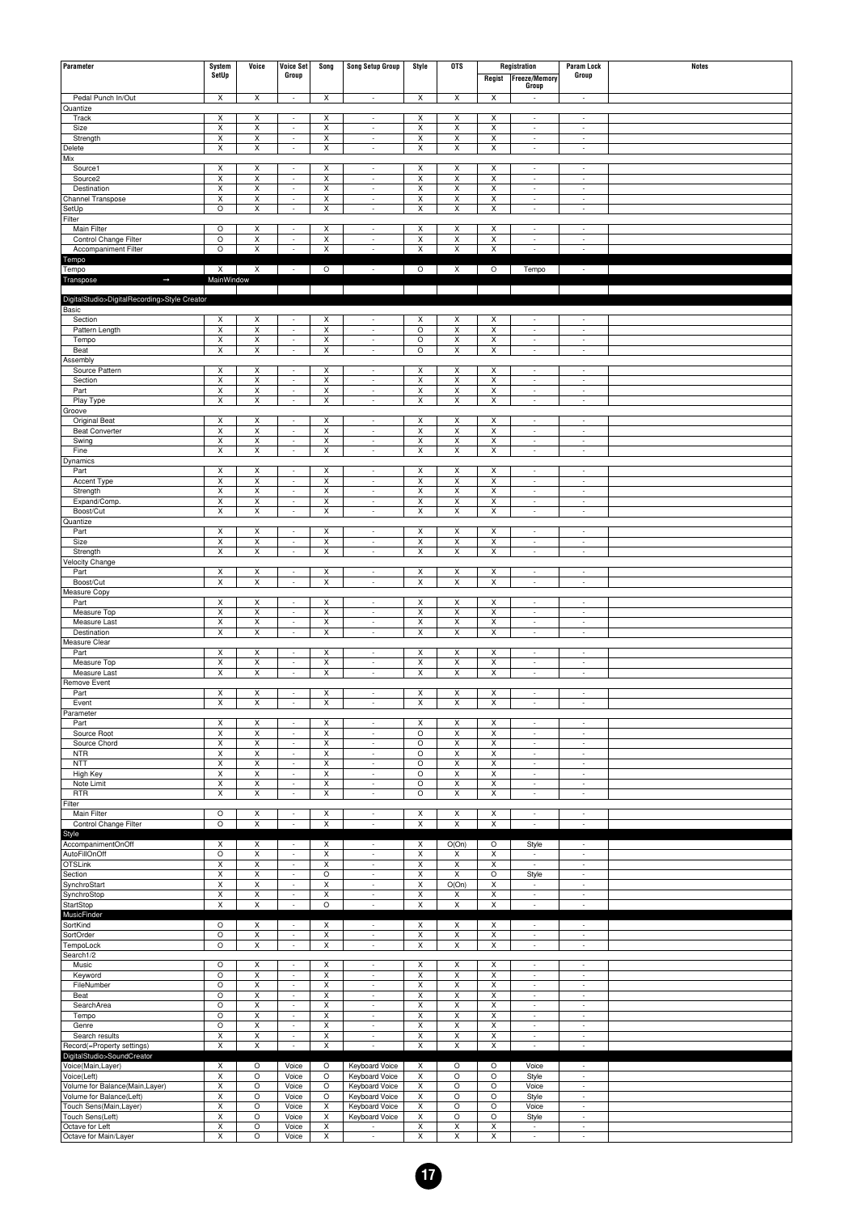| Parameter                                             | System<br>SetUp              | Voice                          | <b>Voice Set</b><br>Group                            | Song                           | <b>Song Setup Group</b>                              | Style                        | <b>OTS</b>                         | Regist                       | Registration<br>Freeze/Memory<br>Group               | <b>Param Lock</b><br>Group                           | <b>Notes</b> |
|-------------------------------------------------------|------------------------------|--------------------------------|------------------------------------------------------|--------------------------------|------------------------------------------------------|------------------------------|------------------------------------|------------------------------|------------------------------------------------------|------------------------------------------------------|--------------|
| Pedal Punch In/Out                                    | $\overline{\mathsf{x}}$      | $\overline{\mathsf{x}}$        | $\overline{\phantom{a}}$                             | $\overline{\mathsf{x}}$        | $\overline{\phantom{a}}$                             | $\overline{x}$               | $\overline{\mathsf{x}}$            | $\overline{\mathsf{x}}$      |                                                      | $\overline{\phantom{a}}$                             |              |
| Quantize                                              |                              |                                |                                                      |                                |                                                      |                              |                                    |                              |                                                      |                                                      |              |
| Track<br>Size                                         | X<br>$\overline{\mathsf{x}}$ | X<br>X                         | $\sim$<br>÷                                          | X<br>X                         | $\overline{\phantom{a}}$<br>÷                        | Χ<br>X                       | X<br>$\overline{\mathsf{x}}$       | Χ<br>X                       | $\sim$<br>÷                                          | $\overline{\phantom{a}}$<br>$\overline{\phantom{a}}$ |              |
| Strength                                              | x                            | Χ                              | ÷                                                    | X                              | $\overline{\phantom{a}}$                             | X                            | X                                  | X                            | $\overline{\phantom{a}}$                             | $\overline{\phantom{a}}$                             |              |
| Delete                                                | x                            | X                              | $\sim$                                               | X                              | $\overline{\phantom{a}}$                             | X                            | X                                  | X                            | $\overline{\phantom{a}}$                             | $\overline{\phantom{a}}$                             |              |
| Mix                                                   |                              |                                | $\overline{\phantom{a}}$                             | X                              |                                                      |                              |                                    |                              |                                                      |                                                      |              |
| Source1<br>Source <sub>2</sub>                        | X<br>X                       | Χ<br>X                         | $\sim$                                               | X                              | $\overline{\phantom{a}}$<br>$\overline{\phantom{a}}$ | X<br>X                       | Χ<br>$\pmb{\mathsf{X}}$            | X<br>X                       | $\overline{\phantom{a}}$<br>$\overline{\phantom{a}}$ | $\overline{\phantom{a}}$<br>$\sim$                   |              |
| Destination                                           | X                            | X                              | ÷                                                    | $\pmb{\times}$                 | $\overline{\phantom{a}}$                             | X                            | $\pmb{\mathsf{X}}$                 | $\pmb{\times}$               | $\overline{\phantom{a}}$                             | $\overline{a}$                                       |              |
| Channel Transpose                                     | X                            | Χ                              | $\overline{\phantom{a}}$                             | X                              | $\overline{\phantom{a}}$                             | X                            | Χ                                  | X                            | $\overline{\phantom{a}}$                             | $\overline{\phantom{a}}$                             |              |
| SetUp<br>Filter                                       | $\circ$                      | $\pmb{\times}$                 | $\sim$                                               | X                              | $\overline{\phantom{a}}$                             | X                            | X                                  | X                            | $\overline{\phantom{a}}$                             | $\overline{\phantom{a}}$                             |              |
| Main Filter                                           | $\circ$                      | x                              | $\overline{\phantom{a}}$                             | X                              | $\overline{\phantom{a}}$                             | X                            | Х                                  | X                            | $\overline{\phantom{a}}$                             | $\overline{\phantom{a}}$                             |              |
| Control Change Filter                                 | $\circ$                      | X                              | $\sim$                                               | X                              | $\overline{\phantom{a}}$                             | X                            | X                                  | X                            | $\overline{\phantom{a}}$                             | $\overline{\phantom{a}}$                             |              |
| Accompaniment Filter                                  | $\circ$                      | X                              | ÷                                                    | $\pmb{\times}$                 | $\overline{\phantom{a}}$                             | $\pmb{\times}$               | $\pmb{\mathsf{X}}$                 | $\pmb{\times}$               |                                                      | $\overline{a}$                                       |              |
| Tempo<br>Tempo                                        | $\mathsf{X}$                 | $\boldsymbol{\mathsf{x}}$      | $\sim 10^{-1}$                                       | $\circ$                        | $\sim$                                               | $\circ$                      | $\boldsymbol{\mathsf{x}}$          | $\circ$                      | Tempo                                                | $\sim$                                               |              |
| $\rightarrow$<br>Transpose                            | MainWindow                   |                                |                                                      |                                |                                                      |                              |                                    |                              |                                                      |                                                      |              |
|                                                       |                              |                                |                                                      |                                |                                                      |                              |                                    |                              |                                                      |                                                      |              |
| DigitalStudio>DigitalRecording>Style Creator<br>Basic |                              |                                |                                                      |                                |                                                      |                              |                                    |                              |                                                      |                                                      |              |
| Section                                               | x                            | Χ                              | ÷                                                    | х                              | $\overline{\phantom{a}}$                             | х                            | Х                                  | Х                            | $\overline{\phantom{a}}$                             | $\overline{\phantom{a}}$                             |              |
| Pattern Length                                        | $\pmb{\times}$               | $\overline{\mathsf{x}}$        | $\sim$                                               | X                              | $\overline{\phantom{a}}$                             | $\circ$                      | $\pmb{\times}$                     | X                            | $\overline{\phantom{a}}$                             | $\overline{\phantom{a}}$                             |              |
| Tempo                                                 | X                            | $\pmb{\times}$                 | $\overline{\phantom{a}}$                             | $\pmb{\times}$                 | $\overline{\phantom{a}}$                             | $\circ$                      | $\pmb{\mathsf{X}}$                 | X                            | ÷                                                    | $\overline{\phantom{a}}$                             |              |
| Beat<br>Assembly                                      | x                            | Χ                              | $\overline{\phantom{a}}$                             | X                              | $\overline{\phantom{a}}$                             | $\circ$                      | X                                  | X                            | $\overline{\phantom{a}}$                             | $\overline{\phantom{a}}$                             |              |
| Source Pattern                                        | X                            | X                              | $\overline{\phantom{a}}$                             | $\pmb{\times}$                 | $\overline{\phantom{a}}$                             | X                            | $\pmb{\mathsf{X}}$                 | X                            | ÷                                                    | $\overline{\phantom{a}}$                             |              |
| Section                                               | x                            | Χ                              | $\overline{\phantom{a}}$                             | X                              | $\overline{\phantom{a}}$                             | X                            | Χ                                  | X                            | $\overline{\phantom{a}}$                             | $\overline{\phantom{a}}$                             |              |
| Part                                                  | X                            | $\mathsf{x}$                   | $\sim$                                               | X                              | $\overline{\phantom{a}}$                             | X                            | X                                  | X                            | $\overline{\phantom{a}}$                             | $\overline{\phantom{a}}$                             |              |
| Play Type<br>Groove                                   | X                            | X                              | ÷                                                    | X                              | $\overline{\phantom{a}}$                             | X                            | $\pmb{\mathsf{X}}$                 | X                            | $\overline{\phantom{a}}$                             | $\overline{\phantom{a}}$                             |              |
| Original Beat                                         | X                            | Х                              | $\sim$                                               | X                              | $\sim$                                               | X                            | х                                  | X                            | $\sim$                                               | $\overline{\phantom{a}}$                             |              |
| <b>Beat Converter</b>                                 | X                            | $\pmb{\times}$                 | ÷                                                    | $\pmb{\times}$                 | $\overline{\phantom{a}}$                             | X                            | $\pmb{\mathsf{X}}$                 | X                            | ÷                                                    | $\overline{\phantom{a}}$                             |              |
| Swing                                                 | x                            | Χ<br>$\overline{\mathsf{x}}$   | $\overline{\phantom{a}}$                             | X                              | $\overline{\phantom{a}}$                             | X                            | Χ                                  | X                            | $\overline{\phantom{a}}$                             | $\overline{\phantom{a}}$<br>$\overline{\phantom{a}}$ |              |
| Fine<br>Dynamics                                      | x                            |                                | $\sim$                                               | X                              | $\overline{\phantom{a}}$                             | X                            | X                                  | X                            | $\overline{\phantom{a}}$                             |                                                      |              |
| Part                                                  | X                            | Χ                              | $\overline{\phantom{a}}$                             | X                              | $\overline{\phantom{a}}$                             | X                            | Χ                                  | X                            | $\overline{\phantom{a}}$                             | $\overline{\phantom{a}}$                             |              |
| Accent Type                                           | X                            | X                              | $\sim$                                               | Х                              | $\overline{\phantom{a}}$                             | Х                            | X                                  | Х                            | $\overline{\phantom{a}}$                             | $\overline{\phantom{a}}$                             |              |
| Strength<br>Expand/Comp.                              | X<br>X                       | X<br>Χ                         | $\sim$<br>$\overline{\phantom{a}}$                   | $\pmb{\times}$<br>X            | $\overline{\phantom{a}}$<br>$\overline{\phantom{a}}$ | X<br>X                       | $\pmb{\mathsf{X}}$<br>Χ            | X<br>X                       | ÷<br>$\overline{\phantom{a}}$                        | $\overline{\phantom{a}}$<br>$\overline{\phantom{a}}$ |              |
| Boost/Cut                                             | x                            | X                              | $\sim$                                               | X                              | $\overline{\phantom{a}}$                             | Х                            | X                                  | Х                            | $\sim$                                               | $\sim$                                               |              |
| Quantize                                              |                              |                                |                                                      |                                |                                                      |                              |                                    |                              |                                                      |                                                      |              |
| Part                                                  | X                            | Χ                              | $\overline{a}$                                       | X                              | $\overline{\phantom{a}}$                             | X                            | Χ                                  | X                            | $\overline{\phantom{a}}$                             | $\overline{\phantom{a}}$                             |              |
| Size<br>Strength                                      | X<br>X                       | X<br>$\pmb{\times}$            | $\sim$<br>$\overline{\phantom{a}}$                   | Х<br>$\pmb{\times}$            | $\overline{\phantom{a}}$<br>$\overline{\phantom{a}}$ | Х<br>$\pmb{\times}$          | Χ<br>$\pmb{\mathsf{X}}$            | Х<br>$\mathsf X$             | $\overline{\phantom{a}}$<br>÷                        | $\sim$<br>$\overline{\phantom{a}}$                   |              |
| Velocity Change                                       |                              |                                |                                                      |                                |                                                      |                              |                                    |                              |                                                      |                                                      |              |
| Part                                                  | Х                            | Х                              | $\sim$                                               | Х                              | $\sim$                                               | X                            | Х                                  | Х                            | $\sim$                                               | $\sim$                                               |              |
| Boost/Cut                                             | X                            | X                              | ÷                                                    | $\pmb{\times}$                 | ×,                                                   | $\pmb{\times}$               | $\pmb{\mathsf{X}}$                 | $\pmb{\times}$               | $\overline{\phantom{a}}$                             | $\overline{a}$                                       |              |
| Measure Copy<br>Part                                  | X                            | х                              | $\sim$                                               | X                              | $\overline{\phantom{a}}$                             | Х                            | Х                                  | Х                            | $\overline{\phantom{a}}$                             | $\overline{\phantom{a}}$                             |              |
| Measure Top                                           | X                            | $\pmb{\times}$                 | ÷                                                    | $\pmb{\times}$                 | $\overline{\phantom{a}}$                             | $\pmb{\times}$               | $\pmb{\mathsf{X}}$                 | $\pmb{\times}$               | ÷                                                    | $\overline{\phantom{a}}$                             |              |
| Measure Last                                          | x                            | Χ                              | $\overline{\phantom{a}}$                             | X                              | $\overline{\phantom{a}}$                             | X                            | Χ                                  | X                            | $\overline{\phantom{a}}$                             | $\overline{\phantom{a}}$                             |              |
| Destination                                           | x                            | X                              | $\sim$                                               | Х                              | $\overline{\phantom{a}}$                             | Х                            | X                                  | Х                            | $\sim$                                               | $\sim$                                               |              |
| Measure Clear<br>Part                                 | x                            | Χ                              | $\overline{a}$                                       | X                              | $\overline{\phantom{a}}$                             | X                            | Χ                                  | X                            | $\overline{\phantom{a}}$                             | $\overline{\phantom{a}}$                             |              |
| Measure Top                                           | X                            | X                              | $\sim$                                               | Х                              | $\overline{\phantom{a}}$                             | Х                            | X                                  | Х                            | $\overline{\phantom{a}}$                             | $\overline{\phantom{a}}$                             |              |
| Measure Last                                          | X                            | X                              | $\sim$                                               | $\pmb{\times}$                 | $\overline{\phantom{a}}$                             | $\pmb{\times}$               | $\pmb{\mathsf{X}}$                 | $\pmb{\times}$               | ÷                                                    | $\overline{\phantom{a}}$                             |              |
| Remove Event<br>Part                                  | Х                            | Х                              | $\sim$                                               | Х                              | $\overline{\phantom{a}}$                             | X                            | Х                                  | Х                            | $\sim$                                               | $\sim$                                               |              |
| Event                                                 | $\overline{\mathsf{x}}$      |                                |                                                      |                                |                                                      |                              |                                    |                              |                                                      |                                                      |              |
| Parameter                                             |                              |                                |                                                      |                                |                                                      |                              |                                    |                              |                                                      |                                                      |              |
| Part                                                  | X                            | X                              | $\sim$                                               | X                              | $\overline{\phantom{a}}$                             | Χ                            | Х                                  | Χ                            | $\overline{\phantom{a}}$                             | $\sim$                                               |              |
| Source Root<br>Source Chord                           | X<br>x                       | $\boldsymbol{\mathsf{X}}$<br>Χ | $\overline{\phantom{a}}$<br>$\overline{\phantom{a}}$ | $\pmb{\times}$<br>X            | $\overline{\phantom{a}}$<br>$\overline{\phantom{a}}$ | $\circ$<br>$\circ$           | $\pmb{\mathsf{X}}$<br>X            | $\pmb{\times}$<br>X          | ÷<br>$\overline{\phantom{a}}$                        | $\overline{\phantom{a}}$<br>$\overline{\phantom{a}}$ |              |
| <b>NTR</b>                                            | х                            | X                              | $\sim$                                               | X                              | $\overline{\phantom{a}}$                             | $\circ$                      | Х                                  | X                            | $\sim$                                               | $\sim$                                               |              |
| <b>NTT</b>                                            | $\pmb{\mathsf{x}}$           | $\pmb{\times}$                 | ÷,                                                   | $\pmb{\times}$                 | $\overline{\phantom{a}}$                             | $\circ$                      | $\pmb{\mathsf{X}}$                 | $\pmb{\times}$               | $\overline{\phantom{a}}$                             | $\overline{\phantom{a}}$                             |              |
| High Key                                              | X                            | X<br>X                         | ÷<br>$\sim$                                          | X                              | $\overline{\phantom{a}}$<br>$\overline{\phantom{a}}$ | $\circ$                      | X                                  | X                            | $\overline{\phantom{a}}$<br>$\overline{\phantom{a}}$ | $\overline{\phantom{a}}$<br>$\overline{\phantom{a}}$ |              |
| Note Limit<br><b>RTR</b>                              | х<br>$\pmb{\times}$          | $\pmb{\times}$                 | $\overline{\phantom{a}}$                             | Х<br>$\pmb{\times}$            | $\overline{\phantom{a}}$                             | O<br>$\circ$                 | Х<br>$\pmb{\times}$                | Х<br>$\pmb{\times}$          | $\overline{\phantom{a}}$                             | $\sim$                                               |              |
| Filter                                                |                              |                                |                                                      |                                |                                                      |                              |                                    |                              |                                                      |                                                      |              |
| Main Filter                                           | O                            | Х                              | $\sim$                                               | Х                              | $\mathcal{L}_{\mathcal{A}}$                          | X                            | х                                  | Х                            | $\overline{\phantom{a}}$                             | $\sim$                                               |              |
| Control Change Filter                                 | $\circ$                      | $\overline{\mathsf{x}}$        | ÷                                                    | $\pmb{\times}$                 | $\overline{\phantom{a}}$                             | $\pmb{\times}$               | X                                  | $\pmb{\times}$               |                                                      |                                                      |              |
| Style<br>AccompanimentOnOff                           | X                            | Х                              | $\overline{\phantom{a}}$                             | Х                              | $\overline{\phantom{a}}$                             | X                            | O(On)                              | $\circ$                      | Style                                                | $\overline{\phantom{a}}$                             |              |
| AutoFillOnOff                                         | $\circ$                      | $\pmb{\mathsf{x}}$             | $\sim$                                               | $\pmb{\times}$                 | $\overline{\phantom{a}}$                             | $\pmb{\times}$               | X                                  | $\pmb{\times}$               | $\overline{\phantom{a}}$                             | $\overline{\phantom{a}}$                             |              |
| OTSLink                                               | X                            | $\mathsf X$                    | $\overline{\phantom{a}}$                             | X                              | $\overline{\phantom{a}}$                             | X                            | Χ                                  | X                            | $\overline{\phantom{a}}$                             | $\overline{\phantom{a}}$                             |              |
| Section<br>SynchroStart                               | х<br>$\pmb{\times}$          | X<br>$\pmb{\times}$            | $\sim$<br>÷                                          | $\circ$<br>$\pmb{\times}$      | $\overline{\phantom{a}}$<br>$\overline{\phantom{a}}$ | X<br>$\pmb{\times}$          | X<br>O(On)                         | O<br>$\pmb{\times}$          | Style<br>$\overline{\phantom{a}}$                    | $\sim$<br>$\overline{\phantom{a}}$                   |              |
| SynchroStop                                           | x                            | $\pmb{\times}$                 | $\overline{\phantom{a}}$                             | X                              | $\overline{\phantom{a}}$                             | X                            | х                                  | X                            | $\overline{\phantom{a}}$                             | $\overline{\phantom{a}}$                             |              |
| StartStop                                             | Х                            | X                              | $\sim$                                               | O                              | $\overline{\phantom{a}}$                             | Χ                            | Х                                  | Χ                            | $\overline{\phantom{a}}$                             | $\overline{\phantom{a}}$                             |              |
| MusicFinder                                           |                              |                                |                                                      |                                |                                                      |                              |                                    |                              |                                                      |                                                      |              |
| SortKind<br>SortOrder                                 | $\circ$<br>$\circ$           | Х<br>X                         | $\overline{\phantom{a}}$<br>$\sim$                   | Х<br>Х                         | $\overline{\phantom{a}}$<br>$\overline{\phantom{a}}$ | X<br>X                       | х<br>Х                             | X<br>X                       | $\overline{\phantom{a}}$<br>$\overline{\phantom{a}}$ | $\overline{\phantom{a}}$<br>$\overline{\phantom{a}}$ |              |
| TempoLock                                             | $\circ$                      | $\pmb{\times}$                 | $\sim$                                               | $\pmb{\times}$                 | $\overline{\phantom{a}}$                             | $\pmb{\times}$               | $\pmb{\times}$                     | $\pmb{\times}$               | $\overline{\phantom{a}}$                             | $\overline{\phantom{a}}$                             |              |
| Search1/2                                             |                              |                                |                                                      |                                |                                                      |                              |                                    |                              |                                                      |                                                      |              |
| Music                                                 | O<br>$\circ$                 | X<br>$\pmb{\times}$            | $\sim$                                               | X<br>$\boldsymbol{\mathsf{x}}$ | $\overline{\phantom{a}}$                             | Χ<br>$\pmb{\times}$          | Х<br>$\pmb{\times}$                | Χ<br>$\pmb{\times}$          | $\overline{\phantom{a}}$                             | $\overline{\phantom{a}}$                             |              |
| Keyword<br>FileNumber                                 | $\circ$                      | X                              | $\sim$<br>$\overline{\phantom{a}}$                   | X                              | $\overline{\phantom{a}}$<br>$\overline{\phantom{a}}$ | X                            | Χ                                  | X                            | $\overline{\phantom{a}}$<br>$\overline{\phantom{a}}$ | $\overline{\phantom{a}}$<br>$\overline{\phantom{a}}$ |              |
| Beat                                                  | O                            | X                              | $\sim$                                               | X                              | $\overline{\phantom{a}}$                             | X                            | X                                  | X                            | $\overline{\phantom{a}}$                             | $\overline{\phantom{a}}$                             |              |
| SearchArea                                            | $\circ$                      | $\mathsf{x}$                   | $\sim$                                               | $\boldsymbol{\mathsf{x}}$      | $\overline{\phantom{a}}$                             | $\pmb{\times}$               | $\overline{\mathsf{x}}$            | $\pmb{\times}$               | $\overline{\phantom{a}}$                             | $\overline{\phantom{a}}$                             |              |
| Tempo<br>Genre                                        | $\circ$<br>O                 | $\pmb{\times}$<br>Х            | $\overline{\phantom{a}}$<br>$\sim$                   | X<br>X                         | $\overline{\phantom{a}}$<br>$\overline{\phantom{a}}$ | X<br>X                       | Χ                                  | X<br>X                       | $\overline{\phantom{a}}$<br>$\overline{\phantom{a}}$ | $\overline{\phantom{a}}$<br>$\overline{\phantom{a}}$ |              |
| Search results                                        | $\overline{\mathsf{x}}$      | $\overline{\mathsf{x}}$        | $\sim$                                               | $\boldsymbol{\mathsf{x}}$      | $\overline{\phantom{a}}$                             | $\pmb{\times}$               | х<br>$\overline{\mathsf{x}}$       | $\pmb{\times}$               | $\overline{\phantom{a}}$                             | $\overline{\phantom{a}}$                             |              |
| Record(=Property settings)                            | X                            | $\pmb{\times}$                 | ÷                                                    | X                              | $\overline{\phantom{a}}$                             | X                            | $\pmb{\mathsf{X}}$                 | X                            | $\overline{\phantom{a}}$                             | $\sim$                                               |              |
| DigitalStudio>SoundCreator                            |                              |                                |                                                      |                                |                                                      |                              |                                    |                              |                                                      |                                                      |              |
| Voice(Main,Layer)<br>Voice(Left)                      | $\overline{\mathsf{x}}$<br>x | $\circ$<br>$\circ$             | Voice<br>Voice                                       | O<br>O                         | Keyboard Voice<br>Keyboard Voice                     | X<br>X                       | $\circ$<br>$\circ$                 | $\circ$<br>$\circ$           | Voice<br>Style                                       | $\overline{\phantom{a}}$<br>$\overline{\phantom{a}}$ |              |
| Volume for Balance(Main,Layer)                        | Х                            | $\circ$                        | Voice                                                | O                              | Keyboard Voice                                       | X                            | $\circ$                            | O                            | Voice                                                | $\overline{\phantom{a}}$                             |              |
| Volume for Balance(Left)                              | $\overline{\mathsf{x}}$      | $\circ$                        | Voice                                                | $\circ$                        | Keyboard Voice                                       | $\pmb{\times}$               | $\circ$                            | $\circ$                      | Style                                                | $\overline{\phantom{a}}$                             |              |
| Touch Sens(Main, Layer)                               | x                            | O                              | Voice                                                | X                              | Keyboard Voice                                       | X                            | $\circ$                            | $\circ$                      | Voice                                                | $\overline{\phantom{a}}$                             |              |
| Touch Sens(Left)<br>Octave for Left                   | Х<br>$\overline{\mathsf{x}}$ | $\circ$<br>$\circ$             | Voice<br>Voice                                       | Х<br>X                         | Keyboard Voice<br>$\overline{\phantom{a}}$           | X<br>$\overline{\mathsf{x}}$ | $\circ$<br>$\overline{\mathsf{x}}$ | O<br>$\overline{\mathsf{x}}$ | Style<br>$\overline{\phantom{a}}$                    | $\overline{\phantom{a}}$<br>$\overline{\phantom{a}}$ |              |
| Octave for Main/Layer                                 | x                            | $\circ$                        | Voice                                                | X                              | $\overline{\phantom{a}}$                             | X                            | X                                  | X                            | $\overline{\phantom{a}}$                             | $\overline{\phantom{a}}$                             |              |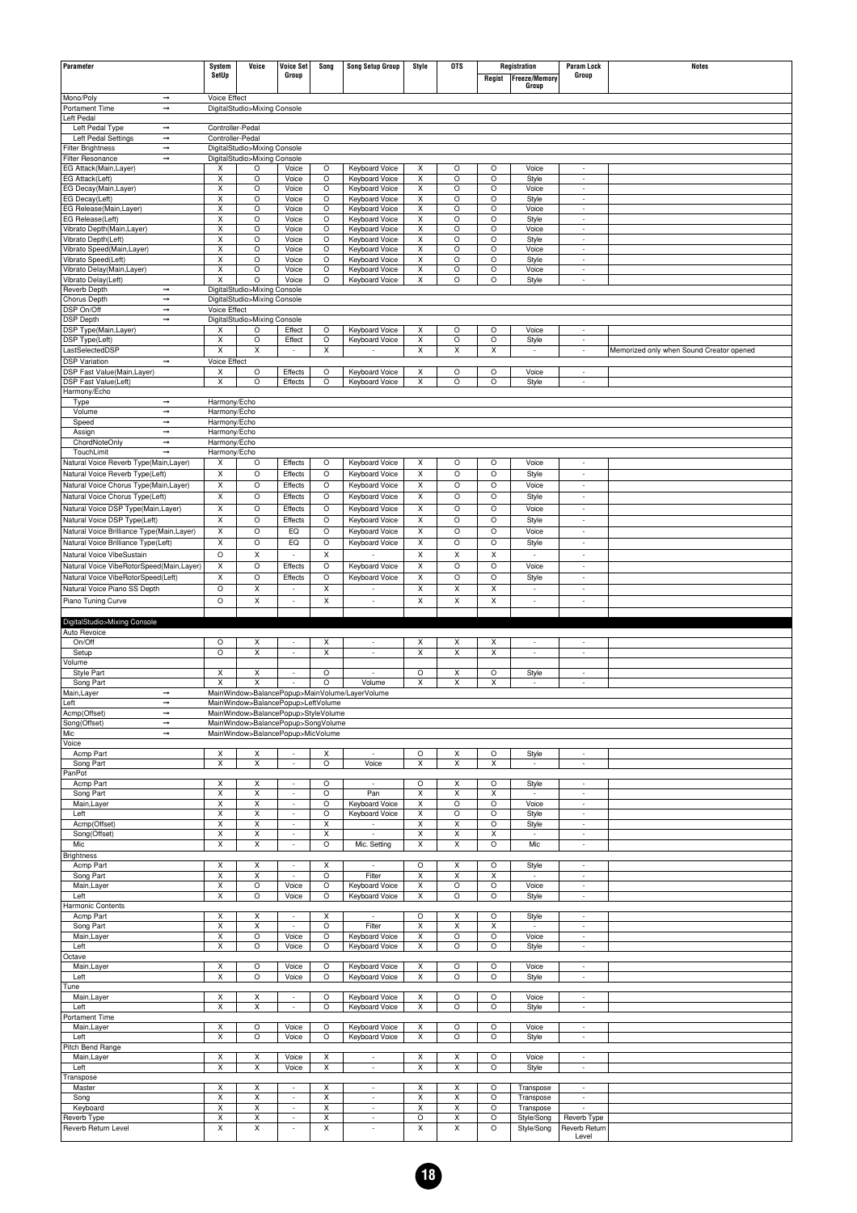| Parameter                                                  | System                       | Voice                                                                     | Voice Set                | Song               |                                                      | Style                   | <b>OTS</b>              |                         | Registration                                         | <b>Param Lock</b>                                    | <b>Notes</b>                             |
|------------------------------------------------------------|------------------------------|---------------------------------------------------------------------------|--------------------------|--------------------|------------------------------------------------------|-------------------------|-------------------------|-------------------------|------------------------------------------------------|------------------------------------------------------|------------------------------------------|
|                                                            | SetUp                        |                                                                           | Group                    |                    | <b>Song Setup Group</b>                              |                         |                         | Regist                  | <b>Freeze/Memory</b>                                 | Group                                                |                                          |
|                                                            |                              |                                                                           |                          |                    |                                                      |                         |                         |                         | Group                                                |                                                      |                                          |
| Mono/Poly<br>$\rightarrow$                                 | Voice Effect                 |                                                                           |                          |                    |                                                      |                         |                         |                         |                                                      |                                                      |                                          |
| Portament Time<br>$\rightarrow$                            |                              | DigitalStudio>Mixing Console                                              |                          |                    |                                                      |                         |                         |                         |                                                      |                                                      |                                          |
| Left Pedal                                                 |                              |                                                                           |                          |                    |                                                      |                         |                         |                         |                                                      |                                                      |                                          |
| Left Pedal Type<br>$\rightarrow$<br>Left Pedal Settings    | Controller-Pedal             |                                                                           |                          |                    |                                                      |                         |                         |                         |                                                      |                                                      |                                          |
| $\rightarrow$<br>$\rightarrow$<br><b>Filter Brightness</b> | Controller-Pedal             | DigitalStudio>Mixing Console                                              |                          |                    |                                                      |                         |                         |                         |                                                      |                                                      |                                          |
| Filter Resonance<br>$\rightarrow$                          |                              | DigitalStudio>Mixing Console                                              |                          |                    |                                                      |                         |                         |                         |                                                      |                                                      |                                          |
| EG Attack(Main, Layer)                                     | х                            | O                                                                         | Voice                    | O                  | Keyboard Voice                                       | X                       | O                       | $\circ$                 | Voice                                                | $\overline{\phantom{a}}$                             |                                          |
| EG Attack(Left)                                            | X                            | O                                                                         | Voice                    | $\circ$            | Keyboard Voice                                       | X                       | $\circ$                 | $\circ$                 | Style                                                | l,                                                   |                                          |
| EG Decay(Main,Layer)                                       | X                            | O                                                                         | Voice                    | O                  | Keyboard Voice                                       | X                       | O                       | $\circ$                 | Voice                                                | $\overline{\phantom{a}}$                             |                                          |
| EG Decay(Left)                                             | Х                            | O                                                                         | Voice                    | O                  | Keyboard Voice                                       | X                       | O                       | $\circ$                 | Style                                                | $\overline{\phantom{a}}$                             |                                          |
| EG Release(Main, Layer)                                    | X                            | O<br>O                                                                    | Voice                    | $\circ$            | Keyboard Voice                                       | X                       | O                       | $\circ$<br>$\circ$      | Voice                                                | $\overline{a}$                                       |                                          |
| EG Release(Left)<br>Vibrato Depth(Main,Layer)              | Χ<br>х                       | $\circ$                                                                   | Voice<br>Voice           | O<br>O             | Keyboard Voice<br>Keyboard Voice                     | X<br>X                  | O<br>O                  | O                       | Style<br>Voice                                       | $\overline{\phantom{a}}$<br>$\overline{\phantom{a}}$ |                                          |
| Vibrato Depth(Left)                                        | X                            | O                                                                         | Voice                    | $\circ$            | Keyboard Voice                                       | X                       | O                       | $\circ$                 | Style                                                | $\overline{a}$                                       |                                          |
| Vibrato Speed(Main, Layer)                                 | X                            | O                                                                         | Voice                    | O                  | Keyboard Voice                                       | X                       | O                       | $\circ$                 | Voice                                                | ÷                                                    |                                          |
| Vibrato Speed(Left)                                        | Х                            | O                                                                         | Voice                    | O                  | <b>Keyboard Voice</b>                                | X                       | O                       | $\circ$                 | Style                                                | $\overline{\phantom{a}}$                             |                                          |
| Vibrato Delay(Main, Layer)                                 | Χ                            | O                                                                         | Voice                    | $\circ$            | Keyboard Voice                                       | X                       | O                       | $\circ$                 | Voice                                                | $\overline{a}$                                       |                                          |
| Vibrato Delay(Left)<br>Reverb Depth<br>$\rightarrow$       | X                            | O<br>DigitalStudio>Mixing Console                                         | Voice                    | $\circ$            | Keyboard Voice                                       | X                       | O                       | $\circ$                 | Style                                                | $\overline{\phantom{a}}$                             |                                          |
| Chorus Depth<br>$\rightarrow$                              |                              | DigitalStudio>Mixing Console                                              |                          |                    |                                                      |                         |                         |                         |                                                      |                                                      |                                          |
| DSP On/Off<br>$\rightarrow$                                | Voice Effect                 |                                                                           |                          |                    |                                                      |                         |                         |                         |                                                      |                                                      |                                          |
| <b>DSP Depth</b><br>$\rightarrow$                          |                              | DigitalStudio>Mixing Console                                              |                          |                    |                                                      |                         |                         |                         |                                                      |                                                      |                                          |
| DSP Type(Main,Layer)                                       | Χ                            | $\circ$                                                                   | Effect                   | $\circ$            | Keyboard Voice                                       | X                       | O                       | $\circ$                 | Voice                                                | $\overline{a}$                                       |                                          |
| DSP Type(Left)                                             | Χ                            | O                                                                         | Effect                   | $\circ$            | Keyboard Voice                                       | X                       | O                       | $\circ$                 | Style                                                | $\overline{\phantom{a}}$                             |                                          |
| LastSelectedDSP                                            | X                            | x                                                                         | $\overline{\phantom{a}}$ | Х                  | $\overline{\phantom{a}}$                             | X                       | Χ                       | Х                       | $\overline{\phantom{a}}$                             | $\overline{\phantom{a}}$                             | Memorized only when Sound Creator opened |
| <b>DSP Variation</b><br>$\rightarrow$                      | Voice Effect                 |                                                                           |                          | O                  |                                                      |                         |                         | O                       |                                                      |                                                      |                                          |
| DSP Fast Value(Main, Layer)<br>DSP Fast Value(Left)        | х<br>Χ                       | O<br>O                                                                    | Effects<br>Effects       | $\circ$            | <b>Keyboard Voice</b><br><b>Keyboard Voice</b>       | X<br>X                  | O<br>O                  | $\circ$                 | Voice<br>Style                                       | $\overline{\phantom{a}}$<br>÷,                       |                                          |
| Harmony/Echo                                               |                              |                                                                           |                          |                    |                                                      |                         |                         |                         |                                                      |                                                      |                                          |
| Type<br>$\rightarrow$                                      | Harmony/Echo                 |                                                                           |                          |                    |                                                      |                         |                         |                         |                                                      |                                                      |                                          |
| $\rightarrow$<br>Volume                                    | Harmony/Echo                 |                                                                           |                          |                    |                                                      |                         |                         |                         |                                                      |                                                      |                                          |
| Speed<br>$\rightarrow$                                     | Harmony/Echo                 |                                                                           |                          |                    |                                                      |                         |                         |                         |                                                      |                                                      |                                          |
| Assign<br>$\rightarrow$<br>$\rightarrow$                   | Harmony/Echo                 |                                                                           |                          |                    |                                                      |                         |                         |                         |                                                      |                                                      |                                          |
| ChordNoteOnly<br>TouchLimit<br>$\rightarrow$               | Harmony/Echo<br>Harmony/Echo |                                                                           |                          |                    |                                                      |                         |                         |                         |                                                      |                                                      |                                          |
| Natural Voice Reverb Type(Main,Layer)                      | х                            | O                                                                         | Effects                  | O                  | Keyboard Voice                                       | X                       | $\circ$                 | $\circ$                 | Voice                                                | $\overline{\phantom{a}}$                             |                                          |
| Natural Voice Reverb Type(Left)                            | X                            | O                                                                         | Effects                  | O                  | Keyboard Voice                                       | X                       | O                       | $\circ$                 | Style                                                | $\overline{\phantom{a}}$                             |                                          |
| Natural Voice Chorus Type(Main,Layer)                      | X                            | $\circ$                                                                   | Effects                  | $\circ$            | Keyboard Voice                                       | X                       | $\overline{\text{o}}$   | $\circ$                 | Voice                                                | $\sim$                                               |                                          |
| Natural Voice Chorus Type(Left)                            | $\overline{\mathsf{x}}$      | $\overline{\circ}$                                                        | Effects                  | $\circ$            | <b>Keyboard Voice</b>                                | X                       | $\overline{\circ}$      | $\circ$                 | Style                                                | $\overline{\phantom{a}}$                             |                                          |
| Natural Voice DSP Type(Main,Layer)                         | X                            | O                                                                         | Effects                  | $\circ$            | Keyboard Voice                                       | X                       | O                       | $\circ$                 | Voice                                                | $\sim$                                               |                                          |
| Natural Voice DSP Type(Left)                               | X                            | $\circ$                                                                   | Effects                  | $\circ$            | Keyboard Voice                                       | X                       | $\overline{\text{o}}$   | $\circ$                 | Style                                                | $\overline{\phantom{a}}$                             |                                          |
| Natural Voice Brilliance Type(Main,Layer)                  | $\overline{\mathsf{x}}$      | $\overline{\circ}$                                                        | EQ                       | $\circ$            | <b>Keyboard Voice</b>                                | $\overline{\mathsf{x}}$ | $\overline{\circ}$      | $\overline{\circ}$      | Voice                                                | $\overline{\phantom{a}}$                             |                                          |
| Natural Voice Brilliance Type(Left)                        | X                            | O                                                                         | EQ                       | $\circ$            | Keyboard Voice                                       | X                       | O                       | $\circ$                 | Style                                                | $\overline{\phantom{a}}$                             |                                          |
| Natural Voice VibeSustain                                  | $\circ$                      | $\overline{\mathsf{x}}$                                                   |                          | X                  |                                                      | X                       | $\overline{\mathsf{x}}$ | X                       |                                                      | $\sim$                                               |                                          |
| Natural Voice VibeRotorSpeed(Main,Layer)                   | $\overline{\mathsf{x}}$      | $\overline{\circ}$                                                        | Effects                  | $\circ$            | Keyboard Voice                                       | $\overline{\mathsf{x}}$ | $\overline{\circ}$      | $\overline{\circ}$      | Voice                                                | $\overline{\phantom{a}}$                             |                                          |
| Natural Voice VibeRotorSpeed(Left)                         | X                            | O                                                                         | Effects                  | $\circ$            | Keyboard Voice                                       | X                       | O                       | $\circ$                 | Style                                                | ×,                                                   |                                          |
| Natural Voice Piano SS Depth                               | $\circ$                      | $\overline{\mathsf{x}}$                                                   |                          | X                  |                                                      | X                       | $\overline{\mathsf{x}}$ | $\overline{\mathsf{x}}$ | ÷                                                    | $\overline{\phantom{a}}$                             |                                          |
| Piano Tuning Curve                                         | O                            | $\overline{\mathsf{x}}$                                                   | $\overline{\phantom{a}}$ | X                  | $\sim$                                               | $\overline{\mathsf{x}}$ | $\overline{\mathsf{x}}$ | $\overline{\mathsf{x}}$ | $\overline{\phantom{a}}$                             | $\overline{\phantom{a}}$                             |                                          |
|                                                            |                              |                                                                           |                          |                    |                                                      |                         |                         |                         |                                                      |                                                      |                                          |
| DigitalStudio>Mixing Console                               |                              |                                                                           |                          |                    |                                                      |                         |                         |                         |                                                      |                                                      |                                          |
| Auto Revoice                                               | O                            |                                                                           | $\sim$                   |                    |                                                      | X                       |                         |                         |                                                      |                                                      |                                          |
| On/Off<br>Setup                                            | O                            | X<br>X                                                                    | $\overline{\phantom{a}}$ | X<br>X             | $\overline{\phantom{a}}$<br>$\overline{\phantom{a}}$ | X                       | X<br>X                  | X<br>Х                  | $\overline{\phantom{a}}$<br>$\overline{\phantom{a}}$ | $\overline{\phantom{a}}$<br>$\overline{\phantom{a}}$ |                                          |
| Volume                                                     |                              |                                                                           |                          |                    |                                                      |                         |                         |                         |                                                      |                                                      |                                          |
| Style Part                                                 | Χ                            | Χ                                                                         | ÷                        | $\circ$            | ÷                                                    | O                       | X                       | $\circ$                 | Style                                                | $\overline{\phantom{a}}$                             |                                          |
| Song Part                                                  | х                            | X                                                                         | $\overline{\phantom{a}}$ | O                  | Volume                                               | X                       | X                       | X                       | $\overline{\phantom{a}}$                             | $\overline{\phantom{a}}$                             |                                          |
| Main, Layer<br>$\rightarrow$                               |                              |                                                                           |                          |                    | MainWindow>BalancePopup>MainVolume/LayerVolume       |                         |                         |                         |                                                      |                                                      |                                          |
| Left<br>Acmp(Offset)<br>$\rightarrow$                      |                              | MainWindow>BalancePopup>LeftVolume<br>MainWindow>BalancePopup>StyleVolume |                          |                    |                                                      |                         |                         |                         |                                                      |                                                      |                                          |
| Song(Offset)<br>$\rightarrow$                              |                              | MainWindow>BalancePopup>SongVolume                                        |                          |                    |                                                      |                         |                         |                         |                                                      |                                                      |                                          |
| Mic<br>$\rightarrow$                                       |                              | MainWindow>BalancePopup>MicVolume                                         |                          |                    |                                                      |                         |                         |                         |                                                      |                                                      |                                          |
| Voice                                                      |                              |                                                                           |                          |                    |                                                      |                         |                         |                         |                                                      |                                                      |                                          |
| Acmp Part                                                  | х                            | х                                                                         | $\overline{\phantom{a}}$ | Х                  | $\overline{\phantom{a}}$                             | $\circ$                 | X                       | $\circ$                 | Style                                                | $\overline{a}$                                       |                                          |
| Song Part                                                  | x                            | x                                                                         | $\overline{\phantom{a}}$ | $\circ$            | Voice                                                | X                       | X                       | Х                       | $\overline{\phantom{a}}$                             | ÷                                                    |                                          |
| PanPot                                                     |                              |                                                                           |                          |                    |                                                      |                         |                         |                         |                                                      | ٠                                                    |                                          |
| Acmp Part<br>Song Part                                     | X<br>X                       | Χ<br>Χ                                                                    | $\overline{\phantom{a}}$ | $\circ$<br>$\circ$ | Pan                                                  | $\circ$<br>X            | X<br>Χ                  | $\circ$<br>X            | Style<br>$\sim$                                      | $\overline{\phantom{a}}$                             |                                          |
| Main, Layer                                                | X                            | X                                                                         | $\overline{\phantom{a}}$ | O                  | Keyboard Voice                                       | X                       | O                       | $\circ$                 | Voice                                                | $\overline{\phantom{a}}$                             |                                          |
| Left                                                       | X                            | X                                                                         | $\sim$                   | $\circ$            | Keyboard Voice                                       | X                       | O                       | $\circ$                 | Style                                                | ×,                                                   |                                          |
| Acmp(Offset)                                               | X                            | Χ                                                                         | $\overline{\phantom{a}}$ | X                  | $\overline{\phantom{a}}$                             | X                       | Χ                       | $\circ$                 | Style                                                | $\overline{\phantom{a}}$                             |                                          |
| Song(Offset)                                               | X                            | X                                                                         | $\sim$                   | X                  | $\overline{\phantom{a}}$                             | X                       | Χ                       | Х                       | $\overline{\phantom{a}}$                             | $\overline{\phantom{a}}$                             |                                          |
| Mic                                                        | Χ                            | Χ                                                                         | $\overline{\phantom{a}}$ | $\circ$            | Mic. Setting                                         | X                       | Χ                       | $\circ$                 | Mic                                                  | ×,                                                   |                                          |
| <b>Brightness</b><br>Acmp Part                             | X                            | X                                                                         | $\sim$                   | X                  |                                                      | O                       | Χ                       | $\circ$                 | Style                                                | $\sim$                                               |                                          |
| Song Part                                                  | X                            | X                                                                         |                          | $\circ$            | Filter                                               | X                       | X                       | X                       |                                                      | $\overline{\phantom{a}}$                             |                                          |
| Main, Layer                                                | X                            | $\circ$                                                                   | Voice                    | O                  | <b>Keyboard Voice</b>                                | X                       | $\overline{\circ}$      | $\circ$                 | Voice                                                | $\overline{\phantom{a}}$                             |                                          |
| Left                                                       | Χ                            | O                                                                         | Voice                    | $\circ$            | Keyboard Voice                                       | X                       | O                       | $\circ$                 | Style                                                | ÷                                                    |                                          |
| Harmonic Contents                                          |                              |                                                                           |                          |                    |                                                      |                         |                         |                         |                                                      |                                                      |                                          |
| Acmp Part                                                  | х                            | х                                                                         | $\overline{\phantom{a}}$ | X                  | $\overline{\phantom{a}}$                             | O                       | X                       | O                       | Style                                                | $\overline{\phantom{a}}$                             |                                          |
| Song Part                                                  | X<br>X                       | Χ<br>$\circ$                                                              | ÷                        | $\circ$            | Filter                                               | X<br>X                  | X<br>O                  | X<br>$\circ$            |                                                      | ÷<br>$\overline{\phantom{a}}$                        |                                          |
| Main, Layer<br>Left                                        | X                            | O                                                                         | Voice<br>Voice           | O<br>O             | Keyboard Voice<br>Keyboard Voice                     | X                       | O                       | $\circ$                 | Voice<br>Style                                       | $\overline{\phantom{a}}$                             |                                          |
| Octave                                                     |                              |                                                                           |                          |                    |                                                      |                         |                         |                         |                                                      |                                                      |                                          |
| Main, Layer                                                | Х                            | O                                                                         | Voice                    | O                  | Keyboard Voice                                       | X                       | O                       | $\circ$                 | Voice                                                | $\overline{\phantom{a}}$                             |                                          |
| Left                                                       | x                            | $\circ$                                                                   | Voice                    | O                  | Keyboard Voice                                       | X                       | O                       | $\circ$                 | Style                                                | $\sim$                                               |                                          |
| Tune                                                       |                              |                                                                           |                          |                    |                                                      |                         |                         |                         |                                                      |                                                      |                                          |
| Main, Layer                                                | x                            | х                                                                         | $\sim$                   | O                  | Keyboard Voice                                       | X                       | O                       | $\circ$                 | Voice                                                | $\sim$                                               |                                          |
| Left<br>Portament Time                                     | X                            | X                                                                         | $\overline{\phantom{a}}$ | O                  | Keyboard Voice                                       | X                       | O                       | $\circ$                 | Style                                                | $\sim$                                               |                                          |
| Main, Layer                                                | Χ                            | O                                                                         | Voice                    | O                  | Keyboard Voice                                       | X                       | O                       | $\circ$                 | Voice                                                | $\overline{\phantom{a}}$                             |                                          |
| Left                                                       | X                            | O                                                                         | Voice                    | $\circ$            | Keyboard Voice                                       | X                       | O                       | $\circ$                 | Style                                                | $\sim$                                               |                                          |
| Pitch Bend Range                                           |                              |                                                                           |                          |                    |                                                      |                         |                         |                         |                                                      |                                                      |                                          |
| Main, Layer                                                | x                            | X                                                                         | Voice                    | Х                  | $\overline{\phantom{a}}$                             | X                       | X                       | $\circ$                 | Voice                                                | $\sim$                                               |                                          |
| Left                                                       | х                            | X                                                                         | Voice                    | X                  | $\overline{\phantom{a}}$                             | X                       | Χ                       | $\circ$                 | Style                                                | $\overline{\phantom{a}}$                             |                                          |
| Transpose<br>Master                                        | Χ                            | Х                                                                         |                          | х                  | $\overline{\phantom{a}}$                             | x                       | Χ                       | O                       | Transpose                                            | $\overline{\phantom{a}}$                             |                                          |
| Song                                                       | X                            | X                                                                         | $\sim$                   | X                  | $\sim$                                               | X                       | X                       | O                       | Transpose                                            | $\overline{\phantom{a}}$                             |                                          |
| Keyboard                                                   | Χ                            | Χ                                                                         | $\sim$                   | X                  | $\overline{\phantom{a}}$                             | X                       | X                       | $\circ$                 | Transpose                                            | ÷,                                                   |                                          |
| Reverb Type                                                | Χ                            | x                                                                         | $\overline{\phantom{a}}$ | X                  | $\overline{\phantom{a}}$                             | O                       | Χ                       | $\circ$                 | Style/Song                                           | Reverb Type                                          |                                          |
| Reverb Return Level                                        | X                            | X                                                                         | $\overline{\phantom{a}}$ | $\pmb{\times}$     | $\overline{\phantom{a}}$                             | X                       | X                       | $\circ$                 | Style/Song                                           | Reverb Return<br>Level                               |                                          |
|                                                            |                              |                                                                           |                          |                    |                                                      |                         |                         |                         |                                                      |                                                      |                                          |

**18**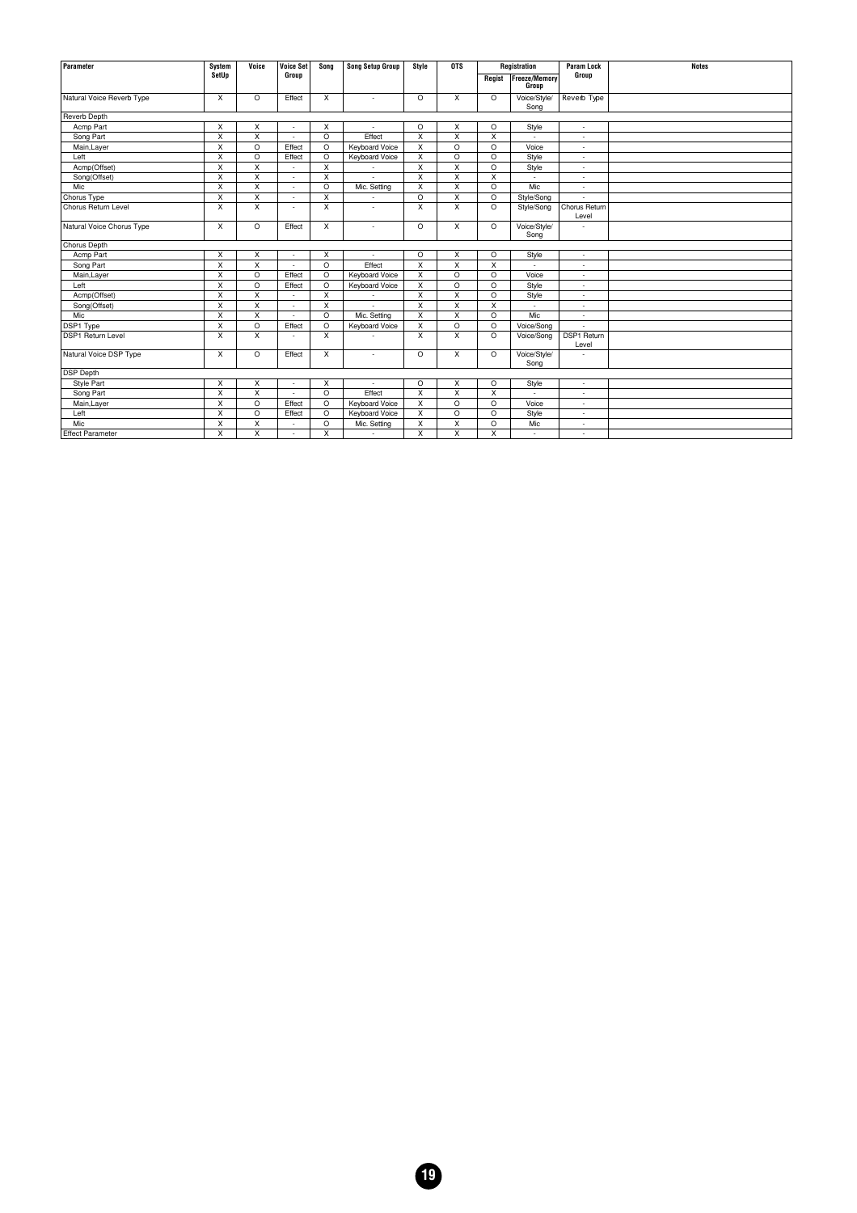| Parameter                 | System                  | Voice                   | <b>Voice Set</b>         | Sona         | <b>Song Setup Group</b>  | Style                   | <b>OTS</b>              |                         | Registration         | <b>Param Lock</b>      | <b>Notes</b> |
|---------------------------|-------------------------|-------------------------|--------------------------|--------------|--------------------------|-------------------------|-------------------------|-------------------------|----------------------|------------------------|--------------|
|                           | SetUp                   |                         | Group                    |              |                          |                         |                         | Regist                  | <b>Freeze/Memory</b> | Group                  |              |
|                           |                         |                         |                          |              |                          |                         |                         |                         | Group                |                        |              |
| Natural Voice Reverb Type | X                       | O                       | Effect                   | X            | ٠                        | $\circ$                 | X                       | $\circ$                 | Voice/Style/<br>Song | Reverb Type            |              |
| <b>Reverb Depth</b>       |                         |                         |                          |              |                          |                         |                         |                         |                      |                        |              |
| Acmp Part                 | X                       | X                       |                          | X            | $\overline{a}$           | $\circ$                 | X                       | $\circ$                 | Style                | ÷                      |              |
| Song Part                 | X                       | $\overline{\mathsf{x}}$ | $\overline{\phantom{a}}$ | $\circ$      | Effect                   | X                       | $\overline{X}$          | X                       | $\overline{a}$       | ä,                     |              |
| Main, Layer               | X                       | O                       | Effect                   | $\circ$      | Keyboard Voice           | X                       | $\circ$                 | $\circ$                 | Voice                | ÷                      |              |
| Left                      | X                       | O                       | Effect                   | $\circ$      | <b>Keyboard Voice</b>    | X                       | $\circ$                 | $\circ$                 | Style                | ä,                     |              |
| Acmp(Offset)              | X                       | X                       |                          | $\mathsf{x}$ |                          | X                       | X                       | $\circ$                 | Style                | ÷,                     |              |
| Song(Offset)              | X                       | $\overline{X}$          | $\sim$                   | X            | $\overline{a}$           | X                       | X                       | X                       | ÷                    | ä,                     |              |
| Mic                       | $\overline{\mathsf{x}}$ | $\overline{\mathsf{x}}$ | $\sim$                   | $\circ$      | Mic. Setting             | X                       | X                       | $\circ$                 | Mic                  | ÷,                     |              |
| Chorus Type               | X                       | X                       | $\overline{\phantom{a}}$ | X            |                          | $\circ$                 | X                       | $\circ$                 | Style/Song           |                        |              |
| Chorus Return Level       | $\overline{\mathsf{x}}$ | $\overline{X}$          | $\overline{\phantom{a}}$ | X            | $\overline{a}$           | X                       | $\overline{\mathsf{x}}$ | $\circ$                 | Style/Song           | Chorus Return<br>Level |              |
| Natural Voice Chorus Type | X                       | O                       | Effect                   | X            | ٠                        | $\circ$                 | X                       | $\circ$                 | Voice/Style/<br>Song |                        |              |
| Chorus Depth              |                         |                         |                          |              |                          |                         |                         |                         |                      |                        |              |
| Acmp Part                 | $\overline{\mathsf{x}}$ | $\overline{\mathsf{x}}$ | $\overline{\phantom{a}}$ | X            |                          | $\circ$                 | $\overline{\mathsf{x}}$ | $\circ$                 | Style                | ×,                     |              |
| Song Part                 | $\overline{\mathsf{x}}$ | $\overline{\mathsf{x}}$ |                          | $\circ$      | Effect                   | $\overline{\mathsf{x}}$ | $\overline{\mathsf{x}}$ | $\overline{\mathsf{x}}$ |                      | ä,                     |              |
| Main, Layer               | X                       | $\circ$                 | Effect                   | $\circ$      | Keyboard Voice           | X                       | $\circ$                 | $\circ$                 | Voice                | ä,                     |              |
| Left                      | $\overline{\mathsf{x}}$ | $\overline{\circ}$      | Effect                   | $\circ$      | Keyboard Voice           | $\overline{\mathsf{x}}$ | $\overline{\circ}$      | $\circ$                 | Style                | ä,                     |              |
| Acmp(Offset)              | $\overline{\mathsf{x}}$ | $\overline{\mathsf{x}}$ |                          | X            |                          | X                       | $\overline{\mathsf{x}}$ | $\circ$                 | Style                | ä,                     |              |
| Song(Offset)              | $\times$                | $\times$                |                          | $\mathsf{x}$ |                          | $\mathsf{x}$            | X                       | X                       |                      | ä,                     |              |
| Mic                       | X                       | $\overline{\mathsf{x}}$ |                          | $\circ$      | Mic. Setting             | X                       | $\overline{\mathsf{x}}$ | $\circ$                 | Mic                  | J.                     |              |
| DSP1 Type                 | $\overline{\mathsf{x}}$ | $\circ$                 | Effect                   | $\circ$      | Keyboard Voice           | $\overline{\mathsf{x}}$ | $\circ$                 | $\circ$                 | Voice/Song           |                        |              |
| <b>DSP1 Return Level</b>  | X                       | X                       |                          | $\mathsf{x}$ |                          | X                       | $\mathsf{x}$            | $\circ$                 | Voice/Song           | DSP1 Return<br>Level   |              |
| Natural Voice DSP Type    | X                       | O                       | Effect                   | X            | $\overline{a}$           | $\circ$                 | X                       | $\circ$                 | Voice/Style/<br>Song | L,                     |              |
| <b>DSP Depth</b>          |                         |                         |                          |              |                          |                         |                         |                         |                      |                        |              |
| Style Part                | X                       | X                       | $\overline{\phantom{a}}$ | X            | $\overline{\phantom{a}}$ | $\circ$                 | X                       | $\circ$                 | Style                | ٠                      |              |
| Song Part                 | $\overline{\mathsf{x}}$ | $\overline{\mathsf{x}}$ | a.                       | $\circ$      | Effect                   | X                       | $\overline{\mathsf{x}}$ | X                       | ٠                    | ä,                     |              |
| Main, Layer               | $\overline{\mathsf{x}}$ | $\overline{O}$          | Effect                   | $\circ$      | <b>Keyboard Voice</b>    | $\overline{\mathsf{x}}$ | $\circ$                 | $\circ$                 | Voice                | ×,                     |              |
| Left                      | X                       | $\circ$                 | Effect                   | $\circ$      | Keyboard Voice           | X                       | $\circ$                 | $\circ$                 | Style                | ٠                      |              |
| Mic                       | $\overline{\mathsf{x}}$ | $\overline{\mathsf{x}}$ |                          | $\circ$      | Mic. Setting             | $\overline{\mathsf{x}}$ | $\overline{\mathsf{x}}$ | $\circ$                 | Mic                  | ×,                     |              |
| <b>Effect Parameter</b>   | X                       | $\overline{\mathsf{x}}$ |                          | X            | ٠                        | X                       | $\overline{\mathsf{x}}$ | X                       | $\overline{a}$       | ٠                      |              |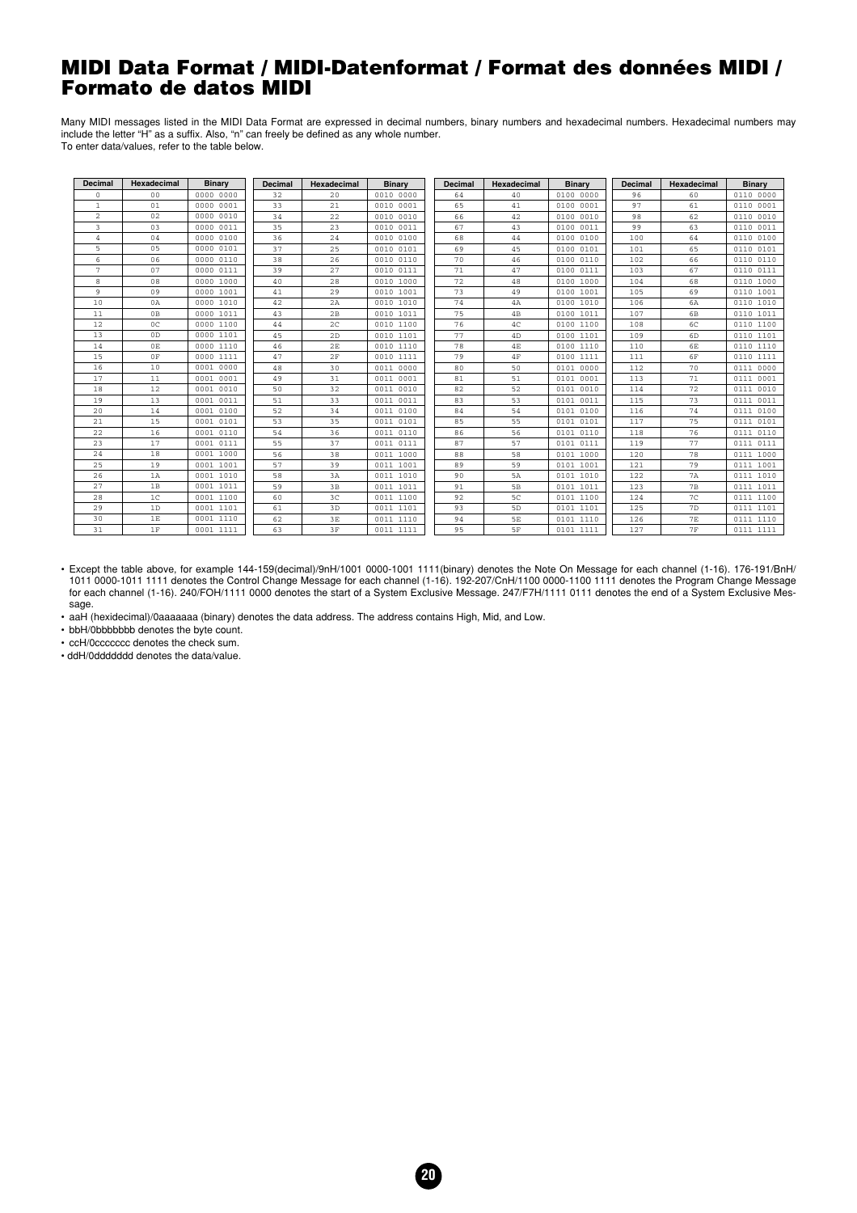#### <span id="page-19-0"></span>**MIDI Data Format / MIDI-Datenformat / Format des données MIDI / Formato de datos MIDI**

Many MIDI messages listed in the MIDI Data Format are expressed in decimal numbers, binary numbers and hexadecimal numbers. Hexadecimal numbers may include the letter "H" as a suffix. Also, "n" can freely be defined as any whole number. To enter data/values, refer to the table below.

| <b>Decimal</b>          | Hexadecimal    | <b>Binary</b> | <b>Decimal</b> | Hexadecimal    | Binary    | <b>Decimal</b> | Hexadecimal | Binary    | Decimal | Hexadecimal    | Binary    |
|-------------------------|----------------|---------------|----------------|----------------|-----------|----------------|-------------|-----------|---------|----------------|-----------|
| $\Omega$                | 0 <sup>0</sup> | 0000 0000     | 32             | 20             | 0010 0000 | 64             | 40          | 0100 0000 | 96      | 60             | 0110 0000 |
| $\mathbf{1}$            | 01             | 0000 0001     | 33             | 21             | 0010 0001 | 65             | 41          | 0100 0001 | 97      | 61             | 0110 0001 |
| $\overline{\mathbf{c}}$ | 02             | 0000 0010     | 34             | 22             | 0010 0010 | 66             | 42          | 0100 0010 | 98      | 62             | 0110 0010 |
| 3                       | 03             | 0000 0011     | 35             | 23             | 0010 0011 | 67             | 43          | 0100 0011 | 99      | 63             | 0110 0011 |
| $\overline{4}$          | 04             | 0000 0100     | 36             | 24             | 0010 0100 | 68             | 44          | 0100 0100 | 100     | 64             | 0110 0100 |
| $\overline{5}$          | 05             | 0000 0101     | 37             | 25             | 0010 0101 | 69             | 45          | 0100 0101 | 101     | 65             | 0110 0101 |
| 6                       | 06             | 0000 0110     | 38             | 26             | 0010 0110 | 70             | 46          | 0100 0110 | 102     | 66             | 0110 0110 |
| $\overline{7}$          | 07             | 0000 0111     | 39             | 27             | 0010 0111 | 71             | 47          | 0100 0111 | 103     | 67             | 0110 0111 |
| 8                       | 08             | 0000 1000     | 40             | 28             | 0010 1000 | 72             | 48          | 0100 1000 | 104     | 68             | 0110 1000 |
| 9                       | 09             | 0000 1001     | 41             | 29             | 0010 1001 | 73             | 49          | 0100 1001 | 105     | 69             | 0110 1001 |
| 10                      | 0A             | 0000 1010     | 42             | 2A             | 0010 1010 | 74             | 4A          | 0100 1010 | 106     | 6A             | 0110 1010 |
| 11                      | 0B             | 0000 1011     | 43             | 2B             | 0010 1011 | 75             | 4B          | 0100 1011 | 107     | 6 <sub>B</sub> | 0110 1011 |
| 12                      | $_{0c}$        | 0000 1100     | 44             | 2 <sup>c</sup> | 0010 1100 | 76             | 4C          | 0100 1100 | 108     | 6C             | 0110 1100 |
| 13                      | 0 <sub>D</sub> | 0000 1101     | 45             | 2D             | 0010 1101 | 77             | 4D          | 0100 1101 | 109     | 6 <sub>D</sub> | 0110 1101 |
| 14                      | 0E             | 0000 1110     | 46             | 2E             | 0010 1110 | 78             | 4E          | 0100 1110 | 110     | 6E             | 0110 1110 |
| 15                      | 0F             | 0000 1111     | 47             | 2F             | 0010 1111 | 79             | $4F$        | 0100 1111 | 111     | 6F             | 0110 1111 |
| 16                      | 10             | 0001 0000     | 48             | 30             | 0011 0000 | 80             | 50          | 0101 0000 | 112     | 70             | 0111 0000 |
| 17                      | 11             | 0001 0001     | 49             | 31             | 0011 0001 | 81             | 51          | 0101 0001 | 113     | 71             | 0111 0001 |
| 18                      | 12             | 0001 0010     | 50             | 32             | 0011 0010 | 82             | 52          | 0101 0010 | 114     | 72             | 0111 0010 |
| 19                      | 13             | 0001 0011     | 51             | 33             | 0011 0011 | 83             | 53          | 0101 0011 | 115     | 73             | 0111 0011 |
| 20                      | 14             | 0001 0100     | 52             | 34             | 0011 0100 | 84             | 54          | 0101 0100 | 116     | 74             | 0111 0100 |
| 21                      | 15             | 0001 0101     | 53             | 35             | 0011 0101 | 85             | 55          | 0101 0101 | 117     | 75             | 0111 0101 |
| 22                      | 16             | 0001 0110     | 54             | 36             | 0011 0110 | 86             | 56          | 0101 0110 | 118     | 76             | 0111 0110 |
| 23                      | 17             | 0001 0111     | 55             | 37             | 0011 0111 | 87             | 57          | 0101 0111 | 119     | 77             | 0111 0111 |
| 24                      | 18             | 0001 1000     | 56             | 38             | 0011 1000 | 88             | 58          | 0101 1000 | 120     | 78             | 0111 1000 |
| 25                      | 19             | 0001 1001     | 57             | 39             | 0011 1001 | 89             | 59          | 0101 1001 | 121     | 79             | 0111 1001 |
| 26                      | 1A             | 0001 1010     | 58             | 3A             | 0011 1010 | 90             | 5A          | 0101 1010 | 122     | 7A             | 0111 1010 |
| 27                      | 1B             | 0001 1011     | 59             | 3B             | 0011 1011 | 91             | 5B          | 0101 1011 | 123     | 7B             | 0111 1011 |
| 28                      | 1 <sup>C</sup> | 0001 1100     | 60             | 3 <sup>C</sup> | 0011 1100 | 92             | 5C          | 0101 1100 | 124     | 7 <sup>C</sup> | 0111 1100 |
| 29                      | 1D             | 0001 1101     | 61             | 3D             | 0011 1101 | 93             | 5D          | 0101 1101 | 125     | 7D             | 0111 1101 |
| 30                      | 1E             | 0001 1110     | 62             | 3E             | 0011 1110 | 94             | 5E          | 0101 1110 | 126     | 7E             | 0111 1110 |
| 31                      | 1F             | 0001 1111     | 63             | 3F             | 0011 1111 | 95             | 5F          | 0101 1111 | 127     | 7F             | 0111 1111 |

• Except the table above, for example 144-159(decimal)/9nH/1001 0000-1001 1111(binary) denotes the Note On Message for each channel (1-16). 176-191/BnH/ 1011 0000-1011 1111 denotes the Control Change Message for each channel (1-16). 192-207/CnH/1100 0000-1100 1111 denotes the Program Change Message for each channel (1-16). 240/FOH/1111 0000 denotes the start of a System Exclusive Message. 247/F7H/1111 0111 denotes the end of a System Exclusive Message.

• aaH (hexidecimal)/0aaaaaaa (binary) denotes the data address. The address contains High, Mid, and Low.

• bbH/0bbbbbbb denotes the byte count.

• ccH/0ccccccc denotes the check sum.

• ddH/0ddddddd denotes the data/value.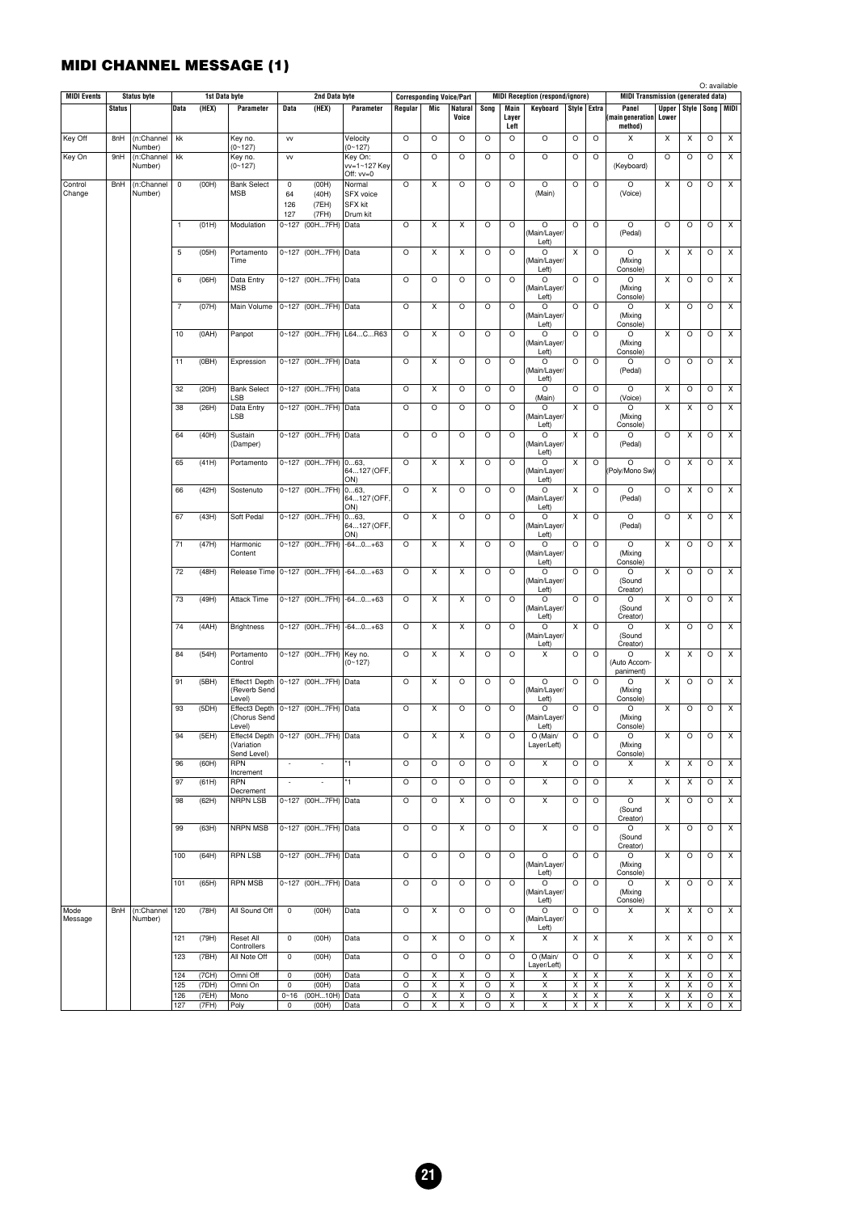## **MIDI CHANNEL MESSAGE (1)**

|                    |               |                       |                |                |                                                       |                          |                                  |                            |         |                                        |                  |         |                     |                                        |                                |                                |                                           |                                      |                     | O: available |                  |
|--------------------|---------------|-----------------------|----------------|----------------|-------------------------------------------------------|--------------------------|----------------------------------|----------------------------|---------|----------------------------------------|------------------|---------|---------------------|----------------------------------------|--------------------------------|--------------------------------|-------------------------------------------|--------------------------------------|---------------------|--------------|------------------|
| <b>MIDI Events</b> |               | <b>Status byte</b>    | <b>Data</b>    | 1st Data byte  | Parameter                                             |                          | 2nd Data byte                    | Parameter                  |         | <b>Corresponding Voice/Part</b><br>Mic |                  |         |                     | <b>MIDI Reception (respond/ignore)</b> |                                |                                | <b>MIDI Transmission (generated data)</b> |                                      |                     |              |                  |
|                    | <b>Status</b> |                       |                | (HEX)          |                                                       | Data                     | (HEX)                            |                            | Regular |                                        | Natural<br>Voice | Song    | Main<br>Layer       | Keyboard                               | Style Extra                    |                                | Panel<br>(main generation                 | Upper   Style   Song   MIDI<br>Lower |                     |              |                  |
|                    |               |                       |                |                |                                                       |                          |                                  |                            |         |                                        |                  |         | Left                |                                        |                                |                                | method)                                   |                                      |                     |              |                  |
| Key Off            | 8nH           | (n:Channel<br>Number) | kk             |                | Key no.<br>$(0 - 127)$                                | <b>VV</b>                |                                  | Velocity<br>$(0 - 127)$    | O       | O                                      | O                | $\circ$ | $\circ$             | $\circ$                                | $\circ$                        | $\circ$                        | X                                         | X                                    | X                   | $\circ$      | X                |
| Key On             | 9nH           | (n:Channel            | kk             |                | Key no.                                               | w                        |                                  | Key On:                    | O       | O                                      | O                | O       | O                   | O                                      | O                              | O                              | O                                         | O                                    | O                   | $\circ$      | Х                |
|                    |               | Number)               |                |                | $(0 - 127)$                                           |                          |                                  | vv=1~127 Key<br>Off: vv=0  |         |                                        |                  |         |                     |                                        |                                |                                | (Keyboard)                                |                                      |                     |              |                  |
| Control            | BnH           | (n:Channel            | $\mathsf 0$    | (OOH)          | <b>Bank Select</b>                                    | $\mathsf 0$              | (OOH)                            | Normal                     | O       | X                                      | O                | $\circ$ | $\circ$             | $\circ$                                | $\circ$                        | $\circ$                        | $\circ$                                   | Χ                                    | $\circ$             | $\circ$      | $\pmb{\times}$   |
| Change             |               | Number)               |                |                | <b>MSB</b>                                            | 64                       | (40H)                            | SFX voice                  |         |                                        |                  |         |                     | (Main)                                 |                                |                                | (Voice)                                   |                                      |                     |              |                  |
|                    |               |                       |                |                |                                                       | 126<br>127               | (7EH)<br>(7FH)                   | <b>SFX kit</b><br>Drum kit |         |                                        |                  |         |                     |                                        |                                |                                |                                           |                                      |                     |              |                  |
|                    |               |                       | $\mathbf{1}$   | (01H)          | Modulation                                            |                          | 0~127 (00H7FH)                   | Data                       | O       | X                                      | X                | $\circ$ | $\circ$             | $\circ$                                | $\circ$                        | $\circ$                        | O                                         | $\circ$                              | $\circ$             | $\circ$      | X                |
|                    |               |                       |                |                |                                                       |                          |                                  |                            |         |                                        |                  |         |                     | (Main/Layer/<br>Left)                  |                                |                                | (Pedal)                                   |                                      |                     |              |                  |
|                    |               |                       | 5              | (05H)          | Portamento                                            |                          | 0~127 (00H7FH) Data              |                            | O       | X                                      | X                | $\circ$ | $\circ$             | O                                      | Χ                              | $\circ$                        | O                                         | Х                                    | Χ                   | $\circ$      | Х                |
|                    |               |                       |                |                | Time                                                  |                          |                                  |                            |         |                                        |                  |         |                     | (Main/Layer/<br>Left)                  |                                |                                | (Mixing<br>Console)                       |                                      |                     |              |                  |
|                    |               |                       | 6              | (06H)          | Data Entry                                            |                          | 0~127 (00H7FH)                   | Data                       | $\circ$ | $\circ$                                | O                | $\circ$ | $\circ$             | O                                      | $\circ$                        | $\circ$                        | O                                         | Χ                                    | $\circ$             | $\circ$      | $\pmb{\times}$   |
|                    |               |                       |                |                | MSB                                                   |                          |                                  |                            |         |                                        |                  |         |                     | (Main/Layer/<br>Left)                  |                                |                                | (Mixing<br>Console)                       |                                      |                     |              |                  |
|                    |               |                       | $\overline{7}$ | (07H)          | Main Volume                                           |                          | 0~127 (00H7FH) Data              |                            | O       | X                                      | O                | $\circ$ | O                   | O                                      | O                              | $\circ$                        | O                                         | X                                    | $\circ$             | $\circ$      | Х                |
|                    |               |                       |                |                |                                                       |                          |                                  |                            |         |                                        |                  |         |                     | (Main/Layer/<br>Left)                  |                                |                                | (Mixing<br>Console)                       |                                      |                     |              |                  |
|                    |               |                       | 10             | (OAH)          | Panpot                                                |                          |                                  | 0~127 (00H7FH) L64CR63     | O       | X                                      | O                | O       | O                   | O                                      | $\circ$                        | $\circ$                        | O                                         | х                                    | $\circ$             | $\circ$      | Х                |
|                    |               |                       |                |                |                                                       |                          |                                  |                            |         |                                        |                  |         |                     | (Main/Layer/<br>Left)                  |                                |                                | (Mixing<br>Console)                       |                                      |                     |              |                  |
|                    |               |                       | 11             | (OBH)          | Expression                                            |                          | 0~127 (00H7FH) Data              |                            | $\circ$ | X                                      | $\circ$          | $\circ$ | $\circ$             | $\circ$                                | $\circ$                        | $\circ$                        | O                                         | $\circ$                              | $\circ$             | $\circ$      | X                |
|                    |               |                       |                |                |                                                       |                          |                                  |                            |         |                                        |                  |         |                     | (Main/Layer/<br>Left)                  |                                |                                | (Pedal)                                   |                                      |                     |              |                  |
|                    |               |                       | 32             | (20H)          | <b>Bank Select</b>                                    |                          | 0~127 (00H7FH) Data              |                            | O       | X                                      | O                | $\circ$ | $\circ$             | O                                      | $\circ$                        | $\circ$                        | $\circ$                                   | X                                    | $\circ$             | $\circ$      | X                |
|                    |               |                       |                |                | LSB                                                   |                          |                                  |                            |         |                                        |                  |         |                     | (Main)                                 |                                |                                | (Voice)                                   |                                      |                     |              |                  |
|                    |               |                       | 38             | (26H)          | Data Entry<br>LSB                                     |                          | 0~127 (00H7FH) Data              |                            | O       | O                                      | O                | O       | O                   | O<br>(Main/Layer/                      | Χ                              | $\circ$                        | O<br>(Mixing                              | х                                    | Χ                   | $\circ$      | Х                |
|                    |               |                       |                |                |                                                       |                          |                                  |                            |         |                                        |                  |         |                     | Left)                                  |                                |                                | Console)                                  |                                      |                     |              |                  |
|                    |               |                       | 64             | (40H)          | Sustain<br>(Damper)                                   |                          | 0~127 (00H7FH) Data              |                            | $\circ$ | O                                      | $\circ$          | $\circ$ | $\circ$             | O<br>(Main/Layer/                      | X                              | $\circ$                        | $\circ$<br>(Pedal)                        | $\circ$                              | X                   | $\circ$      | X                |
|                    |               |                       |                |                |                                                       |                          |                                  |                            |         |                                        |                  |         |                     | Left)                                  |                                |                                |                                           |                                      |                     |              |                  |
|                    |               |                       | 65             | (41H)          | Portamento                                            |                          | $\overline{0.127}$ (00H7FH) 063, | 64127 (OFF                 | O       | X                                      | X                | $\circ$ | $\circ$             | O<br>(Main/Layer/                      | х                              | $\circ$                        | $\circ$<br>(Poly/Mono Sw)                 | $\circ$                              | X                   | $\circ$      | X                |
|                    |               |                       |                |                |                                                       |                          |                                  | ON)                        |         |                                        |                  |         |                     | Left)                                  |                                |                                |                                           |                                      |                     |              |                  |
|                    |               |                       | 66             | (42H)          | Sostenuto                                             |                          | 0~127 (00H7FH) 063,              | 64127 (OFF.                | O       | X                                      | O                | O       | O                   | O<br>(Main/Layer/                      | Х                              | $\circ$                        | O<br>(Pedal)                              | O                                    | Χ                   | $\circ$      | Х                |
|                    |               |                       |                |                |                                                       |                          |                                  | ON)                        |         |                                        |                  |         |                     | Left)                                  |                                |                                |                                           |                                      |                     |              |                  |
|                    |               |                       | 67             | (43H)          | Soft Pedal                                            |                          | 0~127 (00H7FH)                   | 063,<br>64127 (OFF         | $\circ$ | X                                      | O                | $\circ$ | $\circ$             | O<br>(Main/Layer/                      | $\boldsymbol{\mathsf{x}}$      | $\circ$                        | O<br>(Pedal)                              | $\circ$                              | X                   | $\circ$      | X                |
|                    |               |                       |                |                |                                                       |                          |                                  | ON)                        |         |                                        |                  |         |                     | Left)                                  |                                |                                |                                           |                                      |                     |              |                  |
|                    |               |                       | 71             | (47H)          | Harmonic<br>Content                                   |                          | 0~127 (00H7FH)                   | $-640+63$                  | O       | X                                      | X                | O       | $\circ$             | O<br>(Main/Layer/                      | O                              | $\circ$                        | $\circ$<br>(Mixing                        | X                                    | $\circ$             | $\circ$      | X                |
|                    |               |                       |                |                |                                                       |                          |                                  |                            |         |                                        |                  |         |                     | Left)                                  |                                |                                | Console)                                  |                                      |                     |              |                  |
|                    |               |                       | 72             | (48H)          | Release Time   0~127 (00H7FH)   -640+63               |                          |                                  |                            | O       | X                                      | X                | O       | O                   | O<br>(Main/Layer/                      | $\circ$                        | $\circ$                        | O<br>(Sound                               | х                                    | O                   | $\circ$      | Х                |
|                    |               |                       |                |                |                                                       |                          |                                  |                            |         |                                        |                  |         |                     | Left)                                  |                                |                                | Creator)                                  |                                      |                     |              |                  |
|                    |               |                       | 73             | (49H)          | <b>Attack Time</b>                                    |                          |                                  | 0~127 (00H7FH) -640+63     | O       | X                                      | X                | $\circ$ | $\circ$             | O<br>(Main/Layer/                      | $\circ$                        | $\circ$                        | O<br>(Sound                               | Χ                                    | $\circ$             | $\circ$      | $\pmb{\times}$   |
|                    |               |                       |                |                |                                                       |                          |                                  |                            |         |                                        |                  |         |                     | Left)                                  |                                |                                | Creator)                                  |                                      |                     |              |                  |
|                    |               |                       | 74             | (AAH)          | <b>Brightness</b>                                     |                          |                                  | 0~127 (00H7FH) -640+63     | O       | X                                      | X                | O       | O                   | O<br>(Main/Layer/                      | х                              | $\circ$                        | O<br>(Sound                               | Χ                                    | $\circ$             | $\circ$      | X                |
|                    |               |                       |                |                |                                                       |                          |                                  |                            |         |                                        |                  |         |                     | Left)                                  |                                |                                | Creator)                                  |                                      |                     |              |                  |
|                    |               |                       | 84             | (54H)          | Portamento<br>Control                                 |                          | 0~127 (00H7FH) Key no.           | $(0 - 127)$                | O       | X                                      | X                | O       | O                   | Х                                      | $\circ$                        | $\circ$                        | O<br>(Auto Accom-                         | х                                    | X                   | $\circ$      | Х                |
|                    |               |                       |                |                |                                                       |                          |                                  |                            |         |                                        |                  |         |                     |                                        |                                |                                | paniment)                                 |                                      |                     |              |                  |
|                    |               |                       | 91             | (5BH)          | Effect1 Depth   0~127 (00H7FH)   Data<br>(Reverb Send |                          |                                  |                            | $\circ$ | X                                      | O                | O       | $\circ$             | $\circ$<br>(Main/Layer/                | $\circ$                        | $\circ$                        | O<br>(Mixing                              | X                                    | $\circ$             | $\circ$      | $\pmb{\times}$   |
|                    |               |                       |                |                | Level)                                                |                          |                                  |                            |         |                                        |                  |         |                     | Left)                                  |                                |                                | Console)                                  |                                      |                     |              |                  |
|                    |               |                       | 93             | (5DH)          | Effect3 Depth 0~127 (00H7FH) Data<br>(Chorus Send     |                          |                                  |                            | $\circ$ | X                                      | O                | O       | O                   | $\circ$<br>(Main/Layer/                | O                              | $\circ$                        | O<br>(Mixing                              | X                                    | O                   | $\circ$      | X                |
|                    |               |                       |                |                | Level)                                                |                          |                                  |                            |         |                                        |                  |         |                     | Left)                                  |                                |                                | Console)                                  |                                      |                     |              |                  |
|                    |               |                       | 94             | (5EH)          | Effect4 Depth   0~127 (00H7FH)   Data<br>(Variation   |                          |                                  |                            | O       | X                                      | X                | O       | O                   | O (Main/<br>Layer/Left)                | $\circ$                        | $\circ$                        | O<br>(Mixing                              | X                                    | O                   | $\circ$      | Χ                |
|                    |               |                       |                |                | Send Level)<br><b>RPN</b>                             | $\overline{\phantom{a}}$ | ÷                                | *1                         | $\circ$ | $\circ$                                | $\circ$          | $\circ$ | $\circ$             |                                        | $\circ$                        |                                | Console)                                  | $\pmb{\times}$                       | $\mathsf X$         | $\circ$      | $\pmb{\times}$   |
|                    |               |                       | 96             | (60H)          | Increment                                             |                          |                                  |                            |         |                                        |                  |         |                     | X                                      |                                | $\circ$                        | x                                         |                                      |                     |              |                  |
|                    |               |                       | 97             | (61H)          | RPN                                                   |                          | $\overline{a}$                   | *1                         | O       | O                                      | O                | O       | $\circ$             | X                                      | O                              | $\circ$                        | X                                         | Χ                                    | X                   | $\circ$      | X                |
|                    |               |                       | 98             | (62H)          | Decrement<br><b>NRPN LSB</b>                          |                          | 0~127 (00H7FH) Data              |                            | O       | O                                      | X                | O       | O                   | Х                                      | O                              | $\circ$                        | $\circ$                                   | Х                                    | O                   | $\circ$      | Х                |
|                    |               |                       |                |                |                                                       |                          |                                  |                            |         |                                        |                  |         |                     |                                        |                                |                                | (Sound<br>Creator)                        |                                      |                     |              |                  |
|                    |               |                       | 99             | (63H)          | <b>NRPN MSB</b>                                       |                          | 0~127 (00H7FH) Data              |                            | $\circ$ | $\circ$                                | $\pmb{\times}$   | $\circ$ | $\circ$             | X                                      | $\circ$                        | $\circ$                        | $\circ$                                   | $\overline{\mathsf{x}}$              | $\circ$             | $\circ$      | X                |
|                    |               |                       |                |                |                                                       |                          |                                  |                            |         |                                        |                  |         |                     |                                        |                                |                                | (Sound<br>Creator)                        |                                      |                     |              |                  |
|                    |               |                       | 100            | (64H)          | <b>RPN LSB</b>                                        |                          | 0~127 (00H7FH) Data              |                            | O       | O                                      | O                | $\circ$ | $\circ$             | $\circ$                                | $\circ$                        | $\circ$                        | O                                         | Χ                                    | $\circ$             | $\circ$      | X                |
|                    |               |                       |                |                |                                                       |                          |                                  |                            |         |                                        |                  |         |                     | (Main/Layer/<br>Left)                  |                                |                                | (Mixing<br>Console)                       |                                      |                     |              |                  |
|                    |               |                       | 101            | (65H)          | <b>RPN MSB</b>                                        |                          | 0~127 (00H7FH) Data              |                            | O       | O                                      | O                | O       | O                   | O                                      | O                              | $\circ$                        | O                                         | X                                    | O                   | $\circ$      | Х                |
|                    |               |                       |                |                |                                                       |                          |                                  |                            |         |                                        |                  |         |                     | (Main/Layer/<br>Left)                  |                                |                                | (Mixing<br>Console)                       |                                      |                     |              |                  |
| Mode               | BnH           | (n:Channel            | 120            | (78H)          | All Sound Off                                         | $\mathsf 0$              | (OOH)                            | Data                       | O       | X                                      | $\circ$          | $\circ$ | $\circ$             | O                                      | O                              | $\circ$                        | X                                         | X                                    | $\mathsf X$         | $\circ$      | X                |
| Message            |               | Number)               |                |                |                                                       |                          |                                  |                            |         |                                        |                  |         |                     | (Main/Layer/                           |                                |                                |                                           |                                      |                     |              |                  |
|                    |               |                       | 121            | (79H)          | Reset All                                             | $\mathsf 0$              | (OOH)                            | Data                       | O       | X                                      | $\circ$          | $\circ$ | X                   | Left)<br>X                             | X                              | X                              | X                                         | Χ                                    | X                   | $\circ$      | X                |
|                    |               |                       |                |                | Controllers                                           |                          |                                  |                            |         |                                        |                  |         |                     |                                        |                                |                                |                                           |                                      |                     |              |                  |
|                    |               |                       | 123            | (7BH)          | All Note Off                                          | $\mathsf 0$              | (OOH)                            | Data                       | O       | O                                      | O                | O       | O                   | O (Main/<br>Layer/Left)                | $\circ$                        | $\circ$                        | X                                         | Х                                    | X                   | $\circ$      | Х                |
|                    |               |                       | 124            | (7CH)          | Omni Off                                              | $\mathsf{O}$             | (OOH)                            | Data                       | O       | Χ                                      | X                | O       | Χ                   | х                                      | X                              | $\overline{\mathsf{x}}$        | Χ                                         | Χ                                    | Χ                   | $\circ$      | X                |
|                    |               |                       | 125<br>126     | (7DH)<br>(7EH) | Omni On<br>Mono                                       | $\mathsf{O}$<br>$0 - 16$ | (OOH)<br>(00H10H)                | Data<br>Data               | O<br>O  | Χ                                      | X                | O<br>O  | X                   | х<br>х                                 | X                              | Χ                              | Χ<br>х                                    | Χ                                    | Χ                   | O<br>O       | X                |
|                    |               |                       | 127            | (7FH)          | Poly                                                  | $\mathsf 0$              | (OOH)                            | Data                       | O       | Χ<br>$\overline{\mathsf{X}}$           | x<br>X           | $\circ$ | x<br>$\pmb{\times}$ | X                                      | Х<br>$\boldsymbol{\mathsf{x}}$ | х<br>$\boldsymbol{\mathsf{x}}$ | x                                         | Χ<br>X                               | x<br>$\pmb{\times}$ | $\circ$      | х<br>$\mathsf X$ |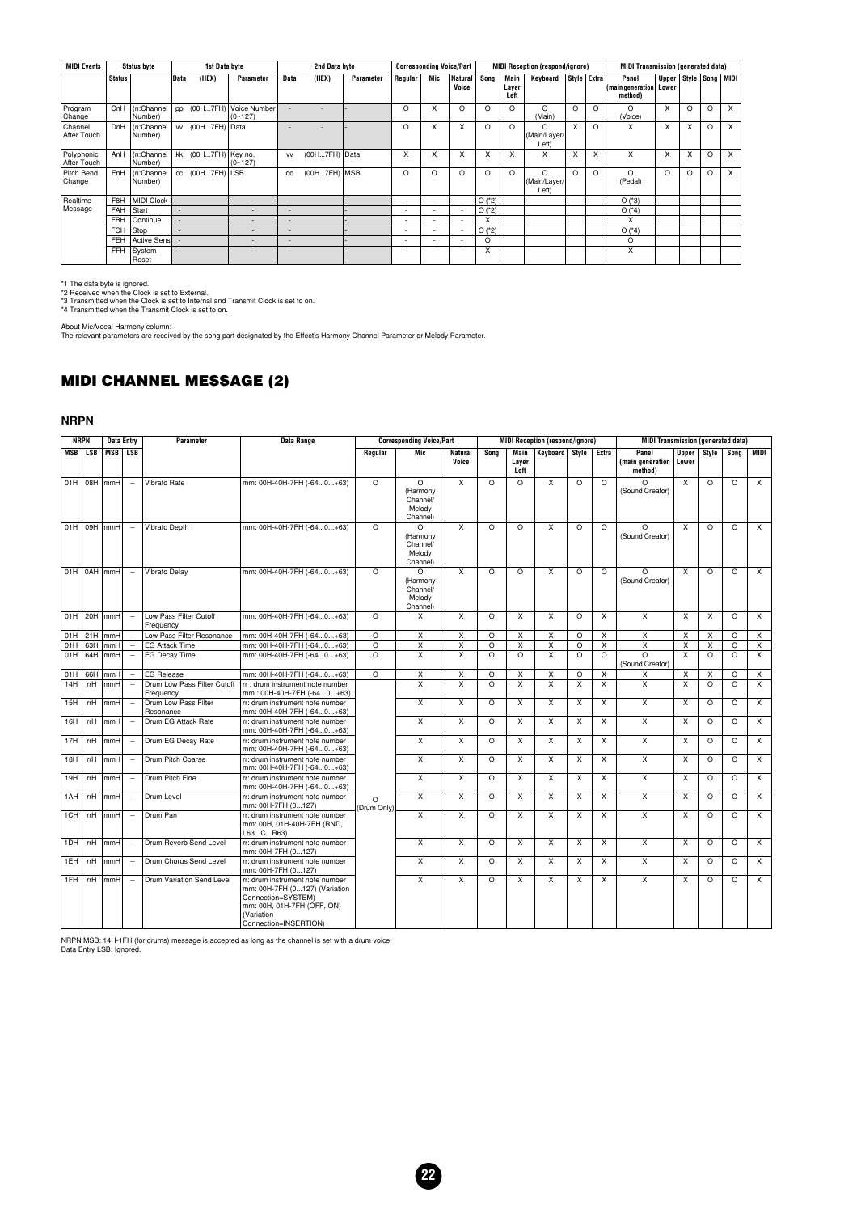| <b>MIDI Events</b>        | <b>Status byte</b><br>Data<br><b>Status</b> |                       |                          | 1st Data byte       |                             |           | 2nd Data byte  |                  | <b>Corresponding Voice/Part</b> |                          |                          |            |                       | <b>MIDI Reception (respond/ignore)</b> |                           |          | <b>MIDI Transmission (generated data)</b> |                                        |   |         |                           |
|---------------------------|---------------------------------------------|-----------------------|--------------------------|---------------------|-----------------------------|-----------|----------------|------------------|---------------------------------|--------------------------|--------------------------|------------|-----------------------|----------------------------------------|---------------------------|----------|-------------------------------------------|----------------------------------------|---|---------|---------------------------|
|                           |                                             |                       |                          | (HEX)               | Parameter                   | Data      | (HEX)          | <b>Parameter</b> | Regular                         | Mic                      | <b>Natural</b><br>Voice  | Song       | Main<br>Layer<br>Left | Keyboard                               | Style Extra               |          | Panel<br>(main generation)<br>method)     | Upper   Style   Song   MIDI  <br>Lower |   |         |                           |
| Program<br>Change         | CnH                                         | (n:Channel<br>Number) | pp                       | (00H7FH)            | Voice Number<br>$(0 - 127)$ |           |                |                  | O                               | X                        | $\Omega$                 | $\Omega$   | $\Omega$              | $\Omega$<br>(Main)                     | $\Omega$                  | $\Omega$ | $\Omega$<br>(Voice)                       | X                                      | O | $\circ$ | $\times$                  |
| Channel<br>After Touch    | <b>DnH</b>                                  | (n:Channel<br>Number) |                          | w (00H7FH) Data     |                             |           |                |                  | O                               | X                        | X                        | O          | $\Omega$              | O<br>(Main/Layer/<br>Left)             | $\boldsymbol{\mathsf{x}}$ | $\Omega$ | X                                         | X                                      | X | $\circ$ | X                         |
| Polyphonic<br>After Touch | AnH                                         | (n:Channel<br>Number) |                          | kk (00H7FH) Key no. | $(0 - 127)$                 | <b>VV</b> | (00H7FH) Data  |                  | X                               | X                        | X                        | X          | X                     | X                                      | $\times$                  | x        | X                                         | X                                      | X | $\circ$ | $\boldsymbol{\mathsf{x}}$ |
| Pitch Bend<br>Change      | EnH                                         | (n:Channel<br>Number) |                          | $cc$ (00H7FH) LSB   |                             | dd        | $(00H7FH)$ MSB |                  | O                               | O                        | O                        | O          | O                     | $\Omega$<br>(Main/Layer/<br>Left)      | $\Omega$                  | $\Omega$ | $\Omega$<br>(Pedal)                       | O                                      | O | $\circ$ | $\times$                  |
| Realtime                  | F8H                                         | <b>MIDI Clock</b>     | $\overline{\phantom{a}}$ |                     | $\overline{\phantom{0}}$    | -         |                |                  | $\overline{\phantom{a}}$        | $\overline{\phantom{0}}$ | $\overline{\phantom{a}}$ | O('2)      |                       |                                        |                           |          | $O(^{*}3)$                                |                                        |   |         |                           |
| Message                   | FAH                                         | Start                 | $\overline{\phantom{a}}$ |                     | $\overline{\phantom{0}}$    |           |                |                  |                                 | $\overline{\phantom{0}}$ | $\overline{\phantom{0}}$ | $O(^{*}2)$ |                       |                                        |                           |          | $O(^{*}4)$                                |                                        |   |         |                           |
|                           | <b>FBH</b>                                  | Continue              | $\overline{\phantom{a}}$ |                     | $\overline{\phantom{a}}$    |           |                |                  | $\overline{\phantom{a}}$        |                          |                          | x          |                       |                                        |                           |          | x                                         |                                        |   |         |                           |
|                           | <b>FCH</b>                                  | Stop                  | $\overline{\phantom{0}}$ |                     | $\overline{\phantom{a}}$    |           |                |                  |                                 |                          | $\overline{\phantom{a}}$ | $O(^{*}2)$ |                       |                                        |                           |          | $O(^{*}4)$                                |                                        |   |         |                           |
|                           | FEH                                         | Active Sensl          |                          |                     | $\overline{\phantom{0}}$    |           |                |                  |                                 |                          | $\overline{\phantom{a}}$ | $\Omega$   |                       |                                        |                           |          | O                                         |                                        |   |         |                           |
|                           | FFH                                         | System<br>Reset       | $\overline{\phantom{a}}$ |                     |                             |           |                |                  |                                 |                          | $\overline{\phantom{0}}$ | X          |                       |                                        |                           |          | X                                         |                                        |   |         |                           |

\*1 The data byte is ignored. \*2 Received when the Clock is set to External. \*3 Transmitted when the Clock is set to Internal and Transmit Clock is set to on. \*4 Transmitted when the Transmit Clock is set to on.

About Mic/Vocal Harmony column: The relevant parameters are received by the song part designated by the Effect's Harmony Channel Parameter or Melody Parameter.

#### **MIDI CHANNEL MESSAGE (2)**

#### **NRPN**

|            | <b>NRPN</b> | <b>Data Entry</b> |                          | Parameter                                | Data Range                                                                                                                                                  | <b>Corresponding Voice/Part</b><br>Mic<br>Regular<br><b>Natural</b><br>Sona |                                                        |                         | <b>MIDI Reception (respond/ignore)</b> |                         |                         | <b>MIDI Transmission (generated data)</b> |                         |                                      |                           |          |                |                |
|------------|-------------|-------------------|--------------------------|------------------------------------------|-------------------------------------------------------------------------------------------------------------------------------------------------------------|-----------------------------------------------------------------------------|--------------------------------------------------------|-------------------------|----------------------------------------|-------------------------|-------------------------|-------------------------------------------|-------------------------|--------------------------------------|---------------------------|----------|----------------|----------------|
| <b>MSB</b> | <b>LSB</b>  | <b>MSB</b>        | <b>LSB</b>               |                                          |                                                                                                                                                             |                                                                             |                                                        | Voice                   |                                        | Main<br>Layer<br>Left   | Kevboard                | Stvle                                     | Extra                   | Panel<br>(main generation<br>method) | Upper<br>Lower            | Stvle    | Song           | <b>MIDI</b>    |
| 01H        |             | 08H mmH           | $\ddot{\phantom{a}}$     | Vibrato Rate                             | mm: 00H-40H-7FH (-640+63)                                                                                                                                   | $\Omega$                                                                    | $\Omega$<br>(Harmony<br>Channel/<br>Melody<br>Channel) | X                       | $\Omega$                               | $\Omega$                | X                       | $\Omega$                                  | $\Omega$                | $\Omega$<br>(Sound Creator)          | X                         | $\circ$  | $\Omega$       | $\times$       |
| 01H        | 09H         | lmmH              | $\sim$                   | Vibrato Depth                            | mm: 00H-40H-7FH (-640+63)                                                                                                                                   | $\Omega$                                                                    | $\Omega$<br>(Harmony<br>Channel/<br>Melody<br>Channel) | X                       | $\Omega$                               | $\Omega$                | X                       | $\circ$                                   | $\Omega$                | $\Omega$<br>(Sound Creator)          | x                         | $\Omega$ | $\circ$        | $\times$       |
| 01H        |             | 0AH mmH           | $\sim$                   | Vibrato Delay                            | mm: 00H-40H-7FH (-640+63)                                                                                                                                   | $\Omega$                                                                    | $\Omega$<br>(Harmony<br>Channel/<br>Melody<br>Channel) | X                       | $\Omega$                               | $\circ$                 | X                       | $\circ$                                   | $\Omega$                | O<br>(Sound Creator)                 | X                         | $\circ$  | $\circ$        | $\times$       |
| 01H        | 20H         | mmH               | $\overline{\phantom{a}}$ | Low Pass Filter Cutoff<br>Frequency      | mm: 00H-40H-7FH (-640+63)                                                                                                                                   | $\Omega$                                                                    | $\times$                                               | X                       | $\circ$                                | $\times$                | X                       | $\circ$                                   | $\mathsf{x}$            | $\mathsf{x}$                         | X                         | X        | $\circ$        | X              |
| 01H        | 21H         | mmH               | $\sim$                   | Low Pass Filter Resonance                | mm: 00H-40H-7FH (-640+63)                                                                                                                                   | $\circ$                                                                     | X                                                      | X                       | $\circ$                                | $\mathsf{x}$            | X                       | $\circ$                                   | X                       | X                                    | X                         | X        | $\circ$        | $\mathsf{x}$   |
| 01H        | 63H         | mmH               | $\sim$                   | <b>EG Attack Time</b>                    | mm: 00H-40H-7FH (-640+63)                                                                                                                                   | $\overline{\circ}$                                                          | $\overline{\mathsf{x}}$                                | $\overline{\mathsf{x}}$ | $\overline{O}$                         | $\overline{\mathsf{x}}$ | $\overline{\mathsf{x}}$ | $\overline{\circ}$                        | $\overline{\mathsf{x}}$ | $\overline{X}$                       | X                         | X        | $\overline{O}$ | X              |
| 01H        | 64H         | mmH               | $\overline{\phantom{a}}$ | <b>EG Decay Time</b>                     | mm: 00H-40H-7FH (-640+63)                                                                                                                                   | $\Omega$                                                                    | X                                                      | X                       | $\Omega$                               | $\Omega$                | X                       | $\Omega$                                  | $\Omega$                | O<br>(Sound Creator)                 | X                         | $\Omega$ | $\circ$        | X              |
| 01H        | 66H         | mmH               | $\overline{\phantom{a}}$ | <b>EG Release</b>                        | mm: 00H-40H-7FH (-640+63)                                                                                                                                   | $\overline{\Omega}$                                                         | $\overline{X}$                                         | X                       | $\circ$                                | X                       | X                       | $\circ$                                   | $\overline{X}$          | $\mathsf{x}$                         | $\boldsymbol{\mathsf{X}}$ | X        | $\circ$        | $\overline{X}$ |
| 14H        | rrH         | mmH               | $\ddot{\phantom{a}}$     | Drum Low Pass Filter Cutoff<br>Frequency | r : drum instrument note number<br>mm: 00H-40H-7FH (-640+63)                                                                                                |                                                                             | $\overline{\mathsf{x}}$                                | X                       | $\Omega$                               | X                       | X                       | X                                         | X                       | $\overline{X}$                       | X                         | $\circ$  | $\Omega$       | X              |
| 15H        | rrH         | mmH               | $\ddot{\phantom{a}}$     | Drum Low Pass Filter<br>Resonance        | rr: drum instrument note number<br>mm: 00H-40H-7FH (-640+63)                                                                                                |                                                                             | $\mathsf{x}$                                           | X                       | $\Omega$                               | $\times$                | X                       | X                                         | $\times$                | $\mathsf{x}$                         | X                         | $\Omega$ | $\Omega$       | X              |
| 16H        | rrH         | mmH               | $\sim$                   | Drum EG Attack Rate                      | rr: drum instrument note number<br>mm: 00H-40H-7FH (-640+63)                                                                                                |                                                                             | X                                                      | X                       | $\Omega$                               | X                       | X                       | X                                         | X                       | $\mathsf{x}$                         | X                         | $\Omega$ | $\Omega$       | X              |
| 17H        | rrH         | mmH               | $\sim$                   | Drum EG Decay Rate                       | rr: drum instrument note number<br>mm: 00H-40H-7FH (-640+63)                                                                                                |                                                                             | $\overline{X}$                                         | X                       | $\circ$                                | X                       | X                       | X                                         | X                       | $\overline{X}$                       | $\boldsymbol{\mathsf{X}}$ | $\circ$  | $\circ$        | $\overline{X}$ |
| 18H        | rrH         | mmH               | $\ddot{\phantom{a}}$     | Drum Pitch Coarse                        | rr: drum instrument note number<br>mm: 00H-40H-7FH (-640+63)                                                                                                |                                                                             | X                                                      | X                       | $\Omega$                               | $\times$                | X                       | X                                         | X                       | $\overline{\mathsf{x}}$              | X                         | $\circ$  | $\circ$        | $\mathsf{x}$   |
| 19H        | rrH         | mmH               | Ξ.                       | Drum Pitch Fine                          | rr: drum instrument note number<br>mm: 00H-40H-7FH (-640+63)                                                                                                |                                                                             | $\times$                                               | X                       | $\Omega$                               | X                       | $\times$                | $\mathsf{x}$                              | X                       | $\mathsf{x}$                         | X                         | $\Omega$ | $\Omega$       | X              |
| 1AH        | rrH         | mmH               | $\ddot{\phantom{a}}$     | Drum Level                               | rr: drum instrument note number<br>mm: 00H-7FH (0127)                                                                                                       | $\Omega$<br>(Drum Only)                                                     | $\overline{X}$                                         | X                       | $\circ$                                | $\times$                | X                       | X                                         | X                       | $\overline{X}$                       | $\boldsymbol{\mathsf{X}}$ | $\circ$  | $\circ$        | $\overline{x}$ |
| 1CH        | rrH         | mmH               | $\ddot{\phantom{a}}$     | Drum Pan                                 | rr: drum instrument note number<br>mm: 00H, 01H-40H-7FH (RND,<br>L63CR63)                                                                                   |                                                                             | $\overline{\mathsf{x}}$                                | $\overline{\mathsf{x}}$ | $\Omega$                               | $\times$                | X                       | X                                         | X                       | $\overline{X}$                       | $\boldsymbol{\mathsf{x}}$ | $\Omega$ | $\Omega$       | $\mathsf{x}$   |
| 1DH        | rrH         | mmH               | $\overline{a}$           | Drum Reverb Send Level                   | rr: drum instrument note number<br>mm: 00H-7FH (0127)                                                                                                       |                                                                             | X                                                      | X                       | $\circ$                                | X                       | X                       | X                                         | X                       | $\mathsf{x}$                         | $\boldsymbol{\mathsf{X}}$ | $\circ$  | $\circ$        | X              |
| 1EH        | rrH         | mmH               | $\sim$                   | Drum Chorus Send Level                   | rr: drum instrument note number<br>mm: 00H-7FH (0127)                                                                                                       |                                                                             | X                                                      | X                       | $\circ$                                | $\times$                | X                       | X                                         | X                       | $\overline{X}$                       | $\boldsymbol{\mathsf{x}}$ | $\circ$  | $\circ$        | $\times$       |
| 1FH        | rrH         | mmH               | $\sim$                   | Drum Variation Send Level                | rr: drum instrument note number<br>mm: 00H-7FH (0127) (Variation<br>Connection=SYSTEM)<br>mm: 00H, 01H-7FH (OFF, ON)<br>(Variation<br>Connection=INSERTION) |                                                                             | X                                                      | X                       | $\Omega$                               | $\times$                | X                       | X                                         | X                       | $\overline{\mathsf{x}}$              | X                         | $\Omega$ | $\Omega$       | $\times$       |

NRPN MSB: 14H-1FH (for drums) message is accepted as long as the channel is set with a drum voice. Data Entry LSB: Ignored.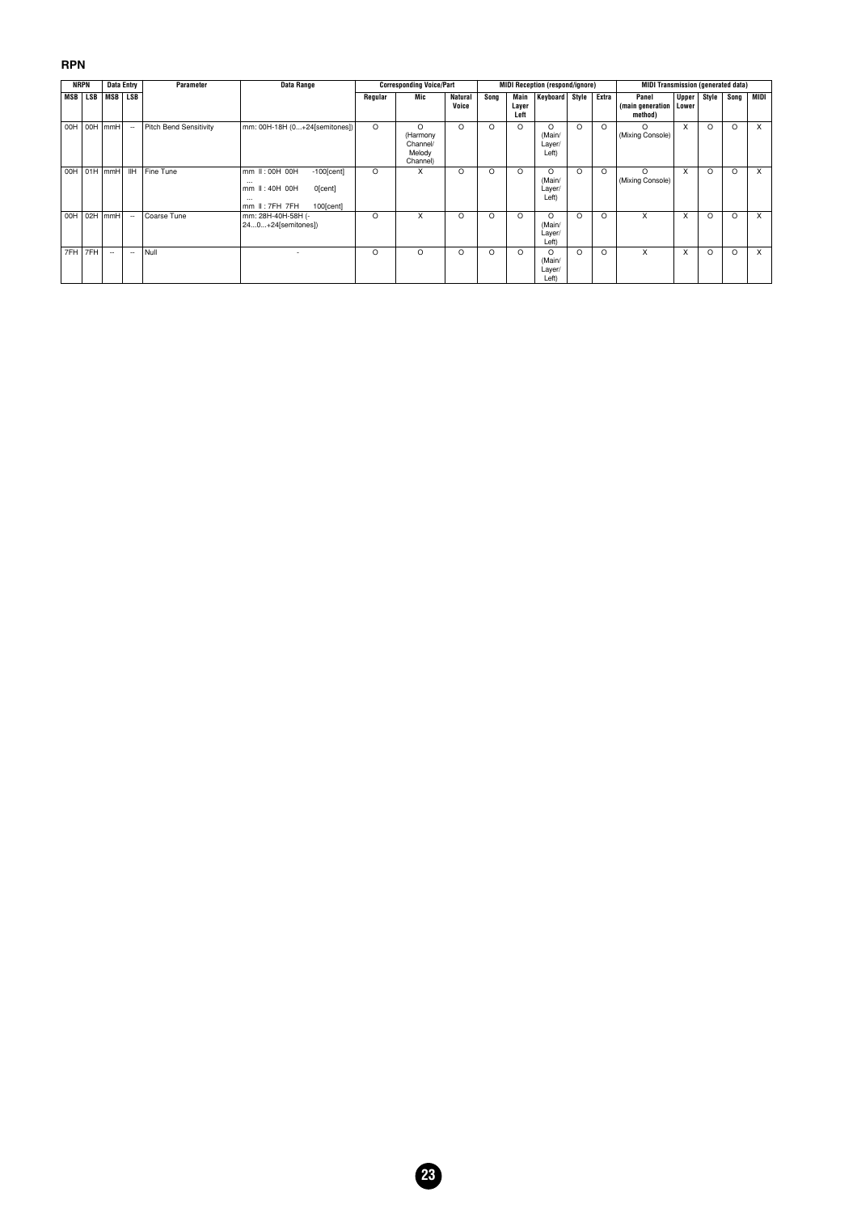#### **RPN**

|     | <b>NRPN</b> |                | Data Entry               | Parameter              | Data Range                                                                                                                |         | <b>Corresponding Voice/Part</b>                        |                         |          |                       | <b>MIDI Reception (respond/ignore)</b> |          |          | <b>MIDI Transmission (generated data)</b> |                |       |          |      |
|-----|-------------|----------------|--------------------------|------------------------|---------------------------------------------------------------------------------------------------------------------------|---------|--------------------------------------------------------|-------------------------|----------|-----------------------|----------------------------------------|----------|----------|-------------------------------------------|----------------|-------|----------|------|
| MSB | <b>LSB</b>  | MSB            | <b>LSB</b>               |                        |                                                                                                                           | Regular | Mic                                                    | <b>Natural</b><br>Voice | Song     | Main<br>Layer<br>Left | <b>Keyboard</b>                        | Style    | Extra    | Panel<br>(main generation<br>method)      | Upper<br>Lower | Style | Song     | MIDI |
| 00H | 00H         | mmH            | $\overline{\phantom{a}}$ | Pitch Bend Sensitivity | mm: 00H-18H (0+24[semitones])                                                                                             | $\circ$ | $\Omega$<br>(Harmony<br>Channel/<br>Melody<br>Channel) | O                       | O        | O                     | O<br>(Main/<br>Layer/<br>Left)         | $\Omega$ | $\circ$  | $\Omega$<br>(Mixing Console)              | X              | O     | $\Omega$ | X    |
| 00H |             | $01H$ mmH      | <b>IH</b>                | Fine Tune              | mm II: 00H 00H<br>$-100$ [cent]<br>$\cdots$<br>mm II: 40H 00H<br>0[cent]<br>$\cdots$<br>$mm$ II: $7FH$ $7FH$<br>100[cent] | $\circ$ | X                                                      | O                       | $\Omega$ | $\circ$               | O<br>(Main/<br>Layer/<br>Left)         | $\circ$  | O        | O<br>(Mixing Console)                     | X              | O     | $\Omega$ | X    |
| 00H | 02H         | m <sub>m</sub> | ٠.                       | Coarse Tune            | mm: 28H-40H-58H (-<br>240+24[semitones])                                                                                  | O       | X                                                      | O                       | $\Omega$ | $\circ$               | $\Omega$<br>(Main/<br>Layer/<br>Left)  | $\Omega$ | $\Omega$ | X                                         | X              | O     | $\Omega$ | x    |
| 7FH | 7FH         | ۰.             | --                       | Null                   |                                                                                                                           | O       | $\circ$                                                | $\circ$                 | O        | $\circ$               | $\Omega$<br>(Main/<br>Layer/<br>Left)  | $\Omega$ | O        | X                                         | X              | O     | $\Omega$ | X    |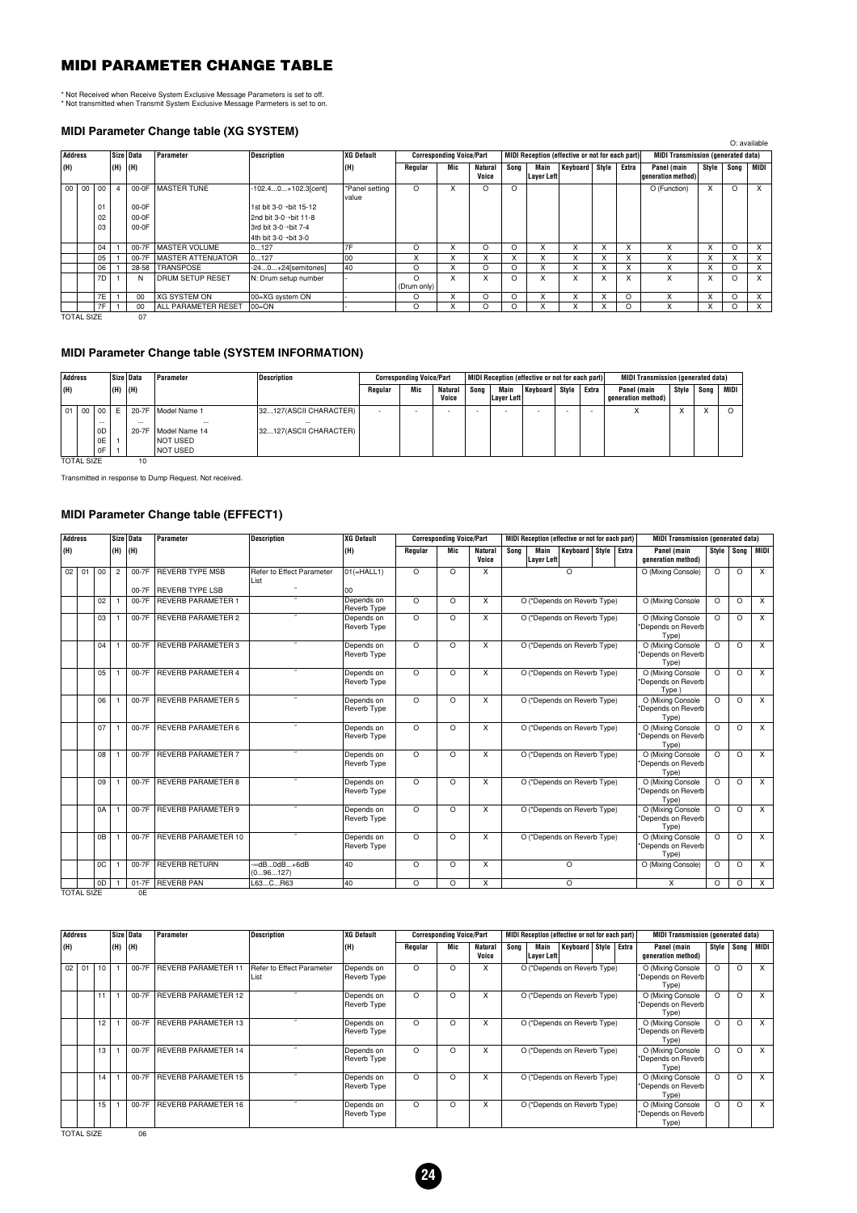#### **MIDI PARAMETER CHANGE TABLE**

\* Not Received when Receive System Exclusive Message Parameters is set to off. \* Not transmitted when Transmit System Exclusive Message Parmeters is set to on.

#### **MIDI Parameter Change table (XG SYSTEM)**

|     |                       |    |         |           | <b>MIDIT aramotor Unango table (AG UTUTEM)</b> |                        |                         |                         |                                 |                         |          |                           |                                                 |              |          |                                           |       |          |              |
|-----|-----------------------|----|---------|-----------|------------------------------------------------|------------------------|-------------------------|-------------------------|---------------------------------|-------------------------|----------|---------------------------|-------------------------------------------------|--------------|----------|-------------------------------------------|-------|----------|--------------|
|     |                       |    |         |           |                                                |                        |                         |                         |                                 |                         |          |                           |                                                 |              |          |                                           |       |          | O: available |
|     | Address               |    |         | Size Data | Parameter                                      | <b>Description</b>     | <b>XG Default</b>       |                         | <b>Corresponding Voice/Part</b> |                         |          |                           | MIDI Reception (effective or not for each part) |              |          | <b>MIDI Transmission (generated data)</b> |       |          |              |
| (H) |                       |    | (H) (H) |           |                                                |                        | (H)                     | Regular                 | Mic                             | <b>Natural</b><br>Voice | Song     | Main<br><b>Layer Left</b> | Keyboard Style                                  |              | Extra    | Panel (main<br>deneration method)         | Stvle | Song     | MIDI         |
|     | 00<br>00 <sup>1</sup> | 00 | 4       | 00-0F     | <b>MASTER TUNE</b>                             | $-102.40+102.3$ [cent] | *Panel setting<br>value | $\Omega$                | x                               | $\circ$                 | $\Omega$ |                           |                                                 |              |          | O (Function)                              | X     | $\Omega$ | $\times$     |
|     |                       | 01 |         | 00-0F     |                                                | 1st bit 3-0→bit 15-12  |                         |                         |                                 |                         |          |                           |                                                 |              |          |                                           |       |          |              |
|     |                       | 02 |         | 00-0F     |                                                | 2nd bit 3-0→bit 11-8   |                         |                         |                                 |                         |          |                           |                                                 |              |          |                                           |       |          |              |
|     |                       | 03 |         | 00-0F     |                                                | 3rd bit 3-0→bit 7-4    |                         |                         |                                 |                         |          |                           |                                                 |              |          |                                           |       |          |              |
|     |                       |    |         |           |                                                | 4th bit 3-0->bit 3-0   |                         |                         |                                 |                         |          |                           |                                                 |              |          |                                           |       |          |              |
|     |                       | 04 |         | 00-7F     | <b>MASTER VOLUME</b>                           | 0127                   | 7F                      | $\Omega$                | x                               | $\Omega$                | $\Omega$ | X                         | X                                               |              | X        | x                                         | x     | $\Omega$ | X            |
|     |                       | 05 |         | 00-7F     | <b>MASTER ATTENUATOR</b>                       | 0127                   | 00                      | x                       | X                               | X                       |          | X                         | X                                               |              | X        | X                                         | X     |          | X            |
|     |                       | 06 |         | 28-58     | <b>TRANSPOSE</b>                               | $-240+24$ [semitones]  | 40                      | $\Omega$                | x                               | $\Omega$                | $\Omega$ | X                         | X                                               | x            | X        | X                                         | X     | $\Omega$ | X            |
|     |                       | 7D |         | N         | <b>DRUM SETUP RESET</b>                        | N: Drum setup number   |                         | $\Omega$<br>(Drum only) | x                               | X                       | $\Omega$ | X                         | x                                               | x            | X        | X                                         | x     | $\Omega$ | $\times$     |
|     |                       | 7E |         | 00        | IXG SYSTEM ON                                  | 00=XG system ON        |                         | $\Omega$                | X                               | O                       | $\Omega$ | X                         | X                                               | $\checkmark$ | $\Omega$ | X                                         | X     | $\Omega$ | X            |
|     |                       | 7F |         | 00        | <b>ALL PARAMETER RESET</b>                     | 00=ON                  |                         | $\circ$                 | x                               | O                       | O        | X                         | X                                               | $\checkmark$ | O        | X                                         | x     | O        | $\times$     |
|     | <b>TOTAL SIZE</b>     |    |         | 07        |                                                |                        |                         |                         |                                 |                         |          |                           |                                                 |              |          |                                           |       |          |              |

#### **MIDI Parameter Change table (SYSTEM INFORMATION)**

| Address         |    |                            |     | Size   Data       | Parameter                 | Description                        |         | <b>Corresponding Voice/Part</b> |                         |      |                    | MIDI Reception (effective or not for each part) |       |       | <b>MIDI Transmission (generated data)</b> |       |      |      |
|-----------------|----|----------------------------|-----|-------------------|---------------------------|------------------------------------|---------|---------------------------------|-------------------------|------|--------------------|-------------------------------------------------|-------|-------|-------------------------------------------|-------|------|------|
| (H)             |    |                            | (H) | (H)               |                           |                                    | Regular | Mic                             | <b>Natural</b><br>Voice | Sona | Main<br>Laver Left | Keyboard                                        | Stvle | Extra | Panel (main<br>generation method)         | Style | Song | MIDI |
| 01 <sup>1</sup> | 00 | l oo                       | F   | $20-7F$           | Model Name 1              | 32127(ASCII CHARACTER)             |         |                                 |                         |      |                    |                                                 |       |       |                                           |       |      |      |
|                 |    | $\cdots$<br>0 <sub>D</sub> |     | $\cdots$<br>20-7F | $\cdots$<br>Model Name 14 | $\cdots$<br>32127(ASCII CHARACTER) |         |                                 |                         |      |                    |                                                 |       |       |                                           |       |      |      |
|                 |    | 0E                         |     |                   | <b>NOT USED</b>           |                                    |         |                                 |                         |      |                    |                                                 |       |       |                                           |       |      |      |
|                 |    | 0F                         |     |                   | <b>NOT USED</b>           |                                    |         |                                 |                         |      |                    |                                                 |       |       |                                           |       |      |      |

TOTAL SIZE 10

Transmitted in response to Dump Request. Not received.

#### **MIDI Parameter Change table (EFFECT1)**

| Address |    |                | Size Data | Parameter                  | <b>Description</b>                | <b>XG Default</b>         |          | <b>Corresponding Voice/Part</b> |                         | MIDI Reception (effective or not for each part)    | <b>MIDI Transmission (generated data)</b>        |            |          |                |
|---------|----|----------------|-----------|----------------------------|-----------------------------------|---------------------------|----------|---------------------------------|-------------------------|----------------------------------------------------|--------------------------------------------------|------------|----------|----------------|
| (H)     |    | (H) (H)        |           |                            |                                   | (H)                       | Regular  | Mic                             | <b>Natural</b><br>Voice | Keyboard Style Extra<br>Main<br>Sona<br>Layer Left | Panel (main<br>generation method)                | Style Song |          | MIDI           |
| $02$ 01 | 00 | $\overline{2}$ | 00-7F     | <b>REVERB TYPE MSB</b>     | Refer to Effect Parameter<br>List | $01( = HALL1)$            | $\Omega$ | $\Omega$                        | X                       | $\Omega$                                           | O (Mixing Console)                               | $\Omega$   | $\Omega$ | $\overline{X}$ |
|         |    |                | $00 - 7F$ | <b>REVERB TYPE LSB</b>     |                                   | 00                        |          |                                 |                         |                                                    |                                                  |            |          |                |
|         | 02 |                | 00-7F     | <b>REVERB PARAMETER 1</b>  |                                   | Depends on<br>Reverb Type | $\Omega$ | $\Omega$                        | X                       | O (*Depends on Reverb Type)                        | O (Mixing Console                                | $\Omega$   | $\circ$  | $\overline{X}$ |
|         | 03 |                | 00-7F     | <b>REVERB PARAMETER 2</b>  |                                   | Depends on<br>Reverb Type | $\Omega$ | $\Omega$                        | X                       | O (*Depends on Reverb Type)                        | O (Mixing Console<br>*Depends on Reverb<br>Type) | $\Omega$   | $\Omega$ | $\times$       |
|         | 04 |                | 00-7F     | REVERB PARAMETER 3         |                                   | Depends on<br>Reverb Type | $\Omega$ | $\Omega$                        | X                       | O (*Depends on Reverb Type)                        | O (Mixing Console<br>*Depends on Reverb<br>Type) | $\Omega$   | $\Omega$ | $\overline{X}$ |
|         | 05 |                | 00-7F     | <b>REVERB PARAMETER 4</b>  |                                   | Depends on<br>Reverb Type | $\Omega$ | $\circ$                         | X                       | O (*Depends on Reverb Type)                        | O (Mixing Console<br>*Depends on Reverb<br>Type) | $\Omega$   | $\circ$  | $\times$       |
|         | 06 |                | 00-7F     | <b>REVERB PARAMETER 5</b>  |                                   | Depends on<br>Reverb Type | $\Omega$ | $\Omega$                        | X                       | O (*Depends on Reverb Type)                        | O (Mixing Console<br>*Depends on Reverb<br>Type) | $\Omega$   | $\Omega$ | $\times$       |
|         | 07 |                | $00-7F$   | <b>REVERB PARAMETER 6</b>  |                                   | Depends on<br>Reverb Type | $\Omega$ | $\Omega$                        | X                       | O (*Depends on Reverb Type)                        | O (Mixing Console<br>*Depends on Reverb<br>Type) | $\Omega$   | $\Omega$ | $\times$       |
|         | 08 |                | 00-7F     | <b>REVERB PARAMETER 7</b>  |                                   | Depends on<br>Reverb Type | $\Omega$ | $\Omega$                        | X                       | O (*Depends on Reverb Type)                        | O (Mixing Console<br>*Depends on Reverb<br>Type) | $\Omega$   | $\Omega$ | $\mathsf{x}$   |
|         | 09 |                | 00-7F     | <b>REVERB PARAMETER 8</b>  |                                   | Depends on<br>Reverb Type | $\Omega$ | $\Omega$                        | X                       | O (*Depends on Reverb Type)                        | O (Mixing Console<br>*Depends on Reverb<br>Type) | $\Omega$   | $\circ$  | $\times$       |
|         | 0A |                | 00-7F     | <b>REVERB PARAMETER 9</b>  |                                   | Depends on<br>Reverb Type | $\Omega$ | $\Omega$                        | X                       | O (*Depends on Reverb Type)                        | O (Mixing Console<br>*Depends on Reverb<br>Type) | $\Omega$   | $\circ$  | $\times$       |
|         | 0B |                | 00-7F     | <b>REVERB PARAMETER 10</b> | $\overline{\phantom{a}}$          | Depends on<br>Reverb Type | $\Omega$ | $\Omega$                        | X                       | O (*Depends on Reverb Type)                        | O (Mixing Console<br>*Depends on Reverb<br>Type) | $\Omega$   | $\Omega$ | $\mathsf{x}$   |
|         | 0C |                | 00-7F     | <b>REVERB RETURN</b>       | -∞dB0dB+6dB<br>(096127)           | 40                        | $\Omega$ | $\Omega$                        | X                       | $\Omega$                                           | O (Mixing Console)                               | $\Omega$   | $\Omega$ | $\times$       |
|         | 0D |                |           | 01-7F REVERB PAN           | L63CR63                           | 40                        | $\Omega$ | $\Omega$                        | X                       | $\Omega$                                           | X                                                | $\Omega$   | $\circ$  | $\overline{x}$ |

TOTAL SIZE 0E

| Address           |    |             | Size   Data | Parameter                  | <b>Description</b>                | <b>XG Default</b>         |          | <b>Corresponding Voice/Part</b> |                         |      |                    | MIDI Reception (effective or not for each part) |  | <b>MIDI Transmission (generated data)</b>        |              |          |          |
|-------------------|----|-------------|-------------|----------------------------|-----------------------------------|---------------------------|----------|---------------------------------|-------------------------|------|--------------------|-------------------------------------------------|--|--------------------------------------------------|--------------|----------|----------|
| (H)               |    | $(H)$ $(H)$ |             |                            |                                   | (H)                       | Regular  | Mic                             | <b>Natural</b><br>Voice | Song | Main<br>Layer Left | Keyboard Style Extra                            |  | Panel (main<br>generation method)                | Style   Song |          | MIDI     |
| 02<br>01          | 10 |             | 00-7F       | <b>REVERB PARAMETER 11</b> | Refer to Effect Parameter<br>List | Depends on<br>Reverb Type | $\Omega$ | $\Omega$                        | X                       |      |                    | O (*Depends on Reverb Type)                     |  | O (Mixing Console<br>*Depends on Reverb<br>Type) | $\Omega$     | $\Omega$ | $\times$ |
|                   | 11 |             | 00-7F       | <b>REVERB PARAMETER 12</b> |                                   | Depends on<br>Reverb Type | $\Omega$ | $\Omega$                        | X                       |      |                    | O (*Depends on Reverb Type)                     |  | O (Mixing Console<br>*Depends on Reverb<br>Type) | $\Omega$     | $\Omega$ | $\times$ |
|                   | 12 |             | 00-7F       | REVERB PARAMETER 13        |                                   | Depends on<br>Reverb Type | $\Omega$ | $\Omega$                        | X                       |      |                    | O (*Depends on Reverb Type)                     |  | O (Mixing Console<br>*Depends on Reverb<br>Type) | $\Omega$     | $\Omega$ | $\times$ |
|                   | 13 |             | 00-7F       | <b>REVERB PARAMETER 14</b> |                                   | Depends on<br>Reverb Type | $\Omega$ | O                               | X                       |      |                    | O (*Depends on Reverb Type)                     |  | O (Mixing Console<br>*Depends on Reverb<br>Type) | $\Omega$     | $\Omega$ | X        |
|                   | 14 |             | 00-7F       | <b>REVERB PARAMETER 15</b> |                                   | Depends on<br>Reverb Type | $\Omega$ | O                               | X                       |      |                    | O (*Depends on Reverb Type)                     |  | O (Mixing Console<br>*Depends on Reverb<br>Type) | $\Omega$     | $\Omega$ | $\times$ |
|                   | 15 |             | 00-7F       | REVERB PARAMETER 16        |                                   | Depends on<br>Reverb Type | $\circ$  | $\Omega$                        | X                       |      |                    | O (*Depends on Reverb Type)                     |  | O (Mixing Console<br>*Depends on Reverb<br>Type) | $\Omega$     | $\Omega$ | X        |
| <b>TOTAL SIZE</b> |    |             | 06          |                            |                                   |                           |          |                                 |                         |      |                    |                                                 |  |                                                  |              |          |          |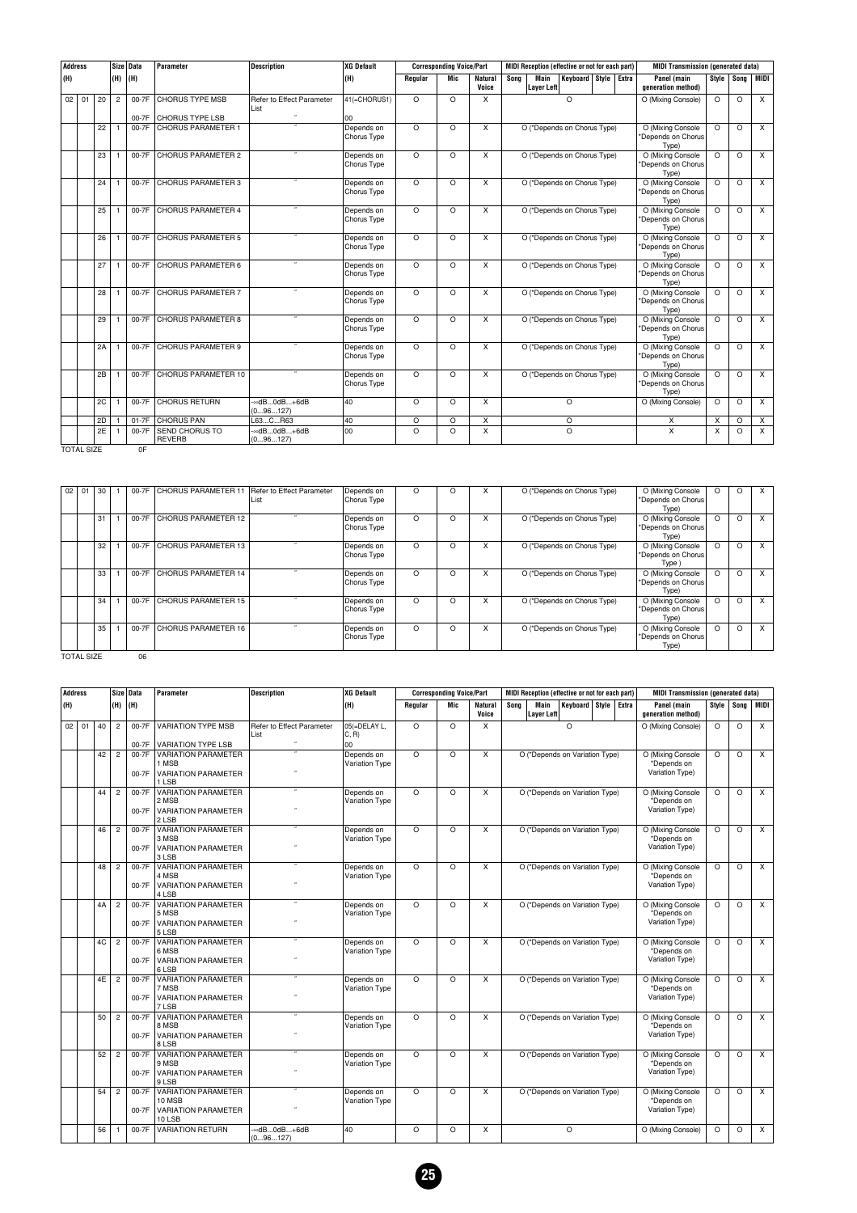| <b>Address</b> |                   |    |                | Size Data | Parameter                       | <b>Description</b>                   | XG Default                |          | <b>Corresponding Voice/Part</b> |                         |      |                           | MIDI Reception (effective or not for each part) |                      | <b>MIDI Transmission (generated data)</b>        |          |            |                         |
|----------------|-------------------|----|----------------|-----------|---------------------------------|--------------------------------------|---------------------------|----------|---------------------------------|-------------------------|------|---------------------------|-------------------------------------------------|----------------------|--------------------------------------------------|----------|------------|-------------------------|
| (H)            |                   |    | (H)            | (H)       |                                 |                                      | (H)                       | Regular  | Mic                             | <b>Natural</b><br>Voice | Sona | Main<br><b>Layer Left</b> |                                                 | Keyboard Style Extra | Panel (main<br>generation method)                |          | Style Song | MIDI I                  |
|                | $02$ 01           | 20 | $\overline{2}$ | $00-7F$   | <b>CHORUS TYPE MSB</b>          | Refer to Effect Parameter<br>List    | 41(=CHORUS1)              | $\Omega$ | $\Omega$                        | X                       |      |                           | $\Omega$                                        |                      | O (Mixing Console)                               | $\Omega$ | O          | $\overline{\mathsf{x}}$ |
|                |                   |    |                |           | 00-7F CHORUS TYPE LSB           |                                      | 00                        |          |                                 |                         |      |                           |                                                 |                      |                                                  |          |            |                         |
|                |                   | 22 |                | 00-7F     | <b>CHORUS PARAMETER 1</b>       |                                      | Depends on<br>Chorus Type | $\Omega$ | $\Omega$                        | X                       |      |                           | O (*Depends on Chorus Type)                     |                      | O (Mixing Console<br>*Depends on Chorus<br>Type) | $\Omega$ | $\Omega$   | $\times$                |
|                |                   | 23 |                | 00-7F     | <b>CHORUS PARAMETER 2</b>       |                                      | Depends on<br>Chorus Type | $\Omega$ | O                               | X                       |      |                           | O (*Depends on Chorus Type)                     |                      | O (Mixing Console<br>*Depends on Chorus<br>Type) | $\Omega$ | O          | $\times$                |
|                |                   | 24 |                | 00-7F     | <b>CHORUS PARAMETER 3</b>       |                                      | Depends on<br>Chorus Type | $\Omega$ | $\Omega$                        | X                       |      |                           | O (*Depends on Chorus Type)                     |                      | O (Mixing Console<br>*Depends on Chorus<br>Type) | $\Omega$ | O          | $\times$                |
|                |                   | 25 | $\mathbf{1}$   | $00-7F$   | <b>CHORUS PARAMETER 4</b>       |                                      | Depends on<br>Chorus Type | $\Omega$ | $\Omega$                        | X                       |      |                           | O (*Depends on Chorus Type)                     |                      | O (Mixing Console<br>*Depends on Chorus<br>Type) | $\Omega$ | $\Omega$   | $\mathsf{x}$            |
|                |                   | 26 | $\mathbf{1}$   | 00-7F     | <b>CHORUS PARAMETER 5</b>       |                                      | Depends on<br>Chorus Type | $\Omega$ | O                               | X                       |      |                           | O (*Depends on Chorus Type)                     |                      | O (Mixing Console<br>*Depends on Chorus<br>Type) | $\Omega$ | O          | $\times$                |
|                |                   | 27 |                | 00-7F     | <b>CHORUS PARAMETER 6</b>       | $\overline{\phantom{a}}$             | Depends on<br>Chorus Type | $\Omega$ | $\Omega$                        | X                       |      |                           | O (*Depends on Chorus Type)                     |                      | O (Mixing Console<br>*Depends on Chorus<br>Type) | $\Omega$ | $\Omega$   | $\times$                |
|                |                   | 28 |                | 00-7F     | <b>CHORUS PARAMETER 7</b>       | $\overline{\phantom{a}}$             | Depends on<br>Chorus Type | $\Omega$ | $\Omega$                        | X                       |      |                           | O (*Depends on Chorus Type)                     |                      | O (Mixing Console<br>*Depends on Chorus<br>Type) | $\Omega$ | $\circ$    | $\times$                |
|                |                   | 29 | $\mathbf{1}$   | 00-7F     | <b>CHORUS PARAMETER 8</b>       |                                      | Depends on<br>Chorus Type | $\Omega$ | $\circ$                         | X                       |      |                           | O (*Depends on Chorus Type)                     |                      | O (Mixing Console<br>*Depends on Chorus<br>Type) | $\Omega$ | $\circ$    | $\times$                |
|                |                   | 2A | -1             | 00-7F     | <b>CHORUS PARAMETER 9</b>       |                                      | Depends on<br>Chorus Type | $\Omega$ | $\Omega$                        | X                       |      |                           | O (*Depends on Chorus Type)                     |                      | O (Mixing Console<br>*Depends on Chorus<br>Type) | $\Omega$ | $\Omega$   | $\times$                |
|                |                   | 2B | $\mathbf{1}$   | 00-7F     | CHORUS PARAMETER 10             |                                      | Depends on<br>Chorus Type | $\Omega$ | $\Omega$                        | X                       |      |                           | O (*Depends on Chorus Type)                     |                      | O (Mixing Console<br>*Depends on Chorus<br>Type) | $\Omega$ | $\Omega$   | $\times$                |
|                |                   | 2C | -1             | 00-7F     | <b>CHORUS RETURN</b>            | $ \approx$ dB0dB+6dB<br>(096127)     | 40                        | $\Omega$ | $\Omega$                        | X                       |      |                           | $\Omega$                                        |                      | O (Mixing Console)                               | $\Omega$ | $\Omega$   | $\times$                |
|                |                   | 2D |                | 01-7F     | <b>CHORUS PAN</b>               | L63CR63                              | 40                        | O        | $\circ$                         | X                       |      |                           | O                                               |                      | X                                                | X        | O          | X                       |
|                |                   | 2E |                | 00-7F     | <b>SEND CHORUS TO</b><br>REVERB | $ \approx$ dB0dB $+6$ dB<br>(096127) | 00                        | $\Omega$ | $\Omega$                        | X                       |      |                           | $\Omega$                                        |                      | X                                                | X        | $\circ$    | X                       |
|                | <b>TOTAL SIZE</b> |    |                | OF        |                                 |                                      |                           |          |                                 |                         |      |                           |                                                 |                      |                                                  |          |            |                         |

| 02 <sub>1</sub> | 01                | 30 | 00-7F | CHORUS PARAMETER 11   Refer to Effect Parameter | List                     | Depends on<br>Chorus Type | O        | Ω |   | O (*Depends on Chorus Type) | O (Mixing Console<br>*Depends on Chorus<br>Type) |          | $\Omega$ | X |
|-----------------|-------------------|----|-------|-------------------------------------------------|--------------------------|---------------------------|----------|---|---|-----------------------------|--------------------------------------------------|----------|----------|---|
|                 |                   | 31 | 00-7F | CHORUS PARAMETER 12                             |                          | Depends on<br>Chorus Type | $\Omega$ | O | x | O (*Depends on Chorus Type) | O (Mixing Console<br>*Depends on Chorus<br>Type) | $\Omega$ | $\Omega$ | X |
|                 |                   | 32 | 00-7F | <b>CHORUS PARAMETER 13</b>                      |                          | Depends on<br>Chorus Type | $\circ$  | Ω | X | O (*Depends on Chorus Type) | O (Mixing Console<br>*Depends on Chorus<br>Type) | $\Omega$ | $\circ$  | X |
|                 |                   | 33 | 00-7F | <b>CHORUS PARAMETER 14</b>                      |                          | Depends on<br>Chorus Type | O        | Ω | x | O (*Depends on Chorus Type) | O (Mixing Console<br>*Depends on Chorus<br>Type) | $\Omega$ | $\circ$  | X |
|                 |                   | 34 | 00-7F | CHORUS PARAMETER 15                             | $\overline{\phantom{a}}$ | Depends on<br>Chorus Type | $\circ$  | Ω | X | O (*Depends on Chorus Type) | O (Mixing Console<br>*Depends on Chorus<br>Type) | $\Omega$ | $\Omega$ | X |
|                 |                   | 35 | 00-7F | CHORUS PARAMETER 16                             |                          | Depends on<br>Chorus Type | $\Omega$ | Ω | x | O (*Depends on Chorus Type) | O (Mixing Console<br>*Depends on Chorus<br>Type) | $\Omega$ | $\Omega$ | X |
|                 | <b>TOTAL SIZE</b> |    | 06    |                                                 |                          |                           |          |   |   |                             |                                                  |          |          |   |

| <b>Address</b> |    |    |                | Size Data        | Parameter                                                                        | <b>Description</b>                | <b>XG Default</b>            |          | <b>Corresponding Voice/Part</b> |                  |      |                           | MIDI Reception (effective or not for each part) |  | <b>MIDI Transmission (generated data)</b>           |          |            |                |
|----------------|----|----|----------------|------------------|----------------------------------------------------------------------------------|-----------------------------------|------------------------------|----------|---------------------------------|------------------|------|---------------------------|-------------------------------------------------|--|-----------------------------------------------------|----------|------------|----------------|
| (H)            |    |    | (H)            | (H)              |                                                                                  |                                   | (H)                          | Regular  | Mic                             | Natural<br>Voice | Sona | Main<br><b>Layer Left</b> | Keyboard Style Extra                            |  | Panel (main<br>generation method)                   |          | Style Song | MIDI           |
| 02             | 01 | 40 | $\overline{2}$ | 00-7F            | <b>VARIATION TYPE MSB</b>                                                        | Refer to Effect Parameter<br>List | 05(=DELAY L.<br>C, R         | $\Omega$ | $\Omega$                        | X                |      |                           | $\Omega$                                        |  | O (Mixing Console)                                  | $\Omega$ | $\circ$    | X              |
|                |    |    |                | 00-7F            | <b>VARIATION TYPE LSB</b>                                                        |                                   | 00                           |          |                                 |                  |      |                           |                                                 |  |                                                     |          |            |                |
|                |    | 42 | $\overline{2}$ | 00-7F<br>00-7F   | <b>VARIATION PARAMETER</b><br>1 MSB<br><b>VARIATION PARAMETER</b><br>1 LSB       |                                   | Depends on<br>Variation Type | $\circ$  | $\circ$                         | X                |      |                           | O (*Depends on Variation Type)                  |  | O (Mixing Console<br>Depends on<br>Variation Type)  | $\circ$  | $\circ$    | $\overline{X}$ |
|                |    | 44 | $\overline{2}$ | 00-7F<br>00-7F   | <b>VARIATION PARAMETER</b><br>2 MSB<br><b>VARIATION PARAMETER</b><br><b>2LSB</b> |                                   | Depends on<br>Variation Type | $\Omega$ | $\circ$                         | X                |      |                           | O (*Depends on Variation Type)                  |  | O (Mixing Console<br>'Depends on<br>Variation Type) | $\Omega$ | $\circ$    | X              |
|                |    | 46 | $\overline{2}$ | 00-7F<br>00-7F   | <b>VARIATION PARAMETER</b><br>3 MSB<br><b>VARIATION PARAMETER</b><br>3 LSB       |                                   | Depends on<br>Variation Type | O        | $\circ$                         | X                |      |                           | O (*Depends on Variation Type)                  |  | O (Mixing Console<br>*Depends on<br>Variation Type) | $\Omega$ | $\circ$    | $\times$       |
|                |    | 48 | $\overline{c}$ | 00-7F<br>00-7F   | <b>VARIATION PARAMETER</b><br>4 MSB<br><b>VARIATION PARAMETER</b><br>4 LSB       |                                   | Depends on<br>Variation Type | $\Omega$ | $\circ$                         | X                |      |                           | O (*Depends on Variation Type)                  |  | O (Mixing Console<br>*Depends on<br>Variation Type) | $\Omega$ | $\circ$    | X              |
|                |    | 4A | $\overline{c}$ | 00-7F<br>00-7F   | <b>VARIATION PARAMETER</b><br>5 MSB<br><b>VARIATION PARAMETER</b><br>5 LSB       |                                   | Depends on<br>Variation Type | $\Omega$ | $\Omega$                        | X                |      |                           | O (*Depends on Variation Type)                  |  | O (Mixing Console<br>*Depends on<br>Variation Type) | $\Omega$ | $\circ$    | X              |
|                |    | 4C | $\overline{c}$ | 00-7F<br>00-7F   | <b>VARIATION PARAMETER</b><br>6 MSB<br><b>VARIATION PARAMETER</b><br>6 LSB       |                                   | Depends on<br>Variation Type | $\Omega$ | $\circ$                         | X                |      |                           | O (*Depends on Variation Type)                  |  | O (Mixing Console<br>*Depends on<br>Variation Type) | $\Omega$ | $\circ$    | $\times$       |
|                |    | 4E | $\overline{2}$ | 00-7F<br>$00-7F$ | <b>VARIATION PARAMETER</b><br>7 MSB<br><b>VARIATION PARAMETER</b><br>7 LSB       |                                   | Depends on<br>Variation Type | $\Omega$ | $\Omega$                        | X                |      |                           | O (*Depends on Variation Type)                  |  | O (Mixing Console<br>*Depends on<br>Variation Type) | $\Omega$ | $\Omega$   | $\overline{X}$ |
|                |    | 50 | $\overline{2}$ | 00-7F<br>00-7F   | VARIATION PARAMETER<br>8 MSB<br><b>VARIATION PARAMETER</b><br>8 LSB              |                                   | Depends on<br>Variation Type | $\Omega$ | $\circ$                         | X                |      |                           | O (*Depends on Variation Type)                  |  | O (Mixing Console<br>*Depends on<br>Variation Type) | $\circ$  | $\circ$    | X              |
|                |    | 52 | $\overline{2}$ | 00-7F<br>00-7F   | <b>VARIATION PARAMETER</b><br>9 MSB<br><b>VARIATION PARAMETER</b><br>9 LSB       |                                   | Depends on<br>Variation Type | $\Omega$ | $\circ$                         | X                |      |                           | O (*Depends on Variation Type)                  |  | O (Mixing Console<br>*Depends on<br>Variation Type) | $\circ$  | $\circ$    | $\mathsf{x}$   |
|                |    | 54 | $\overline{2}$ | 00-7F<br>00-7F   | <b>VARIATION PARAMETER</b><br>10 MSB<br><b>VARIATION PARAMETER</b><br>10 LSB     |                                   | Depends on<br>Variation Type | $\Omega$ | $\circ$                         | X                |      |                           | O (*Depends on Variation Type)                  |  | O (Mixing Console<br>*Depends on<br>Variation Type) | $\circ$  | $\circ$    | $\times$       |
|                |    | 56 | $\overline{1}$ | 00-7F            | <b>VARIATION RETURN</b>                                                          | ∞dB0dB+6dB<br>(096127)            | 40                           | $\Omega$ | O                               | X                |      |                           | $\Omega$                                        |  | O (Mixing Console)                                  | $\Omega$ | $\circ$    | $\times$       |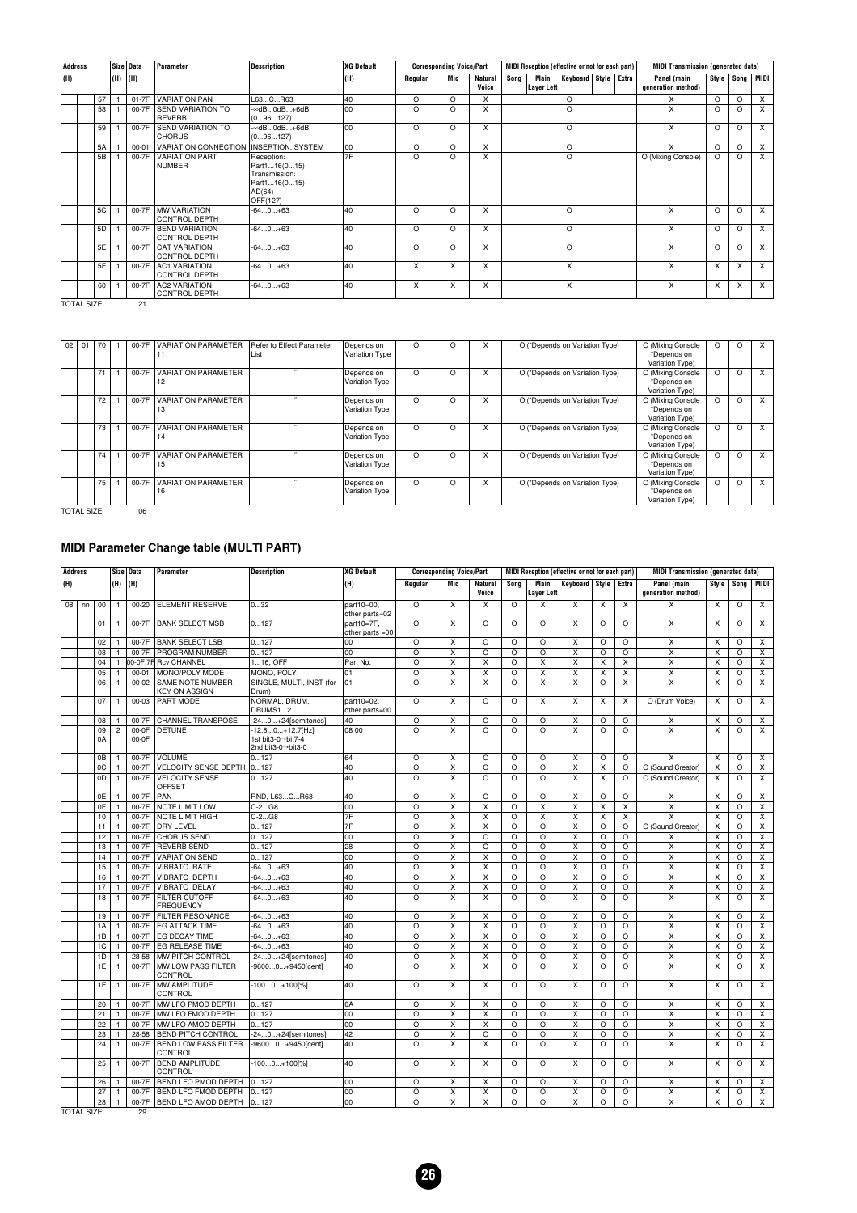| <b>Address</b> |                |          | Size Data | Parameter                                     | <b>Description</b>                                                                | <b>XG Default</b> |          | <b>Corresponding Voice/Part</b> |                         | MIDI Reception (effective or not for each part) |                      | <b>MIDI Transmission (generated data)</b> |          |              |          |
|----------------|----------------|----------|-----------|-----------------------------------------------|-----------------------------------------------------------------------------------|-------------------|----------|---------------------------------|-------------------------|-------------------------------------------------|----------------------|-------------------------------------------|----------|--------------|----------|
| (H)            |                | (H)  (H) |           |                                               |                                                                                   | (H)               | Regular  | Mic                             | <b>Natural</b><br>Voice | Song<br>Main<br>Layer Left                      | Keyboard Style Extra | Panel (main<br>generation method)         |          | Style   Song | MIDI     |
|                | 57             |          | 01-7F     | <b>VARIATION PAN</b>                          | L63CR63                                                                           | 40                | O        | $\Omega$                        | X                       | $\circ$                                         |                      | X                                         | $\Omega$ | $\Omega$     | $\times$ |
|                | 58             |          | 00-7F     | <b>SEND VARIATION TO</b><br><b>REVERB</b>     | $ \approx$ d $B$ 0d $B$ $+6$ d $B$<br>(096127)                                    | l oo              | $\Omega$ | $\circ$                         | X                       | $\circ$                                         |                      | X                                         | $\Omega$ | $\Omega$     | X        |
|                | 59             |          | 00-7F     | <b>SEND VARIATION TO</b><br><b>CHORUS</b>     | $ \approx$ d $B$ 0d $B$ $+6$ d $B$<br>(096127)                                    | 00                | O        | $\circ$                         | X                       | O<br>$\circ$                                    |                      | X                                         | $\circ$  | $\Omega$     | $\times$ |
|                | <b>5A</b>      |          | $00 - 01$ | VARIATION CONNECTION INSERTION, SYSTEM        |                                                                                   | 00                | $\Omega$ | $\Omega$                        | X                       |                                                 |                      | x                                         | $\Omega$ | $\circ$      | $\times$ |
|                | 5B             |          | 00-7F     | <b>VARIATION PART</b><br>NUMBER               | Reception:<br>Part116(015)<br>Transmission:<br>Part116(015)<br>AD(64)<br>OFF(127) | 7F                | O        | $\Omega$                        | X                       | $\circ$                                         |                      | O (Mixing Console)                        | $\Omega$ | $\Omega$     | $\times$ |
|                | <b>5C</b>      |          | 00-7F     | <b>MW VARIATION</b><br><b>CONTROL DEPTH</b>   | $-640+63$                                                                         | 40                | $\Omega$ | $\circ$                         | X                       | $\circ$                                         |                      | X                                         | $\Omega$ | $\Omega$     | X        |
|                | 5 <sub>D</sub> |          | 00-7F     | <b>BEND VARIATION</b><br><b>CONTROL DEPTH</b> | $-640+63$                                                                         | 40                | $\Omega$ | $\Omega$                        | X                       | $\Omega$                                        |                      | X                                         | $\Omega$ | $\Omega$     | $\times$ |
|                | 5E             |          | 00-7F     | <b>CAT VARIATION</b><br><b>CONTROL DEPTH</b>  | $-640+63$                                                                         | 40                | $\Omega$ | $\Omega$                        | X                       | $\circ$                                         |                      | X                                         | $\Omega$ | $\Omega$     | X        |
|                | 5F             |          | 00-7F     | <b>AC1 VARIATION</b><br><b>CONTROL DEPTH</b>  | $-640+63$                                                                         | 40                | X        | x                               | X                       | X                                               |                      | x                                         | X        | X            | X        |
|                | 60             |          | 00-7F     | <b>AC2 VARIATION</b><br><b>CONTROL DEPTH</b>  | $-640+63$                                                                         | 40                | X        | X                               | X                       | X                                               |                      | X                                         | X        | X            | $\times$ |

TOTAL SIZE 21

| 02 | 01 | 70 | $00-7F$ | <b>VARIATION PARAMETER</b>       | Refer to Effect Parameter<br>List | Depends on<br>Variation Type |   |   |   | O (*Depends on Variation Type) | O (Mixing Console<br>*Depends on<br>Variation Type) |          | 0       |   |
|----|----|----|---------|----------------------------------|-----------------------------------|------------------------------|---|---|---|--------------------------------|-----------------------------------------------------|----------|---------|---|
|    |    | 71 | 00-7F   | <b>VARIATION PARAMETER</b><br>12 | $\overline{\phantom{a}}$          | Depends on<br>Variation Type | O | O | X | O (*Depends on Variation Type) | O (Mixing Console<br>*Depends on<br>Variation Type) | $\circ$  | O       |   |
|    |    | 72 | $00-7F$ | <b>VARIATION PARAMETER</b><br>13 | ×                                 | Depends on<br>Variation Type | O | O | X | O (*Depends on Variation Type) | O (Mixing Console<br>*Depends on<br>Variation Type) | $\circ$  | O       | X |
|    |    | 73 | 00-7F   | <b>VARIATION PARAMETER</b><br>14 |                                   | Depends on<br>Variation Type | O | O | X | O (*Depends on Variation Type) | O (Mixing Console<br>*Depends on<br>Variation Type) | $\circ$  | $\circ$ | x |
|    |    | 74 | 00-7F   | <b>VARIATION PARAMETER</b><br>15 | $\overline{\phantom{a}}$          | Depends on<br>Variation Type | O | O | X | O (*Depends on Variation Type) | O (Mixing Console<br>*Depends on<br>Variation Type) | $\circ$  | O       |   |
|    |    | 75 | 00-7F   | <b>VARIATION PARAMETER</b><br>16 | $\overline{\phantom{a}}$          | Depends on<br>Variation Type | O | O | X | O (*Depends on Variation Type) | O (Mixing Console<br>*Depends on<br>Variation Type) | $\Omega$ | O       | X |

TOTAL SIZE 06

#### **MIDI Parameter Change table (MULTI PART)**

| <b>Address</b> |    |          |                              | Size Data      | Parameter                                  | <b>Description</b>                                           | <b>XG Default</b>               |                     | <b>Corresponding Voice/Part</b> |                              |                     |                           | MIDI Reception (effective or not for each part) |                           |                               | <b>MIDI Transmission (generated data)</b> |                         |                               |                              |
|----------------|----|----------|------------------------------|----------------|--------------------------------------------|--------------------------------------------------------------|---------------------------------|---------------------|---------------------------------|------------------------------|---------------------|---------------------------|-------------------------------------------------|---------------------------|-------------------------------|-------------------------------------------|-------------------------|-------------------------------|------------------------------|
| (H)            |    |          | (H)                          | (H)            |                                            |                                                              | (H)                             | Regular             | Mic                             | Natural<br>Voice             | Song                | Main<br><b>Layer Left</b> | Keyboard   Style                                |                           | Extra                         | Panel (main<br>generation method)         | Style                   | Song                          | MIDI                         |
| 08             | nn | 00       | 1                            | $00 - 20$      | <b>ELEMENT RESERVE</b>                     | 032                                                          | part10=00.<br>other parts=02    | $\circ$             | $\overline{\mathsf{x}}$         | X                            | $\circ$             | X                         | X                                               | X                         | X                             | X                                         | X                       | $\circ$                       | $\overline{X}$               |
|                |    | 01       | -1                           | 00-7F          | <b>BANK SELECT MSB</b>                     | 0127                                                         | part10=7F.<br>other parts $=00$ | $\circ$             | X                               | $\circ$                      | $\circ$             | $\circ$                   | X                                               | $\circ$                   | $\Omega$                      | X                                         | X                       | $\circ$                       | $\overline{\mathsf{x}}$      |
|                |    | 02       | 1                            | 00-7F          | <b>BANK SELECT LSB</b>                     | 0127                                                         | 00                              | O                   | X                               | $\circ$                      | $\circ$             | $\circ$                   | X                                               | $\circ$                   | $\circ$                       | X                                         | X                       | $\circ$                       | X                            |
|                |    | 03       | 1                            | 00-7F          | <b>PROGRAM NUMBER</b>                      | 0127                                                         | 00                              | $\overline{\circ}$  | $\overline{\mathsf{x}}$         | $\circ$                      | $\Omega$            | $\circ$                   | x                                               | $\circ$                   | $\circ$                       | $\overline{\mathsf{x}}$                   | X                       | O                             | X                            |
|                |    | 04       | $\mathbf{1}$                 |                | 00-0F.7F Rcv CHANNEL                       | 116. OFF                                                     | Part No.                        | $\circ$             | X                               | X                            | $\Omega$            | X                         | X                                               | X                         | X                             | X                                         | X                       | O                             | X                            |
|                |    | 05       | 1                            | $00 - 01$      | MONO/POLY MODE                             | MONO, POLY                                                   | 01                              | O                   | X                               | $\mathsf{x}$                 | O                   | X                         | x                                               | X                         | $\pmb{\times}$                | $\overline{\mathsf{x}}$                   | X                       | O                             | $\pmb{\times}$               |
|                |    | 06       | $\mathbf{1}$                 | $00 - 02$      | SAME NOTE NUMBER<br><b>KEY ON ASSIGN</b>   | SINGLE, MULTI, INST (for<br>Drum)                            | 01                              | $\Omega$            | X                               | X                            | $\circ$             | X                         | X                                               | $\circ$                   | X                             | X                                         | X                       | $\circ$                       | X                            |
|                |    | 07       | 1                            | 00-03          | <b>PART MODE</b>                           | NORMAL, DRUM.<br>DRUMS12                                     | part10=02.<br>other parts=00    | O                   | X                               | O                            | O                   | X                         | X                                               | X                         | $\times$                      | O (Drum Voice)                            | X                       | O                             | X                            |
|                |    | 08       | $\mathbf{1}$                 | 00-7F          | <b>CHANNEL TRANSPOSE</b>                   | -240+24[semitones]                                           | 40                              | $\circ$             | $\pmb{\times}$                  | $\circ$                      | $\circ$             | $\circ$                   | x                                               | $\circ$                   | $\circ$                       | X                                         | X                       | O                             | $\pmb{\times}$               |
|                |    | 09<br>0A | $\overline{2}$               | 00-0F<br>00-0F | <b>DETUNE</b>                              | $-12.80+12.7$ [Hz]<br>1st bit3-0→bit7-4<br>2nd bit3-0→bit3-0 | 08 00                           | $\overline{\circ}$  | $\overline{\mathsf{x}}$         | $\circ$                      | $\circ$             | $\overline{\circ}$        | $\overline{\mathsf{x}}$                         | $\overline{\circ}$        | $\overline{\circ}$            | $\overline{\mathsf{x}}$                   | $\overline{\mathsf{x}}$ | $\circ$                       | $\overline{\mathsf{x}}$      |
|                |    | 0B       | $\mathbf{1}$                 | 00-7F          | VOLUME                                     | 0127                                                         | 64                              | $\circ$             | $\overline{\mathsf{x}}$         | $\circ$                      | $\Omega$            | $\circ$                   | $\overline{\mathsf{x}}$                         | $\circ$                   | $\circ$                       | $\overline{\mathsf{x}}$                   | $\overline{\mathsf{x}}$ | $\circ$                       | $\overline{\mathsf{x}}$      |
|                |    | 0C       | $\mathbf{1}$                 | 00-7F          | VELOCITY SENSE DEPTH                       | 0127                                                         | 40                              | $\circ$             | X                               | $\circ$                      | $\Omega$            | $\circ$                   | X                                               | X                         | $\circ$                       | O (Sound Creator)                         | X                       | O                             | X                            |
|                |    | 0D       | 1                            | 00-7F          | <b>VELOCITY SENSE</b><br><b>OFFSET</b>     | 0127                                                         | 40                              | $\circ$             | $\times$                        | $\circ$                      | O                   | $\circ$                   | x                                               | X                         | $\circ$                       | O (Sound Creator)                         | X                       | $\circ$                       | $\pmb{\times}$               |
|                |    | 0E       | $\mathbf{1}$                 | 00-7F          | PAN                                        | RND, L63CR63                                                 | 40                              | $\circ$             | X                               | $\circ$                      | $\Omega$            | $\circ$                   | X                                               | $\circ$                   | $\circ$                       | X                                         | X                       | $\circ$                       | X                            |
|                |    | 0F       | 1                            | 00-7F          | NOTE LIMIT LOW                             | $C-2G8$                                                      | 00                              | $\circ$             | $\mathsf X$                     | $\pmb{\times}$               | $\circ$             | $\overline{\mathsf{x}}$   | X                                               | $\overline{\mathsf{x}}$   | X                             | $\pmb{\times}$                            | $\overline{\mathsf{x}}$ | $\circ$                       | $\pmb{\times}$               |
|                |    | 10       | $\mathbf{1}$                 | 00-7F          | <b>NOTE LIMIT HIGH</b>                     | $C-2G8$                                                      | 7F                              | $\circ$             | $\mathsf{x}$                    | X                            | $\circ$             | X                         | X                                               | $\boldsymbol{\mathsf{x}}$ | $\mathsf{x}$                  | X                                         | $\times$                | $\circ$                       | X                            |
|                |    | 11       | $\mathbf{1}$                 | 00-7F          | <b>DRY LEVEL</b>                           | 0127                                                         | 7F                              | $\circ$             | X                               | X                            | O                   | $\circ$                   | x                                               | $\circ$                   | O                             | O (Sound Creator)                         | X                       | O                             | $\overline{\mathsf{x}}$      |
|                |    | 12       | $\mathbf{1}$                 | 00-7F          | <b>CHORUS SEND</b>                         | 0127                                                         | 00                              | $\circ$             | $\overline{\mathsf{x}}$         | $\circ$                      | $\Omega$            | $\circ$                   | $\overline{\mathsf{x}}$                         | $\circ$                   | O                             | Χ                                         | $\overline{\mathsf{x}}$ | O                             | $\boldsymbol{\mathsf{X}}$    |
|                |    | 13       | $\mathbf{1}$                 | 00-7F          | <b>REVERB SEND</b>                         | 0127                                                         | 28                              | $\circ$             | $\times$                        | $\circ$                      | O                   | $\circ$                   | X                                               | $\circ$                   | $\circ$                       | $\mathsf{x}$                              | X                       | $\circ$                       | $\pmb{\times}$               |
|                |    | 14       | $\mathbf{1}$                 | 00-7F          | <b>VARIATION SEND</b>                      | 0127                                                         | 00                              | $\overline{\circ}$  | $\overline{\mathsf{x}}$         | X                            | $\circ$             | $\circ$                   | $\overline{\mathsf{x}}$                         | $\overline{\circ}$        | $\circ$                       | $\overline{\mathsf{x}}$                   | X                       | $\circ$                       | $\overline{\mathsf{x}}$      |
|                |    | 15       | $\mathbf{1}$                 | 00-7F          | <b>VIBRATO RATE</b>                        | $-640+63$                                                    | 40                              | $\circ$             | $\overline{\mathsf{x}}$         | X                            | $\circ$             | $\circ$                   | X                                               | $\circ$                   | $\circ$                       | $\pmb{\times}$                            | X                       | O                             | $\boldsymbol{\mathsf{X}}$    |
|                |    | 16       | $\mathbf{1}$                 | 00-7F          | <b>VIBRATO DEPTH</b>                       | $-640+63$                                                    | 40                              | $\circ$             | $\overline{\mathsf{x}}$         | $\overline{\mathsf{x}}$      | $\Omega$            | $\Omega$                  | X                                               | $\circ$                   | $\Omega$                      | $\overline{\mathsf{x}}$                   | $\overline{\mathsf{x}}$ | $\circ$                       | $\overline{\mathsf{x}}$      |
|                |    | 17       | $\mathbf{1}$                 | 00-7F          | <b>VIBRATO DELAY</b>                       | $-640+63$                                                    | 40                              | $\circ$<br>$\Omega$ | X<br>$\overline{\mathbf{x}}$    | X<br>$\overline{x}$          | O                   | $\circ$<br>$\Omega$       | x<br>$\overline{x}$                             | $\circ$                   | $\circ$<br>$\overline{\circ}$ | X<br>$\overline{x}$                       | X                       | $\circ$<br>$\overline{\circ}$ | $\overline{\mathsf{x}}$      |
|                |    | 18       | 1                            | 00-7F          | <b>FILTER CUTOFF</b><br><b>FREQUENCY</b>   | $-640+63$                                                    | 40                              |                     |                                 |                              | $\Omega$            |                           |                                                 | $\circ$                   |                               |                                           | $\overline{\mathsf{x}}$ |                               | $\overline{x}$               |
|                |    | 19       | $\mathbf{1}$                 | 00-7F          | <b>FILTER RESONANCE</b>                    | $-640+63$                                                    | 40                              | $\circ$             | X                               | X                            | $\Omega$            | $\circ$                   | X                                               | $\circ$                   | O                             | X                                         | X                       | $\circ$                       | X                            |
|                |    | 1A       | $\mathbf{1}$                 | 00-7F          | <b>EG ATTACK TIME</b>                      | $-640+63$                                                    | 40                              | $\overline{\circ}$  | $\overline{\mathsf{x}}$         | $\overline{\mathsf{x}}$      | $\circ$             | $\overline{\circ}$        | $\overline{\mathsf{x}}$                         | $\overline{\circ}$        | $\circ$                       | $\overline{\mathsf{x}}$                   | $\overline{\mathsf{x}}$ | $\circ$                       | $\overline{\mathsf{x}}$      |
|                |    | 1B       | $\mathbf{1}$                 | 00-7F          | EG DECAY TIME                              | $-640+63$                                                    | 40                              | $\circ$             | X                               | X                            | $\circ$<br>$\Omega$ | $\circ$                   | x                                               | $\circ$                   | $\circ$                       | X                                         | X                       | $\circ$                       | X                            |
|                |    | 1C<br>1D | $\mathbf{1}$<br>$\mathbf{1}$ | 00-7F<br>28-58 | <b>EG RELEASE TIME</b><br>MW PITCH CONTROL | $-640+63$                                                    | 40<br>40                        | $\circ$<br>$\circ$  | X<br>X                          | $\overline{\mathsf{x}}$<br>X | $\Omega$            | $\circ$<br>$\circ$        | X<br>X                                          | $\circ$<br>$\circ$        | $\circ$<br>$\circ$            | $\overline{\mathsf{x}}$<br>X              | X<br>X                  | $\circ$<br>$\circ$            | $\overline{\mathsf{x}}$<br>X |
|                |    | 1E       | 1                            | 00-7F          | MW LOW PASS FILTER<br>CONTROL              | -240+24[semitones]<br>-96000+9450[cent]                      | 40                              | $\overline{O}$      | $\overline{\mathsf{x}}$         | $\overline{\mathsf{x}}$      | $\circ$             | $\circ$                   | $\overline{\mathsf{x}}$                         | $\circ$                   | $\overline{O}$                | $\overline{\mathsf{x}}$                   | X                       | $\circ$                       | $\overline{\mathsf{x}}$      |
|                |    | 1F       | $\mathbf{1}$                 | 00-7F          | MW AMPLITUDE<br>CONTROL                    | $-1000+100$ [%]                                              | 40                              | $\circ$             | X                               | $\mathsf{x}$                 | $\Omega$            | $\circ$                   | X                                               | $\circ$                   | $\circ$                       | $\mathsf{x}$                              | X                       | $\circ$                       | $\pmb{\times}$               |
|                |    | 20       | $\mathbf{1}$                 | 00-7F          | MW LFO PMOD DEPTH                          | 0127                                                         | 0A                              | $\circ$             | X                               | X                            | $\circ$             | $\circ$                   | X                                               | $\circ$                   | O                             | X                                         | X                       | O                             | X                            |
|                |    | 21       | $\mathbf{1}$                 | 00-7F          | MW LFO FMOD DEPTH                          | 0127                                                         | 00                              | $\overline{O}$      | $\overline{\mathsf{x}}$         | $\overline{\mathsf{x}}$      | $\circ$             | $\overline{O}$            | $\overline{\mathsf{x}}$                         | $\overline{O}$            | $\circ$                       | $\overline{\mathsf{x}}$                   | $\overline{\mathsf{x}}$ | $\circ$                       | $\overline{\mathsf{x}}$      |
|                |    | 22       | $\mathbf{1}$                 | 00-7F          | MW LFO AMOD DEPTH                          | 0127                                                         | 00                              | $\circ$             | X                               | $\times$                     | $\Omega$            | $\Omega$                  | X                                               | $\circ$                   | $\circ$                       | X                                         | X                       | O                             | X                            |
|                |    | 23       | $\mathbf{1}$                 | 28-58          | <b>BEND PITCH CONTROL</b>                  | -240+24[semitones]                                           | 42                              | O                   | X                               | $\circ$                      | O                   | $\circ$                   | Χ                                               | $\circ$                   | $\circ$                       | $\overline{\mathsf{x}}$                   | X                       | O                             | X                            |
|                |    | 24       | $\mathbf{1}$                 | $00-7F$        | <b>BEND LOW PASS FILTER</b><br>CONTROL     | -96000+9450[cent]                                            | 40                              | $\Omega$            | $\overline{\mathbf{x}}$         | $\overline{\mathsf{x}}$      | $\Omega$            | $\Omega$                  | $\overline{\mathsf{x}}$                         | $\Omega$                  | $\Omega$                      | $\overline{\mathsf{x}}$                   | X                       | $\Omega$                      | $\overline{\mathsf{x}}$      |
|                |    | 25       | -1                           | 00-7F          | <b>BEND AMPLITUDE</b><br>CONTROL           | $-1000+100[\%]$                                              | 40                              | $\circ$             | X                               | X                            | $\circ$             | $\circ$                   | X                                               | $\circ$                   | $\circ$                       | X                                         | X                       | $\circ$                       | $\pmb{\times}$               |
|                |    | 26       | 1                            | 00-7F          | <b>BEND LFO PMOD DEPTH</b>                 | 0127                                                         | 00                              | $\circ$             | X                               | X                            | $\circ$             | $\circ$                   | X                                               | $\circ$                   | $\circ$                       | X                                         | X                       | $\circ$                       | X                            |
|                |    | 27       | $\mathbf{1}$                 | 00-7F          | BEND LFO FMOD DEPTH                        | 0127                                                         | 00                              | $\overline{O}$      | $\overline{\mathsf{x}}$         | $\overline{\mathsf{x}}$      | $\Omega$            | $\circ$                   | x                                               | O                         | O                             | $\overline{\mathsf{x}}$                   | X                       | O                             | $\overline{\mathsf{x}}$      |
|                |    | 28       | $\mathbf{1}$                 | 00-7F          | BEND LFO AMOD DEPTH 0127                   |                                                              | 00                              | $\circ$             | $\times$                        | X                            | $\circ$             | $\circ$                   | X                                               | $\circ$                   | $\circ$                       | X                                         | X                       | $\circ$                       | X                            |

TOTAL SIZE 29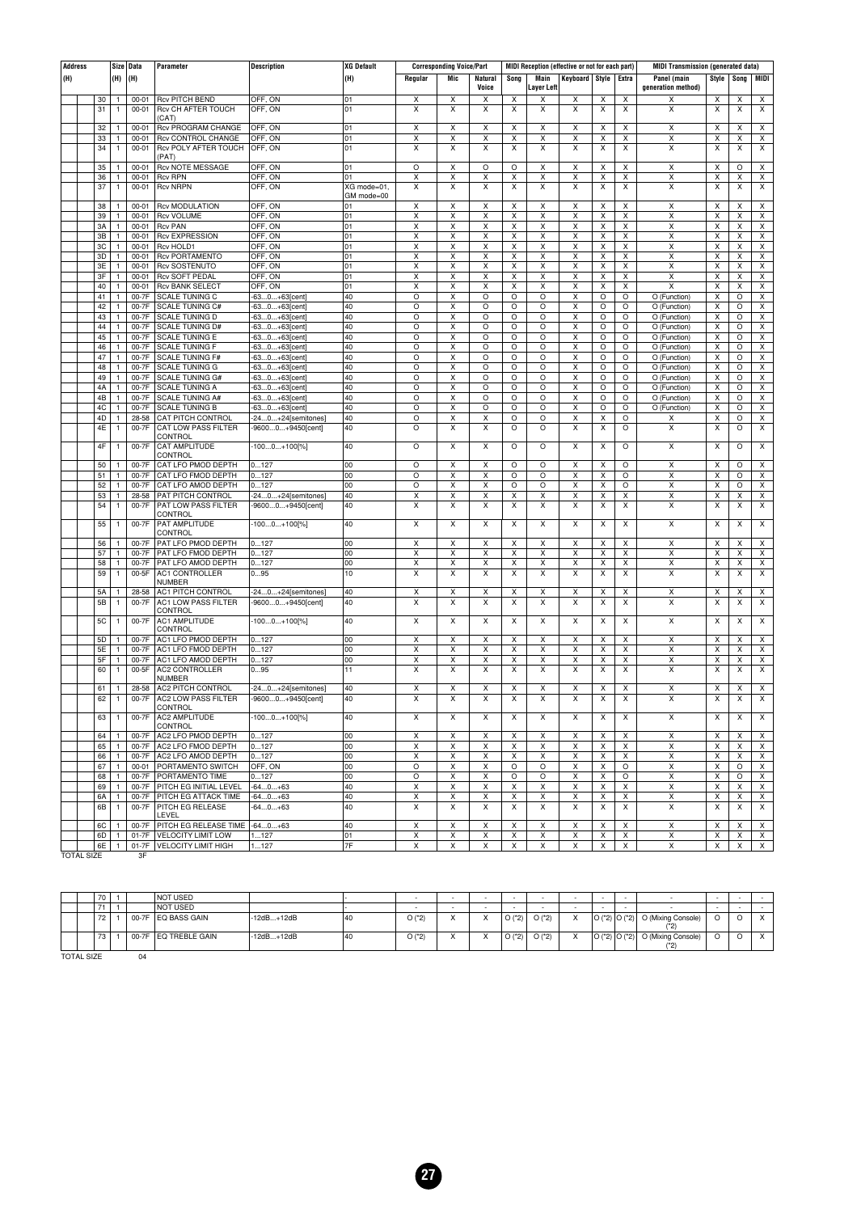| <b>Address</b>    |           |              | Size Data | Parameter                      | <b>Description</b> | <b>XG Default</b> |         | <b>Corresponding Voice/Part</b> |                         |         | MIDI Reception (effective or not for each part) |                         |                         |         | <b>MIDI Transmission (generated data)</b> |       |         |                         |
|-------------------|-----------|--------------|-----------|--------------------------------|--------------------|-------------------|---------|---------------------------------|-------------------------|---------|-------------------------------------------------|-------------------------|-------------------------|---------|-------------------------------------------|-------|---------|-------------------------|
| (H)               |           | (H)          | (H)       |                                |                    | (H)               | Regular | Mic                             | Natural                 | Song    | Main                                            | Keyboard Style          |                         | Extra   | Panel (main                               | Style | Song    | MIDI                    |
|                   |           |              |           |                                |                    |                   |         |                                 | Voice                   |         | Layer Left                                      |                         |                         |         | generation method)                        |       |         |                         |
|                   | 30        | 1            | $00 - 01$ | <b>Rcv PITCH BEND</b>          | OFF, ON            | 01                | х       | X                               | X                       | X       | X                                               | X                       | X                       | X       | х                                         | X     | X       | X                       |
|                   | 31        | 1            | 00-01     | Rcv CH AFTER TOUCH             | OFF, ON            | 01                | X       | X                               | X                       | X       | X                                               | $\pmb{\times}$          | X                       | X       | X                                         | X     | X       | X                       |
|                   |           |              |           | (CAT)                          |                    |                   |         |                                 |                         |         |                                                 |                         |                         |         |                                           |       |         |                         |
|                   | 32        | 1            | $00 - 01$ | <b>Rcv PROGRAM CHANGE</b>      | OFF, ON            | 01                | Х       | X                               | X                       | X       | х                                               | Х                       | х                       | X       | X                                         | X     | x       | Х                       |
|                   | 33        | 1            | $00 - 01$ | <b>Rcv CONTROL CHANGE</b>      | OFF, ON            | 01                | X       | X                               | $\overline{\mathsf{X}}$ | X       | $\overline{\mathsf{x}}$                         | $\overline{\mathsf{x}}$ | x                       | X       | $\overline{\mathsf{X}}$                   | X     | X       | $\overline{\mathsf{x}}$ |
|                   | 34        | 1            | 00-01     | Rcv POLY AFTER TOUCH           | OFF, ON            | 01                | Χ       | X                               | X                       | X       | X                                               | $\pmb{\times}$          | x                       | X       | X                                         | Χ     | X       | X                       |
|                   |           |              |           | (PAT)                          |                    |                   |         |                                 |                         |         |                                                 |                         |                         |         |                                           |       |         |                         |
|                   | 35        | 1            | $00 - 01$ | <b>Rcv NOTE MESSAGE</b>        | OFF, ON            | 01                | O       | x                               | O                       | O       | X                                               | x                       | x                       | X       | X                                         | X     | $\circ$ | X                       |
|                   | 36        | $\mathbf{1}$ | $00 - 01$ | <b>Rcv RPN</b>                 | OFF, ON            | 01                | X       | X                               | X                       | X       | X                                               | $\overline{\mathsf{x}}$ | x                       | X       | $\overline{\mathsf{x}}$                   | Χ     | X       | $\overline{\mathsf{x}}$ |
|                   | 37        | 1            | $00 - 01$ | <b>Rcv NRPN</b>                | OFF, ON            | XG mode=01,       | X       | X                               | X                       | X       | X                                               | X                       | X                       | X       | X                                         | X     | x       | X                       |
|                   |           |              |           |                                |                    | GM mode=00        |         |                                 |                         |         |                                                 |                         |                         |         |                                           |       |         |                         |
|                   | 38        | $\mathbf{1}$ | 00-01     | <b>Rcv MODULATION</b>          | OFF, ON            | 01                | X       | X                               | X                       | X       | X                                               | x                       | x                       | X       | X                                         | X     | X       | X                       |
|                   | 39        | $\mathbf{1}$ | $00 - 01$ | <b>Rcv VOLUME</b>              | OFF, ON            | 01                | X       | X                               | $\overline{\mathsf{x}}$ | X       | $\overline{\mathsf{x}}$                         | $\overline{\mathsf{x}}$ | $\overline{\mathsf{x}}$ | X       | $\overline{\mathsf{x}}$                   | X     | x       | $\overline{\mathsf{x}}$ |
|                   | 3A        | 1            | $00 - 01$ | <b>Rcv PAN</b>                 | OFF, ON            | 01                | Χ       | Χ                               | X                       | X       | Χ                                               | X                       | X                       | X       | X                                         | X     | X       | X                       |
|                   | 3B        | $\mathbf{1}$ | $00 - 01$ | <b>Rcv EXPRESSION</b>          | OFF, ON            | 01                | х       | X                               | X                       | x       | X                                               | x                       | X                       | X       | X                                         | X     | x       | X                       |
|                   | 3C        | 1            | $00 - 01$ | <b>Rcv HOLD1</b>               | OFF, ON            | 01                | X       | X                               | Χ                       | Χ       | Χ                                               | $\overline{\mathsf{x}}$ | $\overline{\mathsf{x}}$ | X       | X                                         | Χ     | X       | $\overline{\mathsf{x}}$ |
|                   | 3D        | 1            | 00-01     | <b>Rcv PORTAMENTO</b>          | OFF, ON            | 01                | X       | Χ                               | Χ                       | Χ       | Χ                                               | X                       | x                       | X       | Χ                                         | X     | X       | X                       |
|                   | 3E        | $\mathbf{1}$ | $00 - 01$ | <b>Rcv SOSTENUTO</b>           | OFF, ON            | 01                | X       | X                               | X                       | Χ       | Χ                                               | x                       | X                       | X       | X                                         | X     | x       | X                       |
|                   | 3F        | $\mathbf{1}$ | $00 - 01$ | <b>Rcv SOFT PEDAL</b>          | OFF, ON            | 01                | X       | Χ                               | Χ                       | Χ       | $\overline{\mathsf{x}}$                         | $\overline{\mathsf{x}}$ | x                       | X       | $\overline{\mathsf{x}}$                   | Χ     | x       | $\overline{\mathsf{x}}$ |
|                   | 40        | 1            | $00 - 01$ | <b>Rcv BANK SELECT</b>         | OFF, ON            | 01                | X       | Χ                               | Χ                       | Χ       | Χ                                               | Χ                       | X                       | X       | X                                         | X     | X       | X                       |
|                   | 41        | $\mathbf{1}$ | 00-7F     | SCALE TUNING C                 | -630+63[cent]      | 40                | O       | X                               | O                       | O       | $\circ$                                         | x                       | O                       | O       | O (Function)                              | Χ     | O       | Χ                       |
|                   | 42        | 1            | 00-7F     | <b>SCALE TUNING C#</b>         | -630+63[cent       | 40                | O       | X                               | O                       | O       | O                                               | $\overline{\mathsf{x}}$ | O                       | O       | O (Function)                              | Χ     | O       | $\overline{\mathsf{x}}$ |
|                   | 43        | 1            | 00-7F     | <b>SCALE TUNING D</b>          | -630+63[cent]      | 40                | O       | Χ                               | O                       | O       | O                                               | X                       | O                       | O       | O (Function)                              | Χ     | O       | X                       |
|                   | 44        | $\mathbf{1}$ | 00-7F     | <b>SCALE TUNING D#</b>         | -630+63[cent]      | 40                | $\circ$ | X                               | O                       | O       | O                                               | x                       | O                       | $\circ$ | O (Function)                              | Χ     | O       | X                       |
|                   | 45        | $\mathbf{1}$ | 00-7F     | <b>SCALE TUNING E</b>          | -630+63[cent       | 40                | O       | Χ                               | O                       | O       | O                                               | $\overline{\mathsf{x}}$ | O                       | O       | O (Function)                              | Χ     | O       | $\overline{\mathsf{x}}$ |
|                   | 46        | 1            | 00-7F     | <b>SCALE TUNING F</b>          | -630+63[cent]      | 40                | O       | Χ                               | O                       | O       | O                                               | Χ                       | O                       | O       | O (Function)                              | Χ     | O       | Χ                       |
|                   | 47        | $\mathbf{1}$ | 00-7F     | SCALE TUNING F#                | -630+63[cent]      | 40                | O       | X                               | O                       | O       | $\circ$                                         | x                       | $\circ$                 | O       | O (Function)                              | X     | O       | Χ                       |
|                   | 48        | 1            | 00-7F     | <b>SCALE TUNING G</b>          | -630+63[cent]      | 40                | O       | X                               | O                       | O       | O                                               | $\overline{\mathsf{x}}$ | O                       | O       | O (Function)                              | X     | O       | $\overline{\mathsf{x}}$ |
|                   | 49        | 1            | 00-7F     | <b>SCALE TUNING G#</b>         | -630+63[cent]      | 40                | O       | Χ                               | O                       | O       | O                                               | X                       | O                       | O       | O (Function)                              | Χ     | O       | X                       |
|                   | 4A        | $\mathbf{1}$ | 00-7F     | <b>SCALE TUNING A</b>          | -630+63[cent]      | 40                | $\circ$ | Χ                               | O                       | O       | O                                               | x                       | $\circ$                 | $\circ$ | O (Function)                              | Χ     | O       | X                       |
|                   | 4B        | 1            | 00-7F     | <b>SCALE TUNING A#</b>         | -630+63[cent]      | 40                | O       | Χ                               | O                       | O       | O                                               | $\overline{\mathsf{x}}$ | O                       | O       | O (Function)                              | Χ     | O       | $\overline{\mathsf{x}}$ |
|                   | 4C        | $\mathbf{1}$ | 00-7F     | <b>SCALE TUNING B</b>          | -630+63[cent]      | 40                | O       | Χ                               | O                       | O       | O                                               | Χ                       | O                       | O       | O (Function)                              | Χ     | O       | X                       |
|                   | 4D        | $\mathbf{1}$ | 28-58     | <b>CAT PITCH CONTROL</b>       | -240+24[semitones] | 40                | O       | X                               | X                       | O       | $\circ$                                         | x                       | x                       | O       | Χ                                         | X     | O       | Χ                       |
|                   | 4E        | 1            | 00-7F     | CAT LOW PASS FILTER            | -96000+9450[cent]  | 40                | O       | X                               | X                       | O       | O                                               | $\overline{\mathsf{x}}$ | X                       | O       | X                                         | X     | O       | $\overline{\mathsf{x}}$ |
|                   |           |              |           | CONTROL                        |                    |                   |         |                                 |                         |         |                                                 |                         |                         |         |                                           |       |         |                         |
|                   | 4F        | 1            | 00-7F     | CAT AMPLITUDE                  | $-1000+100[\%]$    | 40                | $\circ$ | X                               | X                       | $\circ$ | $\circ$                                         | X                       | X                       | $\circ$ | X                                         | X     | O       | X                       |
|                   |           |              |           | CONTROL                        |                    |                   |         |                                 |                         |         |                                                 |                         |                         |         |                                           |       |         |                         |
|                   | 50        | 1            | 00-7F     | CAT LFO PMOD DEPTH             | 0127               | 00                | $\circ$ | X                               | X                       | O       | $\circ$                                         | x                       | x                       | $\circ$ | X                                         | X     | $\circ$ | X                       |
|                   | 51        | 1            | 00-7F     | CAT LFO FMOD DEPTH             | 0127               | 00                | O       | X                               | Χ                       | O       | O                                               | $\overline{\mathsf{x}}$ | X                       | O       | $\overline{\mathsf{x}}$                   | Χ     | O       | $\overline{\mathsf{x}}$ |
|                   | 52        | 1            | 00-7F     | CAT LFO AMOD DEPTH             | 0127               | 00                | O       | Χ                               | Χ                       | O       | O                                               | X                       | X                       | $\circ$ | Χ                                         | Χ     | O       | X                       |
|                   | 53        | $\mathbf{1}$ | 28-58     | PAT PITCH CONTROL              | -240+24[semitones] | 40                | X       | X                               | X                       | X       | Χ                                               | X                       | x                       | X       | X                                         | X     | x       | X                       |
|                   | 54        | 1            | 00-7F     | <b>PAT LOW PASS FILTER</b>     | -96000+9450[cent]  | 40                | X       | X                               | X                       | X       | X                                               | $\overline{\mathsf{x}}$ | X                       | X       | $\overline{\mathsf{x}}$                   | X     | X       | $\overline{\mathsf{x}}$ |
|                   |           |              |           | CONTROL                        |                    |                   |         |                                 |                         |         |                                                 |                         |                         |         |                                           |       |         |                         |
|                   | 55        | 1            | 00-7F     | PAT AMPLITUDE                  | $-1000+100[\%]$    | 40                | X       | x                               | X                       | X       | X                                               | X                       | x                       | X       | X                                         | X     | X       | X                       |
|                   |           |              |           | CONTROL                        |                    |                   |         |                                 |                         |         |                                                 |                         |                         |         |                                           |       |         |                         |
|                   | 56        | 1            | 00-7F     | PAT LFO PMOD DEPTH             | 0127               | 00                | X       | X                               | X                       | Χ       | X                                               | x                       | x                       | X       | X                                         | X     | х       | X                       |
|                   | 57        | 1            | 00-7F     | PAT LFO FMOD DEPTH             | 0127               | 00                | X       | X                               | X                       | X       | $\overline{\mathsf{x}}$                         | $\overline{\mathsf{x}}$ | X                       | X       | $\overline{\mathsf{x}}$                   | X     | х       | $\overline{\mathsf{x}}$ |
|                   | 58        | 1            | 00-7F     | PAT LFO AMOD DEPTH             | 0127               | 00                | Χ       | X                               | X                       | Χ       | Χ                                               | x                       | x                       | X       | Χ                                         | Χ     | х       | X                       |
|                   | 59        | 1            | 00-5F     | AC1 CONTROLLER                 | 095                | 10                | X       | X                               | X                       | х       | X                                               | X                       | X                       | X       | X                                         | X     | x       | X                       |
|                   |           |              |           | NUMBER                         |                    |                   |         |                                 |                         |         |                                                 |                         |                         |         |                                           |       |         |                         |
|                   | 5A        | 1            | 28-58     | <b>AC1 PITCH CONTROL</b>       | -240+24[semitones] | 40                | х       | X                               | Χ                       | Χ       | X                                               | X                       | X                       | X       | X                                         | Χ     | X       | $\overline{\mathsf{x}}$ |
|                   | 5B        | 1            | 00-7F     | AC1 LOW PASS FILTER<br>CONTROL | -96000+9450[cent]  | 40                | X       | X                               | X                       | X       | X                                               | X                       | x                       | X       | X                                         | X     | X       | X                       |
|                   | <b>5C</b> | 1            | 00-7F     | AC1 AMPLITUDE                  | $-1000+100[\%]$    | 40                | X       | X                               | X                       | х       | X                                               | X                       | X                       | X       | X                                         | X     | x       | X                       |
|                   |           |              |           | CONTROL                        |                    |                   |         |                                 |                         |         |                                                 |                         |                         |         |                                           |       |         |                         |
|                   | 5D        | $\mathbf{1}$ | 00-7F     | AC1 LFO PMOD DEPTH             | 0127               | 00                | X       | $\overline{\mathsf{x}}$         | X                       | Χ       | $\overline{\mathsf{x}}$                         | $\overline{\mathsf{x}}$ | x                       | X       | X                                         | X     | X       | X                       |
|                   | 5E        | 1            | 00-7F     | AC1 LFO FMOD DEPTH             | 0127               | 00                | Χ       | X                               | X                       | Χ       | Χ                                               | x                       | x                       | X       | X                                         | Χ     | X       | X                       |
|                   | 5F        | 1            | 00-7F     | AC1 LFO AMOD DEPTH             | 0127               | 00                | х       | х                               | X                       | х       | х                                               | X                       | x                       | X       | X                                         | Χ     | х       | X                       |
|                   | 60        | 1            | 00-5F     | AC2 CONTROLLER                 | 095                | 11                | х       | х                               | X                       | х       | X                                               | X                       | X                       | X       | X                                         | X     | х       | X                       |
|                   |           |              |           | <b>NUMBER</b>                  |                    |                   |         |                                 |                         |         |                                                 |                         |                         |         |                                           |       |         |                         |
|                   | 61        | -1           | 28-58     | AC2 PITCH CONTROL              | -240+24[semitones] | 40                | Χ       | Х                               | X                       | Χ       | Χ                                               | х                       | х                       | х       | X                                         | Χ     | X       | X                       |
|                   | 62        | $\mathbf{1}$ | 00-7F     | <b>AC2 LOW PASS FILTER</b>     | -96000+9450[cent]  | 40                | X       | X                               | X                       | X       | X                                               | X                       | X                       | X       | X                                         | X     | X       | X                       |
|                   |           |              |           | <b>CONTROL</b>                 |                    |                   |         |                                 |                         |         |                                                 |                         |                         |         |                                           |       |         |                         |
|                   | 63        | 1            | 00-7F     | AC2 AMPLITUDE                  | $-1000+100[\%]$    | 40                | X       | х                               | X                       | Х       | X                                               | X                       | X                       | Х       | X                                         | X     | х       | X                       |
|                   |           |              |           | CONTROL                        |                    |                   |         |                                 |                         |         |                                                 |                         |                         |         |                                           |       |         |                         |
|                   | 64        | $\mathbf{1}$ | 00-7F     | AC2 LFO PMOD DEPTH             | 0127               | 00                | Χ       | х                               | х                       | X       | X                                               | х                       | x                       | Х       | X                                         | Χ     | х       | х                       |
|                   | 65        | $\mathbf{1}$ |           | 00-7F AC2 LFO FMOD DEPTH       | 0127               | 00                | х       | Х                               | X                       | X       | х                                               | X                       | X                       | X       | X                                         | Х     | Х       | Х                       |
|                   | 66        | 1            |           | 00-7F AC2 LFO AMOD DEPTH       | 0127               | 00                | х       | X                               | X                       | x       | X                                               | X                       | X                       | X       | X                                         | X     | Х       | X                       |
|                   | 67        | 1            |           | 00-01 PORTAMENTO SWITCH        | OFF, ON            | 00                | O       | х                               | X                       | O       | O                                               | x                       | X                       | $\circ$ | X                                         | Χ     | O       | X                       |
|                   | 68        | $\mathbf{1}$ | 00-7F     | PORTAMENTO TIME                | 0127               | 00                | O       | X                               | Χ                       | O       | $\circ$                                         | X                       | x                       | $\circ$ | X                                         | X     | $\circ$ | X                       |
|                   | 69        | 1            | 00-7F     | PITCH EG INITIAL LEVEL         | $-640+63$          | 40                | Х       | X                               | X                       | X       | х                                               | X                       | X                       | Χ       | X                                         | х     | X       | X                       |
|                   | 6A        | $\mathbf{1}$ |           | 00-7F PITCH EG ATTACK TIME     | $-640+63$          | 40                | Χ       | x                               | X                       | х       | Χ                                               | x                       | X                       | X       | X                                         | X     | х       | X                       |
|                   | 6B        | $\mathbf{1}$ |           | 00-7F PITCH EG RELEASE         | $-640+63$          | 40                | X       | X                               | X                       | х       | х                                               | X                       | X                       | X       | X                                         | х     | Х       | X                       |
|                   |           |              |           | LEVEL                          |                    |                   |         |                                 |                         |         |                                                 |                         |                         |         |                                           |       |         |                         |
|                   | 6C        | $\mathbf{1}$ | 00-7F     | PITCH EG RELEASE TIME -640+63  |                    | 40                | Х       | X                               | X                       | Χ       | X                                               | Χ                       | X                       | Χ       | Χ                                         | X     | Х       | X                       |
|                   | 6D        | $\mathbf{1}$ | $01-7F$   | VELOCITY LIMIT LOW             | 1127               | 01                | Χ       | х                               | X                       | X       | X                                               | x                       | X                       | X       | X                                         | Χ     | Х       | X                       |
|                   | 6E        | 1            |           | 01-7F   VELOCITY LIMIT HIGH    | 1127               | 7F                | x       | x                               | X                       | X       | X                                               | x                       | X                       | X       | X                                         | X     | X       | X                       |
| <b>TOTAL SIZE</b> |           |              | 3F        |                                |                    |                   |         |                                 |                         |         |                                                 |                         |                         |         |                                           |       |         |                         |

|  | 70 |       | <b>NOT USED</b>  |              |    |            | . . | $\sim$ |            | <b>Contract Contract</b> | $\overline{\phantom{a}}$ |                                                          | $\sim$ |  |
|--|----|-------|------------------|--------------|----|------------|-----|--------|------------|--------------------------|--------------------------|----------------------------------------------------------|--------|--|
|  | 74 |       | <b>NOT USED</b>  |              |    |            |     |        |            |                          |                          |                                                          |        |  |
|  | 72 | 00-7F | ∶ ∣EQ BASS GAIN  | $-12dB+12dB$ | 40 | $O(^{*}2)$ |     | O(2)   | O('2)      | $\lambda$                |                          | $\vert$ O (*2) $\vert$ O (*2) $\vert$ O (Mixing Console) |        |  |
|  | 73 | 00-7F | I EQ TREBLE GAIN | $-12dB+12dB$ | 40 | $O(^{*}2)$ |     | O('2)  | $O(^{*}2)$ | $\lambda$                |                          | $\vert$ O (*2) $\vert$ O (*2) $\vert$ O (Mixing Console) |        |  |
|  |    |       |                  |              |    |            |     |        |            |                          |                          |                                                          |        |  |

TOTAL SIZE 04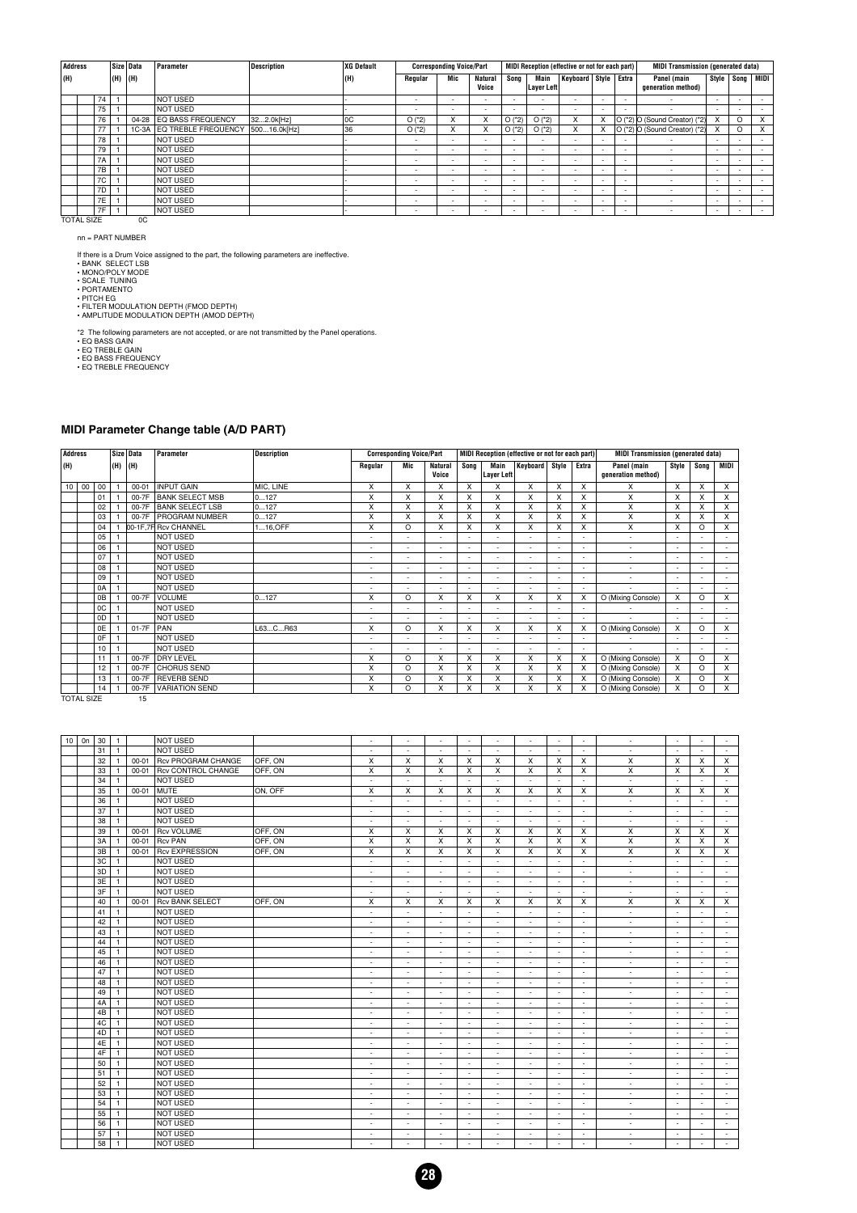| Address           |           |               | Size Data | Parameter                 | <b>Description</b> | XG Default |                          | <b>Corresponding Voice/Part</b> |                          |            |                           | MIDI Reception (effective or not for each part) |                          |                          | <b>MIDI Transmission (generated data)</b> |                          |          |             |
|-------------------|-----------|---------------|-----------|---------------------------|--------------------|------------|--------------------------|---------------------------------|--------------------------|------------|---------------------------|-------------------------------------------------|--------------------------|--------------------------|-------------------------------------------|--------------------------|----------|-------------|
| (H)               |           | $ (H)$ $ (H)$ |           |                           |                    | (H)        | Regular                  | Mic                             | <b>Natural</b><br>Voice  | Song       | Main<br><b>Layer Left</b> | Keyboard Style                                  |                          | Extra                    | Panel (main<br>generation method)         | Style                    |          | Song   MIDI |
|                   | 74        |               |           | <b>NOT USED</b>           |                    |            | ٠                        |                                 |                          |            |                           | $\overline{\phantom{0}}$                        |                          |                          |                                           | $\overline{\phantom{0}}$ |          |             |
|                   | 75        |               |           | <b>NOT USED</b>           |                    |            | $\overline{\phantom{a}}$ | <b>.</b>                        |                          |            |                           | $\overline{\phantom{0}}$                        | $\overline{\phantom{a}}$ |                          |                                           | $\overline{\phantom{0}}$ |          |             |
|                   | 76        |               | 04-28     | EQ BASS FREQUENCY         | 322.0k[Hz]         | 0C         | $O(^{*}2)$               | X                               | X                        | $O(^{*}2)$ | $O(^{*}2)$                | X                                               | X                        |                          | O (*2) O (Sound Creator) (*2)             | x                        | $\Omega$ | x           |
|                   | 77        |               |           | 1C-3A EQ TREBLE FREQUENCY | 50016.0k[Hz]       | 36         | $O(^{*}2)$               | X                               | X                        | $O(^{*}2)$ | $O(^{*}2)$                | X                                               |                          |                          | O (*2) O (Sound Creator) (*2)             | x                        | O        | X           |
|                   | 78        |               |           | <b>NOT USED</b>           |                    |            |                          |                                 |                          |            |                           | $\overline{\phantom{0}}$                        | $\overline{\phantom{a}}$ | $\overline{\phantom{a}}$ | $\overline{\phantom{a}}$                  | $\overline{\phantom{a}}$ |          |             |
|                   | 79        |               |           | <b>NOT USED</b>           |                    |            |                          | <b>.</b>                        | $\overline{\phantom{a}}$ | ۰.         |                           | $\overline{\phantom{0}}$                        | $\overline{\phantom{a}}$ | $\overline{\phantom{a}}$ | $\overline{\phantom{a}}$                  | $\overline{\phantom{a}}$ |          |             |
|                   | <b>7A</b> |               |           | <b>NOT USED</b>           |                    |            | $\sim$                   |                                 | $\overline{\phantom{a}}$ |            | $\overline{\phantom{a}}$  | $\overline{\phantom{0}}$                        | $\overline{\phantom{a}}$ |                          | $\overline{\phantom{a}}$                  | $\overline{\phantom{a}}$ | ۰        |             |
|                   | 7B        |               |           | <b>NOT USED</b>           |                    |            | ٠                        | <b>.</b>                        | $\overline{\phantom{a}}$ | ۰.         | $\overline{\phantom{a}}$  | $\overline{\phantom{a}}$                        | $\overline{\phantom{a}}$ | $\overline{\phantom{a}}$ | $\overline{\phantom{a}}$                  | $\overline{\phantom{0}}$ |          |             |
|                   | 7C        |               |           | NOT USED                  |                    |            |                          |                                 |                          | ۰.         |                           | $\overline{\phantom{0}}$                        | $\overline{\phantom{a}}$ | $\overline{\phantom{a}}$ | $\overline{\phantom{a}}$                  | $\overline{\phantom{0}}$ | ٠        |             |
|                   | 7D        |               |           | <b>NOT USED</b>           |                    |            |                          | <b>.</b>                        | $\overline{\phantom{a}}$ |            | $\overline{\phantom{a}}$  | $\overline{\phantom{0}}$                        | $\overline{\phantom{a}}$ |                          | $\overline{\phantom{a}}$                  | $\overline{\phantom{0}}$ | ۰        |             |
|                   | 7E        |               |           | <b>NOT USED</b>           |                    |            |                          |                                 |                          |            |                           | $\overline{\phantom{0}}$                        | $\overline{\phantom{a}}$ | $\overline{\phantom{a}}$ | $\overline{\phantom{a}}$                  | $\overline{\phantom{0}}$ |          |             |
|                   | 7F        |               |           | <b>NOT USED</b>           |                    |            |                          |                                 | $\overline{\phantom{a}}$ | ۰.         |                           | $\overline{\phantom{0}}$                        | $\overline{\phantom{a}}$ |                          | $\overline{\phantom{a}}$                  | $\overline{\phantom{0}}$ | ۰        |             |
| <b>TOTAL SIZE</b> |           |               | 0C        |                           |                    |            |                          |                                 |                          |            |                           |                                                 |                          |                          |                                           |                          |          |             |

nn = PART NUMBER

If there is a Drum Voice assigned to the part, the following parameters are ineffective.<br>• BANK SELECT LSB<br>• MONO/POLY MODE<br>• SCALE TUNING<br>• PORTAMENTO<br>• PICH EG<br>• PICH EG<br>• HUTER MODULATION DEPTH (FMOD DEPTH)<br>• AMPLITUDE

\*2 The following parameters are not accepted, or are not transmitted by the Panel operations.<br>• EQ BASS GAIN<br>• EQ TREBLE GAIN<br>• EQ BASS FREQUENCY<br>• EQ TREBLE FREQUENCY

#### **MIDI Parameter Change table (A/D PART)**

| <b>Address</b> |    |    |     | Size Data | Parameter              | <b>Description</b> |                          | <b>Corresponding Voice/Part</b> |                          |                          |                           | MIDI Reception (effective or not for each part) |       |       | <b>MIDI Transmission (generated data)</b> |       |                           |                          |
|----------------|----|----|-----|-----------|------------------------|--------------------|--------------------------|---------------------------------|--------------------------|--------------------------|---------------------------|-------------------------------------------------|-------|-------|-------------------------------------------|-------|---------------------------|--------------------------|
| (H)            |    |    | (H) | (H)       |                        |                    | Regular                  | Mic                             | <b>Natural</b><br>Voice  | Song                     | Main<br><b>Layer Left</b> | Keyboard                                        | Style | Extra | Panel (main<br>generation method)         | Style | Song                      | MIDI                     |
| 10             | 00 | 00 |     | $00 - 01$ | <b>INPUT GAIN</b>      | MIC, LINE          | X                        | X                               | X                        | X                        | x                         | x                                               | X     | X     | x                                         | x     | $\boldsymbol{\mathsf{x}}$ | X                        |
|                |    | 01 |     | 00-7F     | <b>BANK SELECT MSB</b> | 0127               | X                        | X                               | x                        | X                        | x                         | X                                               | X     | X     | X                                         | x     | X                         | X                        |
|                |    | 02 |     |           | 00-7F BANK SELECT LSB  | 0127               | X                        | X                               | X                        | X                        | X                         | X                                               | x     | X     | X                                         | X     | X                         | X                        |
|                |    | 03 |     | 00-7F     | <b>PROGRAM NUMBER</b>  | 0127               | X                        | X                               | x                        | X                        | x                         | X                                               | X     | X     | X                                         | x     | X                         | X                        |
|                |    | 04 |     |           | 00-1F.7F Rcv CHANNEL   | $116,$ OFF         | X                        | O                               | X                        | X                        | X                         | X                                               | X     | X     | X                                         | X     | $\Omega$                  | X                        |
|                |    | 05 |     |           | <b>NOT USED</b>        |                    | $\overline{\phantom{a}}$ | $\overline{\phantom{a}}$        |                          |                          | $\sim$                    |                                                 |       |       | ٠                                         |       |                           | $\overline{\phantom{0}}$ |
|                |    | 06 |     |           | <b>NOT USED</b>        |                    | $\blacksquare$           | $\blacksquare$                  |                          | $\overline{a}$           | ٠                         | $\overline{a}$                                  |       |       | ٠                                         |       |                           |                          |
|                |    | 07 |     |           | NOT USED               |                    | $\overline{\phantom{a}}$ | $\overline{\phantom{a}}$        | $\overline{\phantom{0}}$ | $\overline{\phantom{a}}$ | $\sim$                    | $\overline{\phantom{a}}$                        |       | ÷     | $\overline{\phantom{a}}$                  |       |                           | $\overline{\phantom{0}}$ |
|                |    | 08 |     |           | <b>NOT USED</b>        |                    | $\blacksquare$           | $\overline{a}$                  | $\overline{\phantom{0}}$ | $\overline{\phantom{a}}$ | $\sim$                    | $\overline{\phantom{a}}$                        |       |       | $\overline{\phantom{a}}$                  |       |                           |                          |
|                |    | 09 |     |           | <b>NOT USED</b>        |                    | $\overline{\phantom{a}}$ | $\overline{\phantom{a}}$        |                          |                          | $\overline{\phantom{a}}$  |                                                 |       |       |                                           |       |                           |                          |
|                |    | 0A |     |           | <b>NOT USED</b>        |                    | $\overline{a}$           | $\overline{a}$                  |                          | $\overline{a}$           | $\overline{\phantom{a}}$  |                                                 |       |       |                                           |       |                           |                          |
|                |    | 0B |     | 00-7F     | <b>VOLUME</b>          | 0127               | X                        | O                               | X                        | X                        | X                         | X                                               | X     | X     | O (Mixing Console)                        | X     | $\Omega$                  | X                        |
|                |    | 0C |     |           | <b>NOT USED</b>        |                    | ٠                        | ÷,                              |                          |                          |                           |                                                 |       |       |                                           |       |                           |                          |
|                |    | 0D |     |           | <b>NOT USED</b>        |                    | $\blacksquare$           | $\overline{\phantom{a}}$        |                          |                          |                           |                                                 |       |       |                                           |       |                           |                          |
|                |    | 0E |     | $01-7F$   | <b>PAN</b>             | L63CR63            | X                        | O                               | X                        | X                        | X                         | X                                               | X     | X     | O (Mixing Console)                        | X     | $\Omega$                  | X                        |
|                |    | 0F |     |           | <b>NOT USED</b>        |                    | $\blacksquare$           | ٠                               |                          |                          |                           |                                                 |       |       |                                           |       |                           |                          |
|                |    | 10 |     |           | NOT USED               |                    | $\blacksquare$           | $\overline{\phantom{a}}$        |                          | ٠                        | $\overline{\phantom{a}}$  |                                                 |       |       |                                           |       |                           |                          |
|                |    | 11 |     | 00-7F     | <b>DRY LEVEL</b>       |                    | X                        | O                               | x                        | X                        | x                         | X                                               | X     | X     | O (Mixing Console)                        | X     | $\Omega$                  | X                        |
|                |    | 12 |     | 00-7F     | <b>CHORUS SEND</b>     |                    | X                        | O                               | x                        | X                        | x                         | $\boldsymbol{\mathsf{x}}$                       | X     | X     | O (Mixing Console)                        | X     | $\Omega$                  | X                        |
|                |    | 13 |     | 00-7F     | <b>REVERB SEND</b>     |                    | X                        | O                               | x                        | X                        | X                         | X                                               | X     | X     | O (Mixing Console)                        | X     | $\circ$                   | X                        |
|                |    | 14 |     | 00-7F     | <b>VARIATION SEND</b>  |                    | X                        | O                               | x                        | X                        | x                         | X                                               | x     | X     | O (Mixing Console)                        | x     | O                         | X                        |

TOTAL SIZE 15

| $10$ 0n | 30 <sup>1</sup> | $\overline{1}$ |           | NOT USED                  |         |                          | $\overline{\phantom{a}}$ | ٠                        | $\overline{\phantom{a}}$ |                          |                           | ٠                        | $\sim$                    | ÷                        | ÷                         | $\overline{\phantom{a}}$ | $\sim$                   |
|---------|-----------------|----------------|-----------|---------------------------|---------|--------------------------|--------------------------|--------------------------|--------------------------|--------------------------|---------------------------|--------------------------|---------------------------|--------------------------|---------------------------|--------------------------|--------------------------|
|         | 31              | $\overline{1}$ |           | NOT USED                  |         | ÷                        | $\overline{a}$           | $\sim$                   | $\sim$                   | $\overline{a}$           | $\overline{a}$            | $\sim$                   | $\overline{a}$            | ÷                        | $\overline{a}$            | $\overline{a}$           | $\sim$                   |
|         | 32              | $\overline{1}$ | $00 - 01$ | <b>Rcv PROGRAM CHANGE</b> | OFF, ON | x                        | X                        | X                        | X                        | X                        | X                         | $\times$                 | X                         | X                        | X                         | X                        | $\overline{X}$           |
|         | 33              | $\mathbf{1}$   | $00 - 01$ | <b>Rcv CONTROL CHANGE</b> | OFF, ON | $\overline{\mathsf{x}}$  | X                        | X                        | X                        | X                        | X                         | X                        | X                         | X                        | X                         | $\times$                 | $\overline{X}$           |
|         | 34              | $\overline{1}$ |           | NOT USED                  |         | $\overline{\phantom{a}}$ | $\sim$                   | $\overline{a}$           | $\sim$                   | ٠                        | $\overline{a}$            | $\overline{\phantom{a}}$ | $\sim$                    | $\sim$                   | $\overline{a}$            | $\sim$                   | $\sim$                   |
|         | 35              | $\overline{1}$ | $00 - 01$ | MUTE                      | ON, OFF | X                        | X                        | X                        | X                        | X                        | X                         | $\times$                 | X                         | X                        | X                         | X                        | $\overline{X}$           |
|         | 36              | $\overline{1}$ |           | NOT USED                  |         | $\sim$                   | $\overline{\phantom{a}}$ | $\overline{a}$           | $\overline{\phantom{a}}$ | ÷                        | $\overline{a}$            | $\overline{a}$           | $\overline{\phantom{a}}$  | $\overline{\phantom{a}}$ | $\overline{a}$            | $\overline{a}$           | $\sim$                   |
|         | 37              | $\mathbf{1}$   |           | NOT USED                  |         | $\overline{\phantom{a}}$ | $\sim$                   | $\overline{\phantom{a}}$ | $\overline{\phantom{a}}$ | ÷                        | $\overline{\phantom{a}}$  | $\overline{\phantom{a}}$ | $\sim$                    | $\overline{\phantom{a}}$ | $\overline{\phantom{a}}$  | $\sim$                   | $\sim$                   |
|         | 38              | $\overline{1}$ |           | NOT USED                  |         | $\overline{\phantom{a}}$ | $\overline{\phantom{a}}$ |                          | $\sim$                   | ٠                        |                           | $\overline{\phantom{a}}$ | ٠                         | ٠                        | $\overline{\phantom{a}}$  |                          | $\sim$                   |
|         | 39              | $\overline{1}$ | $00 - 01$ | <b>Rcv VOLUME</b>         | OFF, ON | $\overline{\mathsf{x}}$  | $\overline{\mathsf{x}}$  | X                        | X                        | $\overline{\mathsf{x}}$  | $\boldsymbol{\mathsf{x}}$ | $\times$                 | $\overline{\mathsf{x}}$   | $\overline{\mathsf{x}}$  | X                         | X                        | $\overline{X}$           |
|         | 3A              | $\overline{1}$ | $00 - 01$ | <b>Rcv PAN</b>            | OFF, ON | $\overline{x}$           | $\overline{x}$           | $\overline{\mathsf{x}}$  | X                        | $\overline{\mathsf{x}}$  | $\overline{\mathsf{x}}$   | X                        | X                         | $\overline{x}$           | X                         | X                        | $\mathsf X$              |
|         | 3B              | $\overline{1}$ | 00-01     | <b>Rcv EXPRESSION</b>     | OFF, ON | X                        | X                        | $\mathsf{x}$             | X                        | X                        | X                         | $\mathsf{x}$             | $\boldsymbol{\mathsf{x}}$ | X                        | $\boldsymbol{\mathsf{x}}$ | X                        | X                        |
|         | 3C              | $\overline{1}$ |           | NOT USED                  |         | $\overline{\phantom{a}}$ | $\sim$                   | $\overline{a}$           | $\sim$                   | $\overline{\phantom{a}}$ | ٠                         | ٠                        | ÷                         | $\overline{\phantom{a}}$ | $\overline{a}$            | $\overline{\phantom{a}}$ | $\sim$                   |
|         | 3D              | $\overline{1}$ |           | NOT USED                  |         | $\overline{\phantom{a}}$ | $\overline{\phantom{a}}$ | ٠                        | $\sim$                   | $\overline{\phantom{a}}$ |                           | ٠                        | ÷                         | $\sim$                   | $\overline{\phantom{a}}$  | ٠.                       | $\sim$                   |
|         | 3E              | $\mathbf{1}$   |           | NOT USED                  |         | $\overline{\phantom{a}}$ | $\overline{\phantom{a}}$ | $\overline{a}$           | $\sim$                   | ٠                        | $\overline{a}$            | $\overline{a}$           | $\sim$                    | ÷                        | $\overline{a}$            | ۰.                       | $\sim$                   |
|         | 3F              | $\overline{1}$ |           | NOT USED                  |         | $\overline{\phantom{a}}$ | $\overline{\phantom{a}}$ | $\overline{a}$           | $\overline{\phantom{a}}$ | ÷                        | $\overline{\phantom{a}}$  | $\overline{a}$           | $\overline{\phantom{a}}$  | $\sim$                   | $\overline{a}$            | $\overline{a}$           | $\sim$                   |
|         | 40              | $\overline{1}$ | $00 - 01$ | <b>Rcv BANK SELECT</b>    | OFF, ON | $\overline{\mathsf{x}}$  | $\overline{\mathsf{x}}$  | X                        | X                        | $\overline{\mathsf{x}}$  | X                         | X                        | $\overline{\mathsf{x}}$   | $\overline{\mathsf{x}}$  | X                         | X                        | $\overline{X}$           |
|         | 41              | $\overline{1}$ |           | NOT USED                  |         | $\sim$                   | $\sim$                   | $\sim$                   | $\sim$                   | ÷                        | ٠                         | $\overline{\phantom{a}}$ | $\overline{\phantom{a}}$  | $\sim$                   | $\overline{\phantom{a}}$  | $\sim$                   | $\sim$                   |
|         | 42              | $\mathbf{1}$   |           | NOT USED                  |         | $\overline{\phantom{a}}$ | $\overline{\phantom{a}}$ | ٠                        | $\sim$                   | ٠                        |                           | ٠                        | ÷                         | $\sim$                   | ٠                         | ٠.                       | $\overline{\phantom{a}}$ |
|         | 43              | $\overline{1}$ |           | NOT USED                  |         | $\overline{a}$           | $\overline{\phantom{a}}$ |                          | $\overline{\phantom{a}}$ | $\overline{a}$           |                           | $\overline{a}$           | $\overline{\phantom{a}}$  | $\overline{a}$           | $\overline{a}$            | ÷                        | $\sim$                   |
|         | 44              | $\overline{1}$ |           | NOT USED                  |         | $\overline{\phantom{a}}$ | $\overline{\phantom{a}}$ | $\overline{\phantom{a}}$ | $\sim$                   | ٠                        | $\overline{\phantom{a}}$  | $\overline{\phantom{a}}$ | $\sim$                    | $\overline{\phantom{a}}$ | $\overline{\phantom{a}}$  | $\sim$                   | $\sim$                   |
|         | 45              | $\overline{1}$ |           | NOT USED                  |         | $\overline{\phantom{a}}$ | $\overline{\phantom{a}}$ | $\overline{a}$           |                          | $\overline{a}$           |                           | $\overline{\phantom{a}}$ | ÷                         | ٠                        | $\overline{\phantom{a}}$  |                          | $\sim$                   |
|         | 46              | $\overline{1}$ |           | NOT USED                  |         | $\overline{\phantom{a}}$ | $\overline{\phantom{a}}$ | ٠                        | $\overline{\phantom{a}}$ | ٠                        | ٠                         | $\sim$                   | $\sim$                    | $\overline{\phantom{a}}$ | $\overline{\phantom{a}}$  | $\sim$                   | $\sim$                   |
|         | 47              | $\mathbf{1}$   |           | NOT USED                  |         | $\overline{\phantom{a}}$ | $\sim$                   | $\overline{\phantom{a}}$ | $\overline{\phantom{a}}$ | $\overline{\phantom{a}}$ | $\overline{\phantom{a}}$  | ٠                        | ÷                         | $\sim$                   | ٠                         | ٠.                       | $\sim$                   |
|         | 48              | $\mathbf{1}$   |           | NOT USED                  |         | ٠                        | $\overline{\phantom{a}}$ | $\overline{a}$           | $\sim$                   | $\overline{\phantom{a}}$ |                           | $\overline{a}$           | ÷                         | $\overline{\phantom{a}}$ | $\overline{a}$            | $\overline{a}$           | $\sim$                   |
|         | 49              | $\overline{1}$ |           | <b>NOT USED</b>           |         | $\overline{\phantom{a}}$ | $\overline{\phantom{a}}$ | $\overline{\phantom{a}}$ | $\sim$                   | ٠                        | ٠                         | ٠                        | $\overline{\phantom{a}}$  | $\sim$                   | ٠                         | $\overline{\phantom{a}}$ | $\sim$                   |
|         | 4A              | $\overline{1}$ |           | NOT USED                  |         | $\overline{\phantom{a}}$ | $\overline{\phantom{a}}$ | $\overline{a}$           |                          | $\overline{a}$           |                           | $\overline{a}$           | $\overline{\phantom{a}}$  | $\overline{\phantom{a}}$ |                           |                          | $\sim$                   |
|         | 4B              | $\overline{1}$ |           | NOT USED                  |         | $\overline{\phantom{a}}$ | $\overline{\phantom{a}}$ | ٠                        | $\sim$                   | ÷                        | ٠                         | ÷                        | $\sim$                    | $\sim$                   | ÷                         | $\sim$                   | $\sim$                   |
|         |                 | $\mathbf{1}$   |           | NOT USED                  |         |                          |                          |                          | $\overline{\phantom{a}}$ |                          |                           |                          |                           |                          |                           |                          |                          |
|         | 4C<br>4D        |                |           | NOT USED                  |         | $\sim$                   | $\sim$                   | ٠                        |                          | ٠                        | $\overline{\phantom{a}}$  | ٠                        | ÷                         | $\sim$                   | ٠                         | $\overline{\phantom{a}}$ | $\sim$                   |
|         |                 | $\overline{1}$ |           |                           |         | ٠                        | $\overline{\phantom{a}}$ | ٠                        | $\sim$                   | ٠                        |                           | ٠                        | ÷,                        | ٠                        | ٠                         | ٠                        | $\sim$                   |
|         | 4E              | $\overline{1}$ |           | <b>NOT USED</b>           |         | $\overline{\phantom{a}}$ | $\overline{\phantom{a}}$ | $\overline{\phantom{a}}$ | $\sim$                   | $\overline{\phantom{a}}$ | $\overline{\phantom{a}}$  | $\overline{\phantom{a}}$ | $\sim$                    | $\overline{\phantom{a}}$ | $\overline{\phantom{a}}$  | $\sim$                   | $\sim$                   |
|         | 4F              | $\overline{1}$ |           | NOT USED                  |         | $\overline{\phantom{a}}$ | $\overline{\phantom{a}}$ | $\overline{a}$           | $\overline{\phantom{a}}$ | ٠                        | $\overline{\phantom{a}}$  | $\overline{a}$           | $\sim$                    | $\overline{\phantom{a}}$ | $\overline{a}$            | $\overline{\phantom{a}}$ | $\sim$                   |
|         | 50              | $\overline{1}$ |           | NOT USED                  |         | $\overline{a}$           | $\overline{\phantom{a}}$ | $\overline{a}$           | $\sim$                   | ٠                        |                           | $\overline{a}$           | $\sim$                    | $\sim$                   | $\overline{a}$            | $\sim$                   | $\sim$                   |
|         | 51              | $\overline{1}$ |           | NOT USED                  |         | $\overline{\phantom{a}}$ | $\overline{a}$           | $\overline{a}$           | $\sim$                   | ٠                        | $\overline{\phantom{a}}$  | $\overline{a}$           | $\overline{\phantom{a}}$  | $\overline{\phantom{a}}$ | $\overline{a}$            | $\sim$                   | $\sim$                   |
|         | 52              | $\mathbf{1}$   |           | NOT USED                  |         | $\overline{\phantom{a}}$ | $\overline{\phantom{a}}$ | ٠                        | $\sim$                   | ٠                        |                           | $\sim$                   | ٠                         | ٠                        | $\overline{\phantom{a}}$  | $\overline{\phantom{a}}$ | $\sim$                   |
|         | 53              | $\overline{1}$ |           | NOT USED                  |         | ٠                        | $\overline{\phantom{a}}$ | $\overline{a}$           | $\sim$                   | ÷                        | $\overline{\phantom{a}}$  | $\overline{a}$           | $\sim$                    | ÷                        | $\overline{a}$            | $\sim$                   | $\sim$                   |
|         | 54              | $\overline{1}$ |           | NOT USED                  |         | $\overline{\phantom{a}}$ | $\overline{\phantom{a}}$ | $\overline{a}$           |                          | ٠                        |                           | $\overline{a}$           | $\sim$                    | $\overline{\phantom{a}}$ |                           |                          | $\sim$                   |
|         | 55              | $\overline{1}$ |           | NOT USED                  |         | $\overline{a}$           | $\overline{a}$           | $\overline{a}$           | $\overline{\phantom{a}}$ | $\overline{a}$           |                           | $\overline{a}$           | $\overline{\phantom{a}}$  | $\overline{a}$           | $\overline{a}$            | ÷                        | $\sim$                   |
|         | 56              | $\overline{1}$ |           | NOT USED                  |         | $\overline{\phantom{a}}$ | $\overline{\phantom{a}}$ | $\overline{\phantom{a}}$ | $\sim$                   | $\sim$                   | $\overline{\phantom{a}}$  | $\overline{\phantom{a}}$ | $\sim$                    | $\sim$                   | $\overline{\phantom{a}}$  | ۰.                       | $\sim$                   |
|         | 57              | $\overline{1}$ |           | <b>NOT USED</b>           |         | $\overline{\phantom{a}}$ | $\overline{\phantom{a}}$ | ٠                        | $\sim$                   | ٠                        |                           | $\overline{\phantom{a}}$ | ÷                         | ٠                        | ٠                         | ٠                        | $\sim$                   |
|         | 58              | $\overline{1}$ |           | NOT USED                  |         | $\overline{\phantom{a}}$ | $\overline{\phantom{a}}$ | $\overline{\phantom{a}}$ | $\overline{\phantom{a}}$ | $\overline{\phantom{a}}$ | $\overline{\phantom{a}}$  | $\overline{\phantom{a}}$ | $\sim$                    | $\overline{\phantom{a}}$ | $\overline{\phantom{a}}$  | $\sim$                   | $\sim$                   |

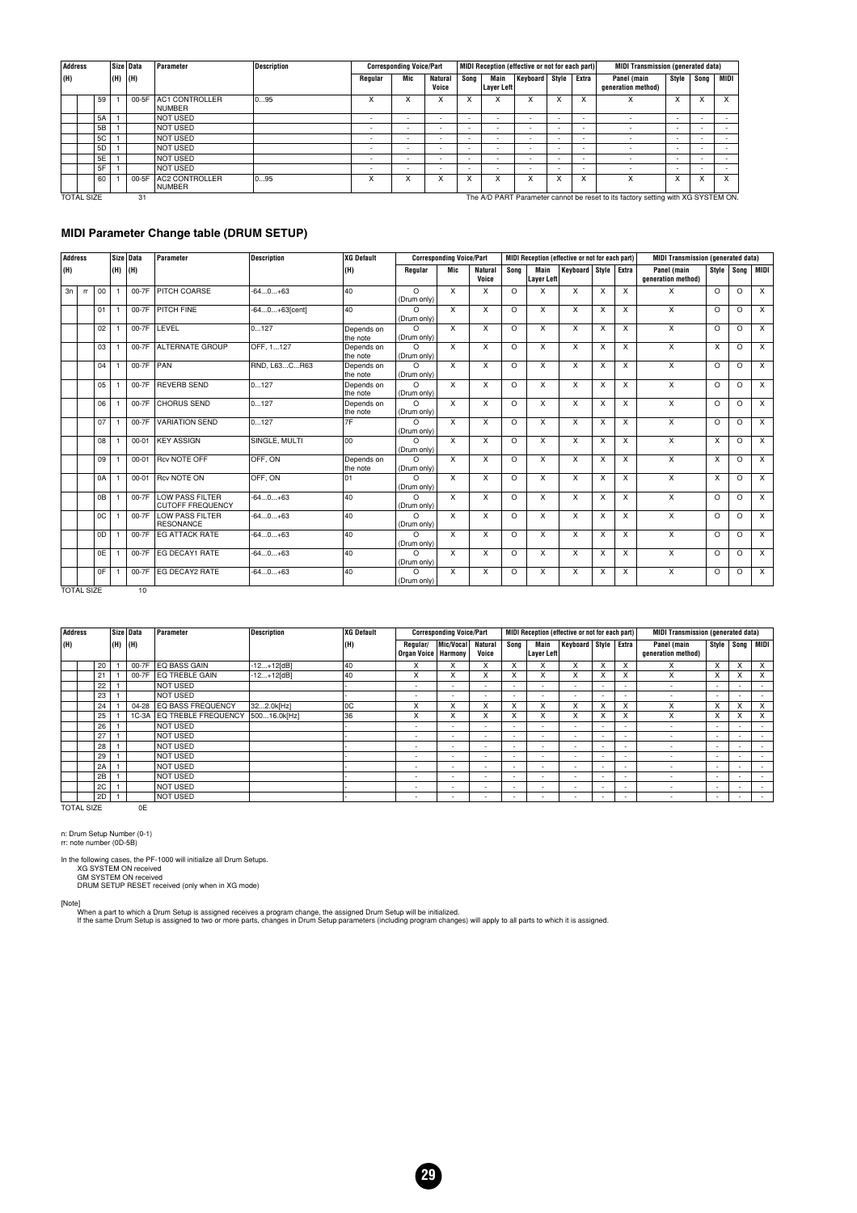|                         | Address |                |     | Size Data | Parameter                              | <b>Description</b> |                                                                                                                                                                                                         | <b>Corresponding Voice/Part</b> |                          |                           |                          | MIDI Reception (effective or not for each part) |                           |                                                                                  | <b>MIDI Transmission (generated data)</b> |                          |                           |          |
|-------------------------|---------|----------------|-----|-----------|----------------------------------------|--------------------|---------------------------------------------------------------------------------------------------------------------------------------------------------------------------------------------------------|---------------------------------|--------------------------|---------------------------|--------------------------|-------------------------------------------------|---------------------------|----------------------------------------------------------------------------------|-------------------------------------------|--------------------------|---------------------------|----------|
|                         | (H)     |                | (H) | (H)       |                                        |                    | Regular                                                                                                                                                                                                 | Mic                             | <b>Natural</b><br>Voice  | Song                      | Main<br>Layer Left       | Keyboard Style                                  |                           | Extra                                                                            | Panel (main<br>generation method)         | Style                    | Sona                      | MIDI     |
|                         |         | 59             |     | 00-5F     | <b>AC1 CONTROLLER</b><br><b>NUMBER</b> | 095                | X                                                                                                                                                                                                       | X                               | X                        | $\checkmark$<br>$\lambda$ | x                        | x                                               | $\checkmark$<br>$\lambda$ | x                                                                                | $\lambda$                                 | X                        | $\checkmark$<br>$\lambda$ | X        |
|                         |         | 5A             |     |           | <b>NOT USED</b>                        |                    | $\overline{\phantom{a}}$                                                                                                                                                                                | $\overline{\phantom{0}}$        |                          | $\overline{\phantom{a}}$  | $\overline{\phantom{a}}$ | ۰.                                              |                           |                                                                                  |                                           |                          |                           |          |
|                         |         | 5B             |     |           | <b>NOT USED</b>                        |                    | $\overline{\phantom{a}}$<br>. .<br>$\overline{\phantom{0}}$<br>$\overline{\phantom{0}}$<br>$\overline{\phantom{0}}$<br>$\overline{\phantom{a}}$<br>$\overline{\phantom{0}}$<br>$\overline{\phantom{a}}$ |                                 |                          |                           |                          |                                                 |                           |                                                                                  |                                           | $\overline{\phantom{a}}$ |                           |          |
|                         |         | <b>5C</b>      |     |           | <b>NOT USED</b>                        |                    | $\sim$                                                                                                                                                                                                  | $\overline{\phantom{0}}$        | ۰.                       | $\overline{\phantom{a}}$  |                          | $\overline{\phantom{0}}$                        | $\overline{\phantom{0}}$  |                                                                                  |                                           | $\overline{\phantom{a}}$ |                           |          |
|                         |         | 5 <sub>D</sub> |     |           | <b>NOT USED</b>                        |                    |                                                                                                                                                                                                         | $\overline{\phantom{0}}$        | $\overline{\phantom{a}}$ | $\overline{\phantom{a}}$  |                          | $\overline{\phantom{0}}$                        |                           |                                                                                  |                                           | $\overline{\phantom{a}}$ |                           |          |
|                         |         | 5E             |     |           | <b>NOT USED</b>                        |                    | $\overline{\phantom{a}}$                                                                                                                                                                                | $\overline{\phantom{0}}$        | $\overline{\phantom{a}}$ | $\overline{\phantom{a}}$  |                          | $\overline{\phantom{0}}$                        | $\overline{\phantom{0}}$  |                                                                                  | $\overline{\phantom{a}}$                  | $\overline{\phantom{a}}$ |                           |          |
|                         |         | 5F             |     |           | <b>NOT USED</b>                        |                    |                                                                                                                                                                                                         | $\overline{\phantom{0}}$        | $\overline{\phantom{a}}$ | $\overline{\phantom{a}}$  |                          | $\overline{\phantom{0}}$                        |                           |                                                                                  |                                           | $\overline{\phantom{a}}$ |                           |          |
|                         |         | 60             |     | 00-5F     | <b>AC2 CONTROLLER</b><br>NUMBER        | 095                | x                                                                                                                                                                                                       | $\lambda$                       | $\checkmark$<br>^        | $\lambda$<br>$\lambda$    | x                        | $\lambda$                                       | $\checkmark$<br>$\lambda$ | $\checkmark$<br>ᄉ                                                                | x                                         | X                        |                           | $\times$ |
| 31<br><b>TOTAL SIZE</b> |         |                |     |           |                                        |                    |                                                                                                                                                                                                         |                                 |                          |                           |                          |                                                 |                           | The A/D PART Parameter cannot be reset to its factory setting with XG SYSTEM ON. |                                           |                          |                           |          |

#### **MIDI Parameter Change table (DRUM SETUP)**

| <b>Address</b> |                   |                |     | Size Data | Parameter                                         | <b>Description</b> | <b>XG Default</b>      |                         | <b>Corresponding Voice/Part</b> |                           |          |                           | MIDI Reception (effective or not for each part) |   |   | <b>MIDI Transmission (generated data)</b> |          |         |                         |
|----------------|-------------------|----------------|-----|-----------|---------------------------------------------------|--------------------|------------------------|-------------------------|---------------------------------|---------------------------|----------|---------------------------|-------------------------------------------------|---|---|-------------------------------------------|----------|---------|-------------------------|
| (H)            |                   |                | (H) | (H)       |                                                   |                    | (H)                    | Regular                 | Mic                             | <b>Natural</b><br>Voice   | Sona     | Main<br>Layer Left        | Keyboard Style Extra                            |   |   | Panel (main<br>generation method)         | Style    |         | Song MIDI               |
| 3n             | <b>rr</b>         | 00             |     | 00-7F     | PITCH COARSE                                      | $-640+63$          | 40                     | $\Omega$<br>(Drum only) | X                               | X                         | $\Omega$ | X                         | X                                               | X | X | X                                         | $\Omega$ | $\circ$ | $\times$                |
|                |                   | 01             |     | 00-7F     | <b>PITCH FINE</b>                                 | $-640+63[cent]$    | 40                     | $\Omega$<br>(Drum only) | x                               | $\times$                  | $\Omega$ | $\boldsymbol{\mathsf{x}}$ | X                                               | X | X | $\mathsf{x}$                              | $\Omega$ | $\circ$ | $\times$                |
|                |                   | 02             |     | 00-7F     | LEVEL                                             | 0127               | Depends on<br>the note | $\Omega$<br>(Drum only) | x                               | X                         | $\Omega$ | $\boldsymbol{\mathsf{x}}$ | X                                               | X | X | X                                         | $\Omega$ | O       | $\overline{\mathsf{x}}$ |
|                |                   | 03             |     | 00-7F     | <b>ALTERNATE GROUP</b>                            | OFF. 1127          | Depends on<br>the note | $\Omega$<br>(Drum only) | X                               | $\overline{\mathsf{x}}$   | $\Omega$ | X                         | X                                               | X | X | $\overline{\mathsf{x}}$                   | X        | $\circ$ | $\overline{X}$          |
|                |                   | 04             |     | 00-7F     | <b>PAN</b>                                        | RND, L63CR63       | Depends on<br>the note | $\Omega$<br>(Drum only) | X                               | X                         | $\Omega$ | X                         | $\times$                                        | x | X | X                                         | $\Omega$ | O       | $\times$                |
|                |                   | 05             |     | 00-7F     | <b>REVERB SEND</b>                                | 0127               | Depends on<br>the note | $\Omega$<br>(Drum only) | X                               | X                         | $\Omega$ | X                         | X                                               | X | X | X                                         | $\Omega$ | $\circ$ | $\times$                |
|                |                   | 06             |     | 00-7F     | <b>CHORUS SEND</b>                                | 0127               | Depends on<br>the note | $\Omega$<br>(Drum only) | X                               | X                         | $\Omega$ | X                         | $\times$                                        | X | X | X                                         | $\Omega$ | O       | $\times$                |
|                |                   | 07             |     | 00-7F     | <b>VARIATION SEND</b>                             | 0127               | 7F                     | $\Omega$<br>(Drum only) | X                               | $\boldsymbol{\mathsf{x}}$ | $\Omega$ | $\boldsymbol{\mathsf{X}}$ | $\times$                                        | X | X | $\times$                                  | $\Omega$ | O       | $\times$                |
|                |                   | 08             |     | $00 - 01$ | <b>KEY ASSIGN</b>                                 | SINGLE, MULTI      | 00                     | $\Omega$<br>(Drum only) | X                               | $\mathsf{x}$              | $\Omega$ | $\boldsymbol{\mathsf{x}}$ | $\times$                                        | X | X | $\times$                                  | X        | O       | $\times$                |
|                |                   | 09             |     | $00 - 01$ | <b>Rcv NOTE OFF</b>                               | OFF. ON            | Depends on<br>the note | $\Omega$<br>(Drum only) | X                               | $\times$                  | $\Omega$ | $\boldsymbol{\mathsf{X}}$ | $\times$                                        | X | X | $\overline{X}$                            | X        | O       | $\overline{X}$          |
|                |                   | 0A             |     | $00 - 01$ | <b>Rcv NOTE ON</b>                                | OFF. ON            | 01                     | $\Omega$<br>(Drum only) | X                               | X                         | $\Omega$ | X                         | X                                               | X | X | $\mathsf{x}$                              | X        | $\circ$ | $\times$                |
|                |                   | 0B             |     | 00-7F     | <b>LOW PASS FILTER</b><br><b>CUTOFF FREQUENCY</b> | $-640+63$          | 40                     | $\Omega$<br>(Drum only) | X                               | X                         | $\Omega$ | $\boldsymbol{\mathsf{x}}$ | $\times$                                        | X | X | $\overline{\mathsf{x}}$                   | $\Omega$ | O       | $\overline{\mathsf{x}}$ |
|                |                   | <sub>0</sub> C |     | 00-7F     | <b>LOW PASS FILTER</b><br><b>RESONANCE</b>        | $-640+63$          | 40                     | $\Omega$<br>(Drum only) | x                               | X                         | $\Omega$ | X                         | X                                               | X | X | X                                         | $\Omega$ | O       | $\times$                |
|                |                   | 0D             |     | 00-7F     | <b>EG ATTACK RATE</b>                             | $-640+63$          | 40                     | $\Omega$<br>(Drum only) | x                               | X                         | $\Omega$ | X                         | X                                               | X | X | X                                         | $\Omega$ | O       | $\times$                |
|                |                   | 0E             |     | 00-7F     | EG DECAY1 RATE                                    | $-640+63$          | 40                     | $\Omega$<br>(Drum only) | X                               | X                         | $\Omega$ | X                         | X                                               | X | X | X                                         | $\Omega$ | O       | $\overline{x}$          |
|                |                   | 0F             |     | 00-7F     | EG DECAY2 RATE                                    | $-640+63$          | 40                     | $\Omega$<br>(Drum only) | X                               | X                         | $\Omega$ | X                         | X                                               | X | X | X                                         | $\Omega$ | O       | $\times$                |
|                | <b>TOTAL SIZE</b> |                |     | 10        |                                                   |                    |                        |                         |                                 |                           |          |                           |                                                 |   |   |                                           |          |         |                         |

| Address |    |     | Size Data | Parameter                 | <b>Description</b> | XG Default |                         | <b>Corresponding Voice/Part</b> |                          |                          |                          | MIDI Reception (effective or not for each part) |                          |                           | <b>MIDI Transmission (generated data)</b> |                              |                           |                          |
|---------|----|-----|-----------|---------------------------|--------------------|------------|-------------------------|---------------------------------|--------------------------|--------------------------|--------------------------|-------------------------------------------------|--------------------------|---------------------------|-------------------------------------------|------------------------------|---------------------------|--------------------------|
| (H)     |    | (H) | (H)       |                           |                    | (H)        | Regular/<br>Organ Voice | Mic/Vocal<br><b>Harmony</b>     | <b>Natural</b><br>Voice  | Song                     | Main<br>Layer Left       | Keyboard Style Extra                            |                          |                           | Panel (main<br>generation method)         | Style                        | Song                      | MIDI                     |
|         | 20 |     | 00-7F     | EQ BASS GAIN              | $-12+12[dB]$       | 40         | X                       | x                               | X                        | X                        | x                        | x                                               |                          | X                         | x                                         | X                            | X                         | x                        |
|         | 21 |     |           | 00-7F IEQ TREBLE GAIN     | $-12+12[dB]$       | 40         | X                       | $\checkmark$<br>^               | X                        | X                        | X                        | x                                               | $\lambda$                | $\lambda$<br>$\lambda$    | x                                         | $\checkmark$<br>$\mathbf{x}$ | $\checkmark$<br>$\lambda$ | $\times$                 |
|         | 22 |     |           | NOT USED                  |                    |            |                         | $\sim$                          | $\overline{\phantom{a}}$ | $\overline{\phantom{a}}$ | $\overline{\phantom{a}}$ | $\overline{\phantom{a}}$                        |                          | . .                       | ۰                                         | $\overline{\phantom{0}}$     |                           | $\sim$                   |
|         | 23 |     |           | <b>NOT USED</b>           |                    |            |                         | $\sim$                          |                          | $\overline{\phantom{a}}$ |                          | $\overline{\phantom{a}}$                        |                          | . .                       |                                           | $\overline{\phantom{0}}$     |                           | $\overline{\phantom{0}}$ |
|         | 24 |     | 04-28     | <b>LEQ BASS FREQUENCY</b> | 322.0k[Hz]         | l oc       | X                       | X                               | X                        | X                        | X                        | X                                               | $\lambda$                | $\checkmark$<br>л         | x                                         | X                            | X                         | X                        |
|         | 25 |     | $1C-3A$   | EQ TREBLE FREQUENCY       | 50016.0k[Hz]       | 36         | x                       | x                               | X                        | X                        | X                        | x                                               |                          | $\ddot{\phantom{0}}$<br>ж | x                                         | X                            | X                         | X                        |
|         | 26 |     |           | <b>NOT USED</b>           |                    |            |                         | $\sim$                          | $\overline{\phantom{0}}$ |                          | $\overline{\phantom{0}}$ |                                                 |                          | . .                       | ۰                                         | $\overline{\phantom{0}}$     |                           | $\overline{\phantom{0}}$ |
|         | 27 |     |           | <b>NOT USED</b>           |                    |            |                         | <b>.</b>                        | $\overline{\phantom{0}}$ | ۰.                       | $\overline{\phantom{a}}$ | $\overline{\phantom{a}}$                        |                          |                           | ۰                                         | $\overline{\phantom{0}}$     |                           | $\overline{\phantom{0}}$ |
|         | 28 |     |           | <b>NOT USED</b>           |                    |            |                         | <b>.</b>                        |                          | ۰.                       | $\overline{\phantom{0}}$ |                                                 |                          |                           | $\overline{\phantom{a}}$                  | $\overline{\phantom{0}}$     |                           | $\overline{\phantom{0}}$ |
|         | 29 |     |           | <b>NOT USED</b>           |                    |            |                         | $\sim$                          |                          |                          |                          | $\overline{\phantom{a}}$                        |                          |                           | $\overline{\phantom{a}}$                  | $\overline{\phantom{0}}$     |                           | $\overline{\phantom{0}}$ |
|         | 2A |     |           | <b>NOT USED</b>           |                    |            | $\sim$                  | $\overline{\phantom{a}}$        |                          |                          | $\overline{\phantom{a}}$ | $\overline{\phantom{0}}$                        |                          | . .                       | $\overline{\phantom{a}}$                  | $\overline{\phantom{0}}$     |                           | $\overline{\phantom{0}}$ |
|         | 2B |     |           | <b>NOT USED</b>           |                    |            |                         | $\sim$                          | $\overline{\phantom{a}}$ |                          | $\overline{\phantom{0}}$ | $\overline{\phantom{0}}$                        | $\overline{\phantom{a}}$ | .                         | $\overline{\phantom{a}}$                  | $\overline{\phantom{0}}$     | . .                       |                          |
|         | 2C |     |           | <b>NOT USED</b>           |                    |            |                         | <b>.</b>                        |                          | ۰.                       |                          | $\overline{\phantom{a}}$                        |                          |                           | ۰                                         | ٠                            |                           | $\overline{\phantom{0}}$ |
|         | 2D |     |           | <b>NOT USED</b>           |                    |            |                         | <b>.</b>                        |                          | . .                      |                          | $\overline{\phantom{0}}$                        |                          | . .                       |                                           | $\overline{\phantom{0}}$     |                           | $\overline{\phantom{a}}$ |

**29**

TOTAL SIZE 0E

#### n: Drum Setup Number (0-1) rr: note number (0D-5B)

In the following cases, the PF-1000 will initialize all Drum Setups. XG SYSTEM ON received GM SYSTEM ON received DRUM SETUP RESET received (only when in XG mode)

[Note]<br>When a part to which a Drum Setup is assigned receives a program change, the assigned Drum Setup will be initialized.<br>If the same Drum Setup is assigned to two or more parts, changes in Drum Setup parameters (includ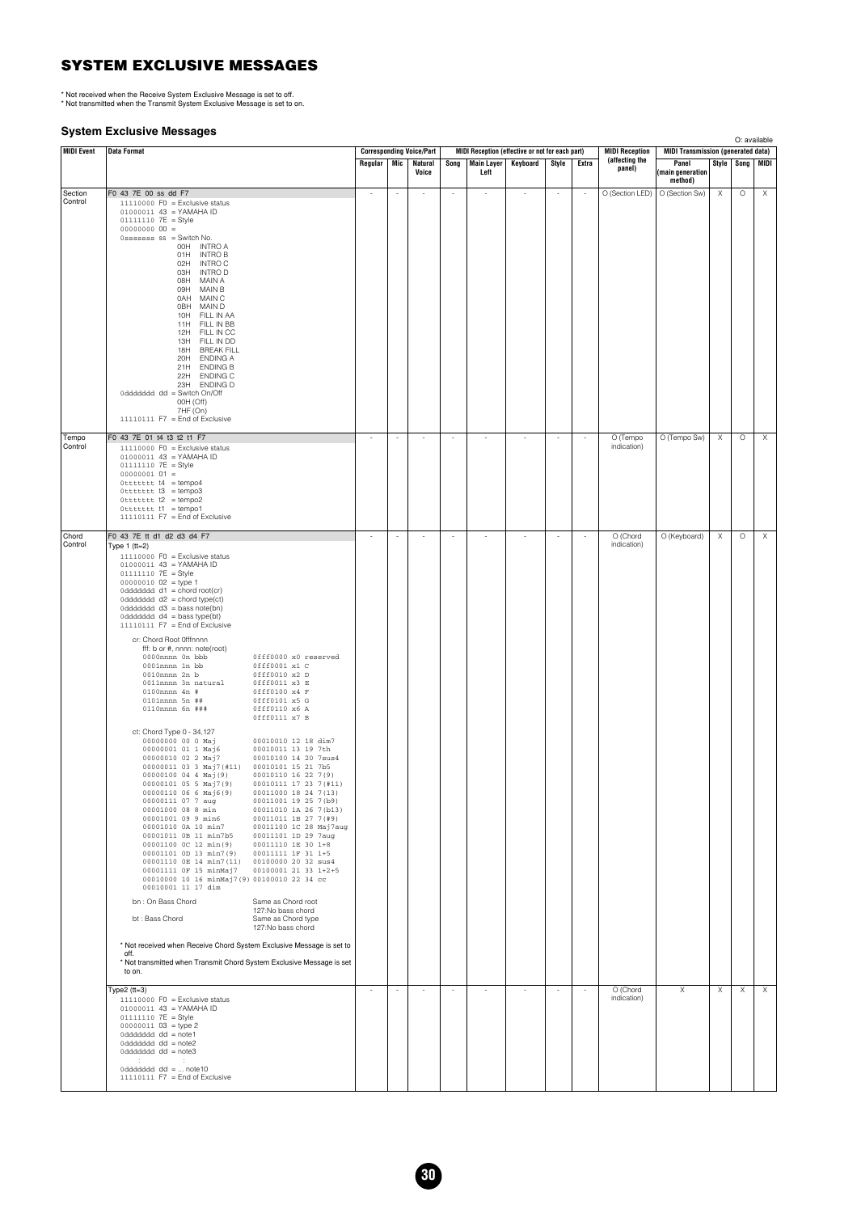#### **SYSTEM EXCLUSIVE MESSAGES**

\* Not received when the Receive System Exclusive Message is set to off. \* Not transmitted when the Transmit System Exclusive Message is set to on.

#### **System Exclusive Messages**

**MIDI Event Data Format Corresponding Voice/Part MIDI Reception (effective or not for each part) MIDI Reception (affecting the panel) MIDI Transmission (generated data) Regular | Mic | Natural Voice Song Main Layer Left Keyboard Style Extra (affecting the Panel (main generation method) Style Song MIDI** Section Control F0 43 7E 00 ss dd F7 --- - - - - - O (Section LED) O (Section Sw) X O X 11110000 F0 = Exclusive status 01000011 43 = YAMAHA ID 01111110 7E = Style 00000000 00 = 0sssssss ss = Switch No. 00H INTRO A 01H INTRO B 02H INTRO C 03H INTRO D<br>08H MAIN A 08H MAIN A 09H MAIN B<br>0AH MAIN C<br>0BH MAIN D<br>10H FILL IN 0AH MAIN C 0BH MAIN D 10H FILL IN AA 11H FILL IN BB 12H FILL IN CC 13H FILL IN DD 18H BREAK FILL<br>20H ENDING A 20H ENDING A 21H ENDING B 22H ENDING C 23H ENDING D 0ddddddd dd = Switch On/Off 00H (Off) 7HF (On) 11110111  $F7 =$  End of Exclusive Tempo Control FO 43 7E 01 14 13 12 11 F7<br>
010100010 FO = Exclusive status<br>
01000010 FC = Style<br>
010111112 7E = Style<br>
000000010 01 =<br>
010111112 7E = Style<br>
0111101111 F7 = Empo2<br>
0111101111 F7 = Emdo fExclusive<br>
0111101111 F7 = Emdo fE indication)  $O$  (Tempo Sw)  $X$   $\cup$   $O$   $X$ Chord onora<br>Control F0 43 7E tt d1 d2 d3 d4 F7 O (Chord<br>indication) O (Keyboard) X O X Type  $1$  (tt=2)  $11110000$  F0 = Exclusive status 01000011 43 = YAMAHA ID 01111110 7E = Style 00000010 02 = type 1 0ddddddd d1 = chord root(cr) 0ddddddd d2 = chord type(ct) 0ddddddd d3 = bass note(bn) 0ddddddd d4 = bass type(bt) 11110111 F7 = End of Exclusive cr: Chord Root 0fffnnnn fff: b or #, nnnn: note(root) 0fff0000 x0 reserved<br>0fff0001 x1 C<br>0fff0010 x2 D<br>0fff0011 x3 E<br>0fff0101 x5 G<br>0ff60101 x5 G<br>0ff60101 x5 G 0001nnnn 1n bb 0fff0001 x1 C 0010nnnn 2n b 0fff0010 x2 D 0011nnnn 3n natural 0fff0011 x3 E 0100nnnn 4n # 0fff0100 x4 F 0101nnnn 5n ## 0fff0101 x5 G 0110nnnn 6n ### 0fff0110 x6 A 0fff0111 x7 B ct Chord Type 0 - 34,127<br>
00000000 00 0 Maj 00010010 12 18 dim<sup>7</sup><br>
000000000 00 0 Maj 00010010 13 19 7th<br>
000000010 02 2 Maj 7 (#11) 00010100 14 20 7bS<br>
000001010 03 4 Maj (9) 00010101 15 21 7bS<br>
00000100 04 4 Maj (9) 000 bn : On Bass Chord Same as Chord root 127:No bass chord bt : Bass Chord Same as Chord type 127:No bass chord \* Not received when Receive Chord System Exclusive Message is set to off. \* Not transmitted when Transmit Chord System Exclusive Message is set to on. Type2 (tt=3)<br>
11110000 F0 = Exclusive status<br>
01000011 43 = YAMAHA ID<br>
01111110 7E = Style<br>
00000011 03 = type 2<br>
0ddddddd d = note2<br>
0ddddddd d = note2<br>
0dddddd d = note2<br>
: :<br>
: O (Chord<br>indication)  $\times$  x  $\times$  x  $\times$ 0ddddddd dd = ... note10 11110111 F7 = End of Exclusive O: available

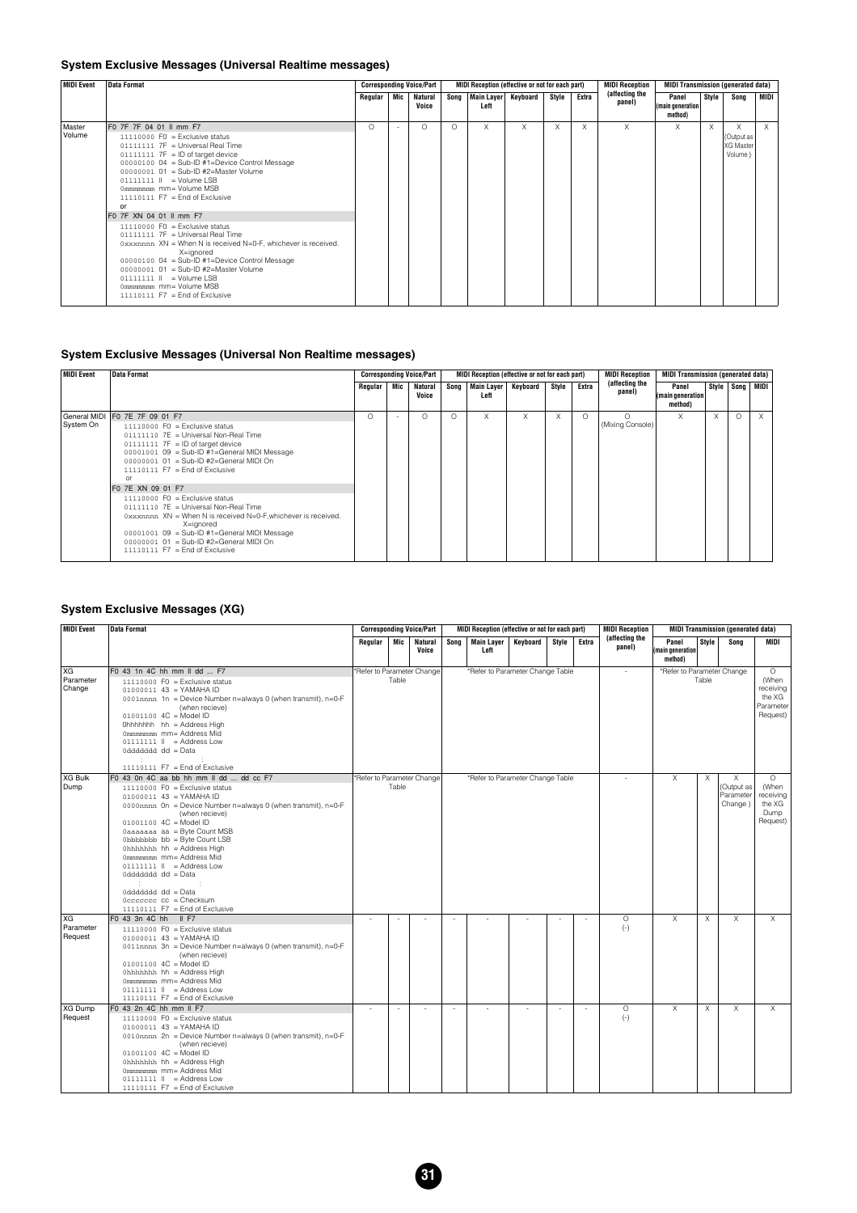#### **System Exclusive Messages (Universal Realtime messages)**

| <b>MIDI Event</b> | <b>Data Format</b>                                                                                                                                                                                                                                                                                                                                                                  |          |        | <b>Corresponding Voice/Part</b> |          |                               | MIDI Reception (effective or not for each part) |       |       | <b>MIDI Reception</b>    | <b>MIDI Transmission (generated data)</b> |       |                                         |          |
|-------------------|-------------------------------------------------------------------------------------------------------------------------------------------------------------------------------------------------------------------------------------------------------------------------------------------------------------------------------------------------------------------------------------|----------|--------|---------------------------------|----------|-------------------------------|-------------------------------------------------|-------|-------|--------------------------|-------------------------------------------|-------|-----------------------------------------|----------|
|                   |                                                                                                                                                                                                                                                                                                                                                                                     | Regular  | Mic    | Natural<br>Voice                | Song     | Main Layer   Keyboard<br>Left |                                                 | Style | Extra | (affecting the<br>panel) | Panel<br>(main generation)<br>method)     | Style | Song                                    | MIDI     |
| Master<br>Volume  | F0 7F 7F 04 01 II mm F7<br>$11110000$ FO = Exclusive status<br>01111111 7F = Universal Real Time<br>$01111111$ 7F = ID of target device<br>00000100 04 = Sub-ID #1=Device Control Message<br>00000001 01 = Sub-ID #2=Master Volume<br>01111111    = Volume LSB<br>0mmmmmmmmmmmmm= Volume MSB<br>$11110111$ F7 = End of Exclusive<br>or                                              | $\Omega$ | $\sim$ | O                               | $\Omega$ | X                             | X                                               | X     | X     | X                        | X                                         | X     | X<br>(Output as<br>XG Master<br>Volume) | $\times$ |
|                   | F0 7F XN 04 01 II mm F7<br>$11110000$ F0 = Exclusive status<br>01111111 7F = Universal Real Time<br>0xxxnnnn XN = When N is received N=0-F, whichever is received.<br>X=ignored<br>00000100 04 = Sub-ID #1=Device Control Message<br>00000001 01 = Sub-ID #2=Master Volume<br>$01111111$ $\parallel$ = Volume LSB<br>0mmmmmmmmmmmmm= Volume MSB<br>$11110111$ F7 = End of Exclusive |          |        |                                 |          |                               |                                                 |       |       |                          |                                           |       |                                         |          |

#### **System Exclusive Messages (Universal Non Realtime messages)**

| MIDI Event | <b>Data Format</b>                                                                                                                                                                                                                                                                                                 |         |     | <b>Corresponding Voice/Part</b> |          | MIDI Reception (effective or not for each part) |          |       |       | <b>MIDI Reception</b>    | <b>MIDI Transmission (generated data)</b> |          |          |                     |
|------------|--------------------------------------------------------------------------------------------------------------------------------------------------------------------------------------------------------------------------------------------------------------------------------------------------------------------|---------|-----|---------------------------------|----------|-------------------------------------------------|----------|-------|-------|--------------------------|-------------------------------------------|----------|----------|---------------------|
|            |                                                                                                                                                                                                                                                                                                                    | Regular | Mic | <b>Natural</b><br>Voice         | Song     | <b>Main Layer</b><br>Left                       | Keyboard | Style | Extra | (affecting the<br>panel) | Panel<br>(main generation)<br>method)     |          |          | Style   Song   MIDI |
| System On  | General MIDI F0 7E 7F 09 01 F7<br>$11110000$ FO = Exclusive status<br>01111110 7E = Universal Non-Real Time<br>$01111111$ 7F = ID of target device<br>$00001001$ $09 = Sub-ID #1 = General MIDI Message$<br>00000001 01 = Sub-ID #2=General MIDI On<br>$11110111$ F7 = End of Exclusive<br>or                      | O       |     | $\Omega$                        | $\Omega$ | X                                               | X        | л     |       | (Mixing Console)         |                                           | $\times$ | $\Omega$ | $\times$            |
|            | F0 7E XN 09 01 F7<br>$11110000$ FO = Exclusive status<br>01111110 7E = Universal Non-Real Time<br>0xxxnnnn XN = When N is received N=0-F, whichever is received.<br>X=ignored<br>$00001001$ $09 = Sub-ID #1 = General MIDI Message$<br>00000001 01 = Sub-ID #2=General MIDI On<br>$11110111$ F7 = End of Exclusive |         |     |                                 |          |                                                 |          |       |       |                          |                                           |          |          |                     |

#### **System Exclusive Messages (XG)**

| <b>MIDI Event</b>                 | <b>Data Format</b>                                                                                                                                                                                                                                                                                                                                                                                                                                                                                            |                            |        | <b>Corresponding Voice/Part</b> |      | MIDI Reception (effective or not for each part) |        |        | <b>MIDI Reception</b>    |                                      |                | <b>MIDI Transmission (generated data)</b> |                                                                         |
|-----------------------------------|---------------------------------------------------------------------------------------------------------------------------------------------------------------------------------------------------------------------------------------------------------------------------------------------------------------------------------------------------------------------------------------------------------------------------------------------------------------------------------------------------------------|----------------------------|--------|---------------------------------|------|-------------------------------------------------|--------|--------|--------------------------|--------------------------------------|----------------|-------------------------------------------|-------------------------------------------------------------------------|
|                                   |                                                                                                                                                                                                                                                                                                                                                                                                                                                                                                               | Regular                    | Mic I  | <b>Natural</b><br>Voice         | Song | Main Laver Keyboard<br>Left                     | Stvle  | Extra  | (affecting the<br>panel) | Panel<br>(main generation<br>method) | Style          | Sona                                      | MIDI                                                                    |
| <b>XG</b><br>Parameter<br>Change  | F0 43 1n 4C hh mm II dd  F7<br>$11110000$ F0 = Exclusive status<br>01000011 43 = YAMAHA ID<br>0001nnnn 1n = Device Number n=always 0 (when transmit), n=0-F<br>(when recieve)<br>$01001100 \, 4C = Model ID$<br>Ohhhhhhh hh = Address High<br>0mmmmmm mm= Address Mid<br>$01111111$ $  $ = Address Low<br>0dddddd dd = Data<br>$\mathbb{R}^n$<br>11110111 F7 = End of Exclusive                                                                                                                               | *Refer to Parameter Change | Table  |                                 |      | *Refer to Parameter Change Table                |        |        | $\sim$                   | *Refer to Parameter Change           | Table          |                                           | $\overline{O}$<br>(When<br>receiving<br>the XG<br>Parameter<br>Request) |
| XG Bulk<br>Dump                   | F0 43 0n 4C aa bb hh mm II dd  dd cc F7<br>$11110000$ F0 = Exclusive status<br>01000011 43 = YAMAHA ID<br>0000mmn On = Device Number n=always 0 (when transmit), n=0-F<br>(when recieve)<br>$01001100$ $4C = Model ID$<br>0aaaaaaa aa = Byte Count MSB<br>$0$ bbbbbbb $bb = Byte$ Count LSB<br>0hhhhhhh hh = Address High<br>0mmmmmmmmmmmmm=AddressMid<br>$01111111 \parallel$ = Address Low<br>0dddddd dd = Data<br>÷.<br>0dddddd dd = Data<br>$0$ ccccccc $cc =$ Checksum<br>11110111 F7 = End of Exclusive | *Refer to Parameter Change | Table  |                                 |      | *Refer to Parameter Change Table                |        |        |                          | X                                    | X              | X<br>Output as<br>Parameter<br>Change)    | $\Omega$<br>(When<br>receiving<br>the XG<br>Dump<br>Request)            |
| <b>XG</b><br>Parameter<br>Request | F0 43 3n 4C hh    F7<br>$11110000$ F0 = Exclusive status<br>$01000011$ 43 = YAMAHA ID<br>0011nnnn 3n = Device Number n=always 0 (when transmit), n=0-F<br>(when recieve)<br>$01001100$ $4C = Model ID$<br>0hhhhhhh hh = Address High<br>0mmmmmmmmmmmmmm=Address Mid<br>$01111111$ $   =$ Address Low<br>$11110111$ F7 = End of Exclusive                                                                                                                                                                      |                            |        |                                 |      |                                                 |        |        | $\circ$<br>$(-)$         | $\times$                             | $\overline{X}$ | X                                         | $\boldsymbol{\chi}$                                                     |
| XG Dump<br>Request                | F0 43 2n 4C hh mm II F7<br>$11110000$ F0 = Exclusive status<br>01000011 43 = YAMAHA ID<br>0010nnnn 2n = Device Number n=always 0 (when transmit), n=0-F<br>(when recieve)<br>$01001100$ $4C = Model ID$<br>0hhhhhhh hh = Address High<br>0mmmmmmmmmmmmm=AddressMid<br>$01111111$ $\parallel$ = Address Low<br>$11110111$ F7 = End of Exclusive                                                                                                                                                                |                            | $\sim$ |                                 | ÷.   |                                                 | $\sim$ | $\sim$ | $\circ$<br>$(-)$         | $\times$                             | $\times$       | X                                         | $\times$                                                                |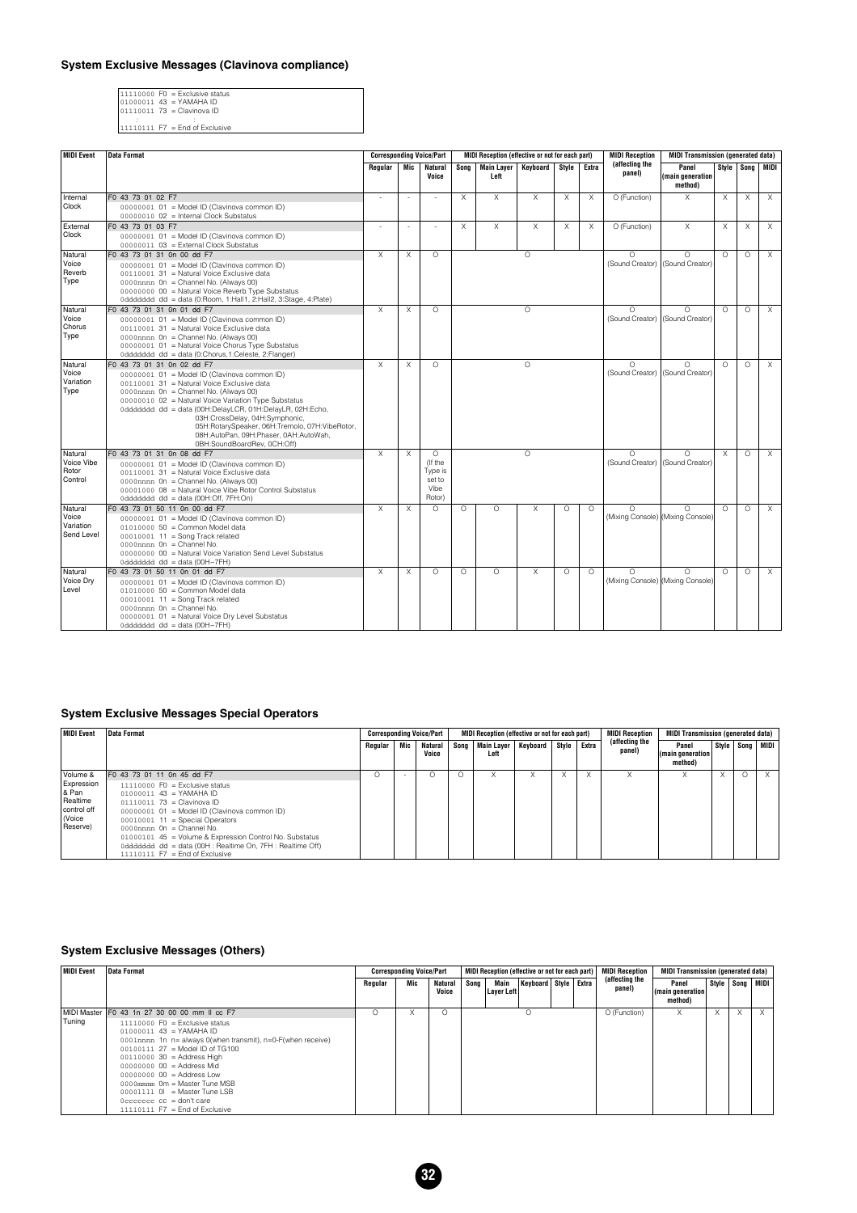#### **System Exclusive Messages (Clavinova compliance)**

11110000 F0 = Exclusive status 01000011 43 = YAMAHA ID 01110011 73 = Clavinova ID : :

| $11110111$ F7 = End of Exclusive |  |
|----------------------------------|--|

| <b>MIDI</b> Event                           | <b>Data Format</b>                                                                                                                                                                                                                                                                                                                                                                                                                                 |         |          | <b>Corresponding Voice/Part</b>                            | MIDI Reception (effective or not for each part) |                              |          |                                             | <b>MIDI Reception</b> | <b>MIDI Transmission (generated data)</b>     |                                             |          |          |                   |
|---------------------------------------------|----------------------------------------------------------------------------------------------------------------------------------------------------------------------------------------------------------------------------------------------------------------------------------------------------------------------------------------------------------------------------------------------------------------------------------------------------|---------|----------|------------------------------------------------------------|-------------------------------------------------|------------------------------|----------|---------------------------------------------|-----------------------|-----------------------------------------------|---------------------------------------------|----------|----------|-------------------|
|                                             |                                                                                                                                                                                                                                                                                                                                                                                                                                                    | Regular | Mic      | <b>Natural</b><br>Voice                                    | Sona                                            | Main Layer<br>Left           | Kevboard | Style                                       | Extra                 | (affecting the<br>panel)                      | Panel<br>(main generation)<br>method)       |          |          | Style Song   MIDI |
| Internal<br>Clock                           | F0 43 73 01 02 F7<br>00000001 01 = Model ID (Clavinova common ID)<br>00000010 02 = Internal Clock Substatus                                                                                                                                                                                                                                                                                                                                        |         |          |                                                            | X                                               | X                            | X        | $\times$                                    | X                     | O (Function)                                  | X                                           | X        | $\times$ | $\times$          |
| External<br>Clock                           | F0 43 73 01 03 F7<br>00000001 01 = Model ID (Clavinova common ID)<br>00000011 03 = External Clock Substatus                                                                                                                                                                                                                                                                                                                                        |         | ä,       |                                                            | X                                               | $\chi$                       | X        | $\chi$                                      | X                     | O (Function)                                  | $\overline{X}$                              | $\chi$   | $\times$ | X                 |
| Natural<br>Voice<br>Reverb<br>Type          | F0 43 73 01 31 0n 00 dd F7<br>00000001 01 = Model ID (Clavinova common ID)<br>00110001 31 = Natural Voice Exclusive data<br>0000nnnn 0n = Channel No. (Always 00)<br>00000000 00 = Natural Voice Reverb Type Substatus<br>0dddddd dd = data (0:Room, 1:Hall1, 2:Hall2, 3:Stage, 4:Plate)                                                                                                                                                           |         |          | $\Omega$                                                   |                                                 |                              | $\circ$  |                                             |                       | $\Omega$<br>(Sound Creator)                   | $\Omega$<br>(Sound Creator)                 | $\Omega$ | $\circ$  | $\times$          |
| Natural<br>Voice<br>Chorus<br>Type          | F0 43 73 01 31 0n 01 dd F7<br>$\times$<br>X<br>$\Omega$<br>$\circ$<br>00000001 01 = Model ID (Clavinova common ID)<br>00110001 31 = Natural Voice Exclusive data<br>0000nnnn On = Channel No. (Always 00)<br>00000001 01 = Natural Voice Chorus Type Substatus<br>0ddddddd dd = data (0:Chorus, 1:Celeste, 2:Flanger)                                                                                                                              |         |          |                                                            |                                                 |                              | $\Omega$ | $\Omega$<br>(Sound Creator) (Sound Creator) | $\Omega$              | $\circ$                                       | $\times$                                    |          |          |                   |
| Natural<br>Voice<br>Variation<br>Type       | F0 43 73 01 31 0n 02 dd F7<br>X<br>X<br>$\Omega$<br>$\circ$<br>00000001 01 = Model ID (Clavinova common ID)<br>00110001 31 = Natural Voice Exclusive data<br>0000mnn 0n = Channel No. (Always 00)<br>00000010 02 = Natural Voice Variation Type Substatus<br>0ddddddd dd = data (00H:DelayLCR, 01H:DelayLR, 02H:Echo,<br>03H:CrossDelay, 04H:Symphonic,<br>05H:RotarySpeaker, 06H:Tremolo, 07H:VibeRotor,<br>08H:AutoPan, 09H:Phaser, 0AH:AutoWah, |         |          |                                                            | $\Omega$<br>(Sound Creator)                     | $\bigcap$<br>(Sound Creator) | $\Omega$ | $\circ$                                     | $\times$              |                                               |                                             |          |          |                   |
| Natural<br>Voice Vibe<br>Rotor<br>Control   | 0BH:SoundBoardRev. 0CH:Off)<br>F0 43 73 01 31 0n 08 dd F7<br>00000001 01 = Model ID (Clavinova common ID)<br>00110001 31 = Natural Voice Exclusive data<br>0000mnn 0n = Channel No. (Always 00)<br>00001000 08 = Natural Voice Vibe Rotor Control Substatus<br>0ddddddd dd = data (00H:Off, 7FH:On)                                                                                                                                                |         | $\times$ | $\Omega$<br>(If the<br>Type is<br>set to<br>Vibe<br>Rotor) |                                                 |                              | $\Omega$ |                                             |                       | $\Omega$                                      | $\Omega$<br>(Sound Creator) (Sound Creator) | $\times$ | $\Omega$ | $\times$          |
| Natural<br>Voice<br>Variation<br>Send Level | F0 43 73 01 50 11 0n 00 dd F7<br>00000001 01 = Model ID (Clavinova common ID)<br>$0101000050 =$ Common Model data<br>$00010001$ 11 = Song Track related<br>$0000$ nnnn $0n =$ Channel No.<br>00000000 00 = Natural Voice Variation Send Level Substatus<br>0ddddddd dd = data (00H~7FH)                                                                                                                                                            | X       | $\times$ | $\Omega$                                                   | $\Omega$                                        | $\circ$                      | X        | $\circ$                                     | $\Omega$              | $\Omega$<br>(Mixing Console) (Mixing Console) | $\Omega$                                    | $\Omega$ | $\circ$  | $\times$          |
| Natural<br>Voice Dry<br>Level               | F0 43 73 01 50 11 0n 01 dd F7<br>00000001 01 = Model ID (Clavinova common ID)<br>$0101000050 =$ Common Model data<br>$00010001$ 11 = Song Track related<br>$0000$ nnnn $0n =$ Channel No.<br>00000001 01 = Natural Voice Dry Level Substatus<br>0ddddddd dd = data (00H~7FH)                                                                                                                                                                       | X       | X        | $\Omega$                                                   | $\Omega$                                        | $\Omega$                     | X        | $\Omega$                                    | $\Omega$              | $\Omega$<br>(Mixing Console) (Mixing Console) | $\bigcap$                                   | $\Omega$ | $\circ$  | $\times$          |

#### **System Exclusive Messages Special Operators**

| <b>MIDI Event</b>                                                                     | Data Format                                                                                                                                                                                                                                                                                                                                                                                                       |         |     | <b>Corresponding Voice/Part</b> | MIDI Reception (effective or not for each part) |           |           |       | <b>MIDI Reception</b>    | <b>MIDI Transmission (generated data)</b> |  |          |                     |  |
|---------------------------------------------------------------------------------------|-------------------------------------------------------------------------------------------------------------------------------------------------------------------------------------------------------------------------------------------------------------------------------------------------------------------------------------------------------------------------------------------------------------------|---------|-----|---------------------------------|-------------------------------------------------|-----------|-----------|-------|--------------------------|-------------------------------------------|--|----------|---------------------|--|
|                                                                                       |                                                                                                                                                                                                                                                                                                                                                                                                                   | Regular | Mic | <b>Natural</b><br>Voice         | Song   Main Layer  <br>Left                     | Keyboard  | Style     | Extra | (affecting the<br>panel) | Panel<br>(main generation)<br>method)     |  |          | Style   Song   MIDI |  |
| l Volume &<br>Expression<br>l & Pan<br>l Realtime<br>control off<br>Voice<br>Reserve) | F0 43 73 01 11 0n 45 dd F7<br>$11110000$ F0 = Exclusive status<br>$01000011$ 43 = YAMAHA ID<br>$01110011$ $73 =$ Clavinova ID<br>00000001 01 = Model ID (Clavinova common ID)<br>$00010001$ 11 = Special Operators<br>$0000$ nnnn $0n =$ Channel No.<br>01000101 45 = Volume & Expression Control No. Substatus<br>0ddddddd dd = data (00H : Realtime On, 7FH : Realtime Off)<br>$11110111$ F7 = End of Exclusive |         |     |                                 | A                                               | $\lambda$ | $\lambda$ |       | v                        |                                           |  | $\Omega$ |                     |  |

#### **System Exclusive Messages (Others)**

| MIDI Event | Data Format                                                                                                                                                                                                                                                                                                                                                                                                                    | <b>Corresponding Voice/Part</b> |     |                         |      |                    | MIDI Reception (effective or not for each part) |  | <b>MIDI Reception</b>    | <b>MIDI Transmission (generated data)</b> |                     |          |          |  |
|------------|--------------------------------------------------------------------------------------------------------------------------------------------------------------------------------------------------------------------------------------------------------------------------------------------------------------------------------------------------------------------------------------------------------------------------------|---------------------------------|-----|-------------------------|------|--------------------|-------------------------------------------------|--|--------------------------|-------------------------------------------|---------------------|----------|----------|--|
|            |                                                                                                                                                                                                                                                                                                                                                                                                                                | Regular                         | Mic | <b>Natural</b><br>Voice | Song | Main<br>Layer Left | Keyboard   Style   Extra                        |  | (affecting the<br>panel) | Panel<br>(main generation)<br>method)     | Style   Song   MIDI |          |          |  |
| Tuning     | MIDI Master F0 43 1n 27 30 00 00 mm II cc F7<br>$11110000$ FO = Exclusive status                                                                                                                                                                                                                                                                                                                                               |                                 |     | Ω                       |      |                    | $\Omega$                                        |  | O (Function)             |                                           | $\lambda$           | $\times$ | $\times$ |  |
|            | $01000011$ 43 = YAMAHA ID<br>0001nnnn 1n n= always 0(when transmit), n=0-F(when receive)<br>$0.0100111$ $27$ = Model ID of TG100<br>$00110000$ 30 = Address High<br>$0000000000 = Address Mid$<br>$0000000000 = Address Low$<br>$0000$ mmmm $0m$ = Master Tune MSB<br>$00001111$ $01$ = Master Tune LSB<br>$0 \text{c} \text{c} \text{c} \text{c} \text{c} \text{c} \text{c} =$ don't care<br>$11110111$ F7 = End of Exclusive |                                 |     |                         |      |                    |                                                 |  |                          |                                           |                     |          |          |  |

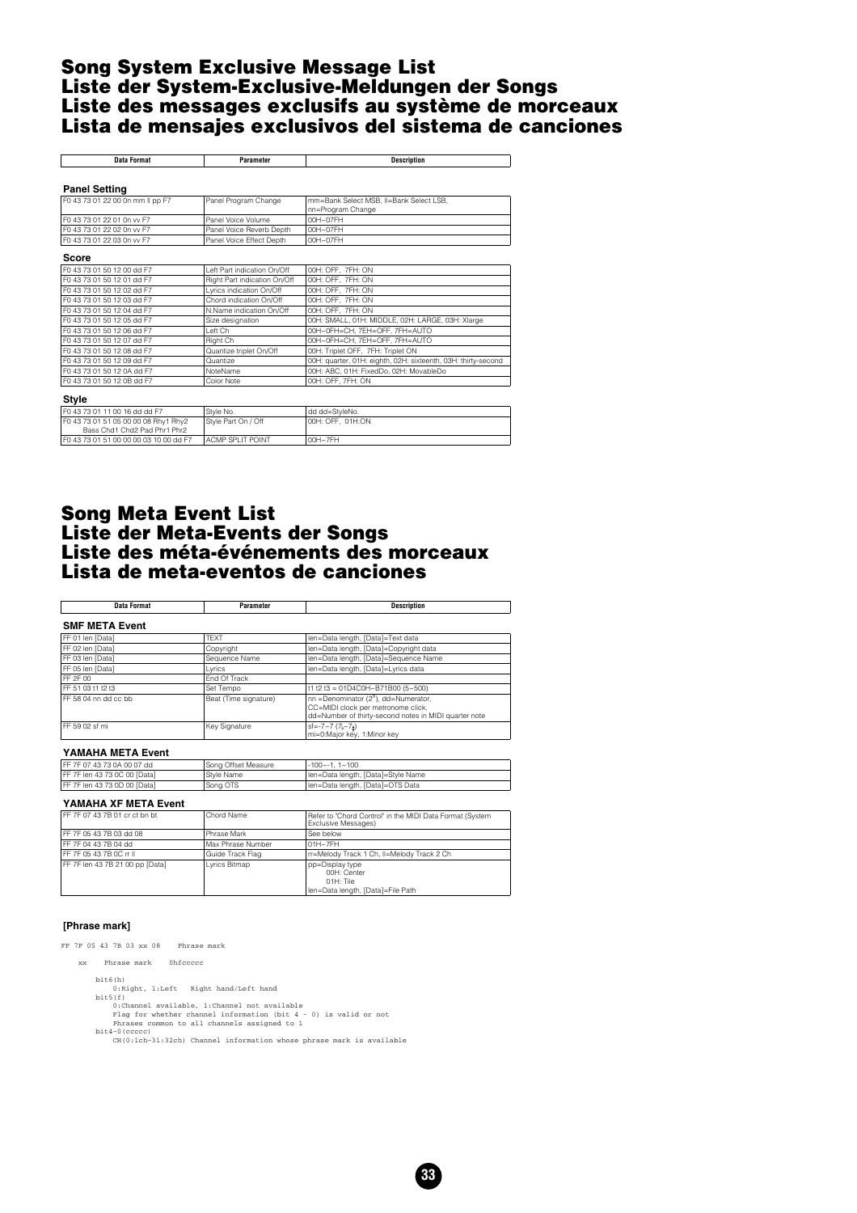#### <span id="page-32-0"></span>**Song System Exclusive Message List Liste der System-Exclusive-Meldungen der Songs Liste des messages exclusifs au système de morceaux Lista de mensajes exclusivos del sistema de canciones**

| <b>Data Format</b>               | Parameter                    | <b>Description</b>                                            |
|----------------------------------|------------------------------|---------------------------------------------------------------|
|                                  |                              |                                                               |
| <b>Panel Setting</b>             |                              |                                                               |
| F0 43 73 01 22 00 0n mm II pp F7 | Panel Program Change         | mm=Bank Select MSB, II=Bank Select LSB,<br>nn=Program Change  |
| F0 43 73 01 22 01 0n vv F7       | Panel Voice Volume           | $00H \sim 07FH$                                               |
| F0 43 73 01 22 02 0n vv F7       | Panel Voice Reverb Depth     | $00H \sim 07FH$                                               |
| F0 43 73 01 22 03 0n vv F7       | Panel Voice Effect Depth     | $00H \sim 07FH$                                               |
|                                  |                              |                                                               |
| Score                            |                              |                                                               |
| F0 43 73 01 50 12 00 dd F7       | Left Part indication On/Off  | 00H: OFF. 7FH: ON                                             |
| F0 43 73 01 50 12 01 dd F7       | Right Part indication On/Off | 00H: OFF. 7FH: ON                                             |
| F0 43 73 01 50 12 02 dd F7       | Lyrics indication On/Off     | 00H: OFF. 7FH: ON                                             |
| F0 43 73 01 50 12 03 dd F7       | Chord indication On/Off      | 00H: OFF, 7FH: ON                                             |
| F0 43 73 01 50 12 04 dd F7       | N.Name indication On/Off     | 00H: OFF. 7FH: ON                                             |
| F0 43 73 01 50 12 05 dd F7       | Size designation             | 00H: SMALL, 01H: MIDDLE, 02H: LARGE, 03H: Xlarge              |
| F0 43 73 01 50 12 06 dd F7       | I eft Ch                     | 00H~0FH=CH, 7EH=OFF, 7FH=AUTO                                 |
| F0 43 73 01 50 12 07 dd F7       | Right Ch                     | 00H~0FH=CH, 7EH=OFF, 7FH=AUTO                                 |
| F0 43 73 01 50 12 08 dd F7       | Quantize triplet On/Off      | 00H: Triplet OFF, 7FH: Triplet ON                             |
| F0 43 73 01 50 12 09 dd F7       | Quantize                     | 00H: quarter, 01H: eighth, 02H: sixteenth, 03H: thirty-second |
| F0 43 73 01 50 12 0A dd F7       | NoteName                     | 00H: ABC, 01H: FixedDo, 02H: MovableDo                        |
| F0 43 73 01 50 12 0B dd F7       | Color Note                   | 00H: OFF, 7FH: ON                                             |
|                                  |                              |                                                               |
| Style                            |                              |                                                               |

| F0 43 73 01 11 00 16 dd dd F7           | Style No.                | I dd dd=StvleNo.  |
|-----------------------------------------|--------------------------|-------------------|
| F0 43 73 01 51 05 00 00 08 Rhy1 Rhy2    | Style Part On / Off      | 100H: OFF. 01H:ON |
| Bass Chd1 Chd2 Pad Phr1 Phr2            |                          |                   |
| IF0 43 73 01 51 00 00 00 03 10 00 dd F7 | <b>LACMP SPLIT POINT</b> | $00H - 7FH$       |
|                                         |                          |                   |

#### **Song Meta Event List Liste der Meta-Events der Songs Liste des méta-événements des morceaux Lista de meta-eventos de canciones**

| Data Format           | Parameter             | <b>Description</b>                                                                                                                              |
|-----------------------|-----------------------|-------------------------------------------------------------------------------------------------------------------------------------------------|
| <b>SMF META Event</b> |                       |                                                                                                                                                 |
| FF 01 len [Data]      | <b>TFXT</b>           | len=Data length, [Data]=Text data                                                                                                               |
| FF 02 len [Data]      | Copyright             | len=Data length, [Data]=Copyright data                                                                                                          |
| FF 03 len [Data]      | Sequence Name         | len=Data length, [Data]=Sequence Name                                                                                                           |
| FF 05 len [Data]      | Lyrics                | len=Data length, [Data]=Lyrics data                                                                                                             |
| <b>IFF 2F 00</b>      | End Of Track          |                                                                                                                                                 |
| IFF 51 03 t1 t2 t3    | Set Tempo             | t1 t2 t3 = 01D4C0H~B71B00 (5~500)                                                                                                               |
| IFF 58 04 nn dd cc bb | Beat (Time signature) | nn =Denominator (2 <sup>n</sup> ), dd=Numerator,<br>CC=MIDI clock per metronome click,<br>dd=Number of thirty-second notes in MIDI quarter note |
| IFF 59 02 sf mi       | Key Signature         | $sf=-7~7~(7,~7)$<br>mi=0:Major key, 1:Minor key                                                                                                 |

#### **YAMAHA META Event**

| IFF 7F 07 43 73 0A 00 07 dd   | Song Offset Measure | -100~-1.1~100                      |
|-------------------------------|---------------------|------------------------------------|
| IFF 7F len 43 73 0C 00 [Data] | Style Name          | Ien=Data length, [Data]=Style Name |
| IFF 7F len 43 73 0D 00 [Data] | Song OTS            | Ien=Data length, [Data]=OTS Data   |

#### **YAMAHA XF META Event**

| IFF 7F 07 43 7B 01 cr ct bn bt   | Chord Name        | Refer to "Chord Control" in the MIDI Data Format (System<br>Exclusive Messages)  |
|----------------------------------|-------------------|----------------------------------------------------------------------------------|
| IFF 7F 05 43 7B 03 dd 08         | Phrase Mark       | See below                                                                        |
| IFF 7F 04 43 7B 04 dd            | Max Phrase Number | 01H~7FH                                                                          |
| IFF 7F 05 43 7B 0C rr II         | Guide Track Flag  | rr=Melody Track 1 Ch, Il=Melody Track 2 Ch                                       |
| IFF 7F len 43 7B 21 00 pp [Data] | Lyrics Bitmap     | pp=Display type<br>00H: Center<br>01H: Tile<br>Ien=Data length, [Data]=File Path |

#### **[Phrase mark]**

FF 7F 05 43 7B 03 xx 08 Phrase mark

 xx Phrase mark 0hfccccc bit6(h)<br>0:Right, 1:Left Right hand/Left hand

- 0:Right, 1:Left Right hand/Left hand<br>bi5(f)<br>channel available, 1:Channel not available<br> $0$ :Channel available, 1:Channel not available<br> $P$ lag for whether channels assigned to 1<br>bi44-0(occc)<br>bi44-0(cccc)<br> $C = C \cdot C \cdot C \cdot C$ <br> $C = C$ 
	-

**33**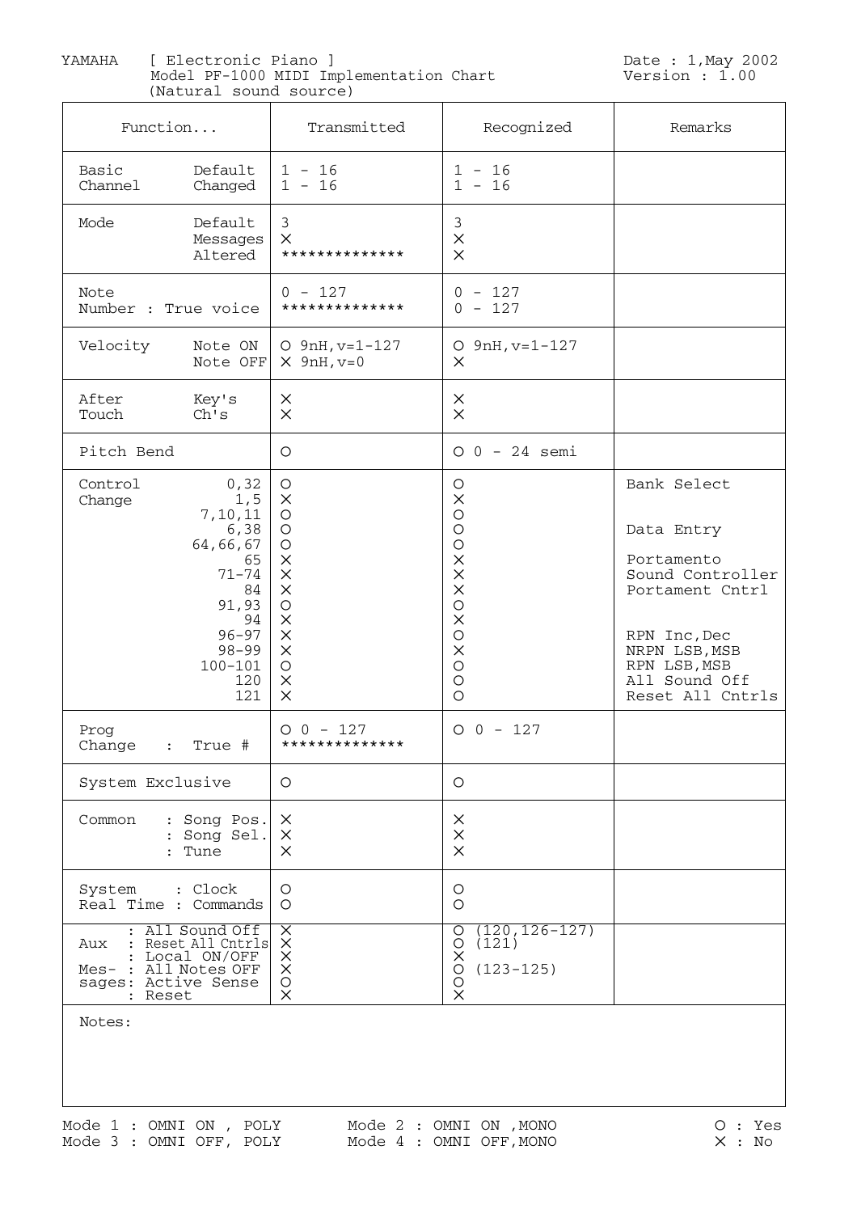<span id="page-33-0"></span> YAMAHA [ Electronic Piano ] (Natural sound source) Model PF-1000 MIDI Implementation Chart Version : 1.00

Date : 1, May 2002<br>Version : 1.00

| Function                                                      | $\frac{1}{2}$                                                                                                                               | Transmitted                                                                                                                                                 | Recognized                                                                                                                                                                                      | Remarks                                                                                                                                                              |
|---------------------------------------------------------------|---------------------------------------------------------------------------------------------------------------------------------------------|-------------------------------------------------------------------------------------------------------------------------------------------------------------|-------------------------------------------------------------------------------------------------------------------------------------------------------------------------------------------------|----------------------------------------------------------------------------------------------------------------------------------------------------------------------|
| Basic<br>Channel                                              | Default<br>Changed                                                                                                                          | $1 - 16$<br>$1 - 16$                                                                                                                                        | $1 - 16$<br>$1 - 16$                                                                                                                                                                            |                                                                                                                                                                      |
| Mode                                                          | Default<br>Messages<br>Altered                                                                                                              | $\mathfrak{Z}$<br>$\mathsf{X}$<br>**************                                                                                                            | $\mathfrak{Z}$<br>$\times$<br>$\times$                                                                                                                                                          |                                                                                                                                                                      |
| Note<br>Number : True voice                                   |                                                                                                                                             | $0 - 127$<br>**************                                                                                                                                 | $0 - 127$<br>$0 - 127$                                                                                                                                                                          |                                                                                                                                                                      |
| Velocity                                                      | Note ON<br>Note OFF                                                                                                                         | $O$ 9nH, $v=1-127$<br>$\times$ 9nH, v=0                                                                                                                     | $O$ 9nH, $v=1-127$<br>$\times$                                                                                                                                                                  |                                                                                                                                                                      |
| After<br>Touch                                                | Key's<br>Ch's                                                                                                                               | $\times$<br>$\times$                                                                                                                                        | $\times$<br>$\times$                                                                                                                                                                            |                                                                                                                                                                      |
| Pitch Bend                                                    |                                                                                                                                             | O                                                                                                                                                           | $0 0 - 24$ semi                                                                                                                                                                                 |                                                                                                                                                                      |
| Control<br>Change                                             | 0, 32<br>1, 5<br>7,10,11<br>6,38<br>64,66,67<br>65<br>$71 - 74$<br>84<br>91,93<br>94<br>$96 - 97$<br>$98 - 99$<br>$100 - 101$<br>120<br>121 | O<br>$\times$<br>$\circ$<br>O<br>O<br>$\times$<br>$\times$<br>$\times$<br>$\bigcirc$<br>$\times$<br>$\times$<br>$\times$<br>$\circ$<br>$\times$<br>$\times$ | $\bigcirc$<br>$\times$<br>$\bigcirc$<br>$\bigcirc$<br>$\bigcirc$<br>$\times$<br>$\times$<br>$\times$<br>$\bigcirc$<br>$\times$<br>$\bigcirc$<br>$\times$<br>$\bigcirc$<br>$\bigcirc$<br>$\circ$ | Bank Select<br>Data Entry<br>Portamento<br>Sound Controller<br>Portament Cntrl<br>RPN Inc, Dec<br>NRPN LSB, MSB<br>RPN LSB, MSB<br>All Sound Off<br>Reset All Cntrls |
| Prog<br>Change<br>$\ddot{\cdot}$                              | True #                                                                                                                                      | $O$ 0 - 127<br>**************                                                                                                                               | $O$ 0 - 127                                                                                                                                                                                     |                                                                                                                                                                      |
| System Exclusive                                              |                                                                                                                                             | $\circ$                                                                                                                                                     | O                                                                                                                                                                                               |                                                                                                                                                                      |
| Common                                                        | : Song Pos.<br>: Song Sel.<br>: Tune                                                                                                        | $\times$<br>$\times$<br>$\times$                                                                                                                            | $\times$<br>$\times$<br>$\times$                                                                                                                                                                |                                                                                                                                                                      |
| System : Clock<br>Real Time : Commands                        |                                                                                                                                             | O<br>$\circ$                                                                                                                                                | O<br>$\circ$                                                                                                                                                                                    |                                                                                                                                                                      |
| Aux<br>Mes- : All Notes OFF<br>sages: Active Sense<br>: Reset | : All Sound Off<br>: Reset All Cntrls<br>Local ON/OFF                                                                                       | XXXX<br>$\bigcirc$<br>$\times$                                                                                                                              | $(120, 126 - 127)$<br>$\circ$<br>(121)<br>$\circ$<br>$\times$<br>$(123 - 125)$<br>O<br>O<br>$\times$                                                                                            |                                                                                                                                                                      |

Notes: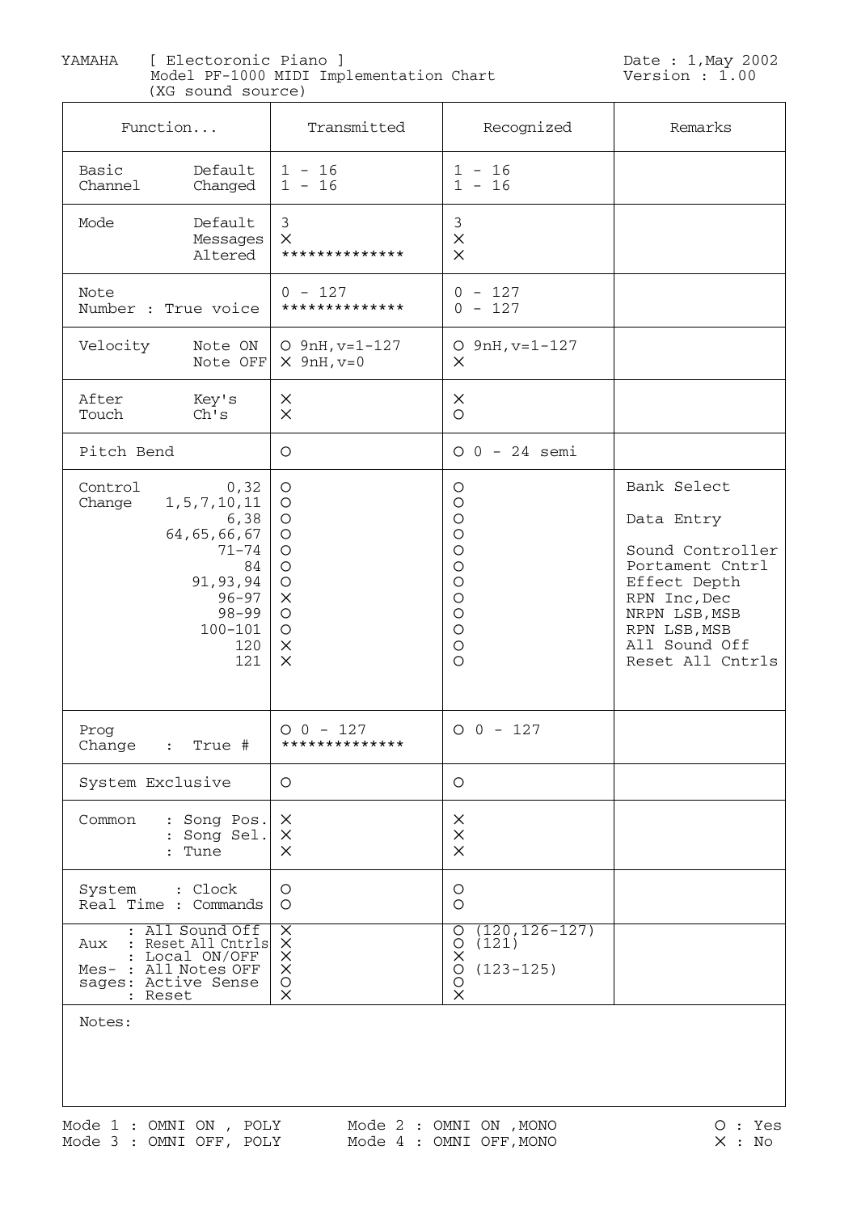YAMAHA [ Electoronic Piano ] (XG sound source) Model PF-1000 MIDI Implementation Chart Version : 1.00

| Function                                                                                                                                                      | Transmitted                                                                                                             | Recognized                                                                                                                       | Remarks                                                                                                                                                                |
|---------------------------------------------------------------------------------------------------------------------------------------------------------------|-------------------------------------------------------------------------------------------------------------------------|----------------------------------------------------------------------------------------------------------------------------------|------------------------------------------------------------------------------------------------------------------------------------------------------------------------|
| Basic<br>Default<br>Channel<br>Changed                                                                                                                        | $1 - 16$<br>$1 - 16$                                                                                                    | $1 - 16$<br>$1 - 16$                                                                                                             |                                                                                                                                                                        |
| Default<br>Mode<br>Messages<br>Altered                                                                                                                        | 3<br>X<br>**************                                                                                                | 3<br>$\times$<br>$\times$                                                                                                        |                                                                                                                                                                        |
| Note<br>Number : True voice                                                                                                                                   | $0 - 127$<br>**************                                                                                             | $0 - 127$<br>$0 - 127$                                                                                                           |                                                                                                                                                                        |
| Velocity<br>Note ON<br>Note OFF                                                                                                                               | $O$ 9nH, $v=1-127$<br>$\times$ 9nH, $v=0$                                                                               | $O$ 9nH, $v=1-127$<br>$\times$                                                                                                   |                                                                                                                                                                        |
| After<br>Key's<br>Touch<br>Ch's                                                                                                                               | $\times$<br>$\times$                                                                                                    | $\times$<br>$\circ$                                                                                                              |                                                                                                                                                                        |
| Pitch Bend                                                                                                                                                    | O                                                                                                                       | $0 0 - 24$ semi                                                                                                                  |                                                                                                                                                                        |
| Control<br>0, 32<br>1, 5, 7, 10, 11<br>Change<br>6,38<br>64, 65, 66, 67<br>$71 - 74$<br>84<br>91,93,94<br>$96 - 97$<br>$98 - 99$<br>$100 - 101$<br>120<br>121 | O<br>$\circ$<br>$\circ$<br>$\circ$<br>$\circ$<br>$\circ$<br>O<br>$\times$<br>$\circ$<br>$\circ$<br>$\times$<br>$\times$ | O<br>$\bigcirc$<br>$\bigcirc$<br>$\circ$<br>O<br>$\circ$<br>$\circ$<br>$\bigcirc$<br>$\bigcirc$<br>$\circ$<br>$\circ$<br>$\circ$ | Bank Select<br>Data Entry<br>Sound Controller<br>Portament Cntrl<br>Effect Depth<br>RPN Inc, Dec<br>NRPN LSB, MSB<br>RPN LSB, MSB<br>All Sound Off<br>Reset All Cntrls |
| Prog<br>True #<br>Change<br>$\sim$ 100 $\sim$                                                                                                                 | $O$ 0 - 127                                                                                                             | $O$ 0 - 127                                                                                                                      |                                                                                                                                                                        |
| System Exclusive                                                                                                                                              | $\circ$                                                                                                                 | O                                                                                                                                |                                                                                                                                                                        |
| Common<br>: Song Pos.<br>Song Sel.<br>$\mathbf{L}$<br>Tune<br>$\cdot$ .                                                                                       | ×<br>$\times$<br>$\times$                                                                                               | ×<br>$\times$<br>$\times$                                                                                                        |                                                                                                                                                                        |
| : Clock<br>System<br>Real Time : Commands                                                                                                                     | $\bigcirc$<br>$\circ$                                                                                                   | $\bigcirc$<br>$\bigcirc$                                                                                                         |                                                                                                                                                                        |
| : All Sound Off<br>: Reset All Cntrls<br>Aux<br>Local ON/OFF<br>Mes- : All Notes OFF<br>sages: Active Sense<br>: Reset                                        | $\frac{\times}{\times}$<br>$\frac{\times}{\times}$<br>$\bigcirc$<br>$\times$                                            | $(120, 126 - 127)$<br>O<br>(121)<br>$\circ$<br>×<br>$\bigcirc$<br>$(123 - 125)$<br>O<br>$\times$                                 |                                                                                                                                                                        |

Notes: